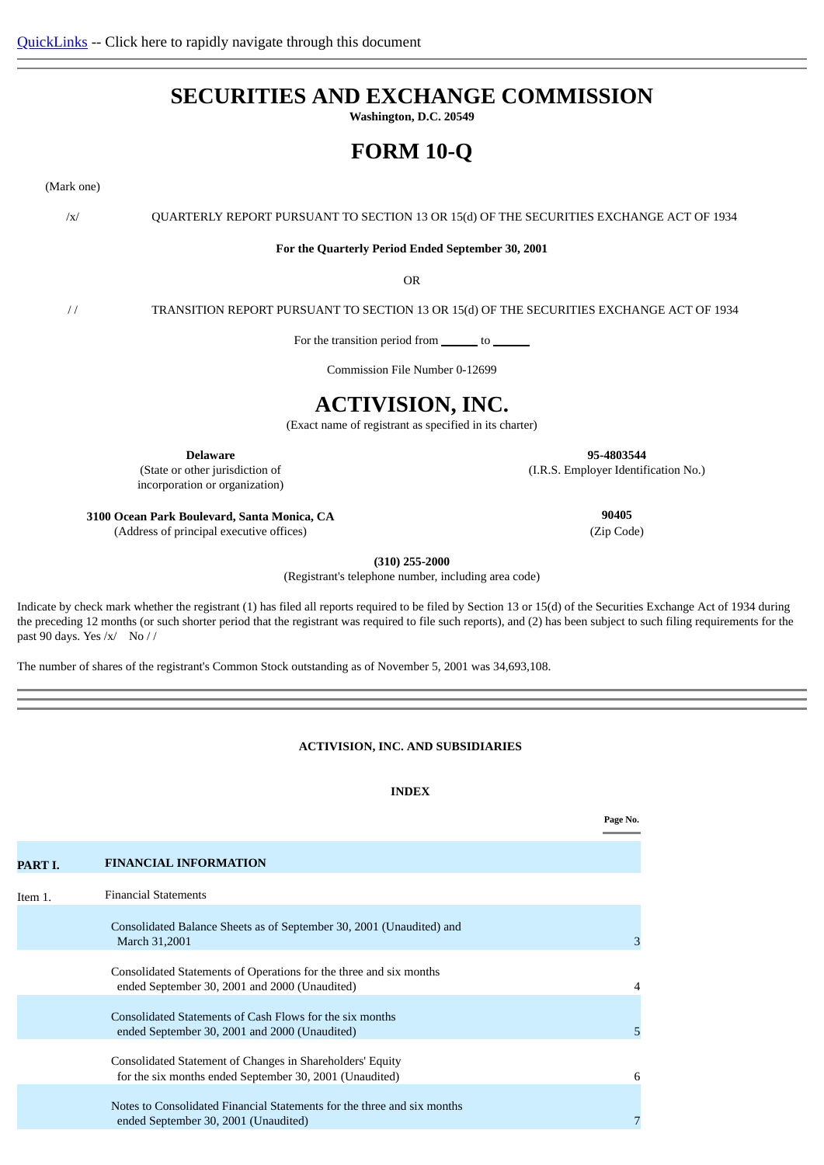# **SECURITIES AND EXCHANGE COMMISSION**

**Washington, D.C. 20549**

# **FORM 10-Q**

(Mark one)

/x/ QUARTERLY REPORT PURSUANT TO SECTION 13 OR 15(d) OF THE SECURITIES EXCHANGE ACT OF 1934

**For the Quarterly Period Ended September 30, 2001**

OR

/ / TRANSITION REPORT PURSUANT TO SECTION 13 OR 15(d) OF THE SECURITIES EXCHANGE ACT OF 1934

For the transition period from \_\_\_\_\_\_\_ to \_\_

Commission File Number 0-12699

# **ACTIVISION, INC.**

(Exact name of registrant as specified in its charter)

**Delaware 95-4803544**

(State or other jurisdiction of incorporation or organization)

**3100 Ocean Park Boulevard, Santa Monica, CA 90405**

(Address of principal executive offices) (Zip Code)

(I.R.S. Employer Identification No.)

**(310) 255-2000**

(Registrant's telephone number, including area code)

Indicate by check mark whether the registrant (1) has filed all reports required to be filed by Section 13 or 15(d) of the Securities Exchange Act of 1934 during the preceding 12 months (or such shorter period that the registrant was required to file such reports), and (2) has been subject to such filing requirements for the past 90 days. Yes /x/ No / /

<span id="page-0-0"></span>The number of shares of the registrant's Common Stock outstanding as of November 5, 2001 was 34,693,108.

**ACTIVISION, INC. AND SUBSIDIARIES** 

### **INDEX**

<span id="page-0-1"></span>

|         |                                                                                                                      | Page No. |
|---------|----------------------------------------------------------------------------------------------------------------------|----------|
| PART I. | <b>FINANCIAL INFORMATION</b>                                                                                         |          |
| Item 1. | <b>Financial Statements</b>                                                                                          |          |
|         | Consolidated Balance Sheets as of September 30, 2001 (Unaudited) and<br>March 31,2001                                | 3        |
|         | Consolidated Statements of Operations for the three and six months<br>ended September 30, 2001 and 2000 (Unaudited)  | 4        |
|         | Consolidated Statements of Cash Flows for the six months<br>ended September 30, 2001 and 2000 (Unaudited)            | 5        |
|         | Consolidated Statement of Changes in Shareholders' Equity<br>for the six months ended September 30, 2001 (Unaudited) | 6        |
|         | Notes to Consolidated Financial Statements for the three and six months<br>ended September 30, 2001 (Unaudited)      | 7        |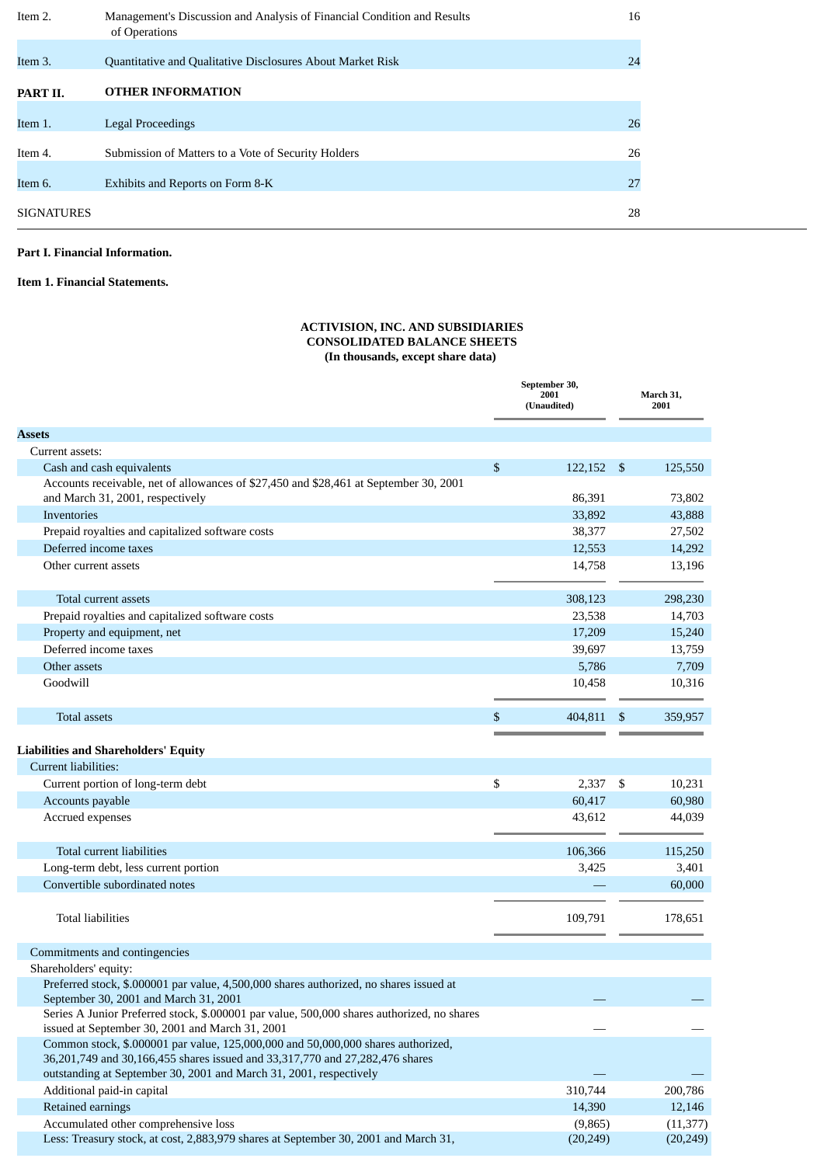| Item 2.           | Management's Discussion and Analysis of Financial Condition and Results<br>of Operations | 16 |
|-------------------|------------------------------------------------------------------------------------------|----|
| Item 3.           | Quantitative and Qualitative Disclosures About Market Risk                               | 24 |
| PART II.          | <b>OTHER INFORMATION</b>                                                                 |    |
| Item 1.           | Legal Proceedings                                                                        | 26 |
| Item 4.           | Submission of Matters to a Vote of Security Holders                                      | 26 |
| Item 6.           | Exhibits and Reports on Form 8-K                                                         | 27 |
| <b>SIGNATURES</b> |                                                                                          | 28 |

### **Part I. Financial Information.**

<span id="page-1-0"></span>**Item 1. Financial Statements.**

### **ACTIVISION, INC. AND SUBSIDIARIES CONSOLIDATED BALANCE SHEETS (In thousands, except share data)**

|                                                                                                                                                                  | September 30,<br>2001<br>(Unaudited) |    | March 31,<br>2001 |  |  |
|------------------------------------------------------------------------------------------------------------------------------------------------------------------|--------------------------------------|----|-------------------|--|--|
| <b>Assets</b>                                                                                                                                                    |                                      |    |                   |  |  |
| Current assets:                                                                                                                                                  |                                      |    |                   |  |  |
| Cash and cash equivalents                                                                                                                                        | \$<br>122,152                        | \$ | 125,550           |  |  |
| Accounts receivable, net of allowances of \$27,450 and \$28,461 at September 30, 2001                                                                            |                                      |    |                   |  |  |
| and March 31, 2001, respectively                                                                                                                                 | 86,391                               |    | 73,802            |  |  |
| Inventories                                                                                                                                                      | 33,892                               |    | 43,888            |  |  |
| Prepaid royalties and capitalized software costs                                                                                                                 | 38,377                               |    | 27,502            |  |  |
| Deferred income taxes                                                                                                                                            | 12,553                               |    | 14,292            |  |  |
| Other current assets                                                                                                                                             | 14,758                               |    | 13,196            |  |  |
| Total current assets                                                                                                                                             | 308,123                              |    | 298,230           |  |  |
| Prepaid royalties and capitalized software costs                                                                                                                 | 23,538                               |    | 14,703            |  |  |
| Property and equipment, net                                                                                                                                      | 17,209                               |    | 15,240            |  |  |
| Deferred income taxes                                                                                                                                            | 39,697                               |    | 13,759            |  |  |
| Other assets                                                                                                                                                     | 5,786                                |    | 7,709             |  |  |
| Goodwill                                                                                                                                                         | 10,458                               |    | 10,316            |  |  |
|                                                                                                                                                                  |                                      |    |                   |  |  |
| <b>Total assets</b>                                                                                                                                              | \$<br>404,811                        | S  | 359,957           |  |  |
|                                                                                                                                                                  |                                      |    |                   |  |  |
| <b>Liabilities and Shareholders' Equity</b>                                                                                                                      |                                      |    |                   |  |  |
| Current liabilities:                                                                                                                                             |                                      |    |                   |  |  |
| Current portion of long-term debt                                                                                                                                | \$<br>2,337                          | \$ | 10,231            |  |  |
| Accounts payable                                                                                                                                                 | 60,417                               |    | 60,980            |  |  |
| Accrued expenses                                                                                                                                                 | 43,612                               |    | 44,039            |  |  |
| Total current liabilities                                                                                                                                        | 106,366                              |    | 115,250           |  |  |
| Long-term debt, less current portion                                                                                                                             | 3,425                                |    | 3,401             |  |  |
| Convertible subordinated notes                                                                                                                                   |                                      |    | 60,000            |  |  |
|                                                                                                                                                                  |                                      |    |                   |  |  |
| Total liabilities                                                                                                                                                | 109,791                              |    | 178,651           |  |  |
|                                                                                                                                                                  |                                      |    |                   |  |  |
| Commitments and contingencies                                                                                                                                    |                                      |    |                   |  |  |
| Shareholders' equity:                                                                                                                                            |                                      |    |                   |  |  |
| Preferred stock, \$.000001 par value, 4,500,000 shares authorized, no shares issued at                                                                           |                                      |    |                   |  |  |
| September 30, 2001 and March 31, 2001                                                                                                                            |                                      |    |                   |  |  |
| Series A Junior Preferred stock, \$.000001 par value, 500,000 shares authorized, no shares                                                                       |                                      |    |                   |  |  |
| issued at September 30, 2001 and March 31, 2001                                                                                                                  |                                      |    |                   |  |  |
| Common stock, \$.000001 par value, 125,000,000 and 50,000,000 shares authorized,<br>36,201,749 and 30,166,455 shares issued and 33,317,770 and 27,282,476 shares |                                      |    |                   |  |  |
| outstanding at September 30, 2001 and March 31, 2001, respectively                                                                                               |                                      |    |                   |  |  |
| Additional paid-in capital                                                                                                                                       | 310,744                              |    | 200,786           |  |  |
| Retained earnings                                                                                                                                                | 14,390                               |    | 12,146            |  |  |
| Accumulated other comprehensive loss                                                                                                                             | (9,865)                              |    | (11, 377)         |  |  |
| Less: Treasury stock, at cost, 2,883,979 shares at September 30, 2001 and March 31,                                                                              | (20, 249)                            |    | (20, 249)         |  |  |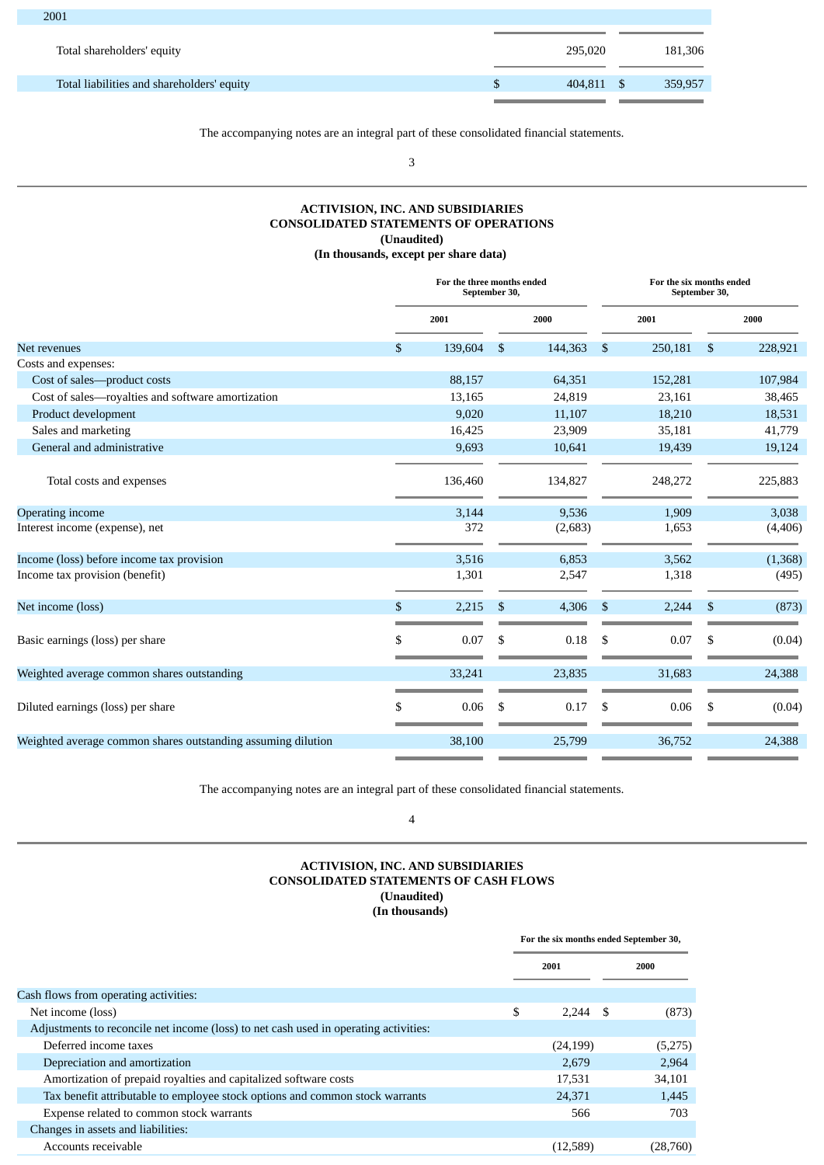| $\sim$ 0 $\sigma$ 1                        |         |         |
|--------------------------------------------|---------|---------|
| Total shareholders' equity                 | 295,020 | 181,306 |
| Total liabilities and shareholders' equity | 404,811 | 359,957 |
|                                            |         |         |

The accompanying notes are an integral part of these consolidated financial statements.

3

### **ACTIVISION, INC. AND SUBSIDIARIES CONSOLIDATED STATEMENTS OF OPERATIONS (Unaudited) (In thousands, except per share data)**

<span id="page-2-0"></span>

|                                                              | For the three months ended<br>September 30, |                |         |                |         | For the six months ended<br>September 30, |          |  |
|--------------------------------------------------------------|---------------------------------------------|----------------|---------|----------------|---------|-------------------------------------------|----------|--|
|                                                              | 2001                                        |                | 2000    |                | 2001    |                                           | 2000     |  |
| Net revenues                                                 | \$<br>139,604                               | $\mathfrak{S}$ | 144,363 | $\mathbb{S}$   | 250,181 | \$                                        | 228,921  |  |
| Costs and expenses:                                          |                                             |                |         |                |         |                                           |          |  |
| Cost of sales-product costs                                  | 88,157                                      |                | 64,351  |                | 152,281 |                                           | 107,984  |  |
| Cost of sales-royalties and software amortization            | 13,165                                      |                | 24,819  |                | 23,161  |                                           | 38,465   |  |
| Product development                                          | 9,020                                       |                | 11,107  |                | 18,210  |                                           | 18,531   |  |
| Sales and marketing                                          | 16,425                                      |                | 23,909  |                | 35,181  |                                           | 41,779   |  |
| General and administrative                                   | 9,693                                       |                | 10,641  |                | 19,439  |                                           | 19,124   |  |
| Total costs and expenses                                     | 136,460                                     |                | 134,827 |                | 248,272 |                                           | 225,883  |  |
| Operating income                                             | 3,144                                       |                | 9,536   |                | 1,909   |                                           | 3,038    |  |
| Interest income (expense), net                               | 372                                         |                | (2,683) |                | 1,653   |                                           | (4, 406) |  |
| Income (loss) before income tax provision                    | 3,516                                       |                | 6,853   |                | 3,562   |                                           | (1,368)  |  |
| Income tax provision (benefit)                               | 1,301                                       |                | 2,547   |                | 1,318   |                                           | (495)    |  |
| Net income (loss)                                            | \$<br>2,215                                 | $\mathfrak{s}$ | 4,306   | $\mathfrak{S}$ | 2,244   | $\mathfrak{s}$                            | (873)    |  |
| Basic earnings (loss) per share                              | \$<br>0.07                                  | \$             | 0.18    | \$             | 0.07    | \$                                        | (0.04)   |  |
| Weighted average common shares outstanding                   | 33,241                                      |                | 23,835  |                | 31,683  |                                           | 24,388   |  |
| Diluted earnings (loss) per share                            | \$<br>0.06                                  | S.             | 0.17    | \$             | 0.06    | S                                         | (0.04)   |  |
| Weighted average common shares outstanding assuming dilution | 38,100                                      |                | 25,799  |                | 36,752  |                                           | 24,388   |  |

The accompanying notes are an integral part of these consolidated financial statements.

4

### **ACTIVISION, INC. AND SUBSIDIARIES CONSOLIDATED STATEMENTS OF CASH FLOWS (Unaudited) (In thousands)**

<span id="page-2-1"></span>**For the six months ended September 30, 2001 2000** Cash flows from operating activities: Net income (loss)  $\frac{1}{2}$  (873) Adjustments to reconcile net income (loss) to net cash used in operating activities: Deferred income taxes (24,199) (5,275) Depreciation and amortization 2,679 2,964 Amortization of prepaid royalties and capitalized software costs and the state of the state of the state 17,531 34,101 Tax benefit attributable to employee stock options and common stock warrants 24,371 1,445 Expense related to common stock warrants **566** 703 Changes in assets and liabilities: Accounts receivable (12,589) (28,760)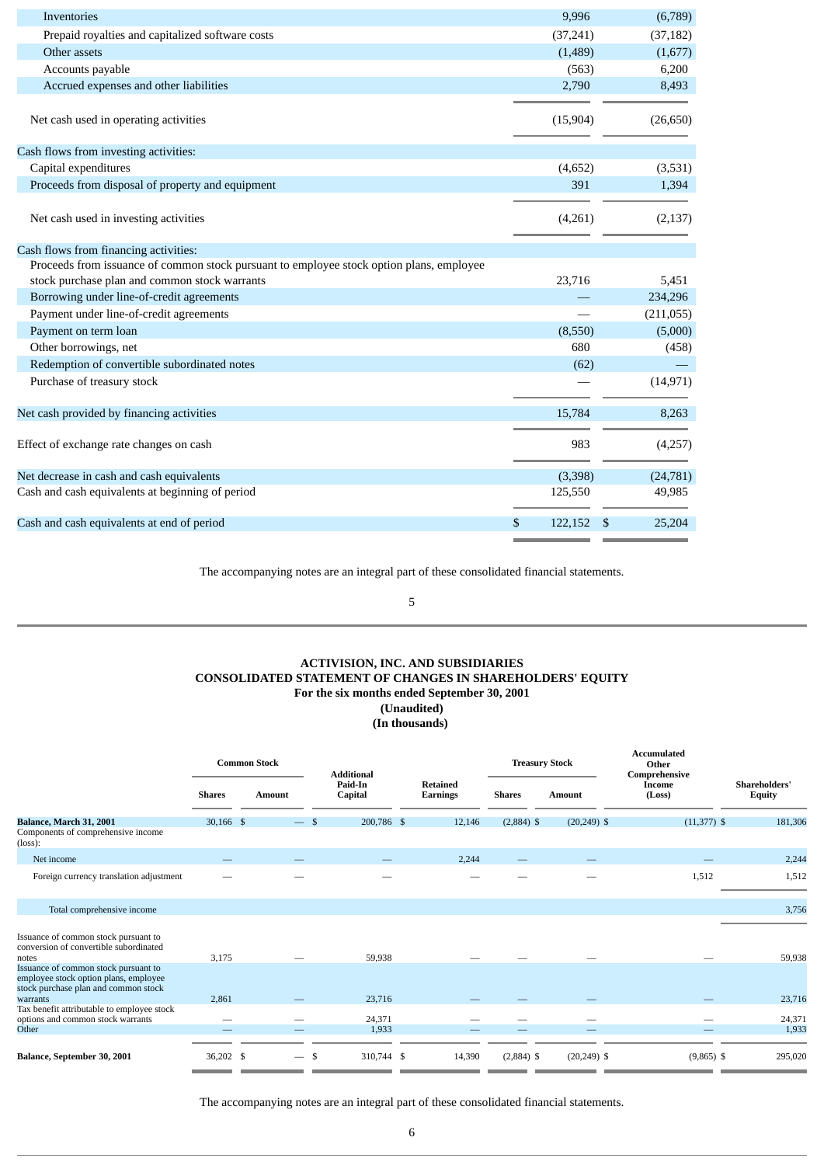| Inventories                                                                                                                               | 9,996         | (6,789)      |
|-------------------------------------------------------------------------------------------------------------------------------------------|---------------|--------------|
| Prepaid royalties and capitalized software costs                                                                                          | (37, 241)     | (37, 182)    |
| Other assets                                                                                                                              | (1,489)       | (1,677)      |
| Accounts payable                                                                                                                          | (563)         | 6,200        |
| Accrued expenses and other liabilities                                                                                                    | 2,790         | 8,493        |
| Net cash used in operating activities                                                                                                     | (15,904)      | (26, 650)    |
| Cash flows from investing activities:                                                                                                     |               |              |
| Capital expenditures                                                                                                                      | (4, 652)      | (3,531)      |
| Proceeds from disposal of property and equipment                                                                                          | 391           | 1,394        |
| Net cash used in investing activities                                                                                                     | (4,261)       | (2, 137)     |
| Cash flows from financing activities:                                                                                                     |               |              |
| Proceeds from issuance of common stock pursuant to employee stock option plans, employee<br>stock purchase plan and common stock warrants | 23,716        | 5,451        |
| Borrowing under line-of-credit agreements                                                                                                 |               | 234,296      |
| Payment under line-of-credit agreements                                                                                                   |               | (211,055)    |
| Payment on term loan                                                                                                                      | (8,550)       | (5,000)      |
| Other borrowings, net                                                                                                                     | 680           | (458)        |
| Redemption of convertible subordinated notes                                                                                              | (62)          |              |
| Purchase of treasury stock                                                                                                                |               | (14, 971)    |
| Net cash provided by financing activities                                                                                                 | 15,784        | 8,263        |
| Effect of exchange rate changes on cash                                                                                                   | 983           | (4,257)      |
| Net decrease in cash and cash equivalents                                                                                                 | (3,398)       | (24, 781)    |
| Cash and cash equivalents at beginning of period                                                                                          | 125,550       | 49,985       |
| Cash and cash equivalents at end of period                                                                                                | \$<br>122,152 | \$<br>25,204 |
|                                                                                                                                           |               |              |

The accompanying notes are an integral part of these consolidated financial statements.

5

### **ACTIVISION, INC. AND SUBSIDIARIES CONSOLIDATED STATEMENT OF CHANGES IN SHAREHOLDERS' EQUITY For the six months ended September 30, 2001 (Unaudited) (In thousands)**

<span id="page-3-0"></span>

|                                                                                                                                   |               | <b>Common Stock</b> |        | <b>Additional</b>  |                                    |               | <b>Treasury Stock</b> | <b>Accumulated</b><br>Other<br>Comprehensive |               |                                       |
|-----------------------------------------------------------------------------------------------------------------------------------|---------------|---------------------|--------|--------------------|------------------------------------|---------------|-----------------------|----------------------------------------------|---------------|---------------------------------------|
|                                                                                                                                   | <b>Shares</b> | <b>Amount</b>       |        | Paid-In<br>Capital | <b>Retained</b><br><b>Earnings</b> | <b>Shares</b> | <b>Amount</b>         | Income<br>(Loss)                             |               | <b>Shareholders'</b><br><b>Equity</b> |
| Balance, March 31, 2001<br>Components of comprehensive income<br>$(\text{loss})$ :                                                | $30,166$ \$   |                     | $-$ \$ | 200,786 \$         | 12,146                             | $(2,884)$ \$  | $(20, 249)$ \$        |                                              | $(11,377)$ \$ | 181,306                               |
| Net income                                                                                                                        |               |                     |        |                    | 2,244                              |               |                       |                                              |               | 2,244                                 |
| Foreign currency translation adjustment                                                                                           |               |                     |        |                    |                                    |               |                       |                                              | 1,512         | 1,512                                 |
| Total comprehensive income                                                                                                        |               |                     |        |                    |                                    |               |                       |                                              |               | 3,756                                 |
| Issuance of common stock pursuant to<br>conversion of convertible subordinated<br>notes                                           | 3,175         |                     |        | 59,938             |                                    |               |                       |                                              |               | 59,938                                |
| Issuance of common stock pursuant to<br>employee stock option plans, employee<br>stock purchase plan and common stock<br>warrants | 2,861         |                     |        | 23,716             |                                    |               |                       |                                              |               | 23,716                                |
| Tax benefit attributable to employee stock<br>options and common stock warrants<br>Other                                          |               |                     |        | 24,371<br>1,933    |                                    |               |                       |                                              |               | 24,371<br>1,933                       |
| Balance, September 30, 2001                                                                                                       | 36,202 \$     |                     | -\$    | 310,744 \$         | 14,390                             | $(2,884)$ \$  | $(20, 249)$ \$        |                                              | $(9,865)$ \$  | 295,020                               |

The accompanying notes are an integral part of these consolidated financial statements.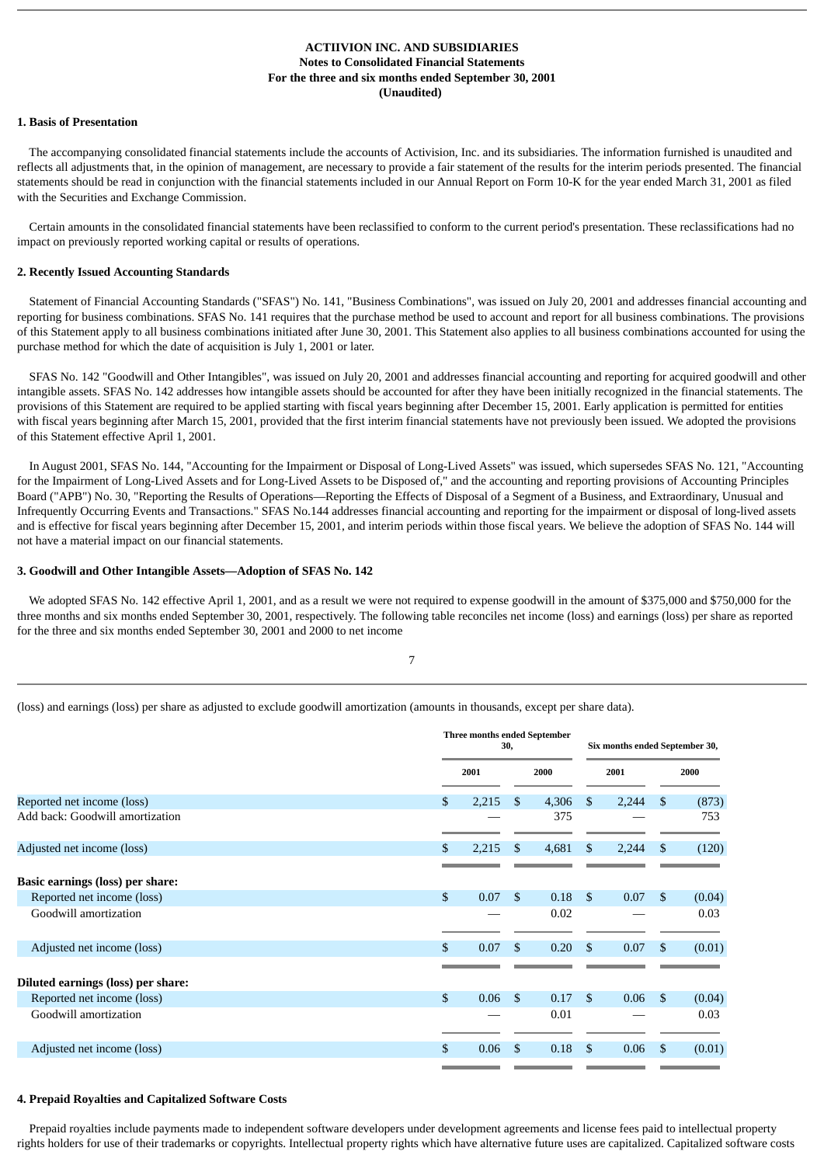### **ACTIIVION INC. AND SUBSIDIARIES Notes to Consolidated Financial Statements For the three and six months ended September 30, 2001 (Unaudited)**

### <span id="page-4-0"></span>**1. Basis of Presentation**

 The accompanying consolidated financial statements include the accounts of Activision, Inc. and its subsidiaries. The information furnished is unaudited and reflects all adjustments that, in the opinion of management, are necessary to provide a fair statement of the results for the interim periods presented. The financial statements should be read in conjunction with the financial statements included in our Annual Report on Form 10-K for the year ended March 31, 2001 as filed with the Securities and Exchange Commission.

 Certain amounts in the consolidated financial statements have been reclassified to conform to the current period's presentation. These reclassifications had no impact on previously reported working capital or results of operations.

### **2. Recently Issued Accounting Standards**

 Statement of Financial Accounting Standards ("SFAS") No. 141, "Business Combinations", was issued on July 20, 2001 and addresses financial accounting and reporting for business combinations. SFAS No. 141 requires that the purchase method be used to account and report for all business combinations. The provisions of this Statement apply to all business combinations initiated after June 30, 2001. This Statement also applies to all business combinations accounted for using the purchase method for which the date of acquisition is July 1, 2001 or later.

 SFAS No. 142 "Goodwill and Other Intangibles", was issued on July 20, 2001 and addresses financial accounting and reporting for acquired goodwill and other intangible assets. SFAS No. 142 addresses how intangible assets should be accounted for after they have been initially recognized in the financial statements. The provisions of this Statement are required to be applied starting with fiscal years beginning after December 15, 2001. Early application is permitted for entities with fiscal years beginning after March 15, 2001, provided that the first interim financial statements have not previously been issued. We adopted the provisions of this Statement effective April 1, 2001.

 In August 2001, SFAS No. 144, "Accounting for the Impairment or Disposal of Long-Lived Assets" was issued, which supersedes SFAS No. 121, "Accounting for the Impairment of Long-Lived Assets and for Long-Lived Assets to be Disposed of," and the accounting and reporting provisions of Accounting Principles Board ("APB") No. 30, "Reporting the Results of Operations—Reporting the Effects of Disposal of a Segment of a Business, and Extraordinary, Unusual and Infrequently Occurring Events and Transactions." SFAS No.144 addresses financial accounting and reporting for the impairment or disposal of long-lived assets and is effective for fiscal years beginning after December 15, 2001, and interim periods within those fiscal years. We believe the adoption of SFAS No. 144 will not have a material impact on our financial statements.

### **3. Goodwill and Other Intangible Assets—Adoption of SFAS No. 142**

 We adopted SFAS No. 142 effective April 1, 2001, and as a result we were not required to expense goodwill in the amount of \$375,000 and \$750,000 for the three months and six months ended September 30, 2001, respectively. The following table reconciles net income (loss) and earnings (loss) per share as reported for the three and six months ended September 30, 2001 and 2000 to net income

(loss) and earnings (loss) per share as adjusted to exclude goodwill amortization (amounts in thousands, except per share data).

|                                         | Three months ended September<br>30, |       |               |       |              | Six months ended September 30, |    |        |
|-----------------------------------------|-------------------------------------|-------|---------------|-------|--------------|--------------------------------|----|--------|
|                                         |                                     | 2001  |               | 2000  |              | 2001                           |    | 2000   |
| Reported net income (loss)              | \$                                  | 2,215 | \$            | 4,306 | \$           | 2,244                          | \$ | (873)  |
| Add back: Goodwill amortization         |                                     |       |               | 375   |              |                                |    | 753    |
| Adjusted net income (loss)              | S.                                  | 2,215 | \$            | 4,681 | \$           | 2,244                          | \$ | (120)  |
| <b>Basic earnings (loss) per share:</b> |                                     |       |               |       |              |                                |    |        |
| Reported net income (loss)              | \$                                  | 0.07  | <sup>\$</sup> | 0.18  | $\mathbf{s}$ | 0.07                           | \$ | (0.04) |
| Goodwill amortization                   |                                     |       |               | 0.02  |              |                                |    | 0.03   |
| Adjusted net income (loss)              | S.                                  | 0.07  | \$.           | 0.20  | \$           | 0.07                           | \$ | (0.01) |
| Diluted earnings (loss) per share:      |                                     |       |               |       |              |                                |    |        |
| Reported net income (loss)              | \$                                  | 0.06  | <sup>\$</sup> | 0.17  | \$.          | 0.06                           | \$ | (0.04) |
| Goodwill amortization                   |                                     |       |               | 0.01  |              |                                |    | 0.03   |
| Adjusted net income (loss)              | \$                                  | 0.06  | \$            | 0.18  | \$           | 0.06                           | \$ | (0.01) |

### **4. Prepaid Royalties and Capitalized Software Costs**

 Prepaid royalties include payments made to independent software developers under development agreements and license fees paid to intellectual property rights holders for use of their trademarks or copyrights. Intellectual property rights which have alternative future uses are capitalized. Capitalized software costs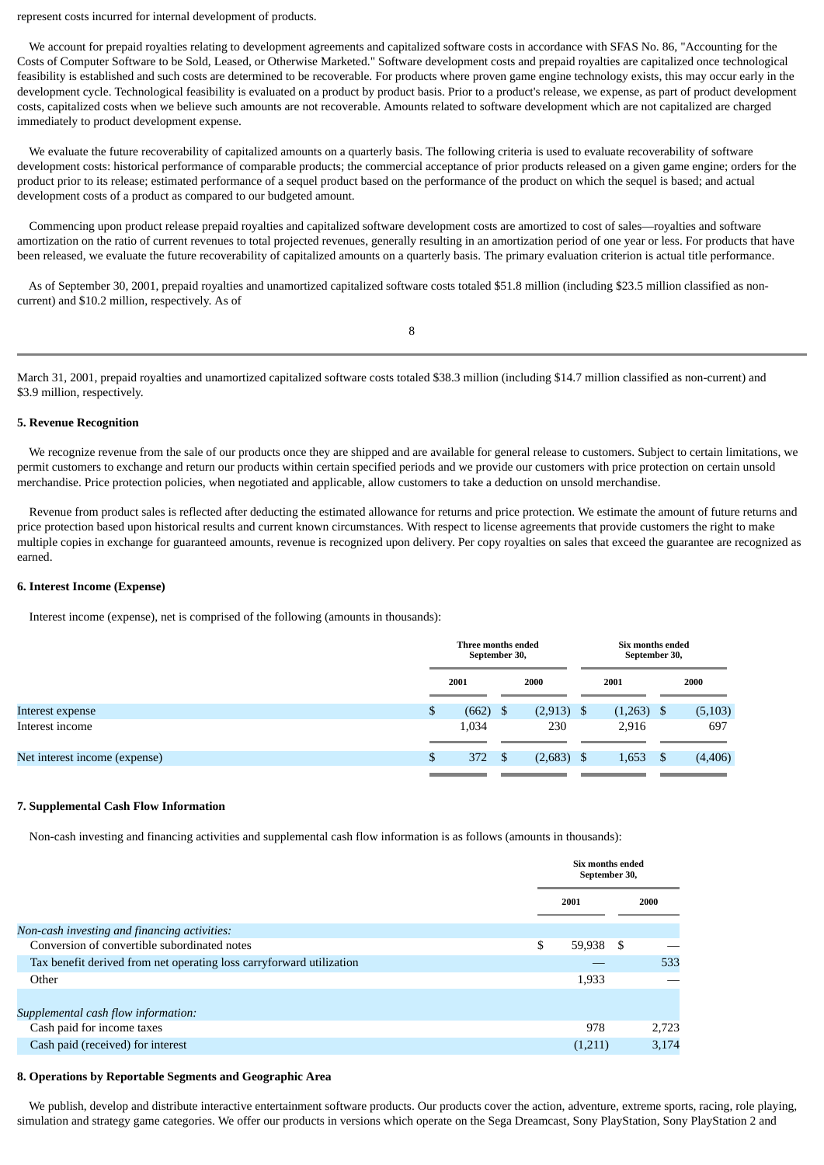represent costs incurred for internal development of products.

 We account for prepaid royalties relating to development agreements and capitalized software costs in accordance with SFAS No. 86, "Accounting for the Costs of Computer Software to be Sold, Leased, or Otherwise Marketed." Software development costs and prepaid royalties are capitalized once technological feasibility is established and such costs are determined to be recoverable. For products where proven game engine technology exists, this may occur early in the development cycle. Technological feasibility is evaluated on a product by product basis. Prior to a product's release, we expense, as part of product development costs, capitalized costs when we believe such amounts are not recoverable. Amounts related to software development which are not capitalized are charged immediately to product development expense.

 We evaluate the future recoverability of capitalized amounts on a quarterly basis. The following criteria is used to evaluate recoverability of software development costs: historical performance of comparable products; the commercial acceptance of prior products released on a given game engine; orders for the product prior to its release; estimated performance of a sequel product based on the performance of the product on which the sequel is based; and actual development costs of a product as compared to our budgeted amount.

 Commencing upon product release prepaid royalties and capitalized software development costs are amortized to cost of sales—royalties and software amortization on the ratio of current revenues to total projected revenues, generally resulting in an amortization period of one year or less. For products that have been released, we evaluate the future recoverability of capitalized amounts on a quarterly basis. The primary evaluation criterion is actual title performance.

 As of September 30, 2001, prepaid royalties and unamortized capitalized software costs totaled \$51.8 million (including \$23.5 million classified as noncurrent) and \$10.2 million, respectively. As of

8

March 31, 2001, prepaid royalties and unamortized capitalized software costs totaled \$38.3 million (including \$14.7 million classified as non-current) and \$3.9 million, respectively.

### **5. Revenue Recognition**

 We recognize revenue from the sale of our products once they are shipped and are available for general release to customers. Subject to certain limitations, we permit customers to exchange and return our products within certain specified periods and we provide our customers with price protection on certain unsold merchandise. Price protection policies, when negotiated and applicable, allow customers to take a deduction on unsold merchandise.

 Revenue from product sales is reflected after deducting the estimated allowance for returns and price protection. We estimate the amount of future returns and price protection based upon historical results and current known circumstances. With respect to license agreements that provide customers the right to make multiple copies in exchange for guaranteed amounts, revenue is recognized upon delivery. Per copy royalties on sales that exceed the guarantee are recognized as earned.

### **6. Interest Income (Expense)**

Interest income (expense), net is comprised of the following (amounts in thousands):

|                               |    | Three months ended<br>September 30, |      | Six months ended<br>September 30, |   |         |      |          |  |      |
|-------------------------------|----|-------------------------------------|------|-----------------------------------|---|---------|------|----------|--|------|
|                               |    | 2001                                |      |                                   |   | 2000    | 2001 |          |  | 2000 |
| Interest expense              | \$ | (662)                               | - \$ | (2, 913)                          |   | (1,263) | - \$ | (5, 103) |  |      |
| Interest income               |    | 1,034                               |      | 230                               |   | 2,916   |      | 697      |  |      |
|                               |    |                                     |      |                                   |   |         |      |          |  |      |
| Net interest income (expense) | \$ | 372                                 |      | (2,683)                           | S | 1,653   |      | (4,406)  |  |      |
|                               |    |                                     |      |                                   |   |         |      |          |  |      |

### **7. Supplemental Cash Flow Information**

Non-cash investing and financing activities and supplemental cash flow information is as follows (amounts in thousands):

|                                                                      | Six months ended<br>September 30, |      |       |
|----------------------------------------------------------------------|-----------------------------------|------|-------|
|                                                                      | 2001                              |      | 2000  |
| Non-cash investing and financing activities:                         |                                   |      |       |
| Conversion of convertible subordinated notes                         | \$<br>59,938                      | - \$ |       |
| Tax benefit derived from net operating loss carryforward utilization |                                   |      | 533   |
| Other                                                                | 1,933                             |      |       |
|                                                                      |                                   |      |       |
| Supplemental cash flow information:                                  |                                   |      |       |
| Cash paid for income taxes                                           | 978                               |      | 2,723 |
| Cash paid (received) for interest                                    | (1,211)                           |      | 3,174 |

### **8. Operations by Reportable Segments and Geographic Area**

We publish, develop and distribute interactive entertainment software products. Our products cover the action, adventure, extreme sports, racing, role playing, simulation and strategy game categories. We offer our products in versions which operate on the Sega Dreamcast, Sony PlayStation, Sony PlayStation 2 and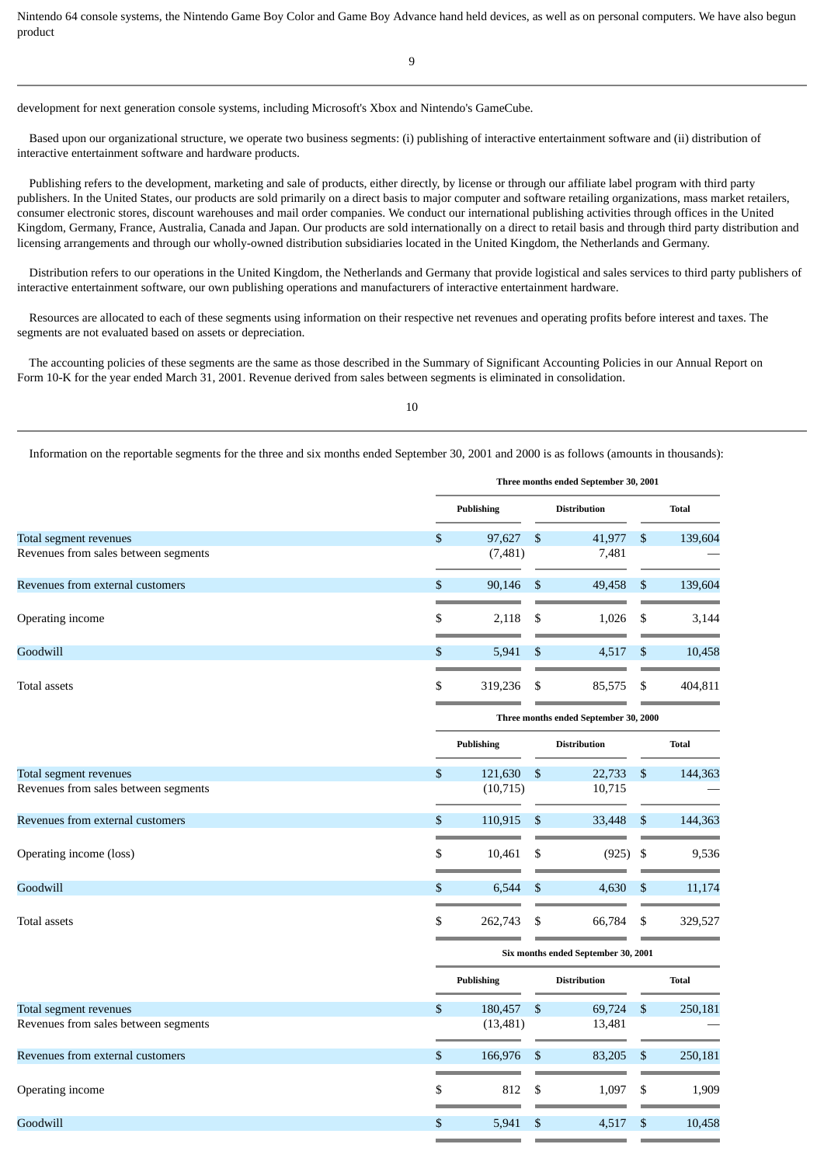Nintendo 64 console systems, the Nintendo Game Boy Color and Game Boy Advance hand held devices, as well as on personal computers. We have also begun product

development for next generation console systems, including Microsoft's Xbox and Nintendo's GameCube.

 Based upon our organizational structure, we operate two business segments: (i) publishing of interactive entertainment software and (ii) distribution of interactive entertainment software and hardware products.

 Publishing refers to the development, marketing and sale of products, either directly, by license or through our affiliate label program with third party publishers. In the United States, our products are sold primarily on a direct basis to major computer and software retailing organizations, mass market retailers, consumer electronic stores, discount warehouses and mail order companies. We conduct our international publishing activities through offices in the United Kingdom, Germany, France, Australia, Canada and Japan. Our products are sold internationally on a direct to retail basis and through third party distribution and licensing arrangements and through our wholly-owned distribution subsidiaries located in the United Kingdom, the Netherlands and Germany.

 Distribution refers to our operations in the United Kingdom, the Netherlands and Germany that provide logistical and sales services to third party publishers of interactive entertainment software, our own publishing operations and manufacturers of interactive entertainment hardware.

 Resources are allocated to each of these segments using information on their respective net revenues and operating profits before interest and taxes. The segments are not evaluated based on assets or depreciation.

 The accounting policies of these segments are the same as those described in the Summary of Significant Accounting Policies in our Annual Report on Form 10-K for the year ended March 31, 2001. Revenue derived from sales between segments is eliminated in consolidation.

10

Information on the reportable segments for the three and six months ended September 30, 2001 and 2000 is as follows (amounts in thousands):

|                                      | Three months ended September 30, 2001 |    |                     |            |              |  |  |  |  |  |  |  |
|--------------------------------------|---------------------------------------|----|---------------------|------------|--------------|--|--|--|--|--|--|--|
|                                      | <b>Publishing</b>                     |    | <b>Distribution</b> |            | <b>Total</b> |  |  |  |  |  |  |  |
| Total segment revenues               | \$<br>97,627                          | \$ | 41,977              | \$         | 139,604      |  |  |  |  |  |  |  |
| Revenues from sales between segments | (7, 481)                              |    | 7,481               |            |              |  |  |  |  |  |  |  |
| Revenues from external customers     | \$<br>90,146                          | \$ | 49,458              | $\$$       | 139,604      |  |  |  |  |  |  |  |
| Operating income                     | \$<br>2,118                           | \$ | 1,026               | \$         | 3,144        |  |  |  |  |  |  |  |
| Goodwill                             | \$<br>5,941                           | \$ | 4,517               | \$         | 10,458       |  |  |  |  |  |  |  |
| Total assets                         | \$<br>319,236                         | \$ | 85,575              | \$         | 404,811      |  |  |  |  |  |  |  |
|                                      | Three months ended September 30, 2000 |    |                     |            |              |  |  |  |  |  |  |  |
|                                      | <b>Publishing</b>                     |    | <b>Distribution</b> |            | <b>Total</b> |  |  |  |  |  |  |  |
| Total segment revenues               | \$<br>121,630                         | \$ | 22,733              | $\sqrt{3}$ | 144,363      |  |  |  |  |  |  |  |
| Revenues from sales between segments | (10, 715)                             |    | 10,715              |            |              |  |  |  |  |  |  |  |
| Revenues from external customers     | \$<br>110,915                         | \$ | 33,448              | \$         | 144,363      |  |  |  |  |  |  |  |
| Operating income (loss)              | \$<br>10,461                          | \$ | (925)               | \$         | 9,536        |  |  |  |  |  |  |  |
| Goodwill                             | \$<br>6.544                           | \$ | 4,630               | \$         | 11,174       |  |  |  |  |  |  |  |
| Total assets                         | \$<br>262,743                         | \$ | 66,784              | \$         | 329,527      |  |  |  |  |  |  |  |
|                                      | Six months ended September 30, 2001   |    |                     |            |              |  |  |  |  |  |  |  |
|                                      | <b>Publishing</b>                     |    | <b>Distribution</b> |            | <b>Total</b> |  |  |  |  |  |  |  |
| Total segment revenues               | \$<br>180,457                         | \$ | 69,724              | \$         | 250,181      |  |  |  |  |  |  |  |
| Revenues from sales between segments | (13, 481)                             |    | 13,481              |            |              |  |  |  |  |  |  |  |
| Revenues from external customers     | \$<br>166,976                         | \$ | 83,205              | \$         | 250,181      |  |  |  |  |  |  |  |
| Operating income                     | \$<br>812                             | \$ | 1,097               | \$         | 1,909        |  |  |  |  |  |  |  |
| Goodwill                             | \$<br>5,941                           | \$ | 4,517               | \$         | 10,458       |  |  |  |  |  |  |  |
|                                      |                                       |    |                     |            |              |  |  |  |  |  |  |  |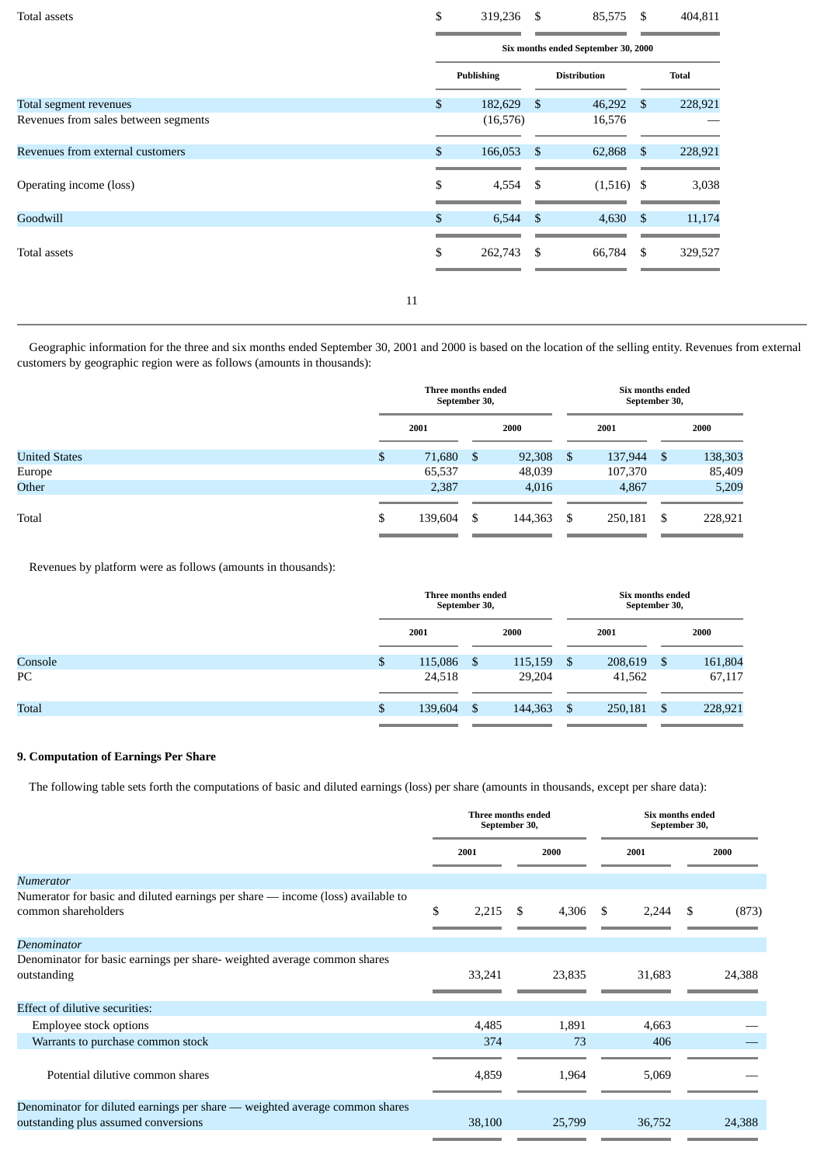| Total assets                         |    | \$<br>319,236 \$  |                | 85,575                              | - \$           | 404,811      |
|--------------------------------------|----|-------------------|----------------|-------------------------------------|----------------|--------------|
|                                      |    |                   |                | Six months ended September 30, 2000 |                |              |
|                                      |    | <b>Publishing</b> |                | <b>Distribution</b>                 |                | <b>Total</b> |
| Total segment revenues               |    | \$<br>182,629     | $\mathfrak{S}$ | 46,292                              | $\mathfrak{S}$ | 228,921      |
| Revenues from sales between segments |    | (16, 576)         |                | 16,576                              |                |              |
| Revenues from external customers     |    | \$<br>166,053     | $\mathfrak{S}$ | 62,868                              | \$             | 228,921      |
| Operating income (loss)              |    | \$<br>4,554       | \$             | $(1,516)$ \$                        |                | 3,038        |
| Goodwill                             |    | \$<br>6,544       | -\$            | 4,630                               | \$             | 11,174       |
| Total assets                         |    | \$<br>262,743     | \$             | 66,784                              | \$             | 329,527      |
|                                      | 11 |                   |                |                                     |                |              |

 Geographic information for the three and six months ended September 30, 2001 and 2000 is based on the location of the selling entity. Revenues from external customers by geographic region were as follows (amounts in thousands):

|                      | Three months ended<br>September 30, |         |     | Six months ended<br>September 30, |      |         |    |         |
|----------------------|-------------------------------------|---------|-----|-----------------------------------|------|---------|----|---------|
|                      |                                     | 2001    |     | 2000                              |      | 2001    |    | 2000    |
| <b>United States</b> | \$                                  | 71,680  | \$. | 92,308                            | - \$ | 137,944 | \$ | 138,303 |
| Europe               |                                     | 65,537  |     | 48,039                            |      | 107,370 |    | 85,409  |
| Other                |                                     | 2,387   |     | 4,016                             |      | 4,867   |    | 5,209   |
| Total                | \$                                  | 139,604 | \$  | 144,363                           | - \$ | 250,181 | \$ | 228,921 |

Revenues by platform were as follows (amounts in thousands):

|              | Three months ended<br>September 30, |               | Six months ended<br>September 30, |         |    |         |  |
|--------------|-------------------------------------|---------------|-----------------------------------|---------|----|---------|--|
|              | 2001                                | 2000          |                                   | 2001    |    | 2000    |  |
| Console      | \$<br>115,086                       | \$<br>115,159 | - \$                              | 208,619 | S  | 161,804 |  |
| PC           | 24,518                              | 29,204        |                                   | 41,562  |    | 67,117  |  |
| <b>Total</b> | \$<br>139,604                       | \$<br>144,363 | -\$                               | 250,181 | \$ | 228,921 |  |

### **9. Computation of Earnings Per Share**

The following table sets forth the computations of basic and diluted earnings (loss) per share (amounts in thousands, except per share data):

|                                                                                                                     | Three months ended<br>September 30, |       |             |      | Six months ended<br>September 30, |    |        |
|---------------------------------------------------------------------------------------------------------------------|-------------------------------------|-------|-------------|------|-----------------------------------|----|--------|
|                                                                                                                     | 2001                                |       | 2000        |      | 2001                              |    | 2000   |
| Numerator<br>Numerator for basic and diluted earnings per share — income (loss) available to<br>common shareholders | \$                                  | 2,215 | \$<br>4,306 | - \$ | 2,244                             | \$ | (873)  |
| Denominator                                                                                                         |                                     |       |             |      |                                   |    |        |
| Denominator for basic earnings per share- weighted average common shares<br>outstanding                             | 33,241                              |       | 23,835      |      | 31,683                            |    | 24,388 |
| Effect of dilutive securities:                                                                                      |                                     |       |             |      |                                   |    |        |
| Employee stock options                                                                                              |                                     | 4,485 | 1,891       |      | 4,663                             |    |        |
| Warrants to purchase common stock                                                                                   |                                     | 374   | 73          |      | 406                               |    |        |
| Potential dilutive common shares                                                                                    |                                     | 4,859 | 1,964       |      | 5,069                             |    |        |
| Denominator for diluted earnings per share - weighted average common shares<br>outstanding plus assumed conversions | 38,100                              |       | 25,799      |      | 36,752                            |    | 24,388 |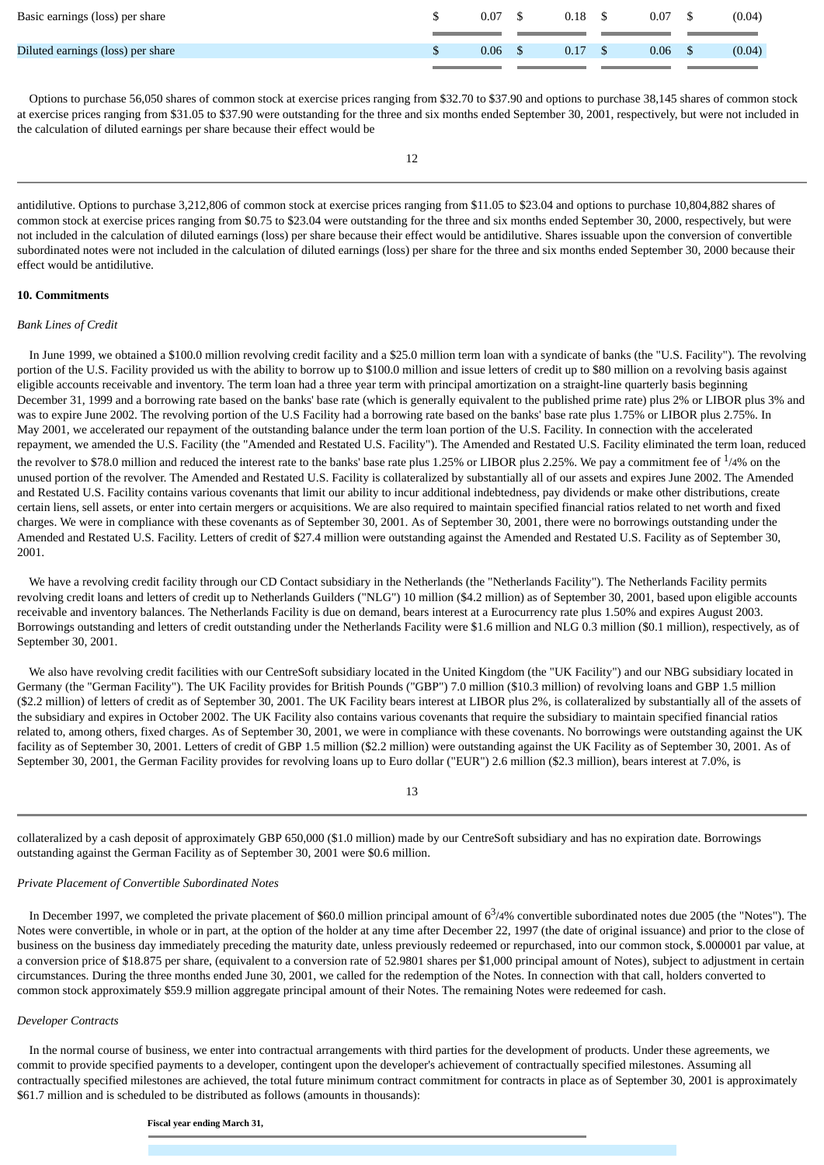| Basic earnings (loss) per share   | 0.07 | 0.18 | 0.07 | (0.04) |
|-----------------------------------|------|------|------|--------|
| Diluted earnings (loss) per share | 0.06 | 0.17 | 0.06 | (0.04) |

 Options to purchase 56,050 shares of common stock at exercise prices ranging from \$32.70 to \$37.90 and options to purchase 38,145 shares of common stock at exercise prices ranging from \$31.05 to \$37.90 were outstanding for the three and six months ended September 30, 2001, respectively, but were not included in the calculation of diluted earnings per share because their effect would be

antidilutive. Options to purchase 3,212,806 of common stock at exercise prices ranging from \$11.05 to \$23.04 and options to purchase 10,804,882 shares of common stock at exercise prices ranging from \$0.75 to \$23.04 were outstanding for the three and six months ended September 30, 2000, respectively, but were not included in the calculation of diluted earnings (loss) per share because their effect would be antidilutive. Shares issuable upon the conversion of convertible subordinated notes were not included in the calculation of diluted earnings (loss) per share for the three and six months ended September 30, 2000 because their effect would be antidilutive.

### **10. Commitments**

### *Bank Lines of Credit*

 In June 1999, we obtained a \$100.0 million revolving credit facility and a \$25.0 million term loan with a syndicate of banks (the "U.S. Facility"). The revolving portion of the U.S. Facility provided us with the ability to borrow up to \$100.0 million and issue letters of credit up to \$80 million on a revolving basis against eligible accounts receivable and inventory. The term loan had a three year term with principal amortization on a straight-line quarterly basis beginning December 31, 1999 and a borrowing rate based on the banks' base rate (which is generally equivalent to the published prime rate) plus 2% or LIBOR plus 3% and was to expire June 2002. The revolving portion of the U.S Facility had a borrowing rate based on the banks' base rate plus 1.75% or LIBOR plus 2.75%. In May 2001, we accelerated our repayment of the outstanding balance under the term loan portion of the U.S. Facility. In connection with the accelerated repayment, we amended the U.S. Facility (the "Amended and Restated U.S. Facility"). The Amended and Restated U.S. Facility eliminated the term loan, reduced the revolver to \$78.0 million and reduced the interest rate to the banks' base rate plus 1.25% or LIBOR plus 2.25%. We pay a commitment fee of  $^{1/4\%}$  on the unused portion of the revolver. The Amended and Restated U.S. Facility is collateralized by substantially all of our assets and expires June 2002. The Amended and Restated U.S. Facility contains various covenants that limit our ability to incur additional indebtedness, pay dividends or make other distributions, create certain liens, sell assets, or enter into certain mergers or acquisitions. We are also required to maintain specified financial ratios related to net worth and fixed charges. We were in compliance with these covenants as of September 30, 2001. As of September 30, 2001, there were no borrowings outstanding under the Amended and Restated U.S. Facility. Letters of credit of \$27.4 million were outstanding against the Amended and Restated U.S. Facility as of September 30, 2001.

 We have a revolving credit facility through our CD Contact subsidiary in the Netherlands (the "Netherlands Facility"). The Netherlands Facility permits revolving credit loans and letters of credit up to Netherlands Guilders ("NLG") 10 million (\$4.2 million) as of September 30, 2001, based upon eligible accounts receivable and inventory balances. The Netherlands Facility is due on demand, bears interest at a Eurocurrency rate plus 1.50% and expires August 2003. Borrowings outstanding and letters of credit outstanding under the Netherlands Facility were \$1.6 million and NLG 0.3 million (\$0.1 million), respectively, as of September 30, 2001.

 We also have revolving credit facilities with our CentreSoft subsidiary located in the United Kingdom (the "UK Facility") and our NBG subsidiary located in Germany (the "German Facility"). The UK Facility provides for British Pounds ("GBP") 7.0 million (\$10.3 million) of revolving loans and GBP 1.5 million (\$2.2 million) of letters of credit as of September 30, 2001. The UK Facility bears interest at LIBOR plus 2%, is collateralized by substantially all of the assets of the subsidiary and expires in October 2002. The UK Facility also contains various covenants that require the subsidiary to maintain specified financial ratios related to, among others, fixed charges. As of September 30, 2001, we were in compliance with these covenants. No borrowings were outstanding against the UK facility as of September 30, 2001. Letters of credit of GBP 1.5 million (\$2.2 million) were outstanding against the UK Facility as of September 30, 2001. As of September 30, 2001, the German Facility provides for revolving loans up to Euro dollar ("EUR") 2.6 million (\$2.3 million), bears interest at 7.0%, is

13

collateralized by a cash deposit of approximately GBP 650,000 (\$1.0 million) made by our CentreSoft subsidiary and has no expiration date. Borrowings outstanding against the German Facility as of September 30, 2001 were \$0.6 million.

### *Private Placement of Convertible Subordinated Notes*

In December 1997, we completed the private placement of \$60.0 million principal amount of  $6<sup>3</sup>/4%$  convertible subordinated notes due 2005 (the "Notes"). The Notes were convertible, in whole or in part, at the option of the holder at any time after December 22, 1997 (the date of original issuance) and prior to the close of business on the business day immediately preceding the maturity date, unless previously redeemed or repurchased, into our common stock, \$.000001 par value, at a conversion price of \$18.875 per share, (equivalent to a conversion rate of 52.9801 shares per \$1,000 principal amount of Notes), subject to adjustment in certain circumstances. During the three months ended June 30, 2001, we called for the redemption of the Notes. In connection with that call, holders converted to common stock approximately \$59.9 million aggregate principal amount of their Notes. The remaining Notes were redeemed for cash.

### *Developer Contracts*

 In the normal course of business, we enter into contractual arrangements with third parties for the development of products. Under these agreements, we commit to provide specified payments to a developer, contingent upon the developer's achievement of contractually specified milestones. Assuming all contractually specified milestones are achieved, the total future minimum contract commitment for contracts in place as of September 30, 2001 is approximately \$61.7 million and is scheduled to be distributed as follows (amounts in thousands):

**Fiscal year ending March 31,**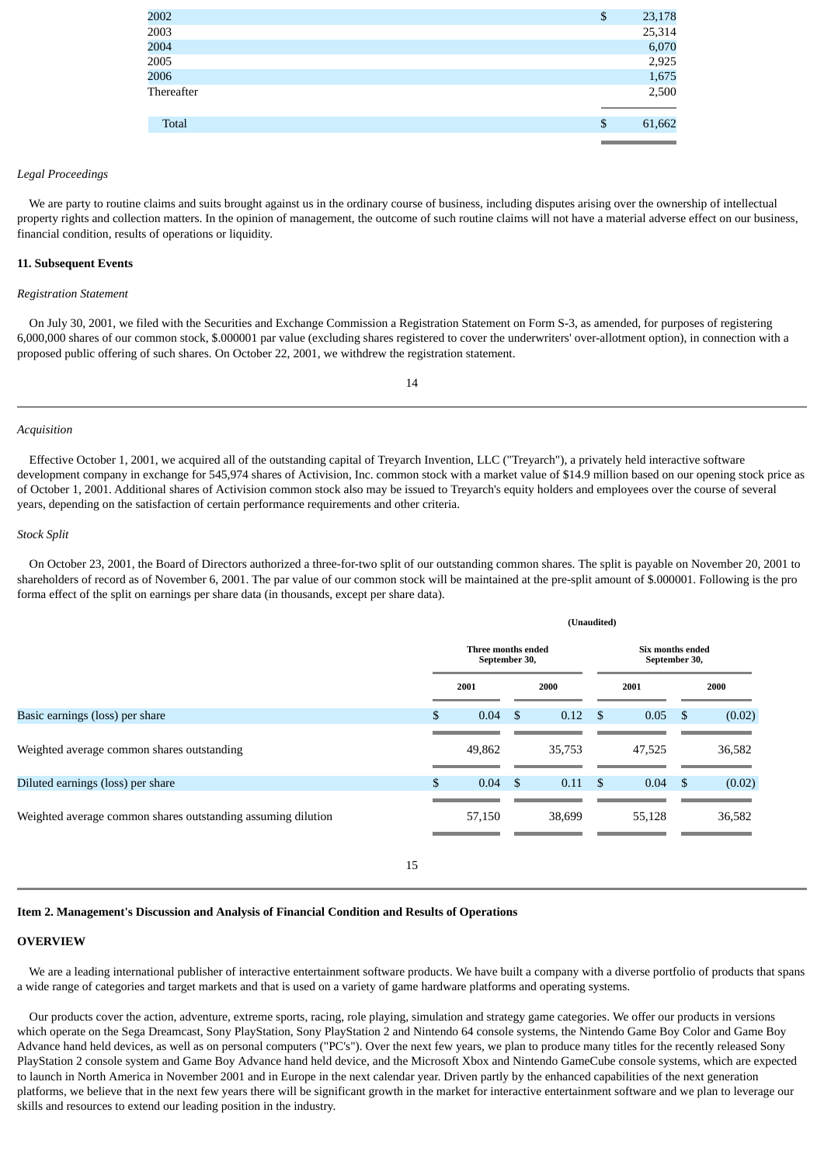| 2002         | \$<br>23,178 |
|--------------|--------------|
| 2003         | 25,314       |
| 2004         | 6,070        |
| 2005         | 2,925        |
| 2006         | 1,675        |
| Thereafter   | 2,500        |
|              |              |
| <b>Total</b> | \$<br>61,662 |
|              |              |

### *Legal Proceedings*

We are party to routine claims and suits brought against us in the ordinary course of business, including disputes arising over the ownership of intellectual property rights and collection matters. In the opinion of management, the outcome of such routine claims will not have a material adverse effect on our business, financial condition, results of operations or liquidity.

### **11. Subsequent Events**

### *Registration Statement*

 On July 30, 2001, we filed with the Securities and Exchange Commission a Registration Statement on Form S-3, as amended, for purposes of registering 6,000,000 shares of our common stock, \$.000001 par value (excluding shares registered to cover the underwriters' over-allotment option), in connection with a proposed public offering of such shares. On October 22, 2001, we withdrew the registration statement.

14

### *Acquisition*

 Effective October 1, 2001, we acquired all of the outstanding capital of Treyarch Invention, LLC ("Treyarch"), a privately held interactive software development company in exchange for 545,974 shares of Activision, Inc. common stock with a market value of \$14.9 million based on our opening stock price as of October 1, 2001. Additional shares of Activision common stock also may be issued to Treyarch's equity holders and employees over the course of several years, depending on the satisfaction of certain performance requirements and other criteria.

### *Stock Split*

 On October 23, 2001, the Board of Directors authorized a three-for-two split of our outstanding common shares. The split is payable on November 20, 2001 to shareholders of record as of November 6, 2001. The par value of our common stock will be maintained at the pre-split amount of \$.000001. Following is the pro forma effect of the split on earnings per share data (in thousands, except per share data).

**(Unaudited)**

|                                                              | (Unduuneu)                          |                 |                                   |        |      |        |      |        |
|--------------------------------------------------------------|-------------------------------------|-----------------|-----------------------------------|--------|------|--------|------|--------|
|                                                              | Three months ended<br>September 30, |                 | Six months ended<br>September 30, |        |      |        |      |        |
|                                                              |                                     | 2001            |                                   | 2000   |      | 2001   |      | 2000   |
| Basic earnings (loss) per share                              | \$                                  | 0.04            | - \$                              | 0.12   | -\$  | 0.05   | -S   | (0.02) |
| Weighted average common shares outstanding                   |                                     | 49,862          |                                   | 35,753 |      | 47,525 |      | 36,582 |
| Diluted earnings (loss) per share                            | \$                                  | $0.04 \quad$ \$ |                                   | 0.11   | - \$ | 0.04   | - \$ | (0.02) |
| Weighted average common shares outstanding assuming dilution |                                     | 57,150          |                                   | 38,699 |      | 55,128 |      | 36,582 |
|                                                              |                                     |                 |                                   |        |      |        |      |        |

### **Item 2. Management's Discussion and Analysis of Financial Condition and Results of Operations**

### **OVERVIEW**

 We are a leading international publisher of interactive entertainment software products. We have built a company with a diverse portfolio of products that spans a wide range of categories and target markets and that is used on a variety of game hardware platforms and operating systems.

 Our products cover the action, adventure, extreme sports, racing, role playing, simulation and strategy game categories. We offer our products in versions which operate on the Sega Dreamcast, Sony PlayStation, Sony PlayStation 2 and Nintendo 64 console systems, the Nintendo Game Boy Color and Game Boy Advance hand held devices, as well as on personal computers ("PC's"). Over the next few years, we plan to produce many titles for the recently released Sony PlayStation 2 console system and Game Boy Advance hand held device, and the Microsoft Xbox and Nintendo GameCube console systems, which are expected to launch in North America in November 2001 and in Europe in the next calendar year. Driven partly by the enhanced capabilities of the next generation platforms, we believe that in the next few years there will be significant growth in the market for interactive entertainment software and we plan to leverage our skills and resources to extend our leading position in the industry.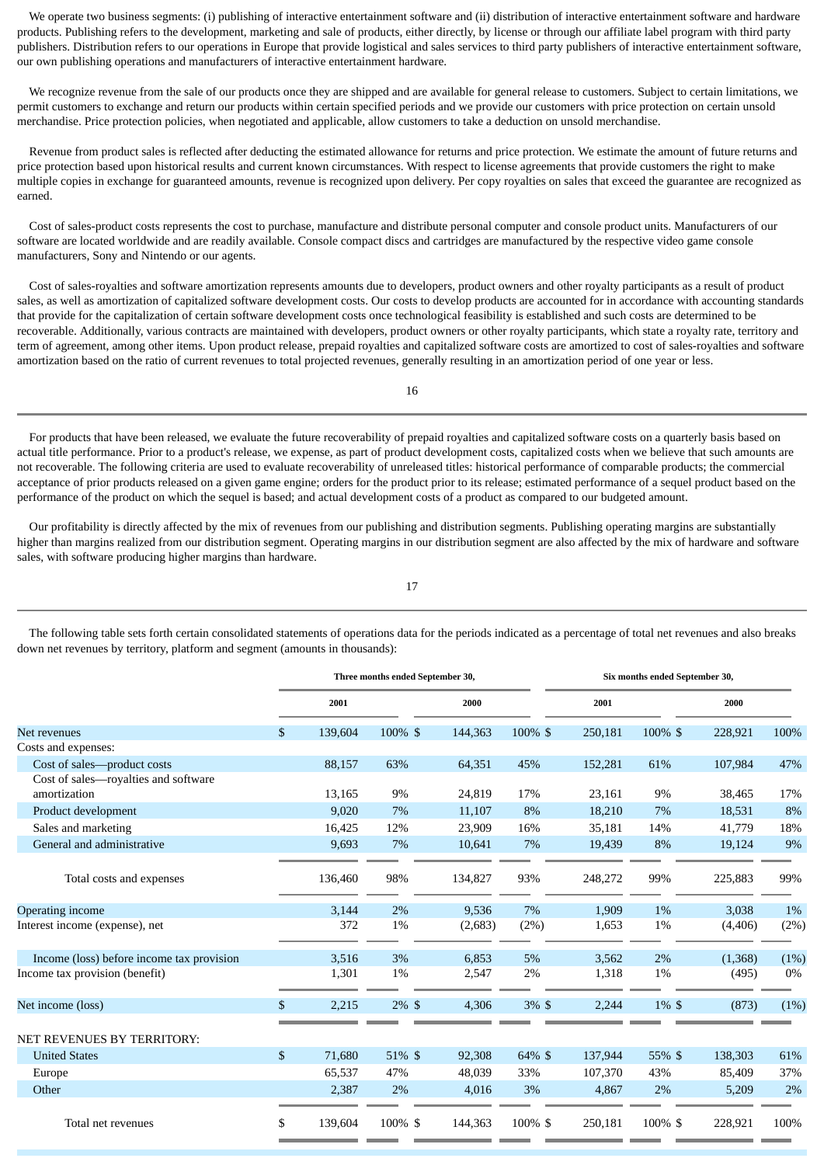We operate two business segments: (i) publishing of interactive entertainment software and (ii) distribution of interactive entertainment software and hardware products. Publishing refers to the development, marketing and sale of products, either directly, by license or through our affiliate label program with third party publishers. Distribution refers to our operations in Europe that provide logistical and sales services to third party publishers of interactive entertainment software, our own publishing operations and manufacturers of interactive entertainment hardware.

 We recognize revenue from the sale of our products once they are shipped and are available for general release to customers. Subject to certain limitations, we permit customers to exchange and return our products within certain specified periods and we provide our customers with price protection on certain unsold merchandise. Price protection policies, when negotiated and applicable, allow customers to take a deduction on unsold merchandise.

 Revenue from product sales is reflected after deducting the estimated allowance for returns and price protection. We estimate the amount of future returns and price protection based upon historical results and current known circumstances. With respect to license agreements that provide customers the right to make multiple copies in exchange for guaranteed amounts, revenue is recognized upon delivery. Per copy royalties on sales that exceed the guarantee are recognized as earned.

 Cost of sales-product costs represents the cost to purchase, manufacture and distribute personal computer and console product units. Manufacturers of our software are located worldwide and are readily available. Console compact discs and cartridges are manufactured by the respective video game console manufacturers, Sony and Nintendo or our agents.

 Cost of sales-royalties and software amortization represents amounts due to developers, product owners and other royalty participants as a result of product sales, as well as amortization of capitalized software development costs. Our costs to develop products are accounted for in accordance with accounting standards that provide for the capitalization of certain software development costs once technological feasibility is established and such costs are determined to be recoverable. Additionally, various contracts are maintained with developers, product owners or other royalty participants, which state a royalty rate, territory and term of agreement, among other items. Upon product release, prepaid royalties and capitalized software costs are amortized to cost of sales-royalties and software amortization based on the ratio of current revenues to total projected revenues, generally resulting in an amortization period of one year or less.

 For products that have been released, we evaluate the future recoverability of prepaid royalties and capitalized software costs on a quarterly basis based on actual title performance. Prior to a product's release, we expense, as part of product development costs, capitalized costs when we believe that such amounts are not recoverable. The following criteria are used to evaluate recoverability of unreleased titles: historical performance of comparable products; the commercial acceptance of prior products released on a given game engine; orders for the product prior to its release; estimated performance of a sequel product based on the performance of the product on which the sequel is based; and actual development costs of a product as compared to our budgeted amount.

 Our profitability is directly affected by the mix of revenues from our publishing and distribution segments. Publishing operating margins are substantially higher than margins realized from our distribution segment. Operating margins in our distribution segment are also affected by the mix of hardware and software sales, with software producing higher margins than hardware.

17

**Three months ended September 30, Six months ended September 30, 2001 2000 2001 2000** Net revenues \$ 139,604 100% \$ 144,363 100% \$ 250,181 100% \$ 228,921 100% Costs and expenses: Cost of sales—product costs 88,157 63% 64,351 45% 152,281 61% 107,984 47% Cost of sales—royalties and software amortization 13,165 9% 24,819 17% 23,161 9% 38,465 17% Product development 11,107 8% 18,210 7% 18,531 8% Sales and marketing 16,425 12% 23,909 16% 35,181 14% 41,779 18% General and administrative 19,693 7% 10,641 7% 19,439 8% 19,124 9% Total costs and expenses 136,460 98% 134,827 93% 248,272 99% 225,883 99% Operating income 3,144 2% 9,536 7% 1,909 1% 3,038 1% Interest income (expense), net 372 1% (2,683) (2%) 1,653 1% (4,406) (2%) Income (loss) before income tax provision 3,516 3% 6,853 5% 3,562 2% (1,368) (1%) Income tax provision (benefit) 1,301 1% 2,547 2% 1,318 1% (495) 0% Net income (loss) 8 2,215 2% \$ 4,306 3% \$ 2,244 1% \$ (873) (1%) NET REVENUES BY TERRITORY: United States \$ 71,680 51% \$ 92,308 64% \$ 137,944 55% \$ 138,303 61% Europe 65,537 47% 48,039 33% 107,370 43% 85,409 37% Other 2,387 2% 4,016 3% 4,867 2% 5,209 2% Total net revenues \$ 139,604 100% \$ 144,363 100% \$ 250,181 100% \$ 228,921 100%

 The following table sets forth certain consolidated statements of operations data for the periods indicated as a percentage of total net revenues and also breaks down net revenues by territory, platform and segment (amounts in thousands):

16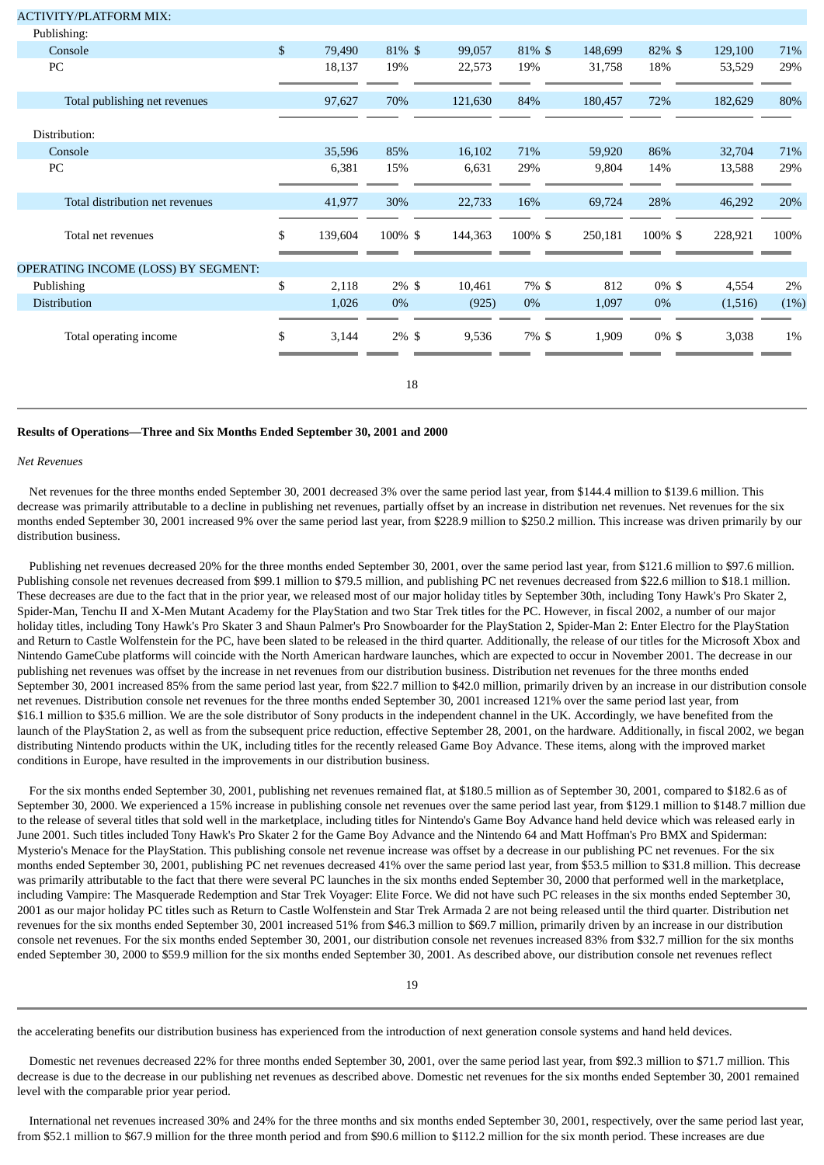| <b>ACTIVITY/PLATFORM MIX:</b>       |               |          |         |         |         |          |         |      |
|-------------------------------------|---------------|----------|---------|---------|---------|----------|---------|------|
| Publishing:                         |               |          |         |         |         |          |         |      |
| Console                             | \$<br>79,490  | 81% \$   | 99,057  | 81% \$  | 148,699 | 82% \$   | 129,100 | 71%  |
| PC                                  | 18,137        | 19%      | 22,573  | 19%     | 31,758  | 18%      | 53,529  | 29%  |
| Total publishing net revenues       | 97,627        | 70%      | 121,630 | 84%     | 180,457 | 72%      | 182,629 | 80%  |
| Distribution:                       |               |          |         |         |         |          |         |      |
| Console                             | 35,596        | 85%      | 16,102  | 71%     | 59,920  | 86%      | 32,704  | 71%  |
| PC                                  | 6,381         | 15%      | 6,631   | 29%     | 9,804   | 14%      | 13,588  | 29%  |
| Total distribution net revenues     | 41,977        | 30%      | 22,733  | 16%     | 69,724  | 28%      | 46,292  | 20%  |
| Total net revenues                  | \$<br>139,604 | 100% \$  | 144,363 | 100% \$ | 250,181 | 100% \$  | 228,921 | 100% |
| OPERATING INCOME (LOSS) BY SEGMENT: |               |          |         |         |         |          |         |      |
| Publishing                          | \$<br>2,118   | $2\%$ \$ | 10,461  | 7% \$   | 812     | $0\% \$$ | 4,554   | 2%   |
| Distribution                        | 1,026         | 0%       | (925)   | 0%      | 1,097   | 0%       | (1,516) | (1%) |
| Total operating income              | \$<br>3,144   | $2\%$ \$ | 9,536   | 7% \$   | 1,909   | $0\% \$$ | 3,038   | 1%   |
|                                     |               | 18       |         |         |         |          |         |      |

### **Results of Operations—Three and Six Months Ended September 30, 2001 and 2000**

### *Net Revenues*

 Net revenues for the three months ended September 30, 2001 decreased 3% over the same period last year, from \$144.4 million to \$139.6 million. This decrease was primarily attributable to a decline in publishing net revenues, partially offset by an increase in distribution net revenues. Net revenues for the six months ended September 30, 2001 increased 9% over the same period last year, from \$228.9 million to \$250.2 million. This increase was driven primarily by our distribution business.

 Publishing net revenues decreased 20% for the three months ended September 30, 2001, over the same period last year, from \$121.6 million to \$97.6 million. Publishing console net revenues decreased from \$99.1 million to \$79.5 million, and publishing PC net revenues decreased from \$22.6 million to \$18.1 million. These decreases are due to the fact that in the prior year, we released most of our major holiday titles by September 30th, including Tony Hawk's Pro Skater 2, Spider-Man, Tenchu II and X-Men Mutant Academy for the PlayStation and two Star Trek titles for the PC. However, in fiscal 2002, a number of our major holiday titles, including Tony Hawk's Pro Skater 3 and Shaun Palmer's Pro Snowboarder for the PlayStation 2, Spider-Man 2: Enter Electro for the PlayStation and Return to Castle Wolfenstein for the PC, have been slated to be released in the third quarter. Additionally, the release of our titles for the Microsoft Xbox and Nintendo GameCube platforms will coincide with the North American hardware launches, which are expected to occur in November 2001. The decrease in our publishing net revenues was offset by the increase in net revenues from our distribution business. Distribution net revenues for the three months ended September 30, 2001 increased 85% from the same period last year, from \$22.7 million to \$42.0 million, primarily driven by an increase in our distribution console net revenues. Distribution console net revenues for the three months ended September 30, 2001 increased 121% over the same period last year, from \$16.1 million to \$35.6 million. We are the sole distributor of Sony products in the independent channel in the UK. Accordingly, we have benefited from the launch of the PlayStation 2, as well as from the subsequent price reduction, effective September 28, 2001, on the hardware. Additionally, in fiscal 2002, we began distributing Nintendo products within the UK, including titles for the recently released Game Boy Advance. These items, along with the improved market conditions in Europe, have resulted in the improvements in our distribution business.

 For the six months ended September 30, 2001, publishing net revenues remained flat, at \$180.5 million as of September 30, 2001, compared to \$182.6 as of September 30, 2000. We experienced a 15% increase in publishing console net revenues over the same period last year, from \$129.1 million to \$148.7 million due to the release of several titles that sold well in the marketplace, including titles for Nintendo's Game Boy Advance hand held device which was released early in June 2001. Such titles included Tony Hawk's Pro Skater 2 for the Game Boy Advance and the Nintendo 64 and Matt Hoffman's Pro BMX and Spiderman: Mysterio's Menace for the PlayStation. This publishing console net revenue increase was offset by a decrease in our publishing PC net revenues. For the six months ended September 30, 2001, publishing PC net revenues decreased 41% over the same period last year, from \$53.5 million to \$31.8 million. This decrease was primarily attributable to the fact that there were several PC launches in the six months ended September 30, 2000 that performed well in the marketplace, including Vampire: The Masquerade Redemption and Star Trek Voyager: Elite Force. We did not have such PC releases in the six months ended September 30, 2001 as our major holiday PC titles such as Return to Castle Wolfenstein and Star Trek Armada 2 are not being released until the third quarter. Distribution net revenues for the six months ended September 30, 2001 increased 51% from \$46.3 million to \$69.7 million, primarily driven by an increase in our distribution console net revenues. For the six months ended September 30, 2001, our distribution console net revenues increased 83% from \$32.7 million for the six months ended September 30, 2000 to \$59.9 million for the six months ended September 30, 2001. As described above, our distribution console net revenues reflect

the accelerating benefits our distribution business has experienced from the introduction of next generation console systems and hand held devices.

 Domestic net revenues decreased 22% for three months ended September 30, 2001, over the same period last year, from \$92.3 million to \$71.7 million. This decrease is due to the decrease in our publishing net revenues as described above. Domestic net revenues for the six months ended September 30, 2001 remained level with the comparable prior year period.

 International net revenues increased 30% and 24% for the three months and six months ended September 30, 2001, respectively, over the same period last year, from \$52.1 million to \$67.9 million for the three month period and from \$90.6 million to \$112.2 million for the six month period. These increases are due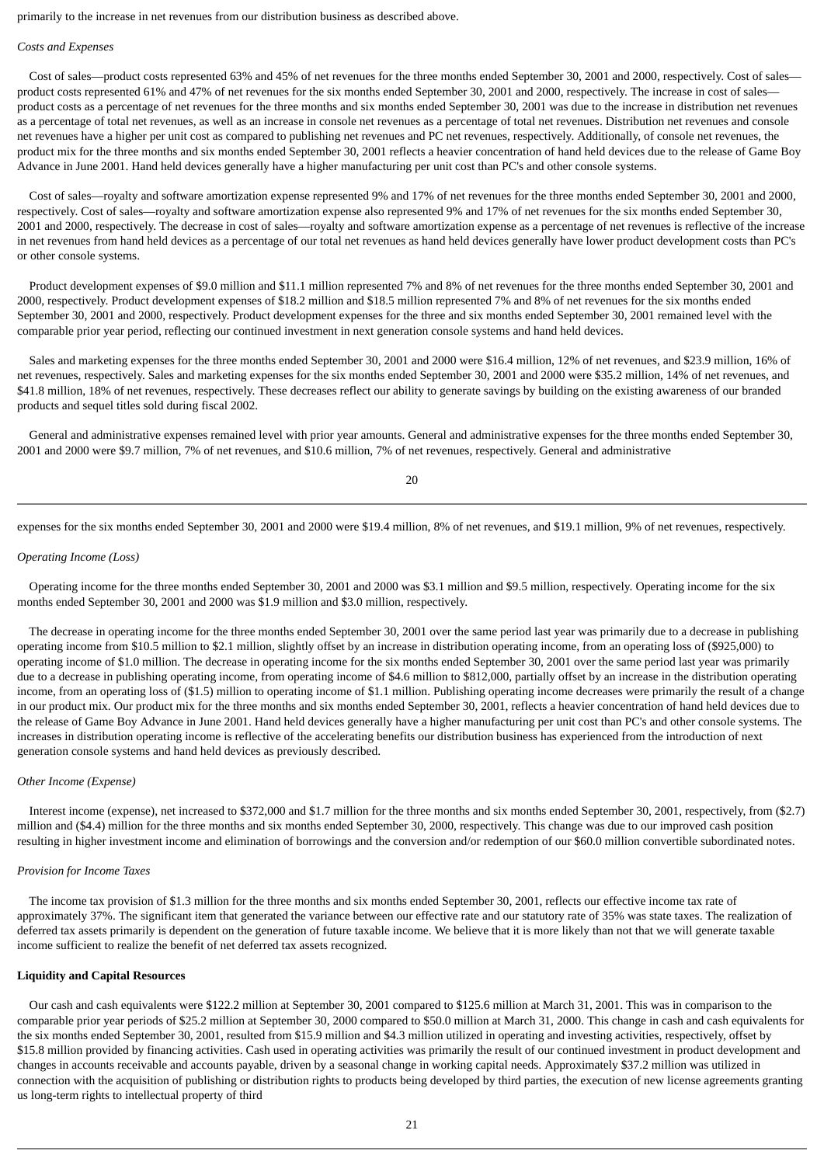primarily to the increase in net revenues from our distribution business as described above.

#### *Costs and Expenses*

 Cost of sales—product costs represented 63% and 45% of net revenues for the three months ended September 30, 2001 and 2000, respectively. Cost of sales product costs represented 61% and 47% of net revenues for the six months ended September 30, 2001 and 2000, respectively. The increase in cost of salesproduct costs as a percentage of net revenues for the three months and six months ended September 30, 2001 was due to the increase in distribution net revenues as a percentage of total net revenues, as well as an increase in console net revenues as a percentage of total net revenues. Distribution net revenues and console net revenues have a higher per unit cost as compared to publishing net revenues and PC net revenues, respectively. Additionally, of console net revenues, the product mix for the three months and six months ended September 30, 2001 reflects a heavier concentration of hand held devices due to the release of Game Boy Advance in June 2001. Hand held devices generally have a higher manufacturing per unit cost than PC's and other console systems.

 Cost of sales—royalty and software amortization expense represented 9% and 17% of net revenues for the three months ended September 30, 2001 and 2000, respectively. Cost of sales—royalty and software amortization expense also represented 9% and 17% of net revenues for the six months ended September 30, 2001 and 2000, respectively. The decrease in cost of sales—royalty and software amortization expense as a percentage of net revenues is reflective of the increase in net revenues from hand held devices as a percentage of our total net revenues as hand held devices generally have lower product development costs than PC's or other console systems.

 Product development expenses of \$9.0 million and \$11.1 million represented 7% and 8% of net revenues for the three months ended September 30, 2001 and 2000, respectively. Product development expenses of \$18.2 million and \$18.5 million represented 7% and 8% of net revenues for the six months ended September 30, 2001 and 2000, respectively. Product development expenses for the three and six months ended September 30, 2001 remained level with the comparable prior year period, reflecting our continued investment in next generation console systems and hand held devices.

 Sales and marketing expenses for the three months ended September 30, 2001 and 2000 were \$16.4 million, 12% of net revenues, and \$23.9 million, 16% of net revenues, respectively. Sales and marketing expenses for the six months ended September 30, 2001 and 2000 were \$35.2 million, 14% of net revenues, and \$41.8 million, 18% of net revenues, respectively. These decreases reflect our ability to generate savings by building on the existing awareness of our branded products and sequel titles sold during fiscal 2002.

 General and administrative expenses remained level with prior year amounts. General and administrative expenses for the three months ended September 30, 2001 and 2000 were \$9.7 million, 7% of net revenues, and \$10.6 million, 7% of net revenues, respectively. General and administrative

 $20$ 

expenses for the six months ended September 30, 2001 and 2000 were \$19.4 million, 8% of net revenues, and \$19.1 million, 9% of net revenues, respectively.

### *Operating Income (Loss)*

 Operating income for the three months ended September 30, 2001 and 2000 was \$3.1 million and \$9.5 million, respectively. Operating income for the six months ended September 30, 2001 and 2000 was \$1.9 million and \$3.0 million, respectively.

 The decrease in operating income for the three months ended September 30, 2001 over the same period last year was primarily due to a decrease in publishing operating income from \$10.5 million to \$2.1 million, slightly offset by an increase in distribution operating income, from an operating loss of (\$925,000) to operating income of \$1.0 million. The decrease in operating income for the six months ended September 30, 2001 over the same period last year was primarily due to a decrease in publishing operating income, from operating income of \$4.6 million to \$812,000, partially offset by an increase in the distribution operating income, from an operating loss of (\$1.5) million to operating income of \$1.1 million. Publishing operating income decreases were primarily the result of a change in our product mix. Our product mix for the three months and six months ended September 30, 2001, reflects a heavier concentration of hand held devices due to the release of Game Boy Advance in June 2001. Hand held devices generally have a higher manufacturing per unit cost than PC's and other console systems. The increases in distribution operating income is reflective of the accelerating benefits our distribution business has experienced from the introduction of next generation console systems and hand held devices as previously described.

### *Other Income (Expense)*

 Interest income (expense), net increased to \$372,000 and \$1.7 million for the three months and six months ended September 30, 2001, respectively, from (\$2.7) million and (\$4.4) million for the three months and six months ended September 30, 2000, respectively. This change was due to our improved cash position resulting in higher investment income and elimination of borrowings and the conversion and/or redemption of our \$60.0 million convertible subordinated notes.

### *Provision for Income Taxes*

 The income tax provision of \$1.3 million for the three months and six months ended September 30, 2001, reflects our effective income tax rate of approximately 37%. The significant item that generated the variance between our effective rate and our statutory rate of 35% was state taxes. The realization of deferred tax assets primarily is dependent on the generation of future taxable income. We believe that it is more likely than not that we will generate taxable income sufficient to realize the benefit of net deferred tax assets recognized.

### **Liquidity and Capital Resources**

 Our cash and cash equivalents were \$122.2 million at September 30, 2001 compared to \$125.6 million at March 31, 2001. This was in comparison to the comparable prior year periods of \$25.2 million at September 30, 2000 compared to \$50.0 million at March 31, 2000. This change in cash and cash equivalents for the six months ended September 30, 2001, resulted from \$15.9 million and \$4.3 million utilized in operating and investing activities, respectively, offset by \$15.8 million provided by financing activities. Cash used in operating activities was primarily the result of our continued investment in product development and changes in accounts receivable and accounts payable, driven by a seasonal change in working capital needs. Approximately \$37.2 million was utilized in connection with the acquisition of publishing or distribution rights to products being developed by third parties, the execution of new license agreements granting us long-term rights to intellectual property of third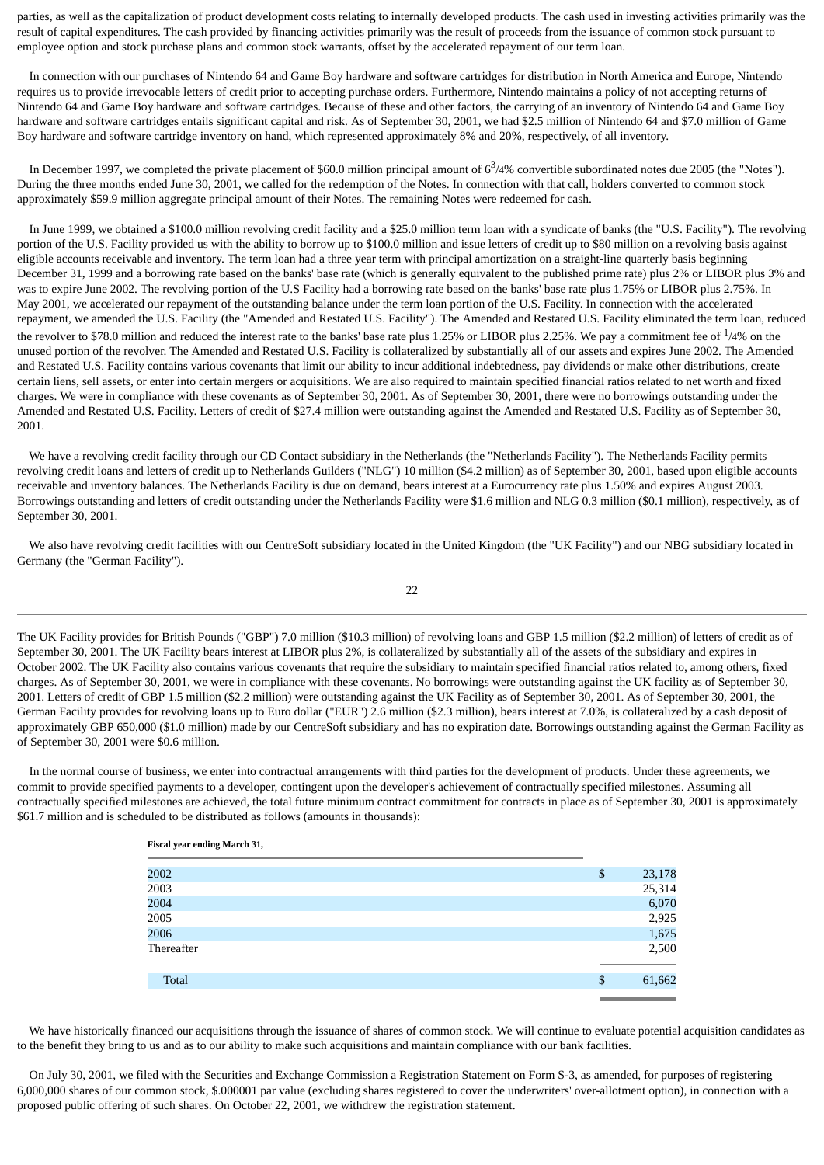parties, as well as the capitalization of product development costs relating to internally developed products. The cash used in investing activities primarily was the result of capital expenditures. The cash provided by financing activities primarily was the result of proceeds from the issuance of common stock pursuant to employee option and stock purchase plans and common stock warrants, offset by the accelerated repayment of our term loan.

 In connection with our purchases of Nintendo 64 and Game Boy hardware and software cartridges for distribution in North America and Europe, Nintendo requires us to provide irrevocable letters of credit prior to accepting purchase orders. Furthermore, Nintendo maintains a policy of not accepting returns of Nintendo 64 and Game Boy hardware and software cartridges. Because of these and other factors, the carrying of an inventory of Nintendo 64 and Game Boy hardware and software cartridges entails significant capital and risk. As of September 30, 2001, we had \$2.5 million of Nintendo 64 and \$7.0 million of Game Boy hardware and software cartridge inventory on hand, which represented approximately 8% and 20%, respectively, of all inventory.

In December 1997, we completed the private placement of \$60.0 million principal amount of  $6<sup>3</sup>/4%$  convertible subordinated notes due 2005 (the "Notes"). During the three months ended June 30, 2001, we called for the redemption of the Notes. In connection with that call, holders converted to common stock approximately \$59.9 million aggregate principal amount of their Notes. The remaining Notes were redeemed for cash.

 In June 1999, we obtained a \$100.0 million revolving credit facility and a \$25.0 million term loan with a syndicate of banks (the "U.S. Facility"). The revolving portion of the U.S. Facility provided us with the ability to borrow up to \$100.0 million and issue letters of credit up to \$80 million on a revolving basis against eligible accounts receivable and inventory. The term loan had a three year term with principal amortization on a straight-line quarterly basis beginning December 31, 1999 and a borrowing rate based on the banks' base rate (which is generally equivalent to the published prime rate) plus 2% or LIBOR plus 3% and was to expire June 2002. The revolving portion of the U.S Facility had a borrowing rate based on the banks' base rate plus 1.75% or LIBOR plus 2.75%. In May 2001, we accelerated our repayment of the outstanding balance under the term loan portion of the U.S. Facility. In connection with the accelerated repayment, we amended the U.S. Facility (the "Amended and Restated U.S. Facility"). The Amended and Restated U.S. Facility eliminated the term loan, reduced the revolver to \$78.0 million and reduced the interest rate to the banks' base rate plus 1.25% or LIBOR plus 2.25%. We pay a commitment fee of  $^{1/4\%}$  on the unused portion of the revolver. The Amended and Restated U.S. Facility is collateralized by substantially all of our assets and expires June 2002. The Amended and Restated U.S. Facility contains various covenants that limit our ability to incur additional indebtedness, pay dividends or make other distributions, create certain liens, sell assets, or enter into certain mergers or acquisitions. We are also required to maintain specified financial ratios related to net worth and fixed charges. We were in compliance with these covenants as of September 30, 2001. As of September 30, 2001, there were no borrowings outstanding under the Amended and Restated U.S. Facility. Letters of credit of \$27.4 million were outstanding against the Amended and Restated U.S. Facility as of September 30, 2001.

 We have a revolving credit facility through our CD Contact subsidiary in the Netherlands (the "Netherlands Facility"). The Netherlands Facility permits revolving credit loans and letters of credit up to Netherlands Guilders ("NLG") 10 million (\$4.2 million) as of September 30, 2001, based upon eligible accounts receivable and inventory balances. The Netherlands Facility is due on demand, bears interest at a Eurocurrency rate plus 1.50% and expires August 2003. Borrowings outstanding and letters of credit outstanding under the Netherlands Facility were \$1.6 million and NLG 0.3 million (\$0.1 million), respectively, as of September 30, 2001.

 We also have revolving credit facilities with our CentreSoft subsidiary located in the United Kingdom (the "UK Facility") and our NBG subsidiary located in Germany (the "German Facility").

The UK Facility provides for British Pounds ("GBP") 7.0 million (\$10.3 million) of revolving loans and GBP 1.5 million (\$2.2 million) of letters of credit as of September 30, 2001. The UK Facility bears interest at LIBOR plus 2%, is collateralized by substantially all of the assets of the subsidiary and expires in October 2002. The UK Facility also contains various covenants that require the subsidiary to maintain specified financial ratios related to, among others, fixed charges. As of September 30, 2001, we were in compliance with these covenants. No borrowings were outstanding against the UK facility as of September 30, 2001. Letters of credit of GBP 1.5 million (\$2.2 million) were outstanding against the UK Facility as of September 30, 2001. As of September 30, 2001, the German Facility provides for revolving loans up to Euro dollar ("EUR") 2.6 million (\$2.3 million), bears interest at 7.0%, is collateralized by a cash deposit of approximately GBP 650,000 (\$1.0 million) made by our CentreSoft subsidiary and has no expiration date. Borrowings outstanding against the German Facility as of September 30, 2001 were \$0.6 million.

 In the normal course of business, we enter into contractual arrangements with third parties for the development of products. Under these agreements, we commit to provide specified payments to a developer, contingent upon the developer's achievement of contractually specified milestones. Assuming all contractually specified milestones are achieved, the total future minimum contract commitment for contracts in place as of September 30, 2001 is approximately \$61.7 million and is scheduled to be distributed as follows (amounts in thousands):

**Fiscal year ending March 31,**

| 2002         | \$ | 23,178 |
|--------------|----|--------|
| 2003         |    | 25,314 |
| 2004         |    | 6,070  |
| 2005         |    | 2,925  |
| 2006         |    | 1,675  |
| Thereafter   |    | 2,500  |
| <b>Total</b> | \$ | 61,662 |
|              |    |        |

 We have historically financed our acquisitions through the issuance of shares of common stock. We will continue to evaluate potential acquisition candidates as to the benefit they bring to us and as to our ability to make such acquisitions and maintain compliance with our bank facilities.

 On July 30, 2001, we filed with the Securities and Exchange Commission a Registration Statement on Form S-3, as amended, for purposes of registering 6,000,000 shares of our common stock, \$.000001 par value (excluding shares registered to cover the underwriters' over-allotment option), in connection with a proposed public offering of such shares. On October 22, 2001, we withdrew the registration statement.

### 22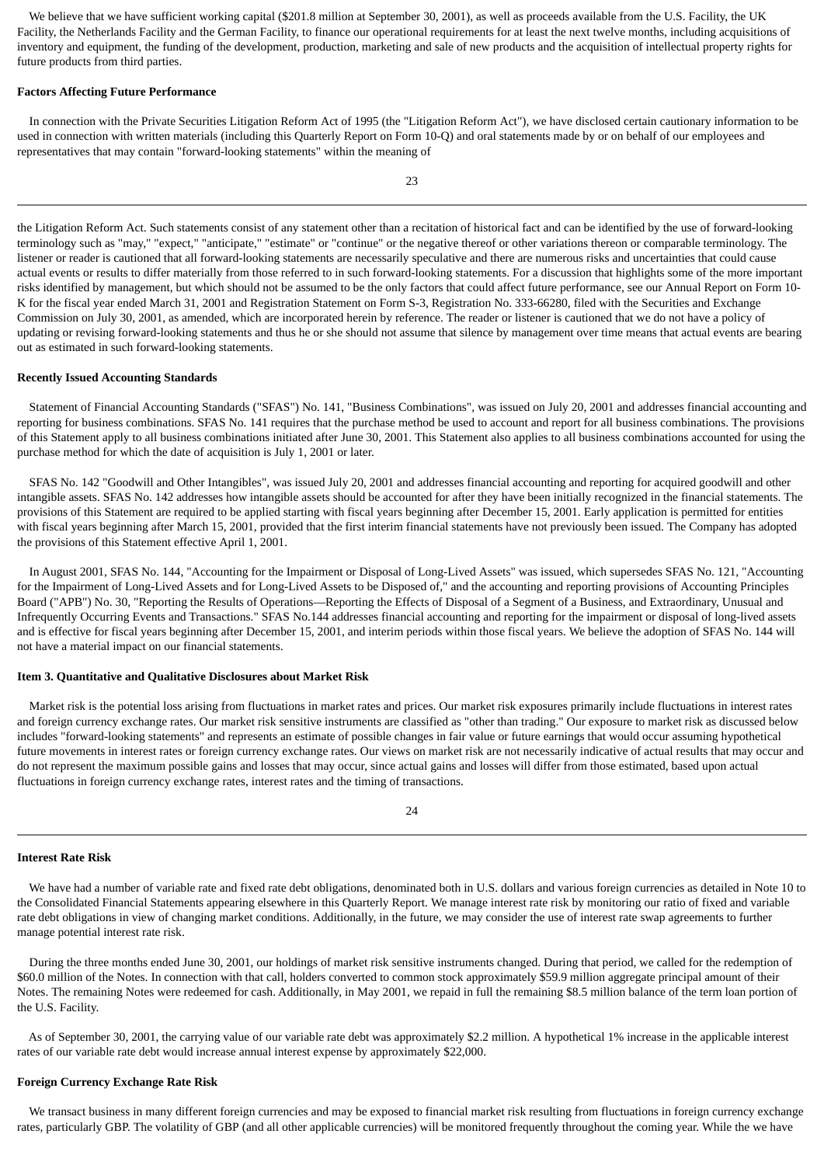We believe that we have sufficient working capital (\$201.8 million at September 30, 2001), as well as proceeds available from the U.S. Facility, the UK Facility, the Netherlands Facility and the German Facility, to finance our operational requirements for at least the next twelve months, including acquisitions of inventory and equipment, the funding of the development, production, marketing and sale of new products and the acquisition of intellectual property rights for future products from third parties.

#### **Factors Affecting Future Performance**

 In connection with the Private Securities Litigation Reform Act of 1995 (the "Litigation Reform Act"), we have disclosed certain cautionary information to be used in connection with written materials (including this Quarterly Report on Form 10-Q) and oral statements made by or on behalf of our employees and representatives that may contain "forward-looking statements" within the meaning of

the Litigation Reform Act. Such statements consist of any statement other than a recitation of historical fact and can be identified by the use of forward-looking terminology such as "may," "expect," "anticipate," "estimate" or "continue" or the negative thereof or other variations thereon or comparable terminology. The listener or reader is cautioned that all forward-looking statements are necessarily speculative and there are numerous risks and uncertainties that could cause actual events or results to differ materially from those referred to in such forward-looking statements. For a discussion that highlights some of the more important risks identified by management, but which should not be assumed to be the only factors that could affect future performance, see our Annual Report on Form 10- K for the fiscal year ended March 31, 2001 and Registration Statement on Form S-3, Registration No. 333-66280, filed with the Securities and Exchange Commission on July 30, 2001, as amended, which are incorporated herein by reference. The reader or listener is cautioned that we do not have a policy of updating or revising forward-looking statements and thus he or she should not assume that silence by management over time means that actual events are bearing out as estimated in such forward-looking statements.

#### **Recently Issued Accounting Standards**

 Statement of Financial Accounting Standards ("SFAS") No. 141, "Business Combinations", was issued on July 20, 2001 and addresses financial accounting and reporting for business combinations. SFAS No. 141 requires that the purchase method be used to account and report for all business combinations. The provisions of this Statement apply to all business combinations initiated after June 30, 2001. This Statement also applies to all business combinations accounted for using the purchase method for which the date of acquisition is July 1, 2001 or later.

 SFAS No. 142 "Goodwill and Other Intangibles", was issued July 20, 2001 and addresses financial accounting and reporting for acquired goodwill and other intangible assets. SFAS No. 142 addresses how intangible assets should be accounted for after they have been initially recognized in the financial statements. The provisions of this Statement are required to be applied starting with fiscal years beginning after December 15, 2001. Early application is permitted for entities with fiscal years beginning after March 15, 2001, provided that the first interim financial statements have not previously been issued. The Company has adopted the provisions of this Statement effective April 1, 2001.

 In August 2001, SFAS No. 144, "Accounting for the Impairment or Disposal of Long-Lived Assets" was issued, which supersedes SFAS No. 121, "Accounting for the Impairment of Long-Lived Assets and for Long-Lived Assets to be Disposed of," and the accounting and reporting provisions of Accounting Principles Board ("APB") No. 30, "Reporting the Results of Operations—Reporting the Effects of Disposal of a Segment of a Business, and Extraordinary, Unusual and Infrequently Occurring Events and Transactions." SFAS No.144 addresses financial accounting and reporting for the impairment or disposal of long-lived assets and is effective for fiscal years beginning after December 15, 2001, and interim periods within those fiscal years. We believe the adoption of SFAS No. 144 will not have a material impact on our financial statements.

### **Item 3. Quantitative and Qualitative Disclosures about Market Risk**

 Market risk is the potential loss arising from fluctuations in market rates and prices. Our market risk exposures primarily include fluctuations in interest rates and foreign currency exchange rates. Our market risk sensitive instruments are classified as "other than trading." Our exposure to market risk as discussed below includes "forward-looking statements" and represents an estimate of possible changes in fair value or future earnings that would occur assuming hypothetical future movements in interest rates or foreign currency exchange rates. Our views on market risk are not necessarily indicative of actual results that may occur and do not represent the maximum possible gains and losses that may occur, since actual gains and losses will differ from those estimated, based upon actual fluctuations in foreign currency exchange rates, interest rates and the timing of transactions.

### 24

### **Interest Rate Risk**

 We have had a number of variable rate and fixed rate debt obligations, denominated both in U.S. dollars and various foreign currencies as detailed in Note 10 to the Consolidated Financial Statements appearing elsewhere in this Quarterly Report. We manage interest rate risk by monitoring our ratio of fixed and variable rate debt obligations in view of changing market conditions. Additionally, in the future, we may consider the use of interest rate swap agreements to further manage potential interest rate risk.

 During the three months ended June 30, 2001, our holdings of market risk sensitive instruments changed. During that period, we called for the redemption of \$60.0 million of the Notes. In connection with that call, holders converted to common stock approximately \$59.9 million aggregate principal amount of their Notes. The remaining Notes were redeemed for cash. Additionally, in May 2001, we repaid in full the remaining \$8.5 million balance of the term loan portion of the U.S. Facility.

 As of September 30, 2001, the carrying value of our variable rate debt was approximately \$2.2 million. A hypothetical 1% increase in the applicable interest rates of our variable rate debt would increase annual interest expense by approximately \$22,000.

### **Foreign Currency Exchange Rate Risk**

 We transact business in many different foreign currencies and may be exposed to financial market risk resulting from fluctuations in foreign currency exchange rates, particularly GBP. The volatility of GBP (and all other applicable currencies) will be monitored frequently throughout the coming year. While the we have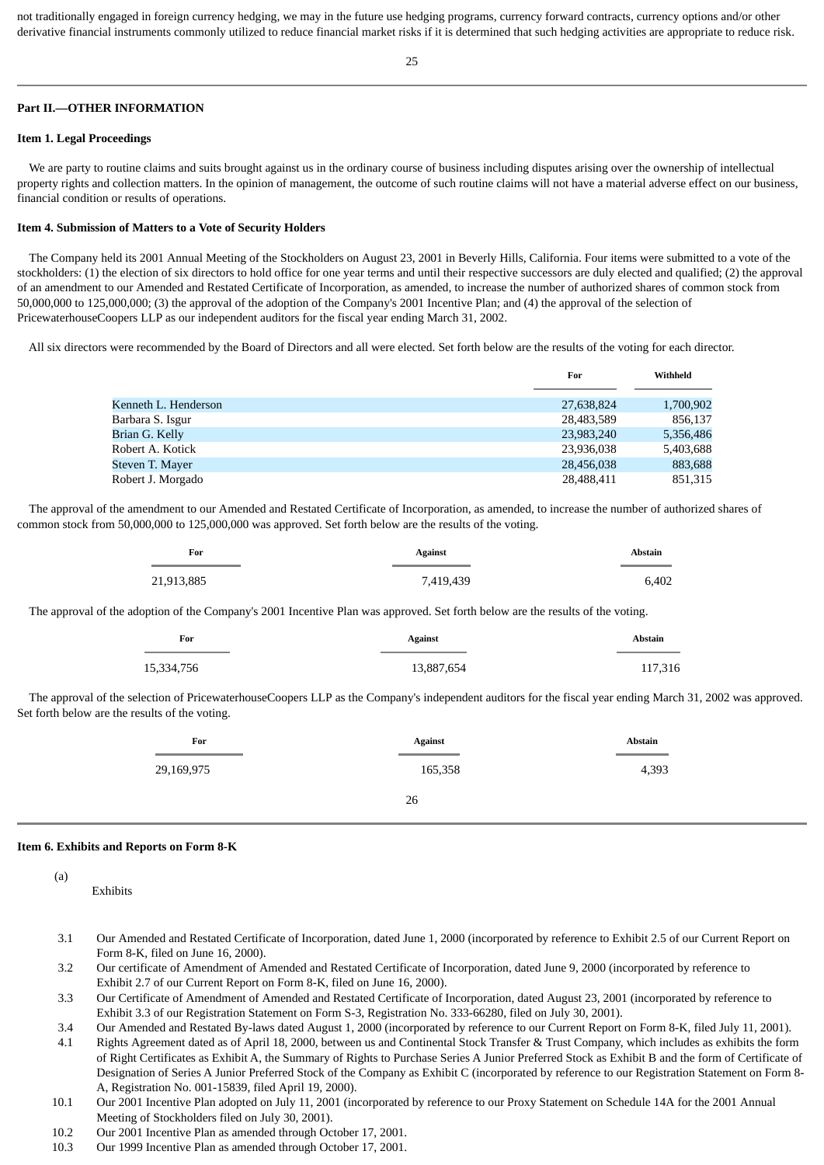not traditionally engaged in foreign currency hedging, we may in the future use hedging programs, currency forward contracts, currency options and/or other derivative financial instruments commonly utilized to reduce financial market risks if it is determined that such hedging activities are appropriate to reduce risk.

### **Part II.—OTHER INFORMATION**

#### **Item 1. Legal Proceedings**

 We are party to routine claims and suits brought against us in the ordinary course of business including disputes arising over the ownership of intellectual property rights and collection matters. In the opinion of management, the outcome of such routine claims will not have a material adverse effect on our business, financial condition or results of operations.

### **Item 4. Submission of Matters to a Vote of Security Holders**

 The Company held its 2001 Annual Meeting of the Stockholders on August 23, 2001 in Beverly Hills, California. Four items were submitted to a vote of the stockholders: (1) the election of six directors to hold office for one year terms and until their respective successors are duly elected and qualified; (2) the approval of an amendment to our Amended and Restated Certificate of Incorporation, as amended, to increase the number of authorized shares of common stock from 50,000,000 to 125,000,000; (3) the approval of the adoption of the Company's 2001 Incentive Plan; and (4) the approval of the selection of PricewaterhouseCoopers LLP as our independent auditors for the fiscal year ending March 31, 2002.

All six directors were recommended by the Board of Directors and all were elected. Set forth below are the results of the voting for each director.

|                      | For        | Withheld  |
|----------------------|------------|-----------|
|                      |            |           |
| Kenneth L. Henderson | 27,638,824 | 1,700,902 |
| Barbara S. Isgur     | 28,483,589 | 856,137   |
| Brian G. Kelly       | 23,983,240 | 5,356,486 |
| Robert A. Kotick     | 23,936,038 | 5,403,688 |
| Steven T. Maver      | 28,456,038 | 883,688   |
| Robert J. Morgado    | 28,488,411 | 851,315   |

 The approval of the amendment to our Amended and Restated Certificate of Incorporation, as amended, to increase the number of authorized shares of common stock from 50,000,000 to 125,000,000 was approved. Set forth below are the results of the voting.

| For        | <b>Against</b> | <b>Abstain</b> |
|------------|----------------|----------------|
|            |                |                |
| 21,913,885 | 7,419,439      | 6.402          |

The approval of the adoption of the Company's 2001 Incentive Plan was approved. Set forth below are the results of the voting.

| For        | <b>Against</b> | <b>Abstain</b> |
|------------|----------------|----------------|
| 15,334,756 | 13,887,654     | 117,316        |

 The approval of the selection of PricewaterhouseCoopers LLP as the Company's independent auditors for the fiscal year ending March 31, 2002 was approved. Set forth below are the results of the voting.

| For        | <b>Against</b><br>$\mathcal{L}^{\text{max}}_{\text{max}}$ and $\mathcal{L}^{\text{max}}_{\text{max}}$ and $\mathcal{L}^{\text{max}}_{\text{max}}$ | <b>Abstain</b> |
|------------|---------------------------------------------------------------------------------------------------------------------------------------------------|----------------|
| 29,169,975 | 165,358                                                                                                                                           | 4,393          |
|            | 26                                                                                                                                                |                |

#### **Item 6. Exhibits and Reports on Form 8-K**

## (a)

Exhibits

- 3.1 Our Amended and Restated Certificate of Incorporation, dated June 1, 2000 (incorporated by reference to Exhibit 2.5 of our Current Report on Form 8-K, filed on June 16, 2000).
- 3.2 Our certificate of Amendment of Amended and Restated Certificate of Incorporation, dated June 9, 2000 (incorporated by reference to Exhibit 2.7 of our Current Report on Form 8-K, filed on June 16, 2000).
- 3.3 Our Certificate of Amendment of Amended and Restated Certificate of Incorporation, dated August 23, 2001 (incorporated by reference to Exhibit 3.3 of our Registration Statement on Form S-3, Registration No. 333-66280, filed on July 30, 2001).

3.4 Our Amended and Restated By-laws dated August 1, 2000 (incorporated by reference to our Current Report on Form 8-K, filed July 11, 2001).

- 4.1 Rights Agreement dated as of April 18, 2000, between us and Continental Stock Transfer & Trust Company, which includes as exhibits the form of Right Certificates as Exhibit A, the Summary of Rights to Purchase Series A Junior Preferred Stock as Exhibit B and the form of Certificate of Designation of Series A Junior Preferred Stock of the Company as Exhibit C (incorporated by reference to our Registration Statement on Form 8- A, Registration No. 001-15839, filed April 19, 2000).
- 10.1 Our 2001 Incentive Plan adopted on July 11, 2001 (incorporated by reference to our Proxy Statement on Schedule 14A for the 2001 Annual Meeting of Stockholders filed on July 30, 2001).
- 10.2 Our 2001 Incentive Plan as amended through October 17, 2001.
- 10.3 Our 1999 Incentive Plan as amended through October 17, 2001.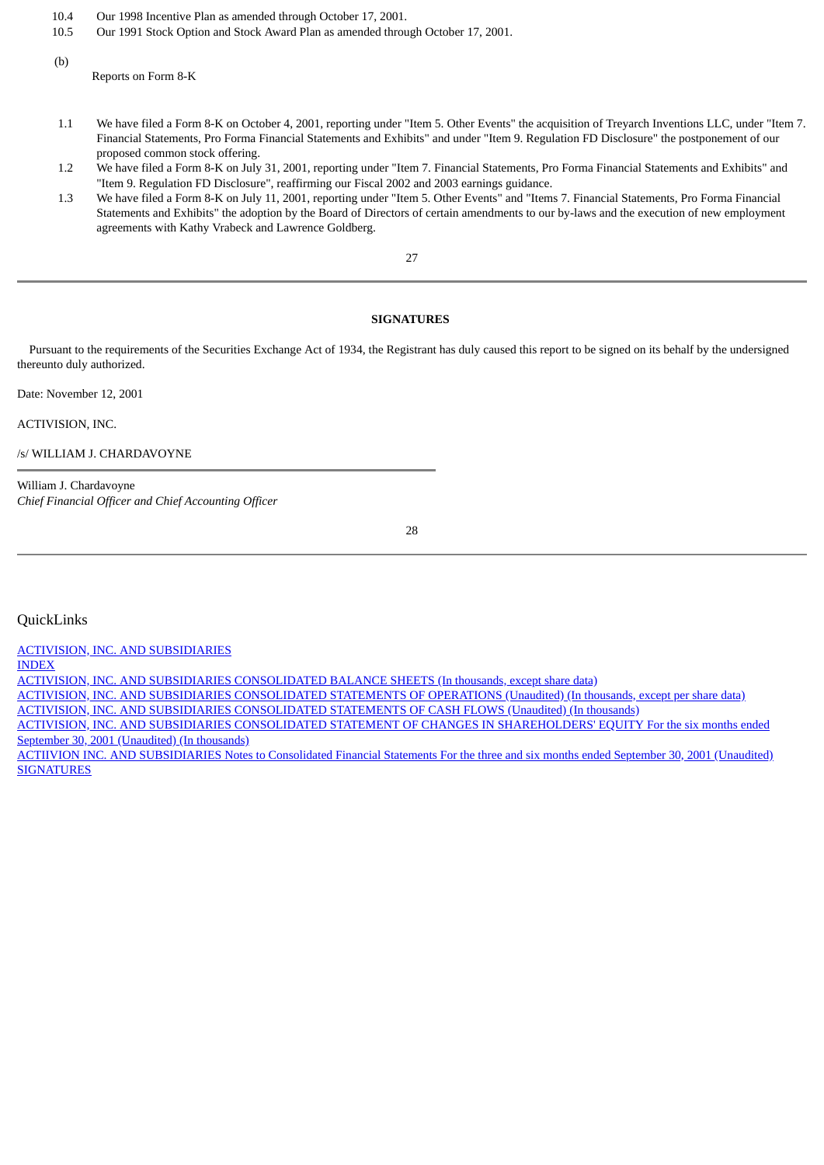- 10.4 Our 1998 Incentive Plan as amended through October 17, 2001.
- 10.5 Our 1991 Stock Option and Stock Award Plan as amended through October 17, 2001.
- (b)

Reports on Form 8-K

- 1.1 We have filed a Form 8-K on October 4, 2001, reporting under "Item 5. Other Events" the acquisition of Treyarch Inventions LLC, under "Item 7. Financial Statements, Pro Forma Financial Statements and Exhibits" and under "Item 9. Regulation FD Disclosure" the postponement of our proposed common stock offering.
- 1.2 We have filed a Form 8-K on July 31, 2001, reporting under "Item 7. Financial Statements, Pro Forma Financial Statements and Exhibits" and "Item 9. Regulation FD Disclosure", reaffirming our Fiscal 2002 and 2003 earnings guidance.
- 1.3 We have filed a Form 8-K on July 11, 2001, reporting under "Item 5. Other Events" and "Items 7. Financial Statements, Pro Forma Financial Statements and Exhibits" the adoption by the Board of Directors of certain amendments to our by-laws and the execution of new employment agreements with Kathy Vrabeck and Lawrence Goldberg.

27

### **SIGNATURES**

<span id="page-16-1"></span> Pursuant to the requirements of the Securities Exchange Act of 1934, the Registrant has duly caused this report to be signed on its behalf by the undersigned thereunto duly authorized.

Date: November 12, 2001

ACTIVISION, INC.

/s/ WILLIAM J. CHARDAVOYNE

William J. Chardavoyne *Chief Financial Officer and Chief Accounting Officer*

28

<span id="page-16-0"></span>QuickLinks

[ACTIVISION, INC. AND SUBSIDIARIES](#page-0-0)

[INDEX](#page-0-1)

[ACTIVISION, INC. AND SUBSIDIARIES CONSOLIDATED BALANCE SHEETS \(In thousands, except share data\)](#page-1-0)

[ACTIVISION, INC. AND SUBSIDIARIES CONSOLIDATED STATEMENTS OF OPERATIONS \(Unaudited\) \(In thousands, except per share data\)](#page-2-0)

[ACTIVISION, INC. AND SUBSIDIARIES CONSOLIDATED STATEMENTS OF CASH FLOWS \(Unaudited\) \(In thousands\)](#page-2-1)

[ACTIVISION, INC. AND SUBSIDIARIES CONSOLIDATED STATEMENT OF CHANGES IN SHAREHOLDERS' EQUITY For the six months ended](#page-3-0) September 30, 2001 (Unaudited) (In thousands)

[ACTIIVION INC. AND SUBSIDIARIES Notes to Consolidated Financial Statements For the three and six months ended September 30, 2001 \(Unaudited\)](#page-4-0) **[SIGNATURES](#page-16-1)**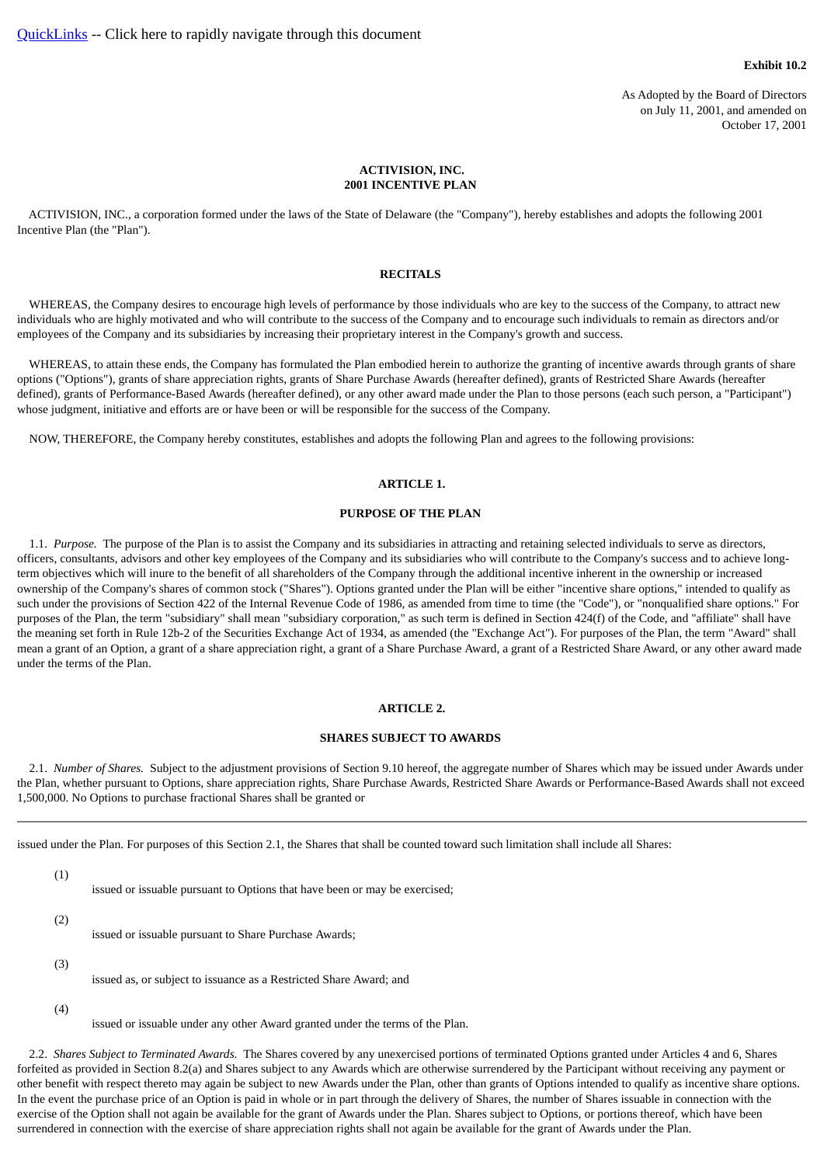#### **Exhibit 10.2**

As Adopted by the Board of Directors on July 11, 2001, and amended on October 17, 2001

### **ACTIVISION, INC. 2001 INCENTIVE PLAN**

<span id="page-17-1"></span><span id="page-17-0"></span> ACTIVISION, INC., a corporation formed under the laws of the State of Delaware (the "Company"), hereby establishes and adopts the following 2001 Incentive Plan (the "Plan").

#### **RECITALS**

 WHEREAS, the Company desires to encourage high levels of performance by those individuals who are key to the success of the Company, to attract new individuals who are highly motivated and who will contribute to the success of the Company and to encourage such individuals to remain as directors and/or employees of the Company and its subsidiaries by increasing their proprietary interest in the Company's growth and success.

 WHEREAS, to attain these ends, the Company has formulated the Plan embodied herein to authorize the granting of incentive awards through grants of share options ("Options"), grants of share appreciation rights, grants of Share Purchase Awards (hereafter defined), grants of Restricted Share Awards (hereafter defined), grants of Performance-Based Awards (hereafter defined), or any other award made under the Plan to those persons (each such person, a "Participant") whose judgment, initiative and efforts are or have been or will be responsible for the success of the Company.

<span id="page-17-2"></span>NOW, THEREFORE, the Company hereby constitutes, establishes and adopts the following Plan and agrees to the following provisions:

### **ARTICLE 1.**

### **PURPOSE OF THE PLAN**

 1.1. *Purpose.* The purpose of the Plan is to assist the Company and its subsidiaries in attracting and retaining selected individuals to serve as directors, officers, consultants, advisors and other key employees of the Company and its subsidiaries who will contribute to the Company's success and to achieve longterm objectives which will inure to the benefit of all shareholders of the Company through the additional incentive inherent in the ownership or increased ownership of the Company's shares of common stock ("Shares"). Options granted under the Plan will be either "incentive share options," intended to qualify as such under the provisions of Section 422 of the Internal Revenue Code of 1986, as amended from time to time (the "Code"), or "nonqualified share options." For purposes of the Plan, the term "subsidiary" shall mean "subsidiary corporation," as such term is defined in Section 424(f) of the Code, and "affiliate" shall have the meaning set forth in Rule 12b-2 of the Securities Exchange Act of 1934, as amended (the "Exchange Act"). For purposes of the Plan, the term "Award" shall mean a grant of an Option, a grant of a share appreciation right, a grant of a Share Purchase Award, a grant of a Restricted Share Award, or any other award made under the terms of the Plan.

### **ARTICLE 2.**

### **SHARES SUBJECT TO AWARDS**

<span id="page-17-3"></span> 2.1. *Number of Shares.* Subject to the adjustment provisions of Section 9.10 hereof, the aggregate number of Shares which may be issued under Awards under the Plan, whether pursuant to Options, share appreciation rights, Share Purchase Awards, Restricted Share Awards or Performance-Based Awards shall not exceed 1,500,000. No Options to purchase fractional Shares shall be granted or

issued under the Plan. For purposes of this Section 2.1, the Shares that shall be counted toward such limitation shall include all Shares:

(1)

issued or issuable pursuant to Options that have been or may be exercised;

(2)

issued or issuable pursuant to Share Purchase Awards;

(3)

issued as, or subject to issuance as a Restricted Share Award; and

(4)

issued or issuable under any other Award granted under the terms of the Plan.

 2.2. *Shares Subject to Terminated Awards.* The Shares covered by any unexercised portions of terminated Options granted under Articles 4 and 6, Shares forfeited as provided in Section 8.2(a) and Shares subject to any Awards which are otherwise surrendered by the Participant without receiving any payment or other benefit with respect thereto may again be subject to new Awards under the Plan, other than grants of Options intended to qualify as incentive share options. In the event the purchase price of an Option is paid in whole or in part through the delivery of Shares, the number of Shares issuable in connection with the exercise of the Option shall not again be available for the grant of Awards under the Plan. Shares subject to Options, or portions thereof, which have been surrendered in connection with the exercise of share appreciation rights shall not again be available for the grant of Awards under the Plan.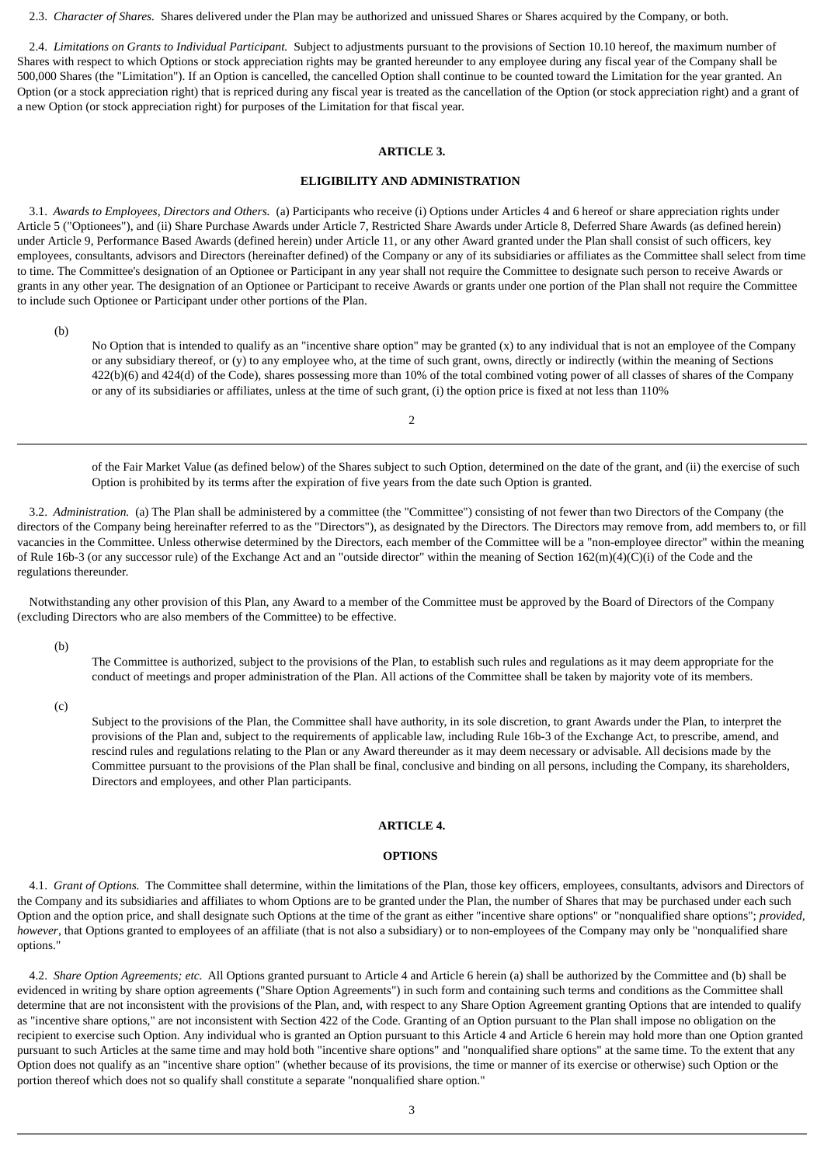2.3. *Character of Shares.* Shares delivered under the Plan may be authorized and unissued Shares or Shares acquired by the Company, or both.

 2.4. *Limitations on Grants to Individual Participant.* Subject to adjustments pursuant to the provisions of Section 10.10 hereof, the maximum number of Shares with respect to which Options or stock appreciation rights may be granted hereunder to any employee during any fiscal year of the Company shall be 500,000 Shares (the "Limitation"). If an Option is cancelled, the cancelled Option shall continue to be counted toward the Limitation for the year granted. An Option (or a stock appreciation right) that is repriced during any fiscal year is treated as the cancellation of the Option (or stock appreciation right) and a grant of a new Option (or stock appreciation right) for purposes of the Limitation for that fiscal year.

### **ARTICLE 3.**

### **ELIGIBILITY AND ADMINISTRATION**

<span id="page-18-0"></span> 3.1. *Awards to Employees, Directors and Others.* (a) Participants who receive (i) Options under Articles 4 and 6 hereof or share appreciation rights under Article 5 ("Optionees"), and (ii) Share Purchase Awards under Article 7, Restricted Share Awards under Article 8, Deferred Share Awards (as defined herein) under Article 9, Performance Based Awards (defined herein) under Article 11, or any other Award granted under the Plan shall consist of such officers, key employees, consultants, advisors and Directors (hereinafter defined) of the Company or any of its subsidiaries or affiliates as the Committee shall select from time to time. The Committee's designation of an Optionee or Participant in any year shall not require the Committee to designate such person to receive Awards or grants in any other year. The designation of an Optionee or Participant to receive Awards or grants under one portion of the Plan shall not require the Committee to include such Optionee or Participant under other portions of the Plan.

(b)

No Option that is intended to qualify as an "incentive share option" may be granted (x) to any individual that is not an employee of the Company or any subsidiary thereof, or (y) to any employee who, at the time of such grant, owns, directly or indirectly (within the meaning of Sections 422(b)(6) and 424(d) of the Code), shares possessing more than 10% of the total combined voting power of all classes of shares of the Company or any of its subsidiaries or affiliates, unless at the time of such grant, (i) the option price is fixed at not less than 110%

 $\overline{2}$ 

of the Fair Market Value (as defined below) of the Shares subject to such Option, determined on the date of the grant, and (ii) the exercise of such Option is prohibited by its terms after the expiration of five years from the date such Option is granted.

 3.2. *Administration.* (a) The Plan shall be administered by a committee (the "Committee") consisting of not fewer than two Directors of the Company (the directors of the Company being hereinafter referred to as the "Directors"), as designated by the Directors. The Directors may remove from, add members to, or fill vacancies in the Committee. Unless otherwise determined by the Directors, each member of the Committee will be a "non-employee director" within the meaning of Rule 16b-3 (or any successor rule) of the Exchange Act and an "outside director" within the meaning of Section 162(m)(4)(C)(i) of the Code and the regulations thereunder.

 Notwithstanding any other provision of this Plan, any Award to a member of the Committee must be approved by the Board of Directors of the Company (excluding Directors who are also members of the Committee) to be effective.

(b)

The Committee is authorized, subject to the provisions of the Plan, to establish such rules and regulations as it may deem appropriate for the conduct of meetings and proper administration of the Plan. All actions of the Committee shall be taken by majority vote of its members.

(c)

Subject to the provisions of the Plan, the Committee shall have authority, in its sole discretion, to grant Awards under the Plan, to interpret the provisions of the Plan and, subject to the requirements of applicable law, including Rule 16b-3 of the Exchange Act, to prescribe, amend, and rescind rules and regulations relating to the Plan or any Award thereunder as it may deem necessary or advisable. All decisions made by the Committee pursuant to the provisions of the Plan shall be final, conclusive and binding on all persons, including the Company, its shareholders, Directors and employees, and other Plan participants.

### **ARTICLE 4.**

### **OPTIONS**

<span id="page-18-1"></span> 4.1. *Grant of Options.* The Committee shall determine, within the limitations of the Plan, those key officers, employees, consultants, advisors and Directors of the Company and its subsidiaries and affiliates to whom Options are to be granted under the Plan, the number of Shares that may be purchased under each such Option and the option price, and shall designate such Options at the time of the grant as either "incentive share options" or "nonqualified share options"; *provided, however*, that Options granted to employees of an affiliate (that is not also a subsidiary) or to non-employees of the Company may only be "nonqualified share options."

 4.2. *Share Option Agreements; etc.* All Options granted pursuant to Article 4 and Article 6 herein (a) shall be authorized by the Committee and (b) shall be evidenced in writing by share option agreements ("Share Option Agreements") in such form and containing such terms and conditions as the Committee shall determine that are not inconsistent with the provisions of the Plan, and, with respect to any Share Option Agreement granting Options that are intended to qualify as "incentive share options," are not inconsistent with Section 422 of the Code. Granting of an Option pursuant to the Plan shall impose no obligation on the recipient to exercise such Option. Any individual who is granted an Option pursuant to this Article 4 and Article 6 herein may hold more than one Option granted pursuant to such Articles at the same time and may hold both "incentive share options" and "nonqualified share options" at the same time. To the extent that any Option does not qualify as an "incentive share option" (whether because of its provisions, the time or manner of its exercise or otherwise) such Option or the portion thereof which does not so qualify shall constitute a separate "nonqualified share option."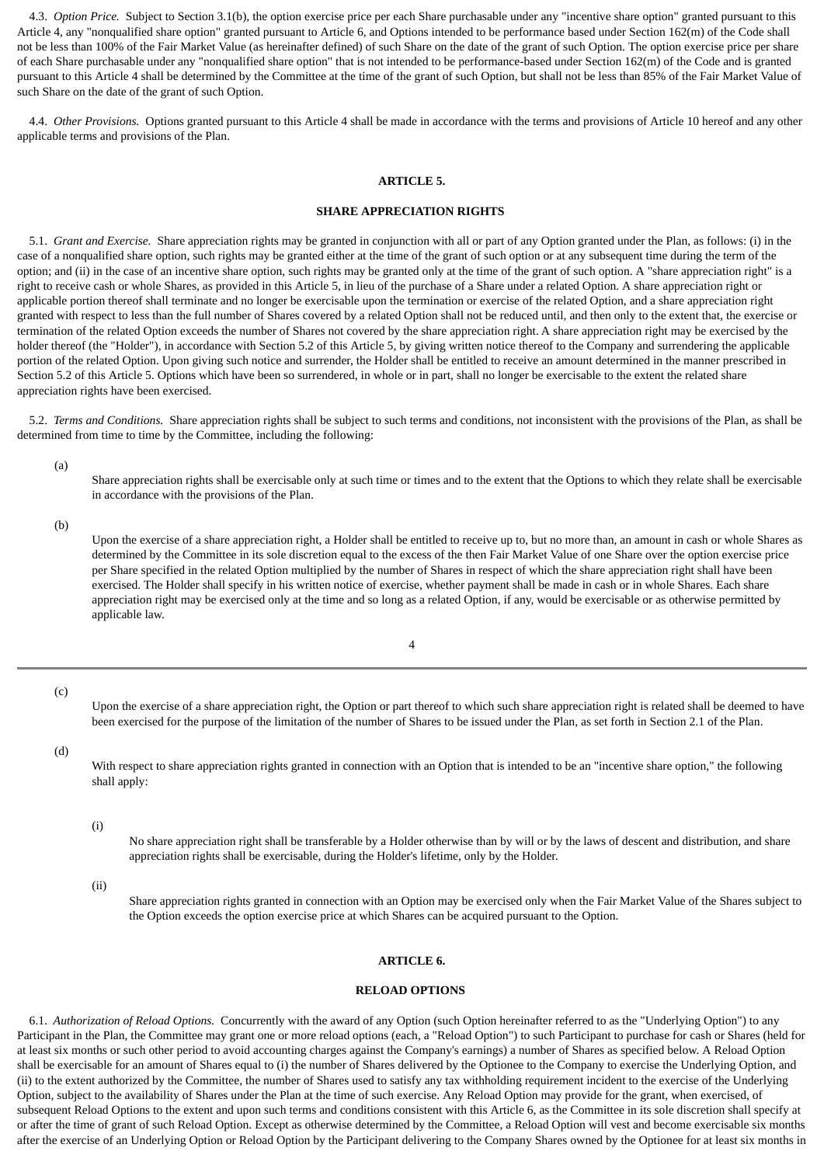4.3. *Option Price.* Subject to Section 3.1(b), the option exercise price per each Share purchasable under any "incentive share option" granted pursuant to this Article 4, any "nonqualified share option" granted pursuant to Article 6, and Options intended to be performance based under Section 162(m) of the Code shall not be less than 100% of the Fair Market Value (as hereinafter defined) of such Share on the date of the grant of such Option. The option exercise price per share of each Share purchasable under any "nonqualified share option" that is not intended to be performance-based under Section 162(m) of the Code and is granted pursuant to this Article 4 shall be determined by the Committee at the time of the grant of such Option, but shall not be less than 85% of the Fair Market Value of such Share on the date of the grant of such Option.

<span id="page-19-0"></span> 4.4. *Other Provisions.* Options granted pursuant to this Article 4 shall be made in accordance with the terms and provisions of Article 10 hereof and any other applicable terms and provisions of the Plan.

#### **ARTICLE 5.**

### **SHARE APPRECIATION RIGHTS**

 5.1. *Grant and Exercise.* Share appreciation rights may be granted in conjunction with all or part of any Option granted under the Plan, as follows: (i) in the case of a nonqualified share option, such rights may be granted either at the time of the grant of such option or at any subsequent time during the term of the option; and (ii) in the case of an incentive share option, such rights may be granted only at the time of the grant of such option. A "share appreciation right" is a right to receive cash or whole Shares, as provided in this Article 5, in lieu of the purchase of a Share under a related Option. A share appreciation right or applicable portion thereof shall terminate and no longer be exercisable upon the termination or exercise of the related Option, and a share appreciation right granted with respect to less than the full number of Shares covered by a related Option shall not be reduced until, and then only to the extent that, the exercise or termination of the related Option exceeds the number of Shares not covered by the share appreciation right. A share appreciation right may be exercised by the holder thereof (the "Holder"), in accordance with Section 5.2 of this Article 5, by giving written notice thereof to the Company and surrendering the applicable portion of the related Option. Upon giving such notice and surrender, the Holder shall be entitled to receive an amount determined in the manner prescribed in Section 5.2 of this Article 5. Options which have been so surrendered, in whole or in part, shall no longer be exercisable to the extent the related share appreciation rights have been exercised.

 5.2. *Terms and Conditions.* Share appreciation rights shall be subject to such terms and conditions, not inconsistent with the provisions of the Plan, as shall be determined from time to time by the Committee, including the following:

(a)

Share appreciation rights shall be exercisable only at such time or times and to the extent that the Options to which they relate shall be exercisable in accordance with the provisions of the Plan.

(b)

Upon the exercise of a share appreciation right, a Holder shall be entitled to receive up to, but no more than, an amount in cash or whole Shares as determined by the Committee in its sole discretion equal to the excess of the then Fair Market Value of one Share over the option exercise price per Share specified in the related Option multiplied by the number of Shares in respect of which the share appreciation right shall have been exercised. The Holder shall specify in his written notice of exercise, whether payment shall be made in cash or in whole Shares. Each share appreciation right may be exercised only at the time and so long as a related Option, if any, would be exercisable or as otherwise permitted by applicable law.

4

(c)

Upon the exercise of a share appreciation right, the Option or part thereof to which such share appreciation right is related shall be deemed to have been exercised for the purpose of the limitation of the number of Shares to be issued under the Plan, as set forth in Section 2.1 of the Plan.

### (d)

With respect to share appreciation rights granted in connection with an Option that is intended to be an "incentive share option," the following shall apply:

### (i)

No share appreciation right shall be transferable by a Holder otherwise than by will or by the laws of descent and distribution, and share appreciation rights shall be exercisable, during the Holder's lifetime, only by the Holder.

(ii)

Share appreciation rights granted in connection with an Option may be exercised only when the Fair Market Value of the Shares subject to the Option exceeds the option exercise price at which Shares can be acquired pursuant to the Option.

### **ARTICLE 6.**

#### **RELOAD OPTIONS**

<span id="page-19-1"></span> 6.1. *Authorization of Reload Options.* Concurrently with the award of any Option (such Option hereinafter referred to as the "Underlying Option") to any Participant in the Plan, the Committee may grant one or more reload options (each, a "Reload Option") to such Participant to purchase for cash or Shares (held for at least six months or such other period to avoid accounting charges against the Company's earnings) a number of Shares as specified below. A Reload Option shall be exercisable for an amount of Shares equal to (i) the number of Shares delivered by the Optionee to the Company to exercise the Underlying Option, and (ii) to the extent authorized by the Committee, the number of Shares used to satisfy any tax withholding requirement incident to the exercise of the Underlying Option, subject to the availability of Shares under the Plan at the time of such exercise. Any Reload Option may provide for the grant, when exercised, of subsequent Reload Options to the extent and upon such terms and conditions consistent with this Article 6, as the Committee in its sole discretion shall specify at or after the time of grant of such Reload Option. Except as otherwise determined by the Committee, a Reload Option will vest and become exercisable six months after the exercise of an Underlying Option or Reload Option by the Participant delivering to the Company Shares owned by the Optionee for at least six months in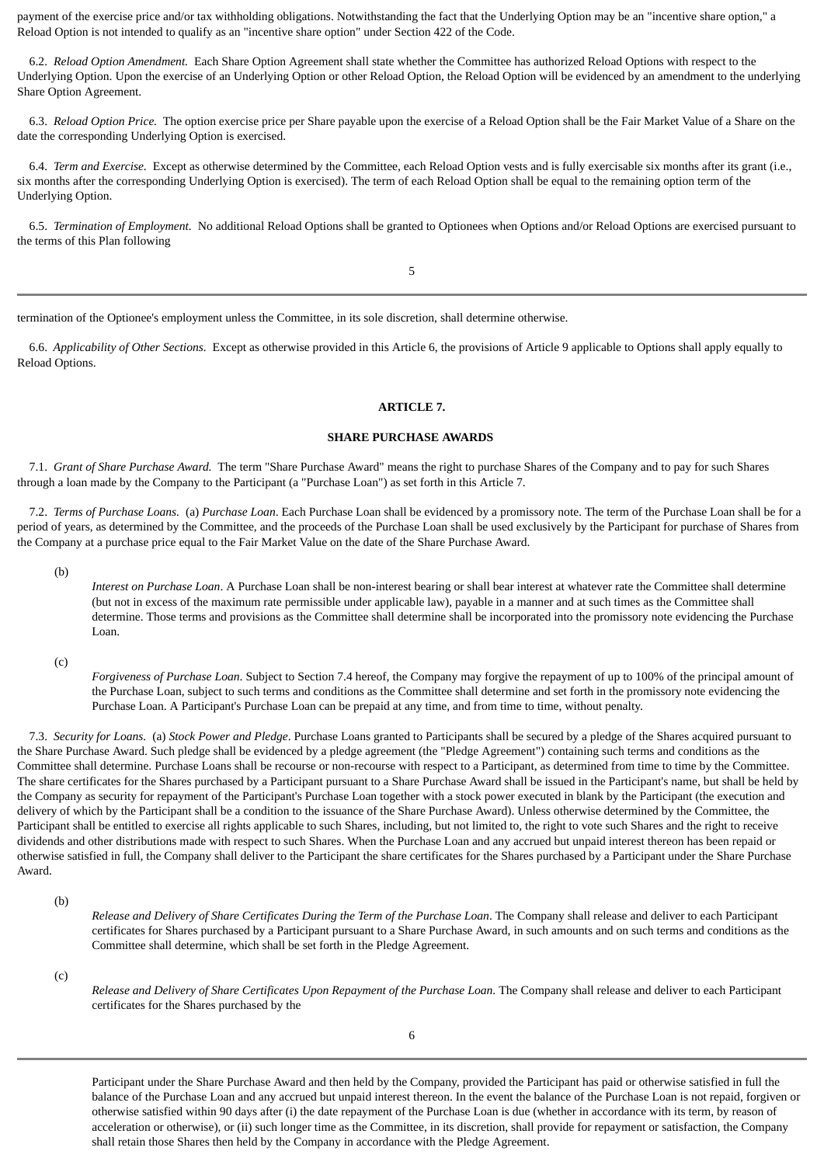payment of the exercise price and/or tax withholding obligations. Notwithstanding the fact that the Underlying Option may be an "incentive share option," a Reload Option is not intended to qualify as an "incentive share option" under Section 422 of the Code.

 6.2. *Reload Option Amendment.* Each Share Option Agreement shall state whether the Committee has authorized Reload Options with respect to the Underlying Option. Upon the exercise of an Underlying Option or other Reload Option, the Reload Option will be evidenced by an amendment to the underlying Share Option Agreement.

 6.3. *Reload Option Price.* The option exercise price per Share payable upon the exercise of a Reload Option shall be the Fair Market Value of a Share on the date the corresponding Underlying Option is exercised.

 6.4. *Term and Exercise.* Except as otherwise determined by the Committee, each Reload Option vests and is fully exercisable six months after its grant (i.e., six months after the corresponding Underlying Option is exercised). The term of each Reload Option shall be equal to the remaining option term of the Underlying Option.

 6.5. *Termination of Employment.* No additional Reload Options shall be granted to Optionees when Options and/or Reload Options are exercised pursuant to the terms of this Plan following

5

termination of the Optionee's employment unless the Committee, in its sole discretion, shall determine otherwise.

<span id="page-20-0"></span> 6.6. *Applicability of Other Sections.* Except as otherwise provided in this Article 6, the provisions of Article 9 applicable to Options shall apply equally to Reload Options.

### **ARTICLE 7.**

### **SHARE PURCHASE AWARDS**

 7.1. *Grant of Share Purchase Award.* The term "Share Purchase Award" means the right to purchase Shares of the Company and to pay for such Shares through a loan made by the Company to the Participant (a "Purchase Loan") as set forth in this Article 7.

 7.2. *Terms of Purchase Loans.* (a) *Purchase Loan*. Each Purchase Loan shall be evidenced by a promissory note. The term of the Purchase Loan shall be for a period of years, as determined by the Committee, and the proceeds of the Purchase Loan shall be used exclusively by the Participant for purchase of Shares from the Company at a purchase price equal to the Fair Market Value on the date of the Share Purchase Award.

(b)

*Interest on Purchase Loan*. A Purchase Loan shall be non-interest bearing or shall bear interest at whatever rate the Committee shall determine (but not in excess of the maximum rate permissible under applicable law), payable in a manner and at such times as the Committee shall determine. Those terms and provisions as the Committee shall determine shall be incorporated into the promissory note evidencing the Purchase Loan.

(c)

*Forgiveness of Purchase Loan*. Subject to Section 7.4 hereof, the Company may forgive the repayment of up to 100% of the principal amount of the Purchase Loan, subject to such terms and conditions as the Committee shall determine and set forth in the promissory note evidencing the Purchase Loan. A Participant's Purchase Loan can be prepaid at any time, and from time to time, without penalty.

 7.3. *Security for Loans.* (a) *Stock Power and Pledge*. Purchase Loans granted to Participants shall be secured by a pledge of the Shares acquired pursuant to the Share Purchase Award. Such pledge shall be evidenced by a pledge agreement (the "Pledge Agreement") containing such terms and conditions as the Committee shall determine. Purchase Loans shall be recourse or non-recourse with respect to a Participant, as determined from time to time by the Committee. The share certificates for the Shares purchased by a Participant pursuant to a Share Purchase Award shall be issued in the Participant's name, but shall be held by the Company as security for repayment of the Participant's Purchase Loan together with a stock power executed in blank by the Participant (the execution and delivery of which by the Participant shall be a condition to the issuance of the Share Purchase Award). Unless otherwise determined by the Committee, the Participant shall be entitled to exercise all rights applicable to such Shares, including, but not limited to, the right to vote such Shares and the right to receive dividends and other distributions made with respect to such Shares. When the Purchase Loan and any accrued but unpaid interest thereon has been repaid or otherwise satisfied in full, the Company shall deliver to the Participant the share certificates for the Shares purchased by a Participant under the Share Purchase Award.

(b)

*Release and Delivery of Share Certificates During the Term of the Purchase Loan*. The Company shall release and deliver to each Participant certificates for Shares purchased by a Participant pursuant to a Share Purchase Award, in such amounts and on such terms and conditions as the Committee shall determine, which shall be set forth in the Pledge Agreement.

(c)

*Release and Delivery of Share Certificates Upon Repayment of the Purchase Loan*. The Company shall release and deliver to each Participant certificates for the Shares purchased by the

Participant under the Share Purchase Award and then held by the Company, provided the Participant has paid or otherwise satisfied in full the balance of the Purchase Loan and any accrued but unpaid interest thereon. In the event the balance of the Purchase Loan is not repaid, forgiven or otherwise satisfied within 90 days after (i) the date repayment of the Purchase Loan is due (whether in accordance with its term, by reason of acceleration or otherwise), or (ii) such longer time as the Committee, in its discretion, shall provide for repayment or satisfaction, the Company shall retain those Shares then held by the Company in accordance with the Pledge Agreement.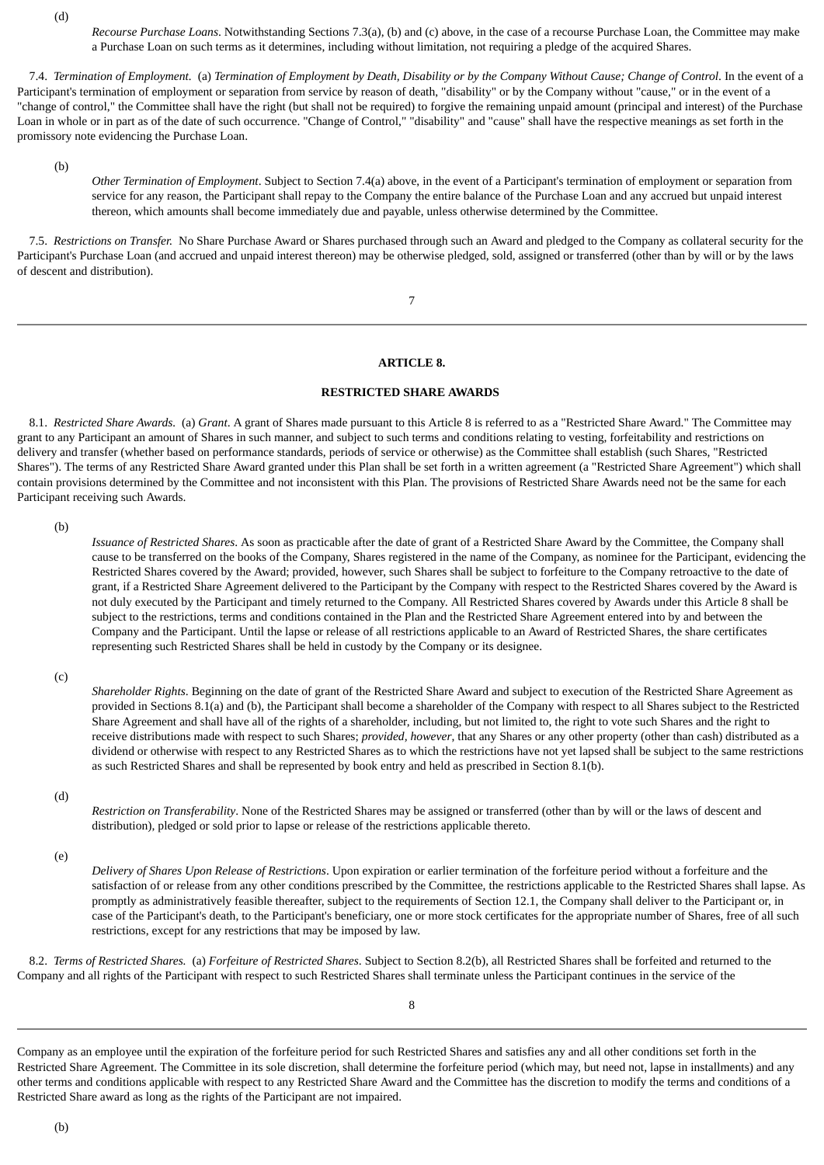(d)

*Recourse Purchase Loans*. Notwithstanding Sections 7.3(a), (b) and (c) above, in the case of a recourse Purchase Loan, the Committee may make a Purchase Loan on such terms as it determines, including without limitation, not requiring a pledge of the acquired Shares.

 7.4. *Termination of Employment.* (a) *Termination of Employment by Death, Disability or by the Company Without Cause; Change of Control*. In the event of a Participant's termination of employment or separation from service by reason of death, "disability" or by the Company without "cause," or in the event of a "change of control," the Committee shall have the right (but shall not be required) to forgive the remaining unpaid amount (principal and interest) of the Purchase Loan in whole or in part as of the date of such occurrence. "Change of Control," "disability" and "cause" shall have the respective meanings as set forth in the promissory note evidencing the Purchase Loan.

(b)

*Other Termination of Employment*. Subject to Section 7.4(a) above, in the event of a Participant's termination of employment or separation from service for any reason, the Participant shall repay to the Company the entire balance of the Purchase Loan and any accrued but unpaid interest thereon, which amounts shall become immediately due and payable, unless otherwise determined by the Committee.

 7.5. *Restrictions on Transfer.* No Share Purchase Award or Shares purchased through such an Award and pledged to the Company as collateral security for the Participant's Purchase Loan (and accrued and unpaid interest thereon) may be otherwise pledged, sold, assigned or transferred (other than by will or by the laws of descent and distribution).

7

### **ARTICLE 8.**

### **RESTRICTED SHARE AWARDS**

<span id="page-21-0"></span> 8.1. *Restricted Share Awards.* (a) *Grant*. A grant of Shares made pursuant to this Article 8 is referred to as a "Restricted Share Award." The Committee may grant to any Participant an amount of Shares in such manner, and subject to such terms and conditions relating to vesting, forfeitability and restrictions on delivery and transfer (whether based on performance standards, periods of service or otherwise) as the Committee shall establish (such Shares, "Restricted Shares"). The terms of any Restricted Share Award granted under this Plan shall be set forth in a written agreement (a "Restricted Share Agreement") which shall contain provisions determined by the Committee and not inconsistent with this Plan. The provisions of Restricted Share Awards need not be the same for each Participant receiving such Awards.

(b)

*Issuance of Restricted Shares*. As soon as practicable after the date of grant of a Restricted Share Award by the Committee, the Company shall cause to be transferred on the books of the Company, Shares registered in the name of the Company, as nominee for the Participant, evidencing the Restricted Shares covered by the Award; provided, however, such Shares shall be subject to forfeiture to the Company retroactive to the date of grant, if a Restricted Share Agreement delivered to the Participant by the Company with respect to the Restricted Shares covered by the Award is not duly executed by the Participant and timely returned to the Company. All Restricted Shares covered by Awards under this Article 8 shall be subject to the restrictions, terms and conditions contained in the Plan and the Restricted Share Agreement entered into by and between the Company and the Participant. Until the lapse or release of all restrictions applicable to an Award of Restricted Shares, the share certificates representing such Restricted Shares shall be held in custody by the Company or its designee.

(c)

*Shareholder Rights*. Beginning on the date of grant of the Restricted Share Award and subject to execution of the Restricted Share Agreement as provided in Sections 8.1(a) and (b), the Participant shall become a shareholder of the Company with respect to all Shares subject to the Restricted Share Agreement and shall have all of the rights of a shareholder, including, but not limited to, the right to vote such Shares and the right to receive distributions made with respect to such Shares; *provided, however*, that any Shares or any other property (other than cash) distributed as a dividend or otherwise with respect to any Restricted Shares as to which the restrictions have not yet lapsed shall be subject to the same restrictions as such Restricted Shares and shall be represented by book entry and held as prescribed in Section 8.1(b).

(d)

*Restriction on Transferability*. None of the Restricted Shares may be assigned or transferred (other than by will or the laws of descent and distribution), pledged or sold prior to lapse or release of the restrictions applicable thereto.

(e)

*Delivery of Shares Upon Release of Restrictions*. Upon expiration or earlier termination of the forfeiture period without a forfeiture and the satisfaction of or release from any other conditions prescribed by the Committee, the restrictions applicable to the Restricted Shares shall lapse. As promptly as administratively feasible thereafter, subject to the requirements of Section 12.1, the Company shall deliver to the Participant or, in case of the Participant's death, to the Participant's beneficiary, one or more stock certificates for the appropriate number of Shares, free of all such restrictions, except for any restrictions that may be imposed by law.

 8.2. *Terms of Restricted Shares.* (a) *Forfeiture of Restricted Shares*. Subject to Section 8.2(b), all Restricted Shares shall be forfeited and returned to the Company and all rights of the Participant with respect to such Restricted Shares shall terminate unless the Participant continues in the service of the

8

Company as an employee until the expiration of the forfeiture period for such Restricted Shares and satisfies any and all other conditions set forth in the Restricted Share Agreement. The Committee in its sole discretion, shall determine the forfeiture period (which may, but need not, lapse in installments) and any other terms and conditions applicable with respect to any Restricted Share Award and the Committee has the discretion to modify the terms and conditions of a Restricted Share award as long as the rights of the Participant are not impaired.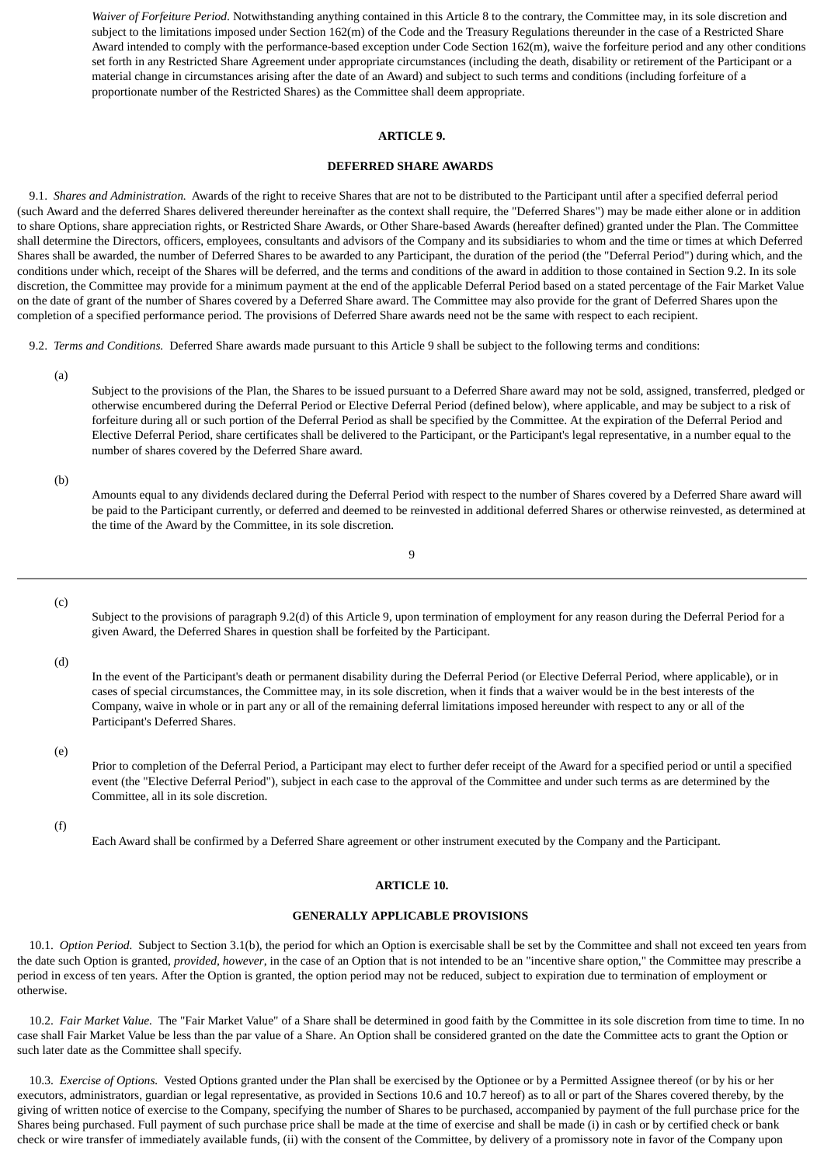*Waiver of Forfeiture Period*. Notwithstanding anything contained in this Article 8 to the contrary, the Committee may, in its sole discretion and subject to the limitations imposed under Section 162(m) of the Code and the Treasury Regulations thereunder in the case of a Restricted Share Award intended to comply with the performance-based exception under Code Section 162(m), waive the forfeiture period and any other conditions set forth in any Restricted Share Agreement under appropriate circumstances (including the death, disability or retirement of the Participant or a material change in circumstances arising after the date of an Award) and subject to such terms and conditions (including forfeiture of a proportionate number of the Restricted Shares) as the Committee shall deem appropriate.

### **ARTICLE 9.**

#### **DEFERRED SHARE AWARDS**

<span id="page-22-0"></span> 9.1. *Shares and Administration.* Awards of the right to receive Shares that are not to be distributed to the Participant until after a specified deferral period (such Award and the deferred Shares delivered thereunder hereinafter as the context shall require, the "Deferred Shares") may be made either alone or in addition to share Options, share appreciation rights, or Restricted Share Awards, or Other Share-based Awards (hereafter defined) granted under the Plan. The Committee shall determine the Directors, officers, employees, consultants and advisors of the Company and its subsidiaries to whom and the time or times at which Deferred Shares shall be awarded, the number of Deferred Shares to be awarded to any Participant, the duration of the period (the "Deferral Period") during which, and the conditions under which, receipt of the Shares will be deferred, and the terms and conditions of the award in addition to those contained in Section 9.2. In its sole discretion, the Committee may provide for a minimum payment at the end of the applicable Deferral Period based on a stated percentage of the Fair Market Value on the date of grant of the number of Shares covered by a Deferred Share award. The Committee may also provide for the grant of Deferred Shares upon the completion of a specified performance period. The provisions of Deferred Share awards need not be the same with respect to each recipient.

9.2. *Terms and Conditions.* Deferred Share awards made pursuant to this Article 9 shall be subject to the following terms and conditions:

(a)

Subject to the provisions of the Plan, the Shares to be issued pursuant to a Deferred Share award may not be sold, assigned, transferred, pledged or otherwise encumbered during the Deferral Period or Elective Deferral Period (defined below), where applicable, and may be subject to a risk of forfeiture during all or such portion of the Deferral Period as shall be specified by the Committee. At the expiration of the Deferral Period and Elective Deferral Period, share certificates shall be delivered to the Participant, or the Participant's legal representative, in a number equal to the number of shares covered by the Deferred Share award.

#### (b)

Amounts equal to any dividends declared during the Deferral Period with respect to the number of Shares covered by a Deferred Share award will be paid to the Participant currently, or deferred and deemed to be reinvested in additional deferred Shares or otherwise reinvested, as determined at the time of the Award by the Committee, in its sole discretion.

$$
9 \\
$$

(c)

Subject to the provisions of paragraph 9.2(d) of this Article 9, upon termination of employment for any reason during the Deferral Period for a given Award, the Deferred Shares in question shall be forfeited by the Participant.

#### (d)

In the event of the Participant's death or permanent disability during the Deferral Period (or Elective Deferral Period, where applicable), or in cases of special circumstances, the Committee may, in its sole discretion, when it finds that a waiver would be in the best interests of the Company, waive in whole or in part any or all of the remaining deferral limitations imposed hereunder with respect to any or all of the Participant's Deferred Shares.

(e)

Prior to completion of the Deferral Period, a Participant may elect to further defer receipt of the Award for a specified period or until a specified event (the "Elective Deferral Period"), subject in each case to the approval of the Committee and under such terms as are determined by the Committee, all in its sole discretion.

<span id="page-22-1"></span>(f)

Each Award shall be confirmed by a Deferred Share agreement or other instrument executed by the Company and the Participant.

### **ARTICLE 10.**

### **GENERALLY APPLICABLE PROVISIONS**

 10.1. *Option Period.* Subject to Section 3.1(b), the period for which an Option is exercisable shall be set by the Committee and shall not exceed ten years from the date such Option is granted, *provided, however*, in the case of an Option that is not intended to be an "incentive share option," the Committee may prescribe a period in excess of ten years. After the Option is granted, the option period may not be reduced, subject to expiration due to termination of employment or otherwise.

 10.2. *Fair Market Value.* The "Fair Market Value" of a Share shall be determined in good faith by the Committee in its sole discretion from time to time. In no case shall Fair Market Value be less than the par value of a Share. An Option shall be considered granted on the date the Committee acts to grant the Option or such later date as the Committee shall specify.

 10.3. *Exercise of Options.* Vested Options granted under the Plan shall be exercised by the Optionee or by a Permitted Assignee thereof (or by his or her executors, administrators, guardian or legal representative, as provided in Sections 10.6 and 10.7 hereof) as to all or part of the Shares covered thereby, by the giving of written notice of exercise to the Company, specifying the number of Shares to be purchased, accompanied by payment of the full purchase price for the Shares being purchased. Full payment of such purchase price shall be made at the time of exercise and shall be made (i) in cash or by certified check or bank check or wire transfer of immediately available funds, (ii) with the consent of the Committee, by delivery of a promissory note in favor of the Company upon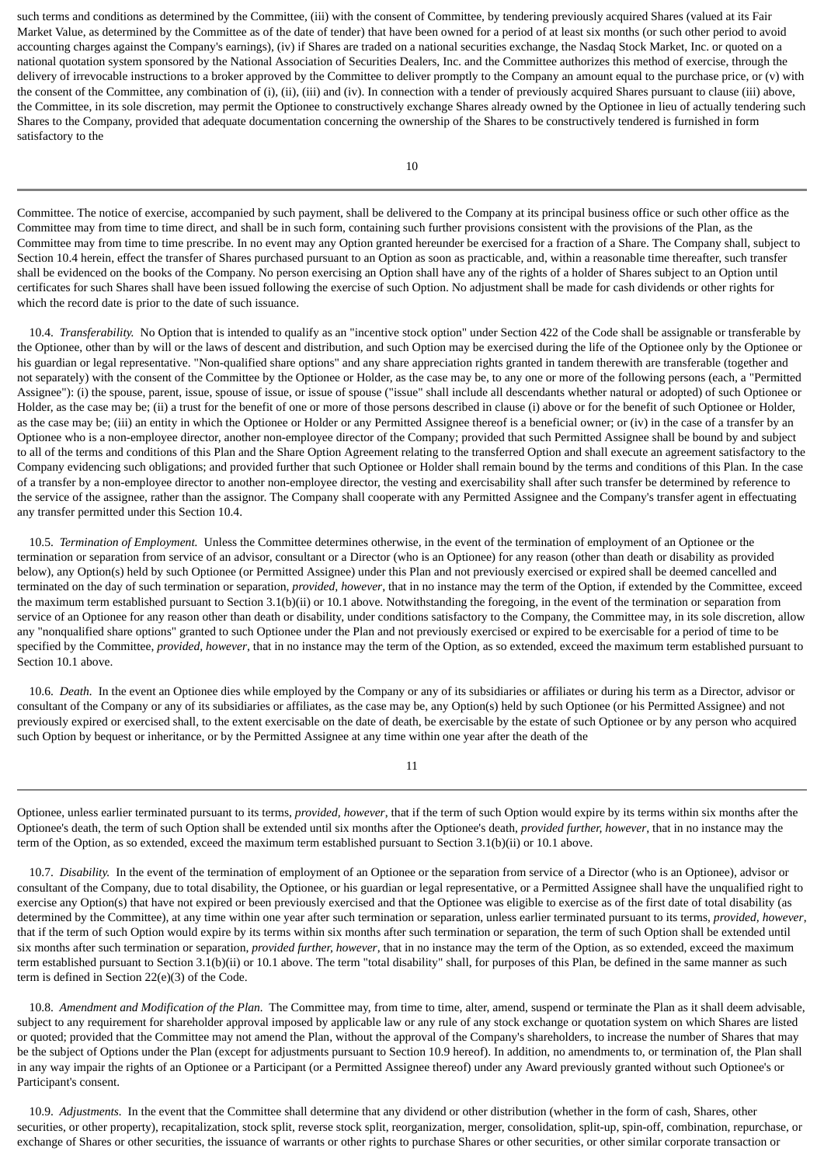such terms and conditions as determined by the Committee, (iii) with the consent of Committee, by tendering previously acquired Shares (valued at its Fair Market Value, as determined by the Committee as of the date of tender) that have been owned for a period of at least six months (or such other period to avoid accounting charges against the Company's earnings), (iv) if Shares are traded on a national securities exchange, the Nasdaq Stock Market, Inc. or quoted on a national quotation system sponsored by the National Association of Securities Dealers, Inc. and the Committee authorizes this method of exercise, through the delivery of irrevocable instructions to a broker approved by the Committee to deliver promptly to the Company an amount equal to the purchase price, or (v) with the consent of the Committee, any combination of (i), (ii), (iii) and (iv). In connection with a tender of previously acquired Shares pursuant to clause (iii) above, the Committee, in its sole discretion, may permit the Optionee to constructively exchange Shares already owned by the Optionee in lieu of actually tendering such Shares to the Company, provided that adequate documentation concerning the ownership of the Shares to be constructively tendered is furnished in form satisfactory to the

Committee. The notice of exercise, accompanied by such payment, shall be delivered to the Company at its principal business office or such other office as the Committee may from time to time direct, and shall be in such form, containing such further provisions consistent with the provisions of the Plan, as the Committee may from time to time prescribe. In no event may any Option granted hereunder be exercised for a fraction of a Share. The Company shall, subject to Section 10.4 herein, effect the transfer of Shares purchased pursuant to an Option as soon as practicable, and, within a reasonable time thereafter, such transfer shall be evidenced on the books of the Company. No person exercising an Option shall have any of the rights of a holder of Shares subject to an Option until certificates for such Shares shall have been issued following the exercise of such Option. No adjustment shall be made for cash dividends or other rights for which the record date is prior to the date of such issuance.

 10.4. *Transferability.* No Option that is intended to qualify as an "incentive stock option" under Section 422 of the Code shall be assignable or transferable by the Optionee, other than by will or the laws of descent and distribution, and such Option may be exercised during the life of the Optionee only by the Optionee or his guardian or legal representative. "Non-qualified share options" and any share appreciation rights granted in tandem therewith are transferable (together and not separately) with the consent of the Committee by the Optionee or Holder, as the case may be, to any one or more of the following persons (each, a "Permitted Assignee"): (i) the spouse, parent, issue, spouse of issue, or issue of spouse ("issue" shall include all descendants whether natural or adopted) of such Optionee or Holder, as the case may be; (ii) a trust for the benefit of one or more of those persons described in clause (i) above or for the benefit of such Optionee or Holder, as the case may be; (iii) an entity in which the Optionee or Holder or any Permitted Assignee thereof is a beneficial owner; or (iv) in the case of a transfer by an Optionee who is a non-employee director, another non-employee director of the Company; provided that such Permitted Assignee shall be bound by and subject to all of the terms and conditions of this Plan and the Share Option Agreement relating to the transferred Option and shall execute an agreement satisfactory to the Company evidencing such obligations; and provided further that such Optionee or Holder shall remain bound by the terms and conditions of this Plan. In the case of a transfer by a non-employee director to another non-employee director, the vesting and exercisability shall after such transfer be determined by reference to the service of the assignee, rather than the assignor. The Company shall cooperate with any Permitted Assignee and the Company's transfer agent in effectuating any transfer permitted under this Section 10.4.

 10.5. *Termination of Employment.* Unless the Committee determines otherwise, in the event of the termination of employment of an Optionee or the termination or separation from service of an advisor, consultant or a Director (who is an Optionee) for any reason (other than death or disability as provided below), any Option(s) held by such Optionee (or Permitted Assignee) under this Plan and not previously exercised or expired shall be deemed cancelled and terminated on the day of such termination or separation, *provided, however*, that in no instance may the term of the Option, if extended by the Committee, exceed the maximum term established pursuant to Section 3.1(b)(ii) or 10.1 above. Notwithstanding the foregoing, in the event of the termination or separation from service of an Optionee for any reason other than death or disability, under conditions satisfactory to the Company, the Committee may, in its sole discretion, allow any "nonqualified share options" granted to such Optionee under the Plan and not previously exercised or expired to be exercisable for a period of time to be specified by the Committee, *provided, however*, that in no instance may the term of the Option, as so extended, exceed the maximum term established pursuant to Section 10.1 above.

 10.6. *Death.* In the event an Optionee dies while employed by the Company or any of its subsidiaries or affiliates or during his term as a Director, advisor or consultant of the Company or any of its subsidiaries or affiliates, as the case may be, any Option(s) held by such Optionee (or his Permitted Assignee) and not previously expired or exercised shall, to the extent exercisable on the date of death, be exercisable by the estate of such Optionee or by any person who acquired such Option by bequest or inheritance, or by the Permitted Assignee at any time within one year after the death of the

11

Optionee, unless earlier terminated pursuant to its terms, *provided, however*, that if the term of such Option would expire by its terms within six months after the Optionee's death, the term of such Option shall be extended until six months after the Optionee's death, *provided further, however*, that in no instance may the term of the Option, as so extended, exceed the maximum term established pursuant to Section 3.1(b)(ii) or 10.1 above.

 10.7. *Disability.* In the event of the termination of employment of an Optionee or the separation from service of a Director (who is an Optionee), advisor or consultant of the Company, due to total disability, the Optionee, or his guardian or legal representative, or a Permitted Assignee shall have the unqualified right to exercise any Option(s) that have not expired or been previously exercised and that the Optionee was eligible to exercise as of the first date of total disability (as determined by the Committee), at any time within one year after such termination or separation, unless earlier terminated pursuant to its terms, *provided, however*, that if the term of such Option would expire by its terms within six months after such termination or separation, the term of such Option shall be extended until six months after such termination or separation, *provided further, however*, that in no instance may the term of the Option, as so extended, exceed the maximum term established pursuant to Section 3.1(b)(ii) or 10.1 above. The term "total disability" shall, for purposes of this Plan, be defined in the same manner as such term is defined in Section 22(e)(3) of the Code.

 10.8. *Amendment and Modification of the Plan.* The Committee may, from time to time, alter, amend, suspend or terminate the Plan as it shall deem advisable, subject to any requirement for shareholder approval imposed by applicable law or any rule of any stock exchange or quotation system on which Shares are listed or quoted; provided that the Committee may not amend the Plan, without the approval of the Company's shareholders, to increase the number of Shares that may be the subject of Options under the Plan (except for adjustments pursuant to Section 10.9 hereof). In addition, no amendments to, or termination of, the Plan shall in any way impair the rights of an Optionee or a Participant (or a Permitted Assignee thereof) under any Award previously granted without such Optionee's or Participant's consent.

 10.9. *Adjustments.* In the event that the Committee shall determine that any dividend or other distribution (whether in the form of cash, Shares, other securities, or other property), recapitalization, stock split, reverse stock split, reorganization, merger, consolidation, split-up, spin-off, combination, repurchase, or exchange of Shares or other securities, the issuance of warrants or other rights to purchase Shares or other securities, or other similar corporate transaction or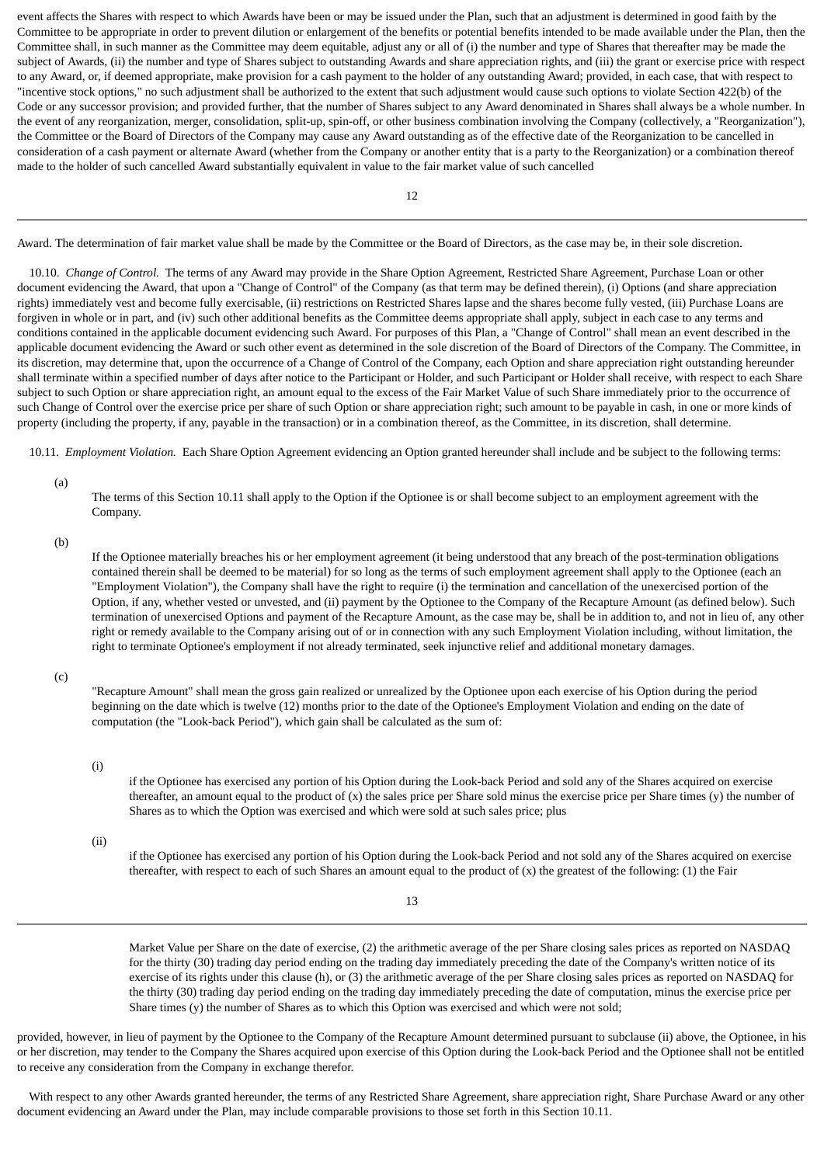event affects the Shares with respect to which Awards have been or may be issued under the Plan, such that an adjustment is determined in good faith by the Committee to be appropriate in order to prevent dilution or enlargement of the benefits or potential benefits intended to be made available under the Plan, then the Committee shall, in such manner as the Committee may deem equitable, adjust any or all of (i) the number and type of Shares that thereafter may be made the subject of Awards, (ii) the number and type of Shares subject to outstanding Awards and share appreciation rights, and (iii) the grant or exercise price with respect to any Award, or, if deemed appropriate, make provision for a cash payment to the holder of any outstanding Award; provided, in each case, that with respect to "incentive stock options," no such adjustment shall be authorized to the extent that such adjustment would cause such options to violate Section 422(b) of the Code or any successor provision; and provided further, that the number of Shares subject to any Award denominated in Shares shall always be a whole number. In the event of any reorganization, merger, consolidation, split-up, spin-off, or other business combination involving the Company (collectively, a "Reorganization"), the Committee or the Board of Directors of the Company may cause any Award outstanding as of the effective date of the Reorganization to be cancelled in consideration of a cash payment or alternate Award (whether from the Company or another entity that is a party to the Reorganization) or a combination thereof made to the holder of such cancelled Award substantially equivalent in value to the fair market value of such cancelled

12

Award. The determination of fair market value shall be made by the Committee or the Board of Directors, as the case may be, in their sole discretion.

 10.10. *Change of Control.* The terms of any Award may provide in the Share Option Agreement, Restricted Share Agreement, Purchase Loan or other document evidencing the Award, that upon a "Change of Control" of the Company (as that term may be defined therein), (i) Options (and share appreciation rights) immediately vest and become fully exercisable, (ii) restrictions on Restricted Shares lapse and the shares become fully vested, (iii) Purchase Loans are forgiven in whole or in part, and (iv) such other additional benefits as the Committee deems appropriate shall apply, subject in each case to any terms and conditions contained in the applicable document evidencing such Award. For purposes of this Plan, a "Change of Control" shall mean an event described in the applicable document evidencing the Award or such other event as determined in the sole discretion of the Board of Directors of the Company. The Committee, in its discretion, may determine that, upon the occurrence of a Change of Control of the Company, each Option and share appreciation right outstanding hereunder shall terminate within a specified number of days after notice to the Participant or Holder, and such Participant or Holder shall receive, with respect to each Share subject to such Option or share appreciation right, an amount equal to the excess of the Fair Market Value of such Share immediately prior to the occurrence of such Change of Control over the exercise price per share of such Option or share appreciation right; such amount to be payable in cash, in one or more kinds of property (including the property, if any, payable in the transaction) or in a combination thereof, as the Committee, in its discretion, shall determine.

10.11. *Employment Violation.* Each Share Option Agreement evidencing an Option granted hereunder shall include and be subject to the following terms:

(a)

The terms of this Section 10.11 shall apply to the Option if the Optionee is or shall become subject to an employment agreement with the Company.

(b)

If the Optionee materially breaches his or her employment agreement (it being understood that any breach of the post-termination obligations contained therein shall be deemed to be material) for so long as the terms of such employment agreement shall apply to the Optionee (each an "Employment Violation"), the Company shall have the right to require (i) the termination and cancellation of the unexercised portion of the Option, if any, whether vested or unvested, and (ii) payment by the Optionee to the Company of the Recapture Amount (as defined below). Such termination of unexercised Options and payment of the Recapture Amount, as the case may be, shall be in addition to, and not in lieu of, any other right or remedy available to the Company arising out of or in connection with any such Employment Violation including, without limitation, the right to terminate Optionee's employment if not already terminated, seek injunctive relief and additional monetary damages.

(c)

"Recapture Amount" shall mean the gross gain realized or unrealized by the Optionee upon each exercise of his Option during the period beginning on the date which is twelve (12) months prior to the date of the Optionee's Employment Violation and ending on the date of computation (the "Look-back Period"), which gain shall be calculated as the sum of:

(i)

if the Optionee has exercised any portion of his Option during the Look-back Period and sold any of the Shares acquired on exercise thereafter, an amount equal to the product of  $(x)$  the sales price per Share sold minus the exercise price per Share times  $(y)$  the number of Shares as to which the Option was exercised and which were sold at such sales price; plus

(ii)

if the Optionee has exercised any portion of his Option during the Look-back Period and not sold any of the Shares acquired on exercise thereafter, with respect to each of such Shares an amount equal to the product of  $(x)$  the greatest of the following: (1) the Fair

13

Market Value per Share on the date of exercise, (2) the arithmetic average of the per Share closing sales prices as reported on NASDAQ for the thirty (30) trading day period ending on the trading day immediately preceding the date of the Company's written notice of its exercise of its rights under this clause (h), or (3) the arithmetic average of the per Share closing sales prices as reported on NASDAQ for the thirty (30) trading day period ending on the trading day immediately preceding the date of computation, minus the exercise price per Share times (y) the number of Shares as to which this Option was exercised and which were not sold;

provided, however, in lieu of payment by the Optionee to the Company of the Recapture Amount determined pursuant to subclause (ii) above, the Optionee, in his or her discretion, may tender to the Company the Shares acquired upon exercise of this Option during the Look-back Period and the Optionee shall not be entitled to receive any consideration from the Company in exchange therefor.

 With respect to any other Awards granted hereunder, the terms of any Restricted Share Agreement, share appreciation right, Share Purchase Award or any other document evidencing an Award under the Plan, may include comparable provisions to those set forth in this Section 10.11.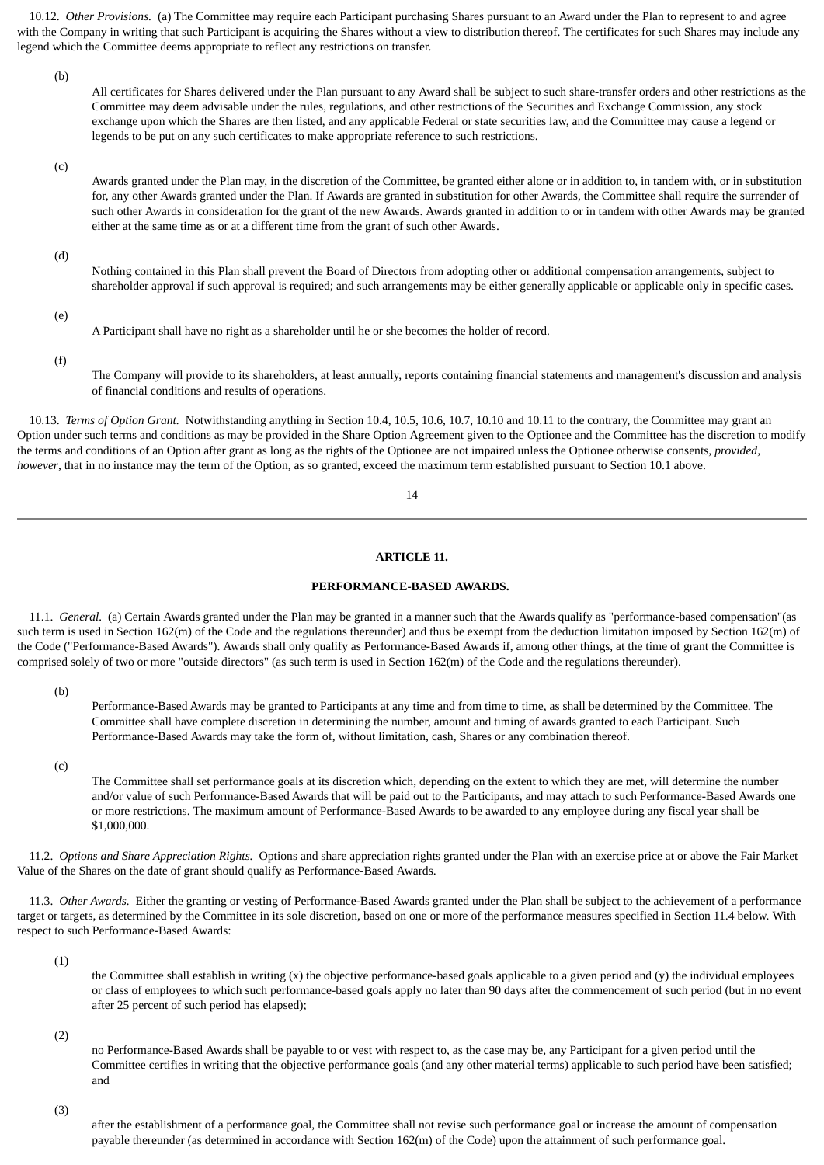10.12. *Other Provisions.* (a) The Committee may require each Participant purchasing Shares pursuant to an Award under the Plan to represent to and agree with the Company in writing that such Participant is acquiring the Shares without a view to distribution thereof. The certificates for such Shares may include any legend which the Committee deems appropriate to reflect any restrictions on transfer.

(b)

All certificates for Shares delivered under the Plan pursuant to any Award shall be subject to such share-transfer orders and other restrictions as the Committee may deem advisable under the rules, regulations, and other restrictions of the Securities and Exchange Commission, any stock exchange upon which the Shares are then listed, and any applicable Federal or state securities law, and the Committee may cause a legend or legends to be put on any such certificates to make appropriate reference to such restrictions.

(c)

Awards granted under the Plan may, in the discretion of the Committee, be granted either alone or in addition to, in tandem with, or in substitution for, any other Awards granted under the Plan. If Awards are granted in substitution for other Awards, the Committee shall require the surrender of such other Awards in consideration for the grant of the new Awards. Awards granted in addition to or in tandem with other Awards may be granted either at the same time as or at a different time from the grant of such other Awards.

(d)

Nothing contained in this Plan shall prevent the Board of Directors from adopting other or additional compensation arrangements, subject to shareholder approval if such approval is required; and such arrangements may be either generally applicable or applicable only in specific cases.

(e)

A Participant shall have no right as a shareholder until he or she becomes the holder of record.

(f)

The Company will provide to its shareholders, at least annually, reports containing financial statements and management's discussion and analysis of financial conditions and results of operations.

 10.13. *Terms of Option Grant.* Notwithstanding anything in Section 10.4, 10.5, 10.6, 10.7, 10.10 and 10.11 to the contrary, the Committee may grant an Option under such terms and conditions as may be provided in the Share Option Agreement given to the Optionee and the Committee has the discretion to modify the terms and conditions of an Option after grant as long as the rights of the Optionee are not impaired unless the Optionee otherwise consents, *provided, however*, that in no instance may the term of the Option, as so granted, exceed the maximum term established pursuant to Section 10.1 above.

14

### **ARTICLE 11.**

### **PERFORMANCE-BASED AWARDS.**

<span id="page-25-0"></span> 11.1. *General.* (a) Certain Awards granted under the Plan may be granted in a manner such that the Awards qualify as "performance-based compensation"(as such term is used in Section 162(m) of the Code and the regulations thereunder) and thus be exempt from the deduction limitation imposed by Section 162(m) of the Code ("Performance-Based Awards"). Awards shall only qualify as Performance-Based Awards if, among other things, at the time of grant the Committee is comprised solely of two or more "outside directors" (as such term is used in Section 162(m) of the Code and the regulations thereunder).

(b)

Performance-Based Awards may be granted to Participants at any time and from time to time, as shall be determined by the Committee. The Committee shall have complete discretion in determining the number, amount and timing of awards granted to each Participant. Such Performance-Based Awards may take the form of, without limitation, cash, Shares or any combination thereof.

(c)

The Committee shall set performance goals at its discretion which, depending on the extent to which they are met, will determine the number and/or value of such Performance-Based Awards that will be paid out to the Participants, and may attach to such Performance-Based Awards one or more restrictions. The maximum amount of Performance-Based Awards to be awarded to any employee during any fiscal year shall be \$1,000,000.

 11.2. *Options and Share Appreciation Rights.* Options and share appreciation rights granted under the Plan with an exercise price at or above the Fair Market Value of the Shares on the date of grant should qualify as Performance-Based Awards.

 11.3. *Other Awards.* Either the granting or vesting of Performance-Based Awards granted under the Plan shall be subject to the achievement of a performance target or targets, as determined by the Committee in its sole discretion, based on one or more of the performance measures specified in Section 11.4 below. With respect to such Performance-Based Awards:

(1)

the Committee shall establish in writing  $(x)$  the objective performance-based goals applicable to a given period and  $(y)$  the individual employees or class of employees to which such performance-based goals apply no later than 90 days after the commencement of such period (but in no event after 25 percent of such period has elapsed);

(2)

no Performance-Based Awards shall be payable to or vest with respect to, as the case may be, any Participant for a given period until the Committee certifies in writing that the objective performance goals (and any other material terms) applicable to such period have been satisfied; and

(3)

after the establishment of a performance goal, the Committee shall not revise such performance goal or increase the amount of compensation payable thereunder (as determined in accordance with Section 162(m) of the Code) upon the attainment of such performance goal.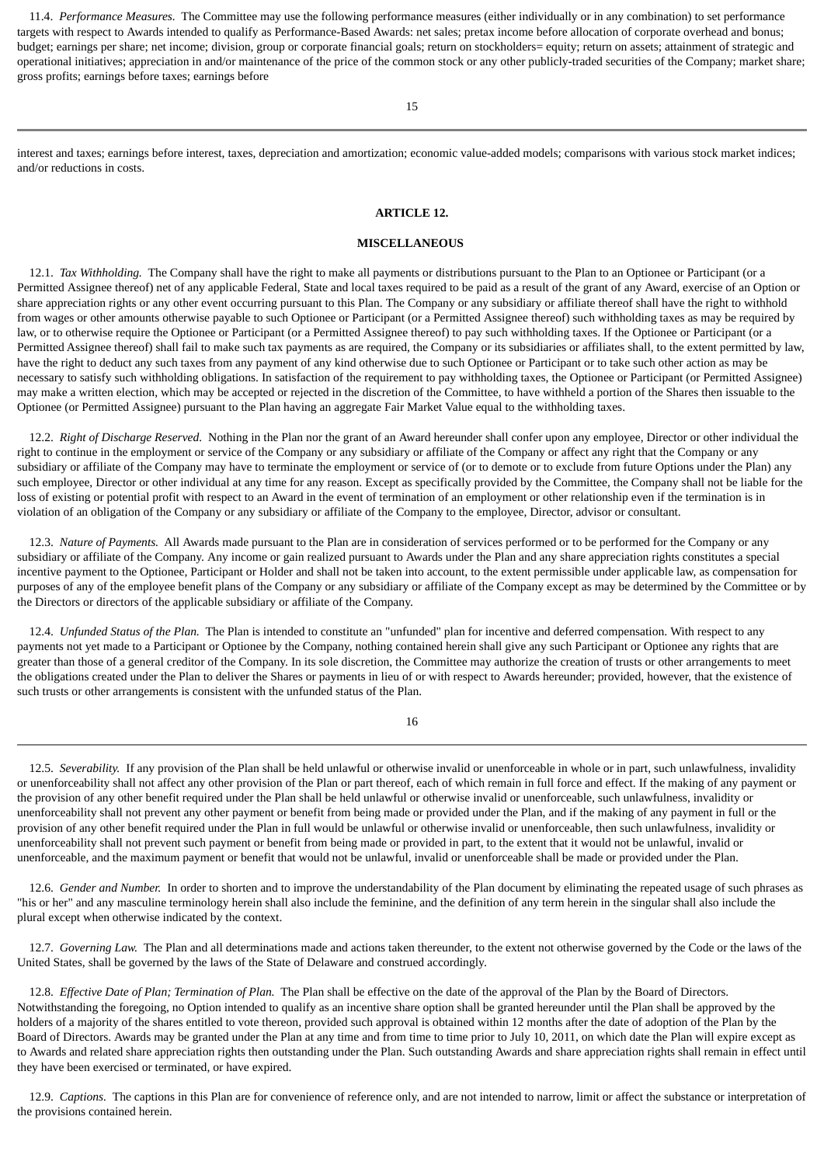11.4. *Performance Measures.* The Committee may use the following performance measures (either individually or in any combination) to set performance targets with respect to Awards intended to qualify as Performance-Based Awards: net sales; pretax income before allocation of corporate overhead and bonus; budget; earnings per share; net income; division, group or corporate financial goals; return on stockholders= equity; return on assets; attainment of strategic and operational initiatives; appreciation in and/or maintenance of the price of the common stock or any other publicly-traded securities of the Company; market share; gross profits; earnings before taxes; earnings before

15

<span id="page-26-0"></span>interest and taxes; earnings before interest, taxes, depreciation and amortization; economic value-added models; comparisons with various stock market indices; and/or reductions in costs.

### **ARTICLE 12.**

#### **MISCELLANEOUS**

 12.1. *Tax Withholding.* The Company shall have the right to make all payments or distributions pursuant to the Plan to an Optionee or Participant (or a Permitted Assignee thereof) net of any applicable Federal, State and local taxes required to be paid as a result of the grant of any Award, exercise of an Option or share appreciation rights or any other event occurring pursuant to this Plan. The Company or any subsidiary or affiliate thereof shall have the right to withhold from wages or other amounts otherwise payable to such Optionee or Participant (or a Permitted Assignee thereof) such withholding taxes as may be required by law, or to otherwise require the Optionee or Participant (or a Permitted Assignee thereof) to pay such withholding taxes. If the Optionee or Participant (or a Permitted Assignee thereof) shall fail to make such tax payments as are required, the Company or its subsidiaries or affiliates shall, to the extent permitted by law, have the right to deduct any such taxes from any payment of any kind otherwise due to such Optionee or Participant or to take such other action as may be necessary to satisfy such withholding obligations. In satisfaction of the requirement to pay withholding taxes, the Optionee or Participant (or Permitted Assignee) may make a written election, which may be accepted or rejected in the discretion of the Committee, to have withheld a portion of the Shares then issuable to the Optionee (or Permitted Assignee) pursuant to the Plan having an aggregate Fair Market Value equal to the withholding taxes.

 12.2. *Right of Discharge Reserved.* Nothing in the Plan nor the grant of an Award hereunder shall confer upon any employee, Director or other individual the right to continue in the employment or service of the Company or any subsidiary or affiliate of the Company or affect any right that the Company or any subsidiary or affiliate of the Company may have to terminate the employment or service of (or to demote or to exclude from future Options under the Plan) any such employee, Director or other individual at any time for any reason. Except as specifically provided by the Committee, the Company shall not be liable for the loss of existing or potential profit with respect to an Award in the event of termination of an employment or other relationship even if the termination is in violation of an obligation of the Company or any subsidiary or affiliate of the Company to the employee, Director, advisor or consultant.

 12.3. *Nature of Payments.* All Awards made pursuant to the Plan are in consideration of services performed or to be performed for the Company or any subsidiary or affiliate of the Company. Any income or gain realized pursuant to Awards under the Plan and any share appreciation rights constitutes a special incentive payment to the Optionee, Participant or Holder and shall not be taken into account, to the extent permissible under applicable law, as compensation for purposes of any of the employee benefit plans of the Company or any subsidiary or affiliate of the Company except as may be determined by the Committee or by the Directors or directors of the applicable subsidiary or affiliate of the Company.

 12.4. *Unfunded Status of the Plan.* The Plan is intended to constitute an "unfunded" plan for incentive and deferred compensation. With respect to any payments not yet made to a Participant or Optionee by the Company, nothing contained herein shall give any such Participant or Optionee any rights that are greater than those of a general creditor of the Company. In its sole discretion, the Committee may authorize the creation of trusts or other arrangements to meet the obligations created under the Plan to deliver the Shares or payments in lieu of or with respect to Awards hereunder; provided, however, that the existence of such trusts or other arrangements is consistent with the unfunded status of the Plan.

16

 12.5. *Severability.* If any provision of the Plan shall be held unlawful or otherwise invalid or unenforceable in whole or in part, such unlawfulness, invalidity or unenforceability shall not affect any other provision of the Plan or part thereof, each of which remain in full force and effect. If the making of any payment or the provision of any other benefit required under the Plan shall be held unlawful or otherwise invalid or unenforceable, such unlawfulness, invalidity or unenforceability shall not prevent any other payment or benefit from being made or provided under the Plan, and if the making of any payment in full or the provision of any other benefit required under the Plan in full would be unlawful or otherwise invalid or unenforceable, then such unlawfulness, invalidity or unenforceability shall not prevent such payment or benefit from being made or provided in part, to the extent that it would not be unlawful, invalid or unenforceable, and the maximum payment or benefit that would not be unlawful, invalid or unenforceable shall be made or provided under the Plan.

 12.6. *Gender and Number.* In order to shorten and to improve the understandability of the Plan document by eliminating the repeated usage of such phrases as "his or her" and any masculine terminology herein shall also include the feminine, and the definition of any term herein in the singular shall also include the plural except when otherwise indicated by the context.

 12.7. *Governing Law.* The Plan and all determinations made and actions taken thereunder, to the extent not otherwise governed by the Code or the laws of the United States, shall be governed by the laws of the State of Delaware and construed accordingly.

 12.8. *Effective Date of Plan; Termination of Plan.* The Plan shall be effective on the date of the approval of the Plan by the Board of Directors. Notwithstanding the foregoing, no Option intended to qualify as an incentive share option shall be granted hereunder until the Plan shall be approved by the holders of a majority of the shares entitled to vote thereon, provided such approval is obtained within 12 months after the date of adoption of the Plan by the Board of Directors. Awards may be granted under the Plan at any time and from time to time prior to July 10, 2011, on which date the Plan will expire except as to Awards and related share appreciation rights then outstanding under the Plan. Such outstanding Awards and share appreciation rights shall remain in effect until they have been exercised or terminated, or have expired.

 12.9. *Captions.* The captions in this Plan are for convenience of reference only, and are not intended to narrow, limit or affect the substance or interpretation of the provisions contained herein.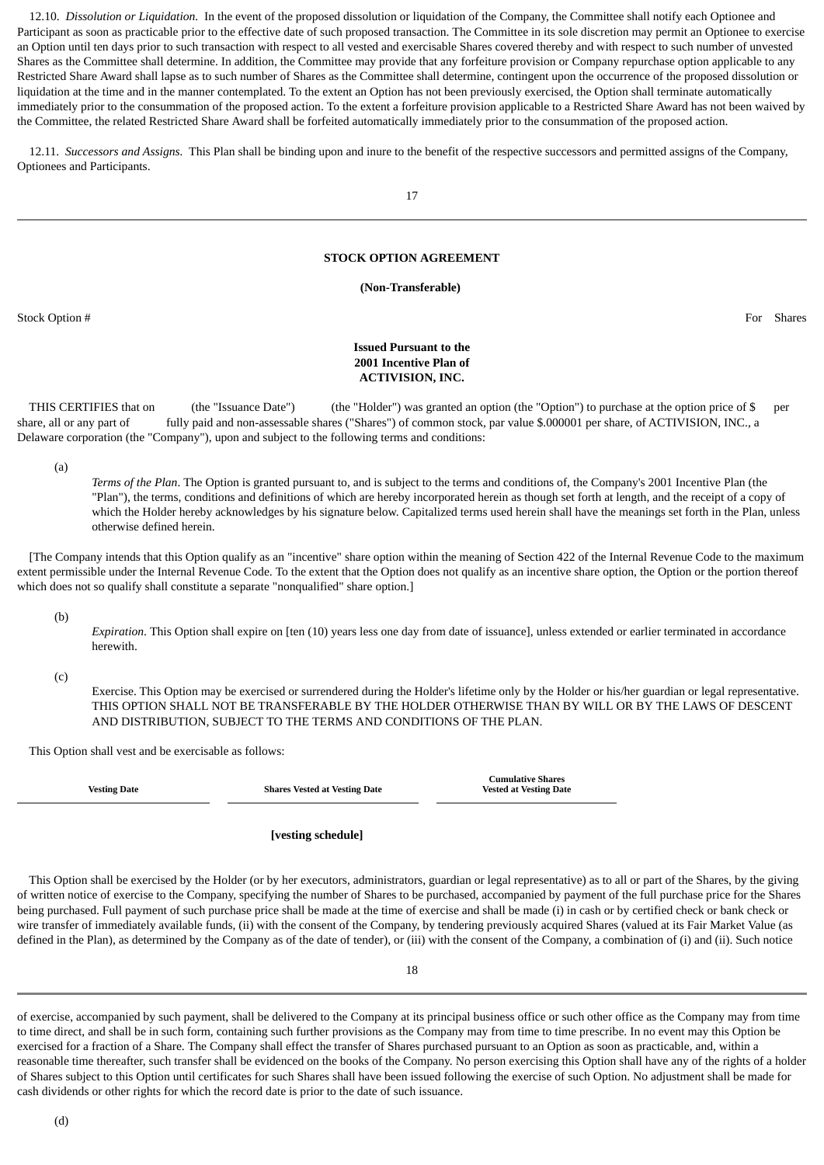12.10. *Dissolution or Liquidation.* In the event of the proposed dissolution or liquidation of the Company, the Committee shall notify each Optionee and Participant as soon as practicable prior to the effective date of such proposed transaction. The Committee in its sole discretion may permit an Optionee to exercise an Option until ten days prior to such transaction with respect to all vested and exercisable Shares covered thereby and with respect to such number of unvested Shares as the Committee shall determine. In addition, the Committee may provide that any forfeiture provision or Company repurchase option applicable to any Restricted Share Award shall lapse as to such number of Shares as the Committee shall determine, contingent upon the occurrence of the proposed dissolution or liquidation at the time and in the manner contemplated. To the extent an Option has not been previously exercised, the Option shall terminate automatically immediately prior to the consummation of the proposed action. To the extent a forfeiture provision applicable to a Restricted Share Award has not been waived by the Committee, the related Restricted Share Award shall be forfeited automatically immediately prior to the consummation of the proposed action.

 12.11. *Successors and Assigns.* This Plan shall be binding upon and inure to the benefit of the respective successors and permitted assigns of the Company, Optionees and Participants.

17

### **STOCK OPTION AGREEMENT**

### **(Non-Transferable)**

<span id="page-27-0"></span>Stock Option # For Shares

### **Issued Pursuant to the 2001 Incentive Plan of ACTIVISION, INC.**

 THIS CERTIFIES that on (the "Issuance Date") (the "Holder") was granted an option (the "Option") to purchase at the option price of \$ per share, all or any part of fully paid and non-assessable shares ("Shares") of common stock, par value \$.000001 per share, of ACTIVISION, INC., a Delaware corporation (the "Company"), upon and subject to the following terms and conditions:

(a)

*Terms of the Plan*. The Option is granted pursuant to, and is subject to the terms and conditions of, the Company's 2001 Incentive Plan (the "Plan"), the terms, conditions and definitions of which are hereby incorporated herein as though set forth at length, and the receipt of a copy of which the Holder hereby acknowledges by his signature below. Capitalized terms used herein shall have the meanings set forth in the Plan, unless otherwise defined herein.

 [The Company intends that this Option qualify as an "incentive" share option within the meaning of Section 422 of the Internal Revenue Code to the maximum extent permissible under the Internal Revenue Code. To the extent that the Option does not qualify as an incentive share option, the Option or the portion thereof which does not so qualify shall constitute a separate "nonqualified" share option.]

(b)

*Expiration*. This Option shall expire on [ten (10) years less one day from date of issuance], unless extended or earlier terminated in accordance herewith.

(c)

Exercise. This Option may be exercised or surrendered during the Holder's lifetime only by the Holder or his/her guardian or legal representative. THIS OPTION SHALL NOT BE TRANSFERABLE BY THE HOLDER OTHERWISE THAN BY WILL OR BY THE LAWS OF DESCENT AND DISTRIBUTION, SUBJECT TO THE TERMS AND CONDITIONS OF THE PLAN.

This Option shall vest and be exercisable as follows:

**Vesting Date Shares Vested at Vesting Date**

**Cumulative Shares Vested at Vesting Date**

### **[vesting schedule]**

 This Option shall be exercised by the Holder (or by her executors, administrators, guardian or legal representative) as to all or part of the Shares, by the giving of written notice of exercise to the Company, specifying the number of Shares to be purchased, accompanied by payment of the full purchase price for the Shares being purchased. Full payment of such purchase price shall be made at the time of exercise and shall be made (i) in cash or by certified check or bank check or wire transfer of immediately available funds, (ii) with the consent of the Company, by tendering previously acquired Shares (valued at its Fair Market Value (as defined in the Plan), as determined by the Company as of the date of tender), or (iii) with the consent of the Company, a combination of (i) and (ii). Such notice

18

of exercise, accompanied by such payment, shall be delivered to the Company at its principal business office or such other office as the Company may from time to time direct, and shall be in such form, containing such further provisions as the Company may from time to time prescribe. In no event may this Option be exercised for a fraction of a Share. The Company shall effect the transfer of Shares purchased pursuant to an Option as soon as practicable, and, within a reasonable time thereafter, such transfer shall be evidenced on the books of the Company. No person exercising this Option shall have any of the rights of a holder of Shares subject to this Option until certificates for such Shares shall have been issued following the exercise of such Option. No adjustment shall be made for cash dividends or other rights for which the record date is prior to the date of such issuance.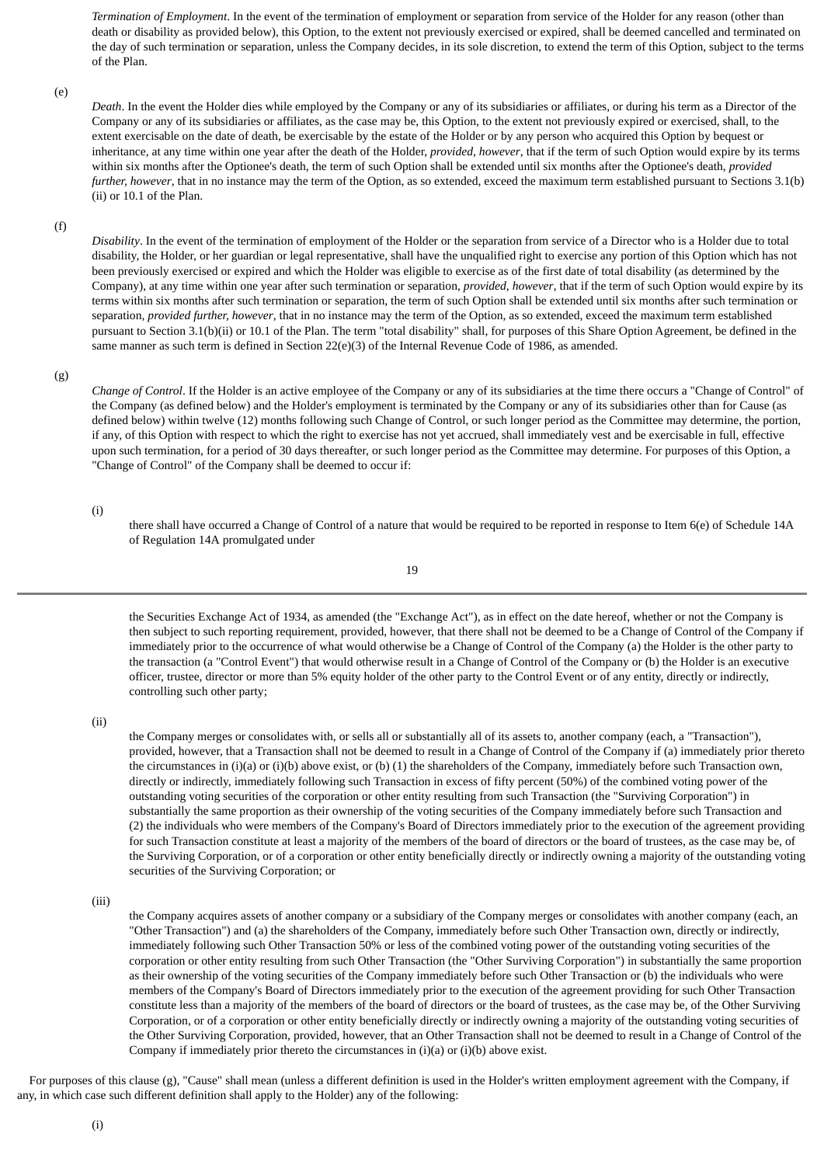*Termination of Employment*. In the event of the termination of employment or separation from service of the Holder for any reason (other than death or disability as provided below), this Option, to the extent not previously exercised or expired, shall be deemed cancelled and terminated on the day of such termination or separation, unless the Company decides, in its sole discretion, to extend the term of this Option, subject to the terms of the Plan.

#### (e)

*Death*. In the event the Holder dies while employed by the Company or any of its subsidiaries or affiliates, or during his term as a Director of the Company or any of its subsidiaries or affiliates, as the case may be, this Option, to the extent not previously expired or exercised, shall, to the extent exercisable on the date of death, be exercisable by the estate of the Holder or by any person who acquired this Option by bequest or inheritance, at any time within one year after the death of the Holder, *provided, however*, that if the term of such Option would expire by its terms within six months after the Optionee's death, the term of such Option shall be extended until six months after the Optionee's death, *provided further, however*, that in no instance may the term of the Option, as so extended, exceed the maximum term established pursuant to Sections 3.1(b) (ii) or 10.1 of the Plan.

### (f)

*Disability*. In the event of the termination of employment of the Holder or the separation from service of a Director who is a Holder due to total disability, the Holder, or her guardian or legal representative, shall have the unqualified right to exercise any portion of this Option which has not been previously exercised or expired and which the Holder was eligible to exercise as of the first date of total disability (as determined by the Company), at any time within one year after such termination or separation, *provided, however*, that if the term of such Option would expire by its terms within six months after such termination or separation, the term of such Option shall be extended until six months after such termination or separation, *provided further, however*, that in no instance may the term of the Option, as so extended, exceed the maximum term established pursuant to Section 3.1(b)(ii) or 10.1 of the Plan. The term "total disability" shall, for purposes of this Share Option Agreement, be defined in the same manner as such term is defined in Section 22(e)(3) of the Internal Revenue Code of 1986, as amended.

### (g)

*Change of Control*. If the Holder is an active employee of the Company or any of its subsidiaries at the time there occurs a "Change of Control" of the Company (as defined below) and the Holder's employment is terminated by the Company or any of its subsidiaries other than for Cause (as defined below) within twelve (12) months following such Change of Control, or such longer period as the Committee may determine, the portion, if any, of this Option with respect to which the right to exercise has not yet accrued, shall immediately vest and be exercisable in full, effective upon such termination, for a period of 30 days thereafter, or such longer period as the Committee may determine. For purposes of this Option, a "Change of Control" of the Company shall be deemed to occur if:

### (i)

there shall have occurred a Change of Control of a nature that would be required to be reported in response to Item 6(e) of Schedule 14A of Regulation 14A promulgated under

$$
19\quad
$$

the Securities Exchange Act of 1934, as amended (the "Exchange Act"), as in effect on the date hereof, whether or not the Company is then subject to such reporting requirement, provided, however, that there shall not be deemed to be a Change of Control of the Company if immediately prior to the occurrence of what would otherwise be a Change of Control of the Company (a) the Holder is the other party to the transaction (a "Control Event") that would otherwise result in a Change of Control of the Company or (b) the Holder is an executive officer, trustee, director or more than 5% equity holder of the other party to the Control Event or of any entity, directly or indirectly, controlling such other party;

(ii)

the Company merges or consolidates with, or sells all or substantially all of its assets to, another company (each, a "Transaction"), provided, however, that a Transaction shall not be deemed to result in a Change of Control of the Company if (a) immediately prior thereto the circumstances in (i)(a) or (i)(b) above exist, or (b) (1) the shareholders of the Company, immediately before such Transaction own, directly or indirectly, immediately following such Transaction in excess of fifty percent (50%) of the combined voting power of the outstanding voting securities of the corporation or other entity resulting from such Transaction (the "Surviving Corporation") in substantially the same proportion as their ownership of the voting securities of the Company immediately before such Transaction and (2) the individuals who were members of the Company's Board of Directors immediately prior to the execution of the agreement providing for such Transaction constitute at least a majority of the members of the board of directors or the board of trustees, as the case may be, of the Surviving Corporation, or of a corporation or other entity beneficially directly or indirectly owning a majority of the outstanding voting securities of the Surviving Corporation; or

(iii)

the Company acquires assets of another company or a subsidiary of the Company merges or consolidates with another company (each, an "Other Transaction") and (a) the shareholders of the Company, immediately before such Other Transaction own, directly or indirectly, immediately following such Other Transaction 50% or less of the combined voting power of the outstanding voting securities of the corporation or other entity resulting from such Other Transaction (the "Other Surviving Corporation") in substantially the same proportion as their ownership of the voting securities of the Company immediately before such Other Transaction or (b) the individuals who were members of the Company's Board of Directors immediately prior to the execution of the agreement providing for such Other Transaction constitute less than a majority of the members of the board of directors or the board of trustees, as the case may be, of the Other Surviving Corporation, or of a corporation or other entity beneficially directly or indirectly owning a majority of the outstanding voting securities of the Other Surviving Corporation, provided, however, that an Other Transaction shall not be deemed to result in a Change of Control of the Company if immediately prior thereto the circumstances in (i)(a) or (i)(b) above exist.

 For purposes of this clause (g), "Cause" shall mean (unless a different definition is used in the Holder's written employment agreement with the Company, if any, in which case such different definition shall apply to the Holder) any of the following: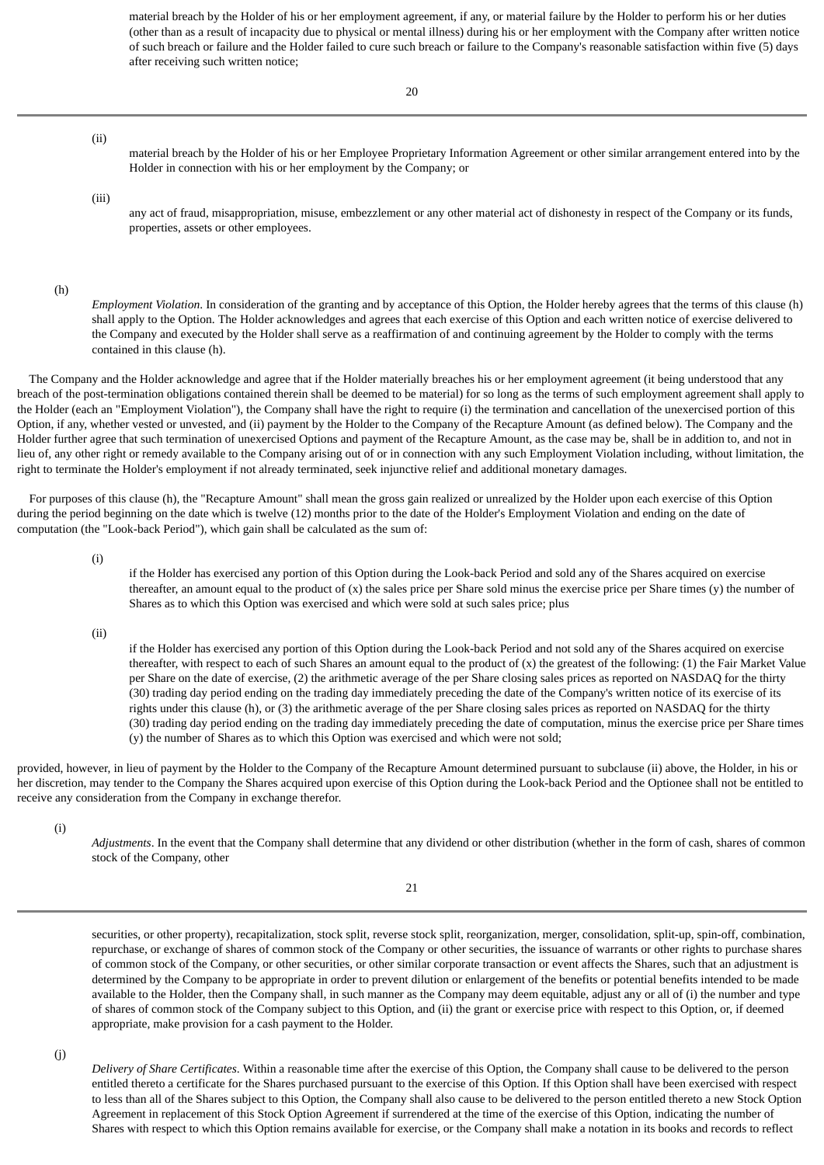material breach by the Holder of his or her employment agreement, if any, or material failure by the Holder to perform his or her duties (other than as a result of incapacity due to physical or mental illness) during his or her employment with the Company after written notice of such breach or failure and the Holder failed to cure such breach or failure to the Company's reasonable satisfaction within five (5) days after receiving such written notice;

(ii)

material breach by the Holder of his or her Employee Proprietary Information Agreement or other similar arrangement entered into by the Holder in connection with his or her employment by the Company; or

(iii)

any act of fraud, misappropriation, misuse, embezzlement or any other material act of dishonesty in respect of the Company or its funds, properties, assets or other employees.

(h)

*Employment Violation*. In consideration of the granting and by acceptance of this Option, the Holder hereby agrees that the terms of this clause (h) shall apply to the Option. The Holder acknowledges and agrees that each exercise of this Option and each written notice of exercise delivered to the Company and executed by the Holder shall serve as a reaffirmation of and continuing agreement by the Holder to comply with the terms contained in this clause (h).

 The Company and the Holder acknowledge and agree that if the Holder materially breaches his or her employment agreement (it being understood that any breach of the post-termination obligations contained therein shall be deemed to be material) for so long as the terms of such employment agreement shall apply to the Holder (each an "Employment Violation"), the Company shall have the right to require (i) the termination and cancellation of the unexercised portion of this Option, if any, whether vested or unvested, and (ii) payment by the Holder to the Company of the Recapture Amount (as defined below). The Company and the Holder further agree that such termination of unexercised Options and payment of the Recapture Amount, as the case may be, shall be in addition to, and not in lieu of, any other right or remedy available to the Company arising out of or in connection with any such Employment Violation including, without limitation, the right to terminate the Holder's employment if not already terminated, seek injunctive relief and additional monetary damages.

 For purposes of this clause (h), the "Recapture Amount" shall mean the gross gain realized or unrealized by the Holder upon each exercise of this Option during the period beginning on the date which is twelve (12) months prior to the date of the Holder's Employment Violation and ending on the date of computation (the "Look-back Period"), which gain shall be calculated as the sum of:

(i)

if the Holder has exercised any portion of this Option during the Look-back Period and sold any of the Shares acquired on exercise thereafter, an amount equal to the product of  $(x)$  the sales price per Share sold minus the exercise price per Share times  $(y)$  the number of Shares as to which this Option was exercised and which were sold at such sales price; plus

(ii)

if the Holder has exercised any portion of this Option during the Look-back Period and not sold any of the Shares acquired on exercise thereafter, with respect to each of such Shares an amount equal to the product of (x) the greatest of the following: (1) the Fair Market Value per Share on the date of exercise, (2) the arithmetic average of the per Share closing sales prices as reported on NASDAQ for the thirty (30) trading day period ending on the trading day immediately preceding the date of the Company's written notice of its exercise of its rights under this clause (h), or (3) the arithmetic average of the per Share closing sales prices as reported on NASDAQ for the thirty (30) trading day period ending on the trading day immediately preceding the date of computation, minus the exercise price per Share times (y) the number of Shares as to which this Option was exercised and which were not sold;

provided, however, in lieu of payment by the Holder to the Company of the Recapture Amount determined pursuant to subclause (ii) above, the Holder, in his or her discretion, may tender to the Company the Shares acquired upon exercise of this Option during the Look-back Period and the Optionee shall not be entitled to receive any consideration from the Company in exchange therefor.

(i)

*Adjustments*. In the event that the Company shall determine that any dividend or other distribution (whether in the form of cash, shares of common stock of the Company, other

21

securities, or other property), recapitalization, stock split, reverse stock split, reorganization, merger, consolidation, split-up, spin-off, combination, repurchase, or exchange of shares of common stock of the Company or other securities, the issuance of warrants or other rights to purchase shares of common stock of the Company, or other securities, or other similar corporate transaction or event affects the Shares, such that an adjustment is determined by the Company to be appropriate in order to prevent dilution or enlargement of the benefits or potential benefits intended to be made available to the Holder, then the Company shall, in such manner as the Company may deem equitable, adjust any or all of (i) the number and type of shares of common stock of the Company subject to this Option, and (ii) the grant or exercise price with respect to this Option, or, if deemed appropriate, make provision for a cash payment to the Holder.

(j)

*Delivery of Share Certificates*. Within a reasonable time after the exercise of this Option, the Company shall cause to be delivered to the person entitled thereto a certificate for the Shares purchased pursuant to the exercise of this Option. If this Option shall have been exercised with respect to less than all of the Shares subject to this Option, the Company shall also cause to be delivered to the person entitled thereto a new Stock Option Agreement in replacement of this Stock Option Agreement if surrendered at the time of the exercise of this Option, indicating the number of Shares with respect to which this Option remains available for exercise, or the Company shall make a notation in its books and records to reflect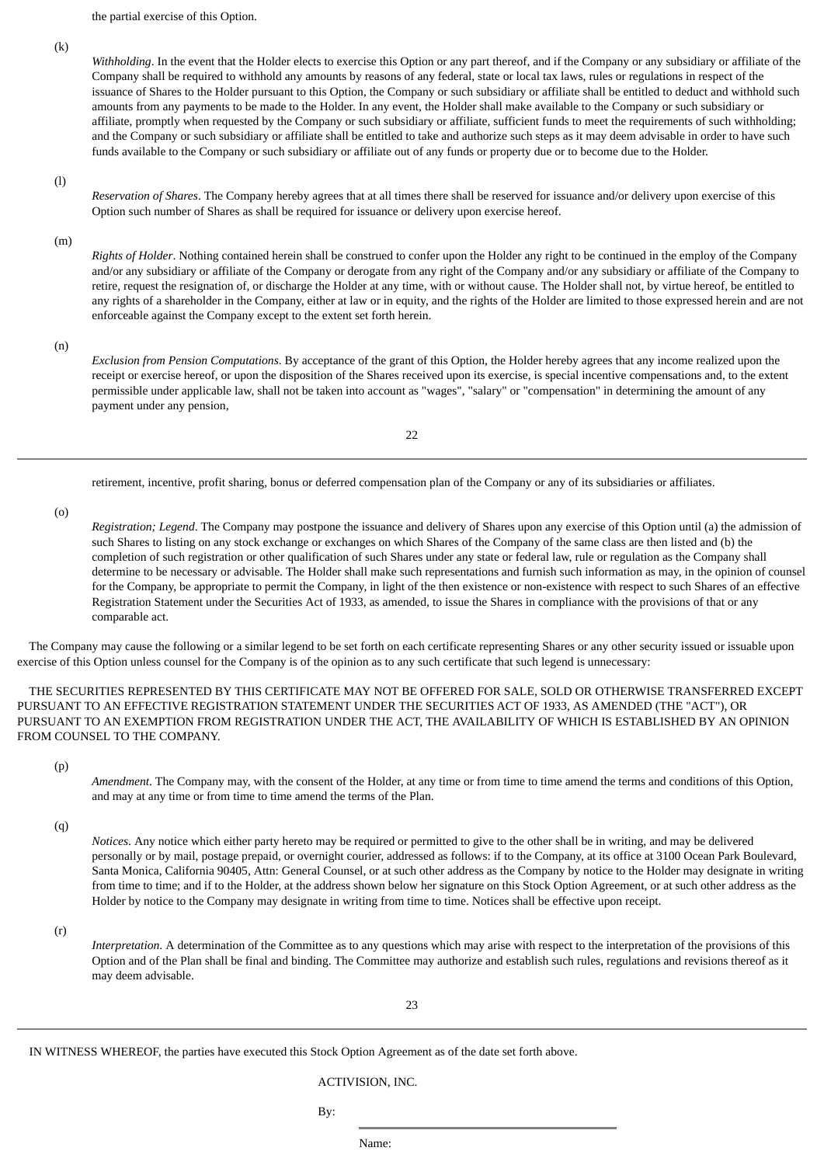the partial exercise of this Option.

(k)

*Withholding*. In the event that the Holder elects to exercise this Option or any part thereof, and if the Company or any subsidiary or affiliate of the Company shall be required to withhold any amounts by reasons of any federal, state or local tax laws, rules or regulations in respect of the issuance of Shares to the Holder pursuant to this Option, the Company or such subsidiary or affiliate shall be entitled to deduct and withhold such amounts from any payments to be made to the Holder. In any event, the Holder shall make available to the Company or such subsidiary or affiliate, promptly when requested by the Company or such subsidiary or affiliate, sufficient funds to meet the requirements of such withholding; and the Company or such subsidiary or affiliate shall be entitled to take and authorize such steps as it may deem advisable in order to have such funds available to the Company or such subsidiary or affiliate out of any funds or property due or to become due to the Holder.

#### (l)

*Reservation of Shares*. The Company hereby agrees that at all times there shall be reserved for issuance and/or delivery upon exercise of this Option such number of Shares as shall be required for issuance or delivery upon exercise hereof.

(m)

*Rights of Holder*. Nothing contained herein shall be construed to confer upon the Holder any right to be continued in the employ of the Company and/or any subsidiary or affiliate of the Company or derogate from any right of the Company and/or any subsidiary or affiliate of the Company to retire, request the resignation of, or discharge the Holder at any time, with or without cause. The Holder shall not, by virtue hereof, be entitled to any rights of a shareholder in the Company, either at law or in equity, and the rights of the Holder are limited to those expressed herein and are not enforceable against the Company except to the extent set forth herein.

(n)

*Exclusion from Pension Computations*. By acceptance of the grant of this Option, the Holder hereby agrees that any income realized upon the receipt or exercise hereof, or upon the disposition of the Shares received upon its exercise, is special incentive compensations and, to the extent permissible under applicable law, shall not be taken into account as "wages", "salary" or "compensation" in determining the amount of any payment under any pension,

22

retirement, incentive, profit sharing, bonus or deferred compensation plan of the Company or any of its subsidiaries or affiliates.

(o)

*Registration; Legend*. The Company may postpone the issuance and delivery of Shares upon any exercise of this Option until (a) the admission of such Shares to listing on any stock exchange or exchanges on which Shares of the Company of the same class are then listed and (b) the completion of such registration or other qualification of such Shares under any state or federal law, rule or regulation as the Company shall determine to be necessary or advisable. The Holder shall make such representations and furnish such information as may, in the opinion of counsel for the Company, be appropriate to permit the Company, in light of the then existence or non-existence with respect to such Shares of an effective Registration Statement under the Securities Act of 1933, as amended, to issue the Shares in compliance with the provisions of that or any comparable act.

 The Company may cause the following or a similar legend to be set forth on each certificate representing Shares or any other security issued or issuable upon exercise of this Option unless counsel for the Company is of the opinion as to any such certificate that such legend is unnecessary:

 THE SECURITIES REPRESENTED BY THIS CERTIFICATE MAY NOT BE OFFERED FOR SALE, SOLD OR OTHERWISE TRANSFERRED EXCEPT PURSUANT TO AN EFFECTIVE REGISTRATION STATEMENT UNDER THE SECURITIES ACT OF 1933, AS AMENDED (THE "ACT"), OR PURSUANT TO AN EXEMPTION FROM REGISTRATION UNDER THE ACT, THE AVAILABILITY OF WHICH IS ESTABLISHED BY AN OPINION FROM COUNSEL TO THE COMPANY.

(p)

*Amendment*. The Company may, with the consent of the Holder, at any time or from time to time amend the terms and conditions of this Option, and may at any time or from time to time amend the terms of the Plan.

(q)

*Notices*. Any notice which either party hereto may be required or permitted to give to the other shall be in writing, and may be delivered personally or by mail, postage prepaid, or overnight courier, addressed as follows: if to the Company, at its office at 3100 Ocean Park Boulevard, Santa Monica, California 90405, Attn: General Counsel, or at such other address as the Company by notice to the Holder may designate in writing from time to time; and if to the Holder, at the address shown below her signature on this Stock Option Agreement, or at such other address as the Holder by notice to the Company may designate in writing from time to time. Notices shall be effective upon receipt.

(r)

*Interpretation*. A determination of the Committee as to any questions which may arise with respect to the interpretation of the provisions of this Option and of the Plan shall be final and binding. The Committee may authorize and establish such rules, regulations and revisions thereof as it may deem advisable.

23

IN WITNESS WHEREOF, the parties have executed this Stock Option Agreement as of the date set forth above.

ACTIVISION, INC.

By: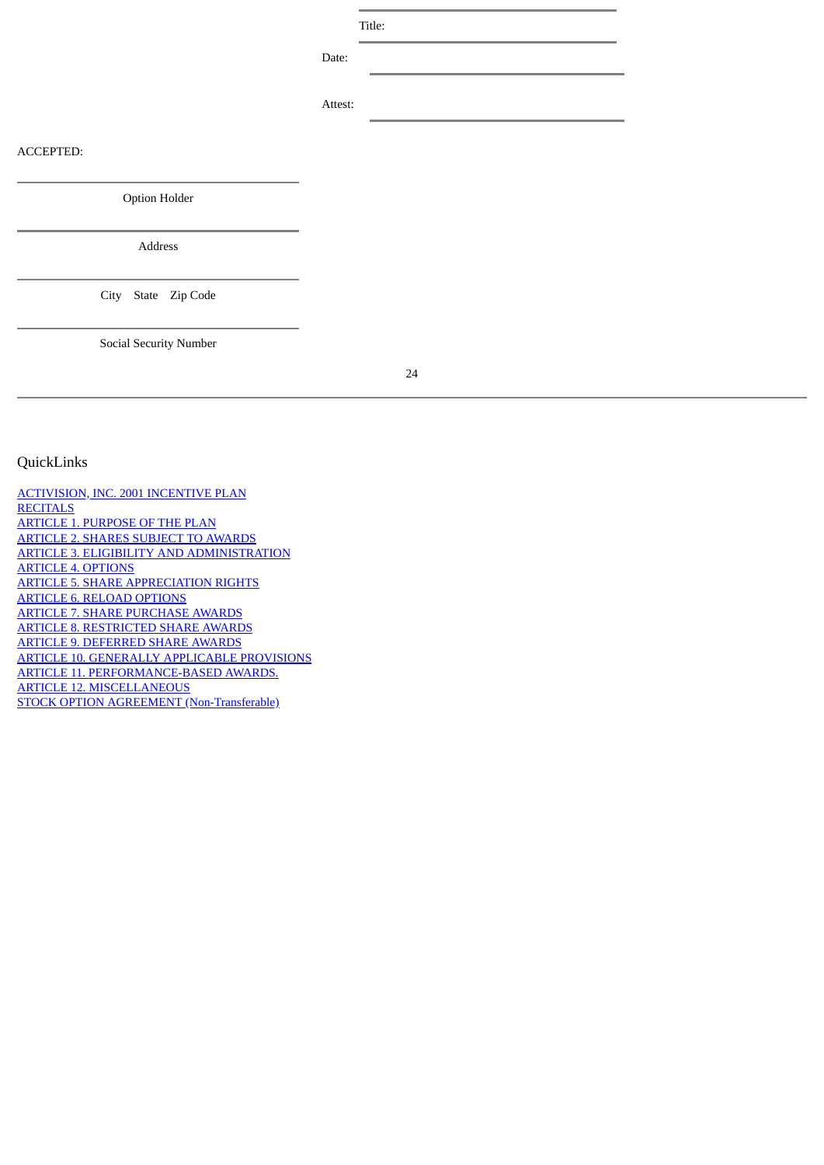Title:

Date:

Attest:

ACCEPTED:

### <span id="page-31-0"></span>QuickLinks

[ACTIVISION, INC. 2001 INCENTIVE PLAN](#page-17-0) **[RECITALS](#page-17-1)** [ARTICLE 1. PURPOSE OF THE PLAN](#page-17-2) [ARTICLE 2. SHARES SUBJECT TO AWARDS](#page-17-3) [ARTICLE 3. ELIGIBILITY AND ADMINISTRATION](#page-18-0) [ARTICLE 4. OPTIONS](#page-18-1) [ARTICLE 5. SHARE APPRECIATION RIGHTS](#page-19-0) [ARTICLE 6. RELOAD OPTIONS](#page-19-1) [ARTICLE 7. SHARE PURCHASE AWARDS](#page-20-0) [ARTICLE 8. RESTRICTED SHARE AWARDS](#page-21-0) [ARTICLE 9. DEFERRED SHARE AWARDS](#page-22-0) [ARTICLE 10. GENERALLY APPLICABLE PROVISIONS](#page-22-1) [ARTICLE 11. PERFORMANCE-BASED AWARDS.](#page-25-0) [ARTICLE 12. MISCELLANEOUS](#page-26-0) [STOCK OPTION AGREEMENT \(Non-Transferable\)](#page-27-0)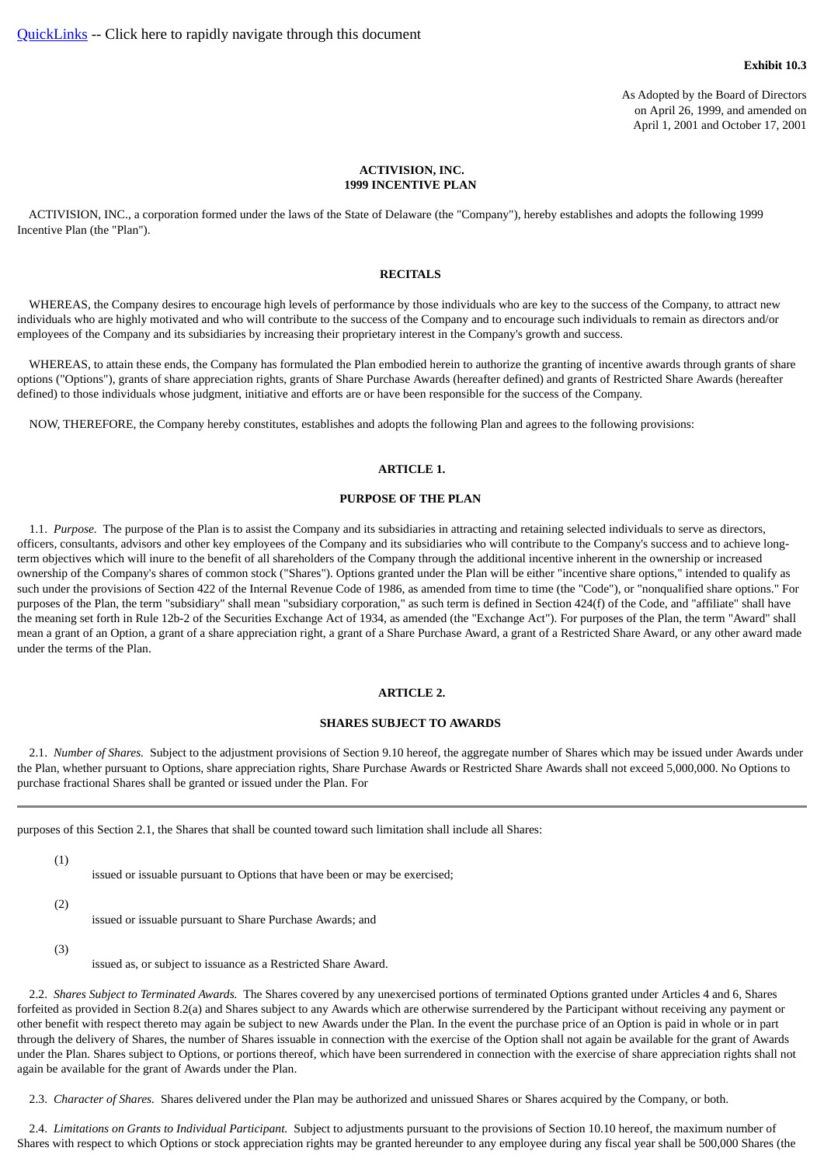As Adopted by the Board of Directors on April 26, 1999, and amended on April 1, 2001 and October 17, 2001

#### **ACTIVISION, INC. 1999 INCENTIVE PLAN**

<span id="page-32-1"></span><span id="page-32-0"></span> ACTIVISION, INC., a corporation formed under the laws of the State of Delaware (the "Company"), hereby establishes and adopts the following 1999 Incentive Plan (the "Plan").

#### **RECITALS**

 WHEREAS, the Company desires to encourage high levels of performance by those individuals who are key to the success of the Company, to attract new individuals who are highly motivated and who will contribute to the success of the Company and to encourage such individuals to remain as directors and/or employees of the Company and its subsidiaries by increasing their proprietary interest in the Company's growth and success.

 WHEREAS, to attain these ends, the Company has formulated the Plan embodied herein to authorize the granting of incentive awards through grants of share options ("Options"), grants of share appreciation rights, grants of Share Purchase Awards (hereafter defined) and grants of Restricted Share Awards (hereafter defined) to those individuals whose judgment, initiative and efforts are or have been responsible for the success of the Company.

<span id="page-32-2"></span>NOW, THEREFORE, the Company hereby constitutes, establishes and adopts the following Plan and agrees to the following provisions:

### **ARTICLE 1.**

### **PURPOSE OF THE PLAN**

 1.1. *Purpose.* The purpose of the Plan is to assist the Company and its subsidiaries in attracting and retaining selected individuals to serve as directors, officers, consultants, advisors and other key employees of the Company and its subsidiaries who will contribute to the Company's success and to achieve longterm objectives which will inure to the benefit of all shareholders of the Company through the additional incentive inherent in the ownership or increased ownership of the Company's shares of common stock ("Shares"). Options granted under the Plan will be either "incentive share options," intended to qualify as such under the provisions of Section 422 of the Internal Revenue Code of 1986, as amended from time to time (the "Code"), or "nonqualified share options." For purposes of the Plan, the term "subsidiary" shall mean "subsidiary corporation," as such term is defined in Section 424(f) of the Code, and "affiliate" shall have the meaning set forth in Rule 12b-2 of the Securities Exchange Act of 1934, as amended (the "Exchange Act"). For purposes of the Plan, the term "Award" shall mean a grant of an Option, a grant of a share appreciation right, a grant of a Share Purchase Award, a grant of a Restricted Share Award, or any other award made under the terms of the Plan.

### **ARTICLE 2.**

### **SHARES SUBJECT TO AWARDS**

<span id="page-32-3"></span> 2.1. *Number of Shares.* Subject to the adjustment provisions of Section 9.10 hereof, the aggregate number of Shares which may be issued under Awards under the Plan, whether pursuant to Options, share appreciation rights, Share Purchase Awards or Restricted Share Awards shall not exceed 5,000,000. No Options to purchase fractional Shares shall be granted or issued under the Plan. For

purposes of this Section 2.1, the Shares that shall be counted toward such limitation shall include all Shares:

- (1)
- issued or issuable pursuant to Options that have been or may be exercised;
- (2)
- issued or issuable pursuant to Share Purchase Awards; and
- (3)
- issued as, or subject to issuance as a Restricted Share Award.

 2.2. *Shares Subject to Terminated Awards.* The Shares covered by any unexercised portions of terminated Options granted under Articles 4 and 6, Shares forfeited as provided in Section 8.2(a) and Shares subject to any Awards which are otherwise surrendered by the Participant without receiving any payment or other benefit with respect thereto may again be subject to new Awards under the Plan. In the event the purchase price of an Option is paid in whole or in part through the delivery of Shares, the number of Shares issuable in connection with the exercise of the Option shall not again be available for the grant of Awards under the Plan. Shares subject to Options, or portions thereof, which have been surrendered in connection with the exercise of share appreciation rights shall not again be available for the grant of Awards under the Plan.

2.3. *Character of Shares.* Shares delivered under the Plan may be authorized and unissued Shares or Shares acquired by the Company, or both.

 2.4. *Limitations on Grants to Individual Participant.* Subject to adjustments pursuant to the provisions of Section 10.10 hereof, the maximum number of Shares with respect to which Options or stock appreciation rights may be granted hereunder to any employee during any fiscal year shall be 500,000 Shares (the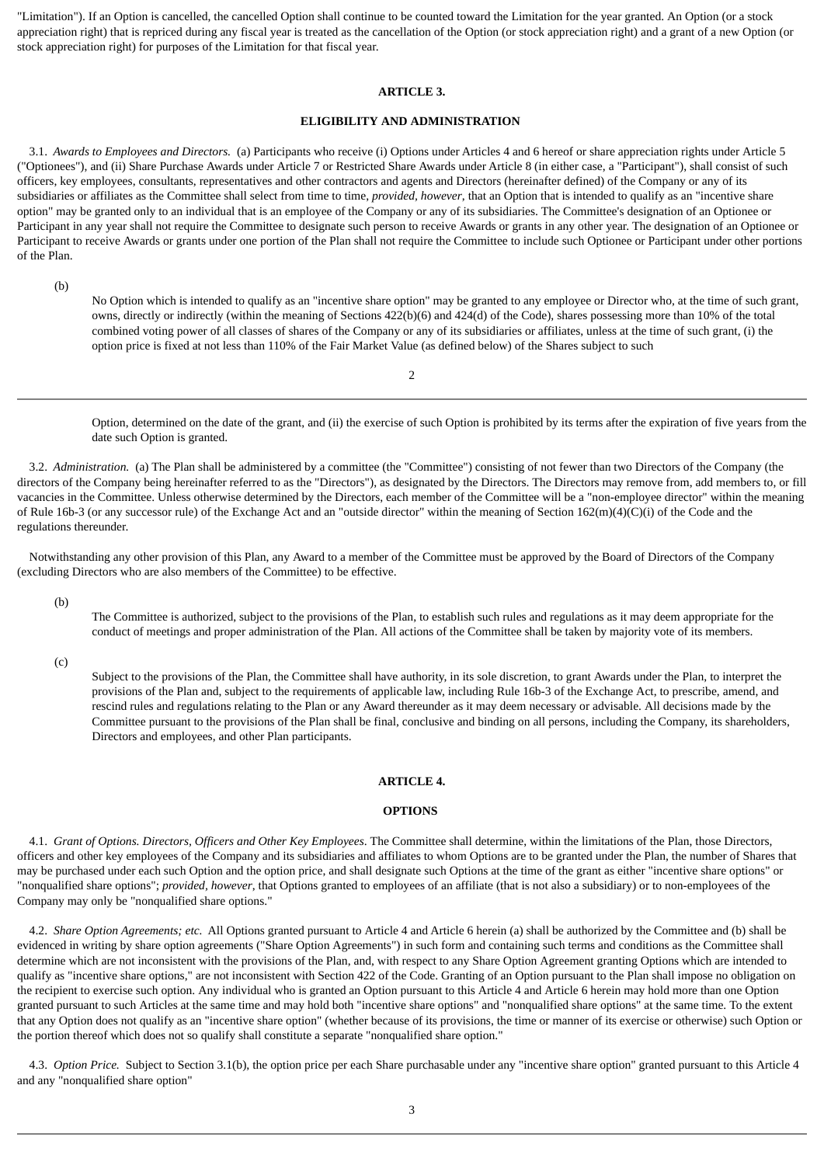<span id="page-33-0"></span>"Limitation"). If an Option is cancelled, the cancelled Option shall continue to be counted toward the Limitation for the year granted. An Option (or a stock appreciation right) that is repriced during any fiscal year is treated as the cancellation of the Option (or stock appreciation right) and a grant of a new Option (or stock appreciation right) for purposes of the Limitation for that fiscal year.

### **ARTICLE 3.**

### **ELIGIBILITY AND ADMINISTRATION**

 3.1. *Awards to Employees and Directors.* (a) Participants who receive (i) Options under Articles 4 and 6 hereof or share appreciation rights under Article 5 ("Optionees"), and (ii) Share Purchase Awards under Article 7 or Restricted Share Awards under Article 8 (in either case, a "Participant"), shall consist of such officers, key employees, consultants, representatives and other contractors and agents and Directors (hereinafter defined) of the Company or any of its subsidiaries or affiliates as the Committee shall select from time to time, *provided, however*, that an Option that is intended to qualify as an "incentive share option" may be granted only to an individual that is an employee of the Company or any of its subsidiaries. The Committee's designation of an Optionee or Participant in any year shall not require the Committee to designate such person to receive Awards or grants in any other year. The designation of an Optionee or Participant to receive Awards or grants under one portion of the Plan shall not require the Committee to include such Optionee or Participant under other portions of the Plan.

(b)

No Option which is intended to qualify as an "incentive share option" may be granted to any employee or Director who, at the time of such grant, owns, directly or indirectly (within the meaning of Sections 422(b)(6) and 424(d) of the Code), shares possessing more than 10% of the total combined voting power of all classes of shares of the Company or any of its subsidiaries or affiliates, unless at the time of such grant, (i) the option price is fixed at not less than 110% of the Fair Market Value (as defined below) of the Shares subject to such

2

Option, determined on the date of the grant, and (ii) the exercise of such Option is prohibited by its terms after the expiration of five years from the date such Option is granted.

 3.2. *Administration.* (a) The Plan shall be administered by a committee (the "Committee") consisting of not fewer than two Directors of the Company (the directors of the Company being hereinafter referred to as the "Directors"), as designated by the Directors. The Directors may remove from, add members to, or fill vacancies in the Committee. Unless otherwise determined by the Directors, each member of the Committee will be a "non-employee director" within the meaning of Rule 16b-3 (or any successor rule) of the Exchange Act and an "outside director" within the meaning of Section 162(m)(4)(C)(i) of the Code and the regulations thereunder.

 Notwithstanding any other provision of this Plan, any Award to a member of the Committee must be approved by the Board of Directors of the Company (excluding Directors who are also members of the Committee) to be effective.

(b)

The Committee is authorized, subject to the provisions of the Plan, to establish such rules and regulations as it may deem appropriate for the conduct of meetings and proper administration of the Plan. All actions of the Committee shall be taken by majority vote of its members.

(c)

Subject to the provisions of the Plan, the Committee shall have authority, in its sole discretion, to grant Awards under the Plan, to interpret the provisions of the Plan and, subject to the requirements of applicable law, including Rule 16b-3 of the Exchange Act, to prescribe, amend, and rescind rules and regulations relating to the Plan or any Award thereunder as it may deem necessary or advisable. All decisions made by the Committee pursuant to the provisions of the Plan shall be final, conclusive and binding on all persons, including the Company, its shareholders, Directors and employees, and other Plan participants.

### **ARTICLE 4.**

### **OPTIONS**

<span id="page-33-1"></span> 4.1. *Grant of Options. Directors, Officers and Other Key Employees*. The Committee shall determine, within the limitations of the Plan, those Directors, officers and other key employees of the Company and its subsidiaries and affiliates to whom Options are to be granted under the Plan, the number of Shares that may be purchased under each such Option and the option price, and shall designate such Options at the time of the grant as either "incentive share options" or "nonqualified share options"; *provided, however*, that Options granted to employees of an affiliate (that is not also a subsidiary) or to non-employees of the Company may only be "nonqualified share options."

 4.2. *Share Option Agreements; etc.* All Options granted pursuant to Article 4 and Article 6 herein (a) shall be authorized by the Committee and (b) shall be evidenced in writing by share option agreements ("Share Option Agreements") in such form and containing such terms and conditions as the Committee shall determine which are not inconsistent with the provisions of the Plan, and, with respect to any Share Option Agreement granting Options which are intended to qualify as "incentive share options," are not inconsistent with Section 422 of the Code. Granting of an Option pursuant to the Plan shall impose no obligation on the recipient to exercise such option. Any individual who is granted an Option pursuant to this Article 4 and Article 6 herein may hold more than one Option granted pursuant to such Articles at the same time and may hold both "incentive share options" and "nonqualified share options" at the same time. To the extent that any Option does not qualify as an "incentive share option" (whether because of its provisions, the time or manner of its exercise or otherwise) such Option or the portion thereof which does not so qualify shall constitute a separate "nonqualified share option."

 4.3. *Option Price.* Subject to Section 3.1(b), the option price per each Share purchasable under any "incentive share option" granted pursuant to this Article 4 and any "nonqualified share option"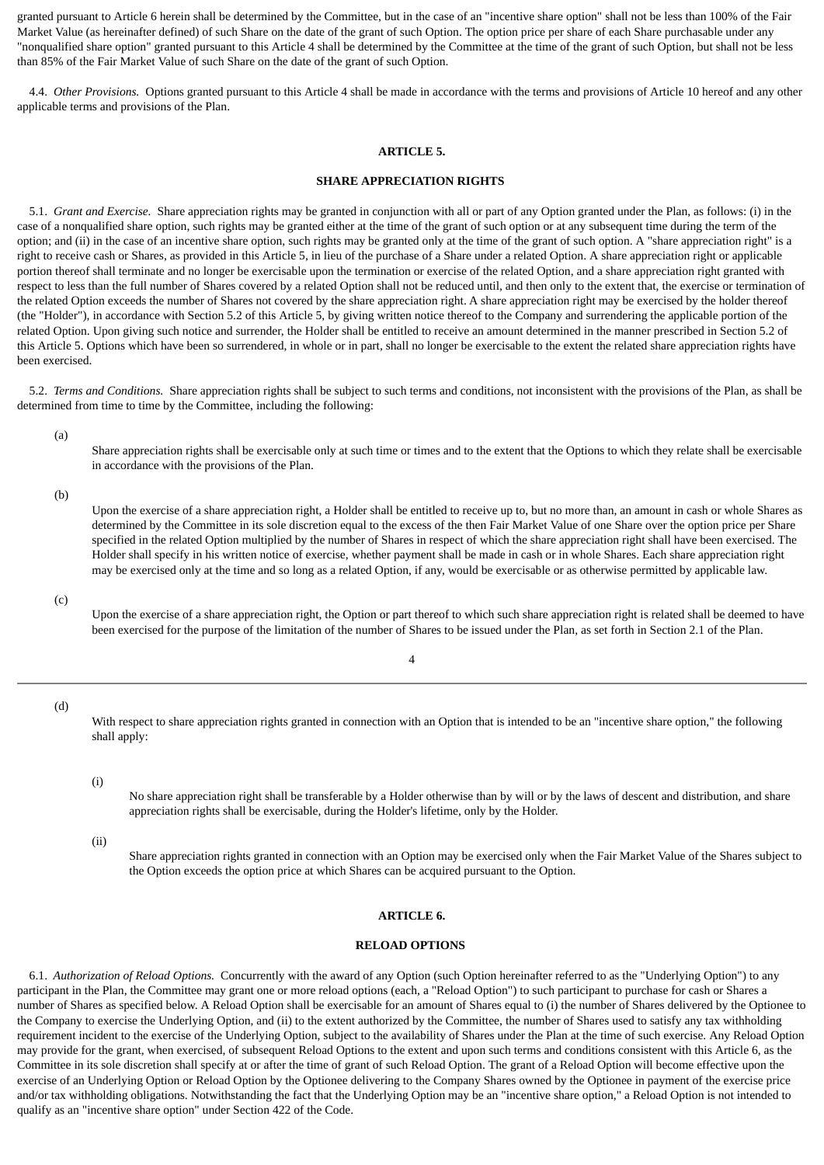granted pursuant to Article 6 herein shall be determined by the Committee, but in the case of an "incentive share option" shall not be less than 100% of the Fair Market Value (as hereinafter defined) of such Share on the date of the grant of such Option. The option price per share of each Share purchasable under any "nonqualified share option" granted pursuant to this Article 4 shall be determined by the Committee at the time of the grant of such Option, but shall not be less than 85% of the Fair Market Value of such Share on the date of the grant of such Option.

<span id="page-34-0"></span> 4.4. *Other Provisions.* Options granted pursuant to this Article 4 shall be made in accordance with the terms and provisions of Article 10 hereof and any other applicable terms and provisions of the Plan.

#### **ARTICLE 5.**

### **SHARE APPRECIATION RIGHTS**

 5.1. *Grant and Exercise.* Share appreciation rights may be granted in conjunction with all or part of any Option granted under the Plan, as follows: (i) in the case of a nonqualified share option, such rights may be granted either at the time of the grant of such option or at any subsequent time during the term of the option; and (ii) in the case of an incentive share option, such rights may be granted only at the time of the grant of such option. A "share appreciation right" is a right to receive cash or Shares, as provided in this Article 5, in lieu of the purchase of a Share under a related Option. A share appreciation right or applicable portion thereof shall terminate and no longer be exercisable upon the termination or exercise of the related Option, and a share appreciation right granted with respect to less than the full number of Shares covered by a related Option shall not be reduced until, and then only to the extent that, the exercise or termination of the related Option exceeds the number of Shares not covered by the share appreciation right. A share appreciation right may be exercised by the holder thereof (the "Holder"), in accordance with Section 5.2 of this Article 5, by giving written notice thereof to the Company and surrendering the applicable portion of the related Option. Upon giving such notice and surrender, the Holder shall be entitled to receive an amount determined in the manner prescribed in Section 5.2 of this Article 5. Options which have been so surrendered, in whole or in part, shall no longer be exercisable to the extent the related share appreciation rights have been exercised.

 5.2. *Terms and Conditions.* Share appreciation rights shall be subject to such terms and conditions, not inconsistent with the provisions of the Plan, as shall be determined from time to time by the Committee, including the following:

(a)

Share appreciation rights shall be exercisable only at such time or times and to the extent that the Options to which they relate shall be exercisable in accordance with the provisions of the Plan.

(b)

Upon the exercise of a share appreciation right, a Holder shall be entitled to receive up to, but no more than, an amount in cash or whole Shares as determined by the Committee in its sole discretion equal to the excess of the then Fair Market Value of one Share over the option price per Share specified in the related Option multiplied by the number of Shares in respect of which the share appreciation right shall have been exercised. The Holder shall specify in his written notice of exercise, whether payment shall be made in cash or in whole Shares. Each share appreciation right may be exercised only at the time and so long as a related Option, if any, would be exercisable or as otherwise permitted by applicable law.

(c)

Upon the exercise of a share appreciation right, the Option or part thereof to which such share appreciation right is related shall be deemed to have been exercised for the purpose of the limitation of the number of Shares to be issued under the Plan, as set forth in Section 2.1 of the Plan.

4

(d)

With respect to share appreciation rights granted in connection with an Option that is intended to be an "incentive share option," the following shall apply:

(i)

No share appreciation right shall be transferable by a Holder otherwise than by will or by the laws of descent and distribution, and share appreciation rights shall be exercisable, during the Holder's lifetime, only by the Holder.

(ii)

Share appreciation rights granted in connection with an Option may be exercised only when the Fair Market Value of the Shares subject to the Option exceeds the option price at which Shares can be acquired pursuant to the Option.

### **ARTICLE 6.**

### **RELOAD OPTIONS**

<span id="page-34-1"></span> 6.1. *Authorization of Reload Options.* Concurrently with the award of any Option (such Option hereinafter referred to as the "Underlying Option") to any participant in the Plan, the Committee may grant one or more reload options (each, a "Reload Option") to such participant to purchase for cash or Shares a number of Shares as specified below. A Reload Option shall be exercisable for an amount of Shares equal to (i) the number of Shares delivered by the Optionee to the Company to exercise the Underlying Option, and (ii) to the extent authorized by the Committee, the number of Shares used to satisfy any tax withholding requirement incident to the exercise of the Underlying Option, subject to the availability of Shares under the Plan at the time of such exercise. Any Reload Option may provide for the grant, when exercised, of subsequent Reload Options to the extent and upon such terms and conditions consistent with this Article 6, as the Committee in its sole discretion shall specify at or after the time of grant of such Reload Option. The grant of a Reload Option will become effective upon the exercise of an Underlying Option or Reload Option by the Optionee delivering to the Company Shares owned by the Optionee in payment of the exercise price and/or tax withholding obligations. Notwithstanding the fact that the Underlying Option may be an "incentive share option," a Reload Option is not intended to qualify as an "incentive share option" under Section 422 of the Code.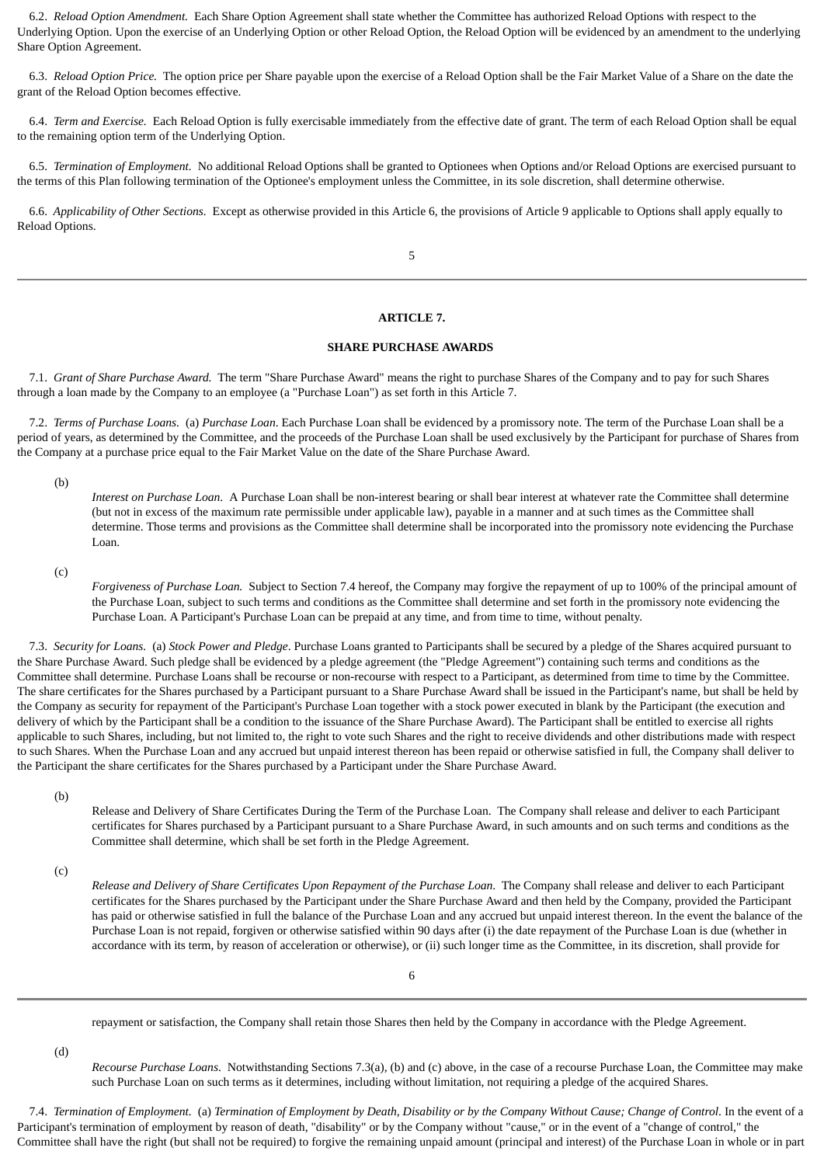6.2. *Reload Option Amendment.* Each Share Option Agreement shall state whether the Committee has authorized Reload Options with respect to the Underlying Option. Upon the exercise of an Underlying Option or other Reload Option, the Reload Option will be evidenced by an amendment to the underlying Share Option Agreement.

 6.3. *Reload Option Price.* The option price per Share payable upon the exercise of a Reload Option shall be the Fair Market Value of a Share on the date the grant of the Reload Option becomes effective.

 6.4. *Term and Exercise.* Each Reload Option is fully exercisable immediately from the effective date of grant. The term of each Reload Option shall be equal to the remaining option term of the Underlying Option.

 6.5. *Termination of Employment.* No additional Reload Options shall be granted to Optionees when Options and/or Reload Options are exercised pursuant to the terms of this Plan following termination of the Optionee's employment unless the Committee, in its sole discretion, shall determine otherwise.

 6.6. *Applicability of Other Sections.* Except as otherwise provided in this Article 6, the provisions of Article 9 applicable to Options shall apply equally to Reload Options.

5

### **ARTICLE 7.**

### **SHARE PURCHASE AWARDS**

<span id="page-35-0"></span> 7.1. *Grant of Share Purchase Award.* The term "Share Purchase Award" means the right to purchase Shares of the Company and to pay for such Shares through a loan made by the Company to an employee (a "Purchase Loan") as set forth in this Article 7.

 7.2. *Terms of Purchase Loans.* (a) *Purchase Loan*. Each Purchase Loan shall be evidenced by a promissory note. The term of the Purchase Loan shall be a period of years, as determined by the Committee, and the proceeds of the Purchase Loan shall be used exclusively by the Participant for purchase of Shares from the Company at a purchase price equal to the Fair Market Value on the date of the Share Purchase Award.

(b)

*Interest on Purchase Loan.* A Purchase Loan shall be non-interest bearing or shall bear interest at whatever rate the Committee shall determine (but not in excess of the maximum rate permissible under applicable law), payable in a manner and at such times as the Committee shall determine. Those terms and provisions as the Committee shall determine shall be incorporated into the promissory note evidencing the Purchase Loan.

(c)

*Forgiveness of Purchase Loan.* Subject to Section 7.4 hereof, the Company may forgive the repayment of up to 100% of the principal amount of the Purchase Loan, subject to such terms and conditions as the Committee shall determine and set forth in the promissory note evidencing the Purchase Loan. A Participant's Purchase Loan can be prepaid at any time, and from time to time, without penalty.

 7.3. *Security for Loans.* (a) *Stock Power and Pledge*. Purchase Loans granted to Participants shall be secured by a pledge of the Shares acquired pursuant to the Share Purchase Award. Such pledge shall be evidenced by a pledge agreement (the "Pledge Agreement") containing such terms and conditions as the Committee shall determine. Purchase Loans shall be recourse or non-recourse with respect to a Participant, as determined from time to time by the Committee. The share certificates for the Shares purchased by a Participant pursuant to a Share Purchase Award shall be issued in the Participant's name, but shall be held by the Company as security for repayment of the Participant's Purchase Loan together with a stock power executed in blank by the Participant (the execution and delivery of which by the Participant shall be a condition to the issuance of the Share Purchase Award). The Participant shall be entitled to exercise all rights applicable to such Shares, including, but not limited to, the right to vote such Shares and the right to receive dividends and other distributions made with respect to such Shares. When the Purchase Loan and any accrued but unpaid interest thereon has been repaid or otherwise satisfied in full, the Company shall deliver to the Participant the share certificates for the Shares purchased by a Participant under the Share Purchase Award.

(b)

Release and Delivery of Share Certificates During the Term of the Purchase Loan. The Company shall release and deliver to each Participant certificates for Shares purchased by a Participant pursuant to a Share Purchase Award, in such amounts and on such terms and conditions as the Committee shall determine, which shall be set forth in the Pledge Agreement.

(c)

*Release and Delivery of Share Certificates Upon Repayment of the Purchase Loan*. The Company shall release and deliver to each Participant certificates for the Shares purchased by the Participant under the Share Purchase Award and then held by the Company, provided the Participant has paid or otherwise satisfied in full the balance of the Purchase Loan and any accrued but unpaid interest thereon. In the event the balance of the Purchase Loan is not repaid, forgiven or otherwise satisfied within 90 days after (i) the date repayment of the Purchase Loan is due (whether in accordance with its term, by reason of acceleration or otherwise), or (ii) such longer time as the Committee, in its discretion, shall provide for

repayment or satisfaction, the Company shall retain those Shares then held by the Company in accordance with the Pledge Agreement.

(d)

*Recourse Purchase Loans*. Notwithstanding Sections 7.3(a), (b) and (c) above, in the case of a recourse Purchase Loan, the Committee may make such Purchase Loan on such terms as it determines, including without limitation, not requiring a pledge of the acquired Shares.

 7.4. *Termination of Employment.* (a) *Termination of Employment by Death, Disability or by the Company Without Cause; Change of Control*. In the event of a Participant's termination of employment by reason of death, "disability" or by the Company without "cause," or in the event of a "change of control," the Committee shall have the right (but shall not be required) to forgive the remaining unpaid amount (principal and interest) of the Purchase Loan in whole or in part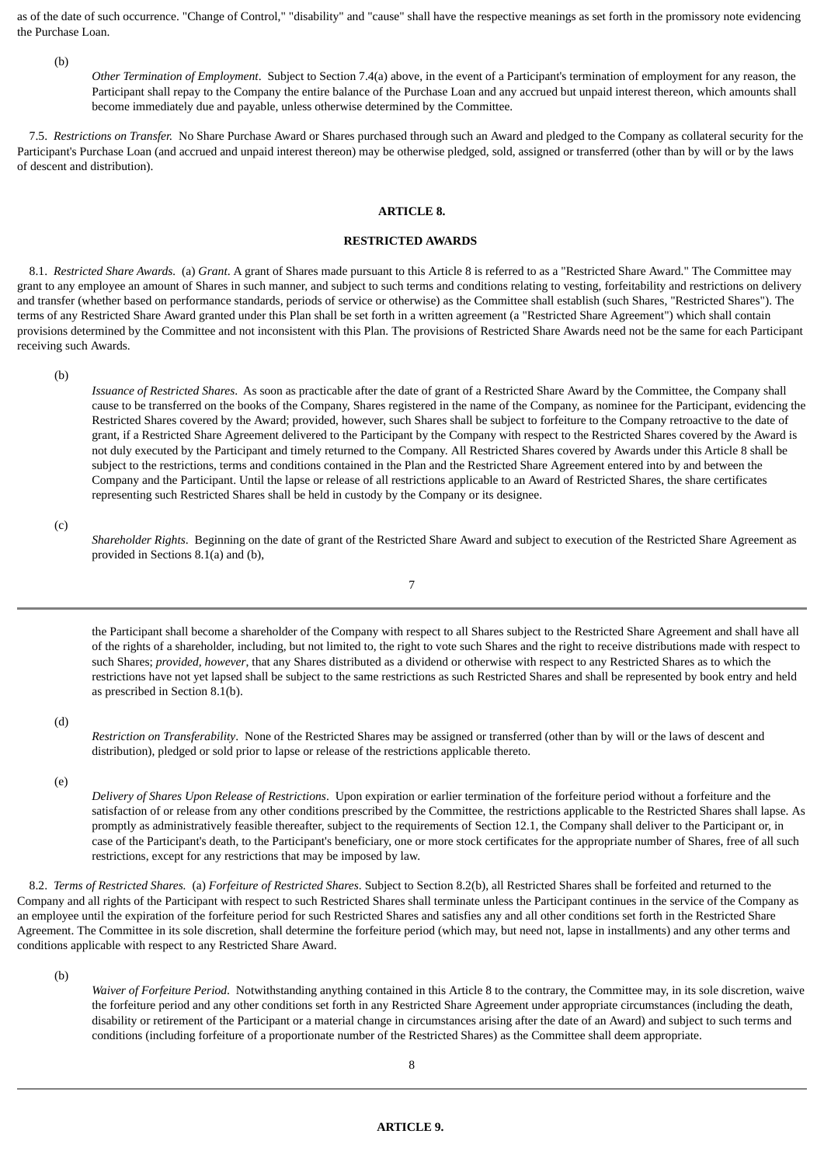as of the date of such occurrence. "Change of Control," "disability" and "cause" shall have the respective meanings as set forth in the promissory note evidencing the Purchase Loan.

(b)

*Other Termination of Employment*. Subject to Section 7.4(a) above, in the event of a Participant's termination of employment for any reason, the Participant shall repay to the Company the entire balance of the Purchase Loan and any accrued but unpaid interest thereon, which amounts shall become immediately due and payable, unless otherwise determined by the Committee.

<span id="page-36-0"></span> 7.5. *Restrictions on Transfer.* No Share Purchase Award or Shares purchased through such an Award and pledged to the Company as collateral security for the Participant's Purchase Loan (and accrued and unpaid interest thereon) may be otherwise pledged, sold, assigned or transferred (other than by will or by the laws of descent and distribution).

### **ARTICLE 8.**

### **RESTRICTED AWARDS**

 8.1. *Restricted Share Awards.* (a) *Grant*. A grant of Shares made pursuant to this Article 8 is referred to as a "Restricted Share Award." The Committee may grant to any employee an amount of Shares in such manner, and subject to such terms and conditions relating to vesting, forfeitability and restrictions on delivery and transfer (whether based on performance standards, periods of service or otherwise) as the Committee shall establish (such Shares, "Restricted Shares"). The terms of any Restricted Share Award granted under this Plan shall be set forth in a written agreement (a "Restricted Share Agreement") which shall contain provisions determined by the Committee and not inconsistent with this Plan. The provisions of Restricted Share Awards need not be the same for each Participant receiving such Awards.

(b)

*Issuance of Restricted Shares*. As soon as practicable after the date of grant of a Restricted Share Award by the Committee, the Company shall cause to be transferred on the books of the Company, Shares registered in the name of the Company, as nominee for the Participant, evidencing the Restricted Shares covered by the Award; provided, however, such Shares shall be subject to forfeiture to the Company retroactive to the date of grant, if a Restricted Share Agreement delivered to the Participant by the Company with respect to the Restricted Shares covered by the Award is not duly executed by the Participant and timely returned to the Company. All Restricted Shares covered by Awards under this Article 8 shall be subject to the restrictions, terms and conditions contained in the Plan and the Restricted Share Agreement entered into by and between the Company and the Participant. Until the lapse or release of all restrictions applicable to an Award of Restricted Shares, the share certificates representing such Restricted Shares shall be held in custody by the Company or its designee.

(c)

*Shareholder Rights*. Beginning on the date of grant of the Restricted Share Award and subject to execution of the Restricted Share Agreement as provided in Sections 8.1(a) and (b),

7

the Participant shall become a shareholder of the Company with respect to all Shares subject to the Restricted Share Agreement and shall have all of the rights of a shareholder, including, but not limited to, the right to vote such Shares and the right to receive distributions made with respect to such Shares; *provided, however*, that any Shares distributed as a dividend or otherwise with respect to any Restricted Shares as to which the restrictions have not yet lapsed shall be subject to the same restrictions as such Restricted Shares and shall be represented by book entry and held as prescribed in Section 8.1(b).

(d)

*Restriction on Transferability*. None of the Restricted Shares may be assigned or transferred (other than by will or the laws of descent and distribution), pledged or sold prior to lapse or release of the restrictions applicable thereto.

(e)

*Delivery of Shares Upon Release of Restrictions*. Upon expiration or earlier termination of the forfeiture period without a forfeiture and the satisfaction of or release from any other conditions prescribed by the Committee, the restrictions applicable to the Restricted Shares shall lapse. As promptly as administratively feasible thereafter, subject to the requirements of Section 12.1, the Company shall deliver to the Participant or, in case of the Participant's death, to the Participant's beneficiary, one or more stock certificates for the appropriate number of Shares, free of all such restrictions, except for any restrictions that may be imposed by law.

 8.2. *Terms of Restricted Shares.* (a) *Forfeiture of Restricted Shares*. Subject to Section 8.2(b), all Restricted Shares shall be forfeited and returned to the Company and all rights of the Participant with respect to such Restricted Shares shall terminate unless the Participant continues in the service of the Company as an employee until the expiration of the forfeiture period for such Restricted Shares and satisfies any and all other conditions set forth in the Restricted Share Agreement. The Committee in its sole discretion, shall determine the forfeiture period (which may, but need not, lapse in installments) and any other terms and conditions applicable with respect to any Restricted Share Award.

<span id="page-36-1"></span>(b)

*Waiver of Forfeiture Period*. Notwithstanding anything contained in this Article 8 to the contrary, the Committee may, in its sole discretion, waive the forfeiture period and any other conditions set forth in any Restricted Share Agreement under appropriate circumstances (including the death, disability or retirement of the Participant or a material change in circumstances arising after the date of an Award) and subject to such terms and conditions (including forfeiture of a proportionate number of the Restricted Shares) as the Committee shall deem appropriate.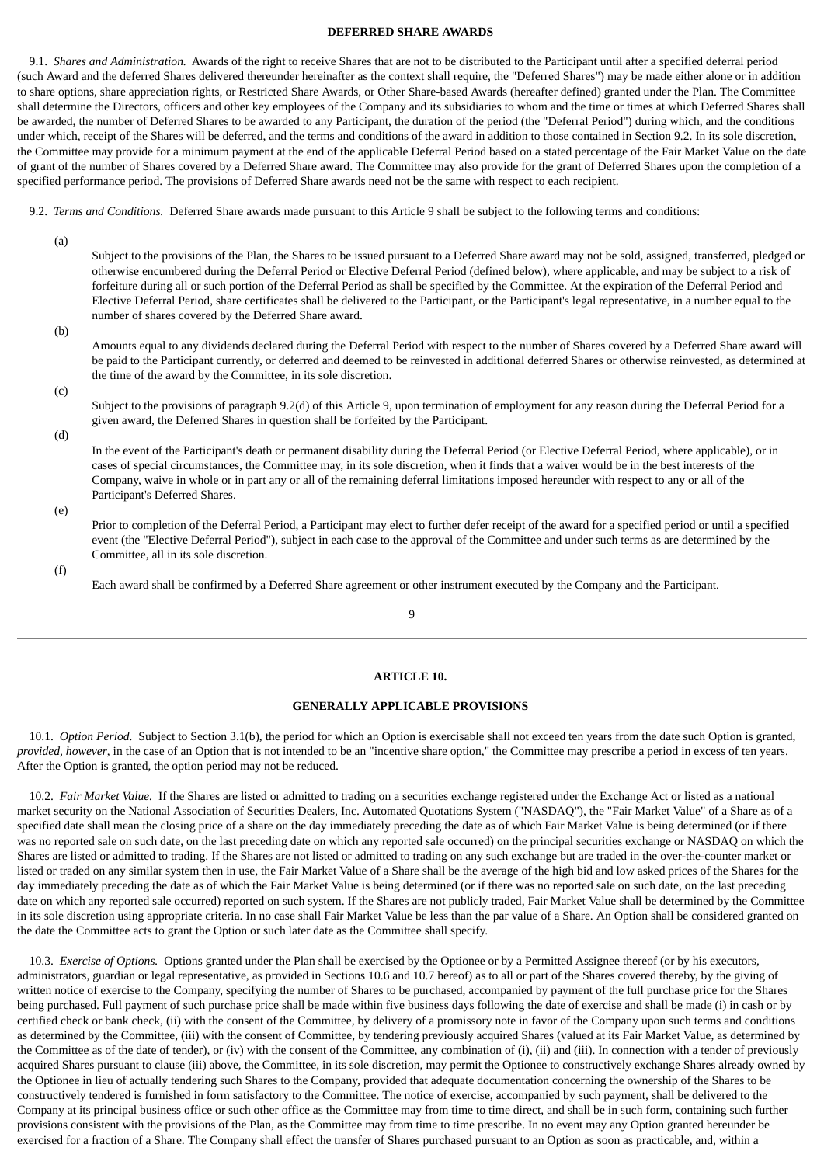### **DEFERRED SHARE AWARDS**

 9.1. *Shares and Administration.* Awards of the right to receive Shares that are not to be distributed to the Participant until after a specified deferral period (such Award and the deferred Shares delivered thereunder hereinafter as the context shall require, the "Deferred Shares") may be made either alone or in addition to share options, share appreciation rights, or Restricted Share Awards, or Other Share-based Awards (hereafter defined) granted under the Plan. The Committee shall determine the Directors, officers and other key employees of the Company and its subsidiaries to whom and the time or times at which Deferred Shares shall be awarded, the number of Deferred Shares to be awarded to any Participant, the duration of the period (the "Deferral Period") during which, and the conditions under which, receipt of the Shares will be deferred, and the terms and conditions of the award in addition to those contained in Section 9.2. In its sole discretion, the Committee may provide for a minimum payment at the end of the applicable Deferral Period based on a stated percentage of the Fair Market Value on the date of grant of the number of Shares covered by a Deferred Share award. The Committee may also provide for the grant of Deferred Shares upon the completion of a specified performance period. The provisions of Deferred Share awards need not be the same with respect to each recipient.

9.2. *Terms and Conditions.* Deferred Share awards made pursuant to this Article 9 shall be subject to the following terms and conditions:

(a)

Subject to the provisions of the Plan, the Shares to be issued pursuant to a Deferred Share award may not be sold, assigned, transferred, pledged or otherwise encumbered during the Deferral Period or Elective Deferral Period (defined below), where applicable, and may be subject to a risk of forfeiture during all or such portion of the Deferral Period as shall be specified by the Committee. At the expiration of the Deferral Period and Elective Deferral Period, share certificates shall be delivered to the Participant, or the Participant's legal representative, in a number equal to the number of shares covered by the Deferred Share award.

(b)

Amounts equal to any dividends declared during the Deferral Period with respect to the number of Shares covered by a Deferred Share award will be paid to the Participant currently, or deferred and deemed to be reinvested in additional deferred Shares or otherwise reinvested, as determined at the time of the award by the Committee, in its sole discretion.

(c)

Subject to the provisions of paragraph 9.2(d) of this Article 9, upon termination of employment for any reason during the Deferral Period for a given award, the Deferred Shares in question shall be forfeited by the Participant.

(d)

In the event of the Participant's death or permanent disability during the Deferral Period (or Elective Deferral Period, where applicable), or in cases of special circumstances, the Committee may, in its sole discretion, when it finds that a waiver would be in the best interests of the Company, waive in whole or in part any or all of the remaining deferral limitations imposed hereunder with respect to any or all of the Participant's Deferred Shares.

(e)

Prior to completion of the Deferral Period, a Participant may elect to further defer receipt of the award for a specified period or until a specified event (the "Elective Deferral Period"), subject in each case to the approval of the Committee and under such terms as are determined by the Committee, all in its sole discretion.

(f)

Each award shall be confirmed by a Deferred Share agreement or other instrument executed by the Company and the Participant.

### 9

### **ARTICLE 10.**

### **GENERALLY APPLICABLE PROVISIONS**

<span id="page-37-0"></span> 10.1. *Option Period.* Subject to Section 3.1(b), the period for which an Option is exercisable shall not exceed ten years from the date such Option is granted, *provided, however*, in the case of an Option that is not intended to be an "incentive share option," the Committee may prescribe a period in excess of ten years. After the Option is granted, the option period may not be reduced.

 10.2. *Fair Market Value.* If the Shares are listed or admitted to trading on a securities exchange registered under the Exchange Act or listed as a national market security on the National Association of Securities Dealers, Inc. Automated Quotations System ("NASDAQ"), the "Fair Market Value" of a Share as of a specified date shall mean the closing price of a share on the day immediately preceding the date as of which Fair Market Value is being determined (or if there was no reported sale on such date, on the last preceding date on which any reported sale occurred) on the principal securities exchange or NASDAQ on which the Shares are listed or admitted to trading. If the Shares are not listed or admitted to trading on any such exchange but are traded in the over-the-counter market or listed or traded on any similar system then in use, the Fair Market Value of a Share shall be the average of the high bid and low asked prices of the Shares for the day immediately preceding the date as of which the Fair Market Value is being determined (or if there was no reported sale on such date, on the last preceding date on which any reported sale occurred) reported on such system. If the Shares are not publicly traded, Fair Market Value shall be determined by the Committee in its sole discretion using appropriate criteria. In no case shall Fair Market Value be less than the par value of a Share. An Option shall be considered granted on the date the Committee acts to grant the Option or such later date as the Committee shall specify.

 10.3. *Exercise of Options.* Options granted under the Plan shall be exercised by the Optionee or by a Permitted Assignee thereof (or by his executors, administrators, guardian or legal representative, as provided in Sections 10.6 and 10.7 hereof) as to all or part of the Shares covered thereby, by the giving of written notice of exercise to the Company, specifying the number of Shares to be purchased, accompanied by payment of the full purchase price for the Shares being purchased. Full payment of such purchase price shall be made within five business days following the date of exercise and shall be made (i) in cash or by certified check or bank check, (ii) with the consent of the Committee, by delivery of a promissory note in favor of the Company upon such terms and conditions as determined by the Committee, (iii) with the consent of Committee, by tendering previously acquired Shares (valued at its Fair Market Value, as determined by the Committee as of the date of tender), or (iv) with the consent of the Committee, any combination of (i), (ii) and (iii). In connection with a tender of previously acquired Shares pursuant to clause (iii) above, the Committee, in its sole discretion, may permit the Optionee to constructively exchange Shares already owned by the Optionee in lieu of actually tendering such Shares to the Company, provided that adequate documentation concerning the ownership of the Shares to be constructively tendered is furnished in form satisfactory to the Committee. The notice of exercise, accompanied by such payment, shall be delivered to the Company at its principal business office or such other office as the Committee may from time to time direct, and shall be in such form, containing such further provisions consistent with the provisions of the Plan, as the Committee may from time to time prescribe. In no event may any Option granted hereunder be exercised for a fraction of a Share. The Company shall effect the transfer of Shares purchased pursuant to an Option as soon as practicable, and, within a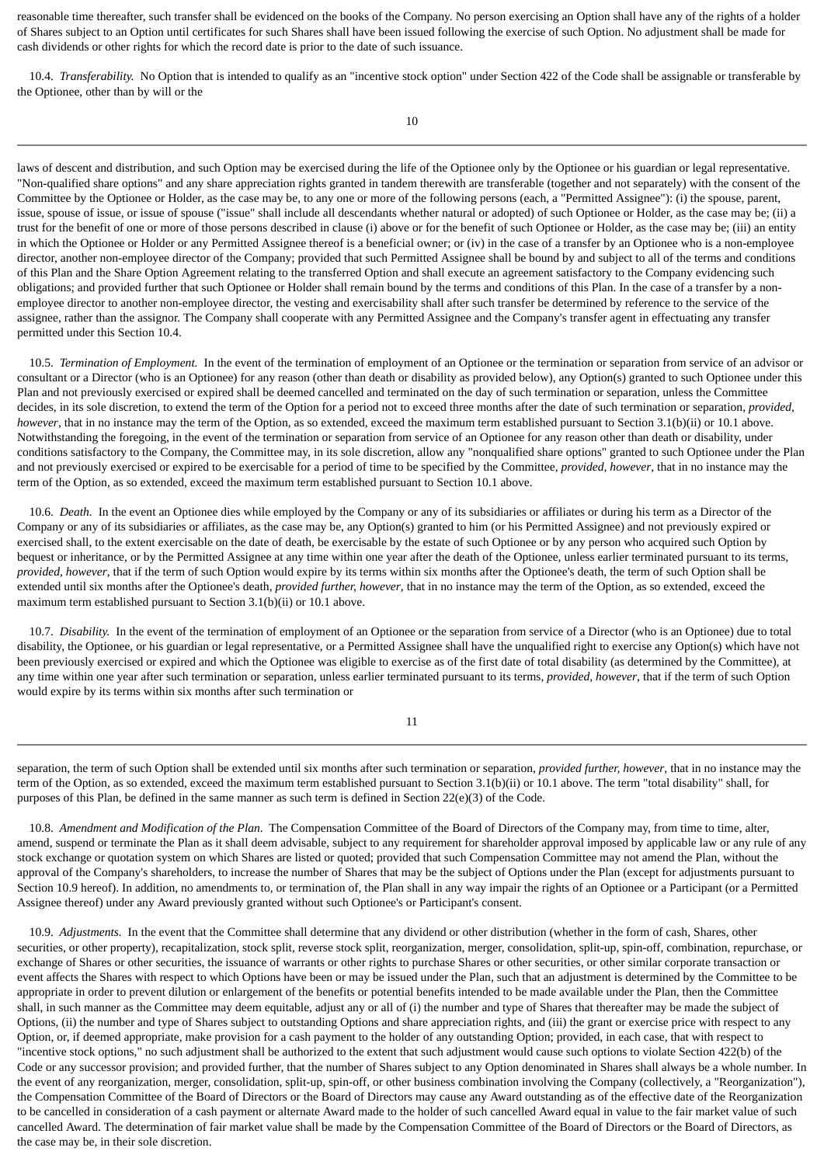reasonable time thereafter, such transfer shall be evidenced on the books of the Company. No person exercising an Option shall have any of the rights of a holder of Shares subject to an Option until certificates for such Shares shall have been issued following the exercise of such Option. No adjustment shall be made for cash dividends or other rights for which the record date is prior to the date of such issuance.

 10.4. *Transferability.* No Option that is intended to qualify as an "incentive stock option" under Section 422 of the Code shall be assignable or transferable by the Optionee, other than by will or the

laws of descent and distribution, and such Option may be exercised during the life of the Optionee only by the Optionee or his guardian or legal representative. "Non-qualified share options" and any share appreciation rights granted in tandem therewith are transferable (together and not separately) with the consent of the Committee by the Optionee or Holder, as the case may be, to any one or more of the following persons (each, a "Permitted Assignee"): (i) the spouse, parent, issue, spouse of issue, or issue of spouse ("issue" shall include all descendants whether natural or adopted) of such Optionee or Holder, as the case may be; (ii) a trust for the benefit of one or more of those persons described in clause (i) above or for the benefit of such Optionee or Holder, as the case may be; (iii) an entity in which the Optionee or Holder or any Permitted Assignee thereof is a beneficial owner; or (iv) in the case of a transfer by an Optionee who is a non-employee director, another non-employee director of the Company; provided that such Permitted Assignee shall be bound by and subject to all of the terms and conditions of this Plan and the Share Option Agreement relating to the transferred Option and shall execute an agreement satisfactory to the Company evidencing such obligations; and provided further that such Optionee or Holder shall remain bound by the terms and conditions of this Plan. In the case of a transfer by a nonemployee director to another non-employee director, the vesting and exercisability shall after such transfer be determined by reference to the service of the assignee, rather than the assignor. The Company shall cooperate with any Permitted Assignee and the Company's transfer agent in effectuating any transfer permitted under this Section 10.4.

 10.5. *Termination of Employment.* In the event of the termination of employment of an Optionee or the termination or separation from service of an advisor or consultant or a Director (who is an Optionee) for any reason (other than death or disability as provided below), any Option(s) granted to such Optionee under this Plan and not previously exercised or expired shall be deemed cancelled and terminated on the day of such termination or separation, unless the Committee decides, in its sole discretion, to extend the term of the Option for a period not to exceed three months after the date of such termination or separation, *provided, however*, that in no instance may the term of the Option, as so extended, exceed the maximum term established pursuant to Section 3.1(b)(ii) or 10.1 above. Notwithstanding the foregoing, in the event of the termination or separation from service of an Optionee for any reason other than death or disability, under conditions satisfactory to the Company, the Committee may, in its sole discretion, allow any "nonqualified share options" granted to such Optionee under the Plan and not previously exercised or expired to be exercisable for a period of time to be specified by the Committee, *provided, however*, that in no instance may the term of the Option, as so extended, exceed the maximum term established pursuant to Section 10.1 above.

 10.6. *Death.* In the event an Optionee dies while employed by the Company or any of its subsidiaries or affiliates or during his term as a Director of the Company or any of its subsidiaries or affiliates, as the case may be, any Option(s) granted to him (or his Permitted Assignee) and not previously expired or exercised shall, to the extent exercisable on the date of death, be exercisable by the estate of such Optionee or by any person who acquired such Option by bequest or inheritance, or by the Permitted Assignee at any time within one year after the death of the Optionee, unless earlier terminated pursuant to its terms, *provided, however*, that if the term of such Option would expire by its terms within six months after the Optionee's death, the term of such Option shall be extended until six months after the Optionee's death, *provided further, however*, that in no instance may the term of the Option, as so extended, exceed the maximum term established pursuant to Section 3.1(b)(ii) or 10.1 above.

 10.7. *Disability.* In the event of the termination of employment of an Optionee or the separation from service of a Director (who is an Optionee) due to total disability, the Optionee, or his guardian or legal representative, or a Permitted Assignee shall have the unqualified right to exercise any Option(s) which have not been previously exercised or expired and which the Optionee was eligible to exercise as of the first date of total disability (as determined by the Committee), at any time within one year after such termination or separation, unless earlier terminated pursuant to its terms, *provided, however*, that if the term of such Option would expire by its terms within six months after such termination or

11

separation, the term of such Option shall be extended until six months after such termination or separation, *provided further, however*, that in no instance may the term of the Option, as so extended, exceed the maximum term established pursuant to Section 3.1(b)(ii) or 10.1 above. The term "total disability" shall, for purposes of this Plan, be defined in the same manner as such term is defined in Section 22(e)(3) of the Code.

 10.8. *Amendment and Modification of the Plan.* The Compensation Committee of the Board of Directors of the Company may, from time to time, alter, amend, suspend or terminate the Plan as it shall deem advisable, subject to any requirement for shareholder approval imposed by applicable law or any rule of any stock exchange or quotation system on which Shares are listed or quoted; provided that such Compensation Committee may not amend the Plan, without the approval of the Company's shareholders, to increase the number of Shares that may be the subject of Options under the Plan (except for adjustments pursuant to Section 10.9 hereof). In addition, no amendments to, or termination of, the Plan shall in any way impair the rights of an Optionee or a Participant (or a Permitted Assignee thereof) under any Award previously granted without such Optionee's or Participant's consent.

 10.9. *Adjustments.* In the event that the Committee shall determine that any dividend or other distribution (whether in the form of cash, Shares, other securities, or other property), recapitalization, stock split, reverse stock split, reorganization, merger, consolidation, split-up, spin-off, combination, repurchase, or exchange of Shares or other securities, the issuance of warrants or other rights to purchase Shares or other securities, or other similar corporate transaction or event affects the Shares with respect to which Options have been or may be issued under the Plan, such that an adjustment is determined by the Committee to be appropriate in order to prevent dilution or enlargement of the benefits or potential benefits intended to be made available under the Plan, then the Committee shall, in such manner as the Committee may deem equitable, adjust any or all of (i) the number and type of Shares that thereafter may be made the subject of Options, (ii) the number and type of Shares subject to outstanding Options and share appreciation rights, and (iii) the grant or exercise price with respect to any Option, or, if deemed appropriate, make provision for a cash payment to the holder of any outstanding Option; provided, in each case, that with respect to "incentive stock options," no such adjustment shall be authorized to the extent that such adjustment would cause such options to violate Section 422(b) of the Code or any successor provision; and provided further, that the number of Shares subject to any Option denominated in Shares shall always be a whole number. In the event of any reorganization, merger, consolidation, split-up, spin-off, or other business combination involving the Company (collectively, a "Reorganization"), the Compensation Committee of the Board of Directors or the Board of Directors may cause any Award outstanding as of the effective date of the Reorganization to be cancelled in consideration of a cash payment or alternate Award made to the holder of such cancelled Award equal in value to the fair market value of such cancelled Award. The determination of fair market value shall be made by the Compensation Committee of the Board of Directors or the Board of Directors, as the case may be, in their sole discretion.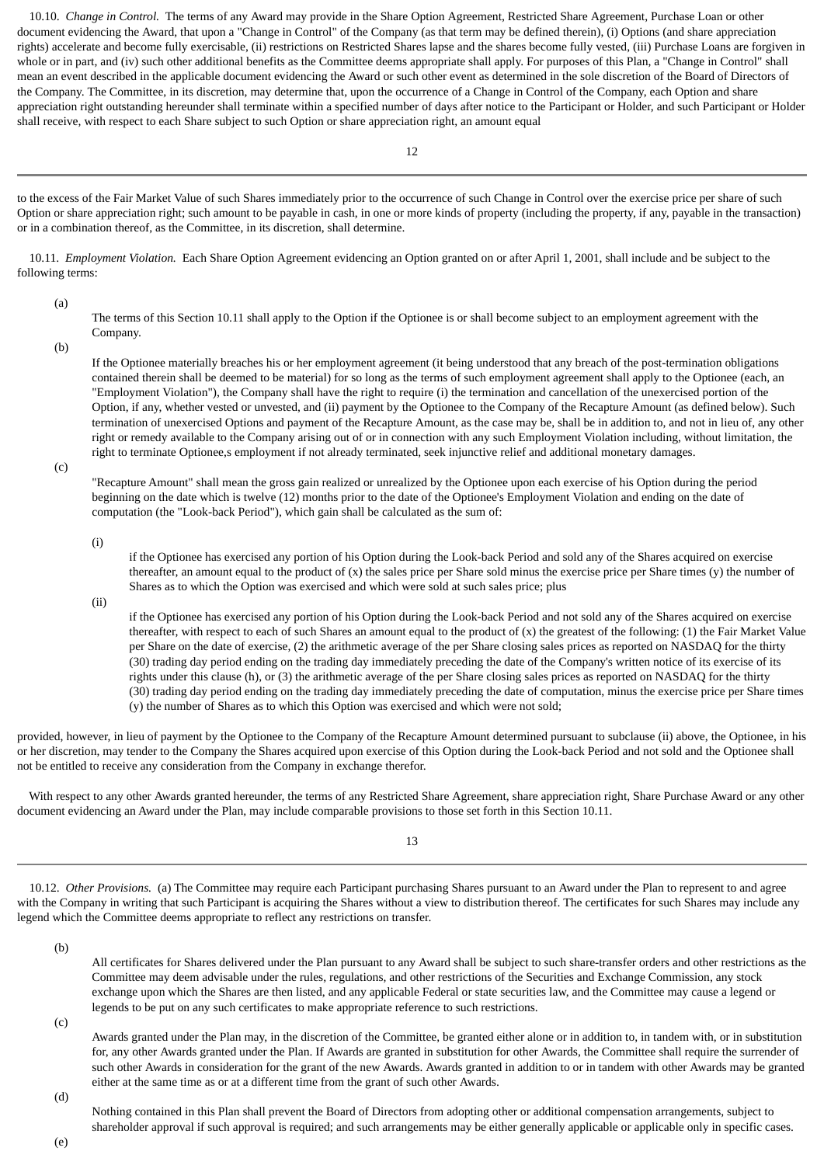10.10. *Change in Control.* The terms of any Award may provide in the Share Option Agreement, Restricted Share Agreement, Purchase Loan or other document evidencing the Award, that upon a "Change in Control" of the Company (as that term may be defined therein), (i) Options (and share appreciation rights) accelerate and become fully exercisable, (ii) restrictions on Restricted Shares lapse and the shares become fully vested, (iii) Purchase Loans are forgiven in whole or in part, and (iv) such other additional benefits as the Committee deems appropriate shall apply. For purposes of this Plan, a "Change in Control" shall mean an event described in the applicable document evidencing the Award or such other event as determined in the sole discretion of the Board of Directors of the Company. The Committee, in its discretion, may determine that, upon the occurrence of a Change in Control of the Company, each Option and share appreciation right outstanding hereunder shall terminate within a specified number of days after notice to the Participant or Holder, and such Participant or Holder shall receive, with respect to each Share subject to such Option or share appreciation right, an amount equal

to the excess of the Fair Market Value of such Shares immediately prior to the occurrence of such Change in Control over the exercise price per share of such Option or share appreciation right; such amount to be payable in cash, in one or more kinds of property (including the property, if any, payable in the transaction) or in a combination thereof, as the Committee, in its discretion, shall determine.

 10.11. *Employment Violation.* Each Share Option Agreement evidencing an Option granted on or after April 1, 2001, shall include and be subject to the following terms:

(a)

The terms of this Section 10.11 shall apply to the Option if the Optionee is or shall become subject to an employment agreement with the Company.

(b)

If the Optionee materially breaches his or her employment agreement (it being understood that any breach of the post-termination obligations contained therein shall be deemed to be material) for so long as the terms of such employment agreement shall apply to the Optionee (each, an "Employment Violation"), the Company shall have the right to require (i) the termination and cancellation of the unexercised portion of the Option, if any, whether vested or unvested, and (ii) payment by the Optionee to the Company of the Recapture Amount (as defined below). Such termination of unexercised Options and payment of the Recapture Amount, as the case may be, shall be in addition to, and not in lieu of, any other right or remedy available to the Company arising out of or in connection with any such Employment Violation including, without limitation, the right to terminate Optionee,s employment if not already terminated, seek injunctive relief and additional monetary damages.

(c)

"Recapture Amount" shall mean the gross gain realized or unrealized by the Optionee upon each exercise of his Option during the period beginning on the date which is twelve (12) months prior to the date of the Optionee's Employment Violation and ending on the date of computation (the "Look-back Period"), which gain shall be calculated as the sum of:

(i)

if the Optionee has exercised any portion of his Option during the Look-back Period and sold any of the Shares acquired on exercise thereafter, an amount equal to the product of  $(x)$  the sales price per Share sold minus the exercise price per Share times  $(y)$  the number of Shares as to which the Option was exercised and which were sold at such sales price; plus

(ii)

if the Optionee has exercised any portion of his Option during the Look-back Period and not sold any of the Shares acquired on exercise thereafter, with respect to each of such Shares an amount equal to the product of (x) the greatest of the following: (1) the Fair Market Value per Share on the date of exercise, (2) the arithmetic average of the per Share closing sales prices as reported on NASDAQ for the thirty (30) trading day period ending on the trading day immediately preceding the date of the Company's written notice of its exercise of its rights under this clause (h), or (3) the arithmetic average of the per Share closing sales prices as reported on NASDAQ for the thirty (30) trading day period ending on the trading day immediately preceding the date of computation, minus the exercise price per Share times (y) the number of Shares as to which this Option was exercised and which were not sold;

provided, however, in lieu of payment by the Optionee to the Company of the Recapture Amount determined pursuant to subclause (ii) above, the Optionee, in his or her discretion, may tender to the Company the Shares acquired upon exercise of this Option during the Look-back Period and not sold and the Optionee shall not be entitled to receive any consideration from the Company in exchange therefor.

 With respect to any other Awards granted hereunder, the terms of any Restricted Share Agreement, share appreciation right, Share Purchase Award or any other document evidencing an Award under the Plan, may include comparable provisions to those set forth in this Section 10.11.

13

 10.12. *Other Provisions.* (a) The Committee may require each Participant purchasing Shares pursuant to an Award under the Plan to represent to and agree with the Company in writing that such Participant is acquiring the Shares without a view to distribution thereof. The certificates for such Shares may include any legend which the Committee deems appropriate to reflect any restrictions on transfer.

(b)

All certificates for Shares delivered under the Plan pursuant to any Award shall be subject to such share-transfer orders and other restrictions as the Committee may deem advisable under the rules, regulations, and other restrictions of the Securities and Exchange Commission, any stock exchange upon which the Shares are then listed, and any applicable Federal or state securities law, and the Committee may cause a legend or legends to be put on any such certificates to make appropriate reference to such restrictions.

(c)

Awards granted under the Plan may, in the discretion of the Committee, be granted either alone or in addition to, in tandem with, or in substitution for, any other Awards granted under the Plan. If Awards are granted in substitution for other Awards, the Committee shall require the surrender of such other Awards in consideration for the grant of the new Awards. Awards granted in addition to or in tandem with other Awards may be granted either at the same time as or at a different time from the grant of such other Awards.

(d)

Nothing contained in this Plan shall prevent the Board of Directors from adopting other or additional compensation arrangements, subject to shareholder approval if such approval is required; and such arrangements may be either generally applicable or applicable only in specific cases.

(e)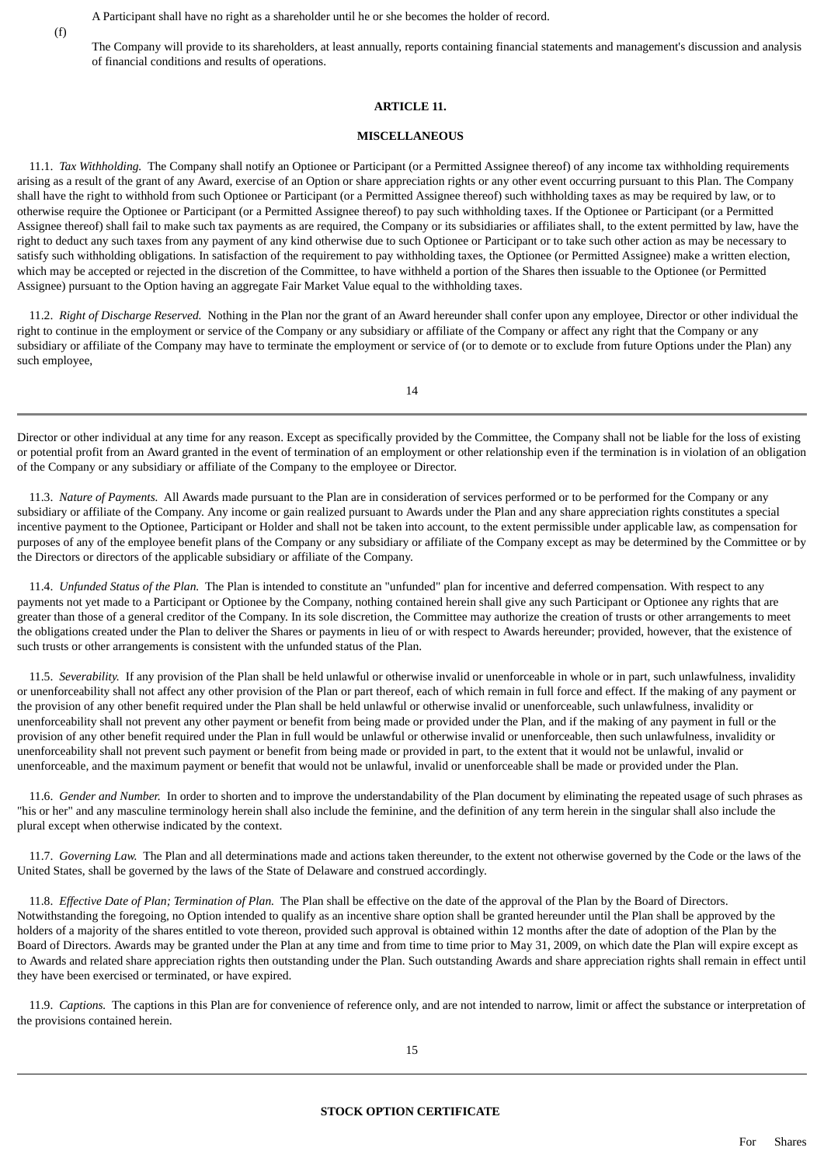<span id="page-40-0"></span>(f)

A Participant shall have no right as a shareholder until he or she becomes the holder of record.

The Company will provide to its shareholders, at least annually, reports containing financial statements and management's discussion and analysis of financial conditions and results of operations.

### **ARTICLE 11.**

### **MISCELLANEOUS**

 11.1. *Tax Withholding.* The Company shall notify an Optionee or Participant (or a Permitted Assignee thereof) of any income tax withholding requirements arising as a result of the grant of any Award, exercise of an Option or share appreciation rights or any other event occurring pursuant to this Plan. The Company shall have the right to withhold from such Optionee or Participant (or a Permitted Assignee thereof) such withholding taxes as may be required by law, or to otherwise require the Optionee or Participant (or a Permitted Assignee thereof) to pay such withholding taxes. If the Optionee or Participant (or a Permitted Assignee thereof) shall fail to make such tax payments as are required, the Company or its subsidiaries or affiliates shall, to the extent permitted by law, have the right to deduct any such taxes from any payment of any kind otherwise due to such Optionee or Participant or to take such other action as may be necessary to satisfy such withholding obligations. In satisfaction of the requirement to pay withholding taxes, the Optionee (or Permitted Assignee) make a written election, which may be accepted or rejected in the discretion of the Committee, to have withheld a portion of the Shares then issuable to the Optionee (or Permitted Assignee) pursuant to the Option having an aggregate Fair Market Value equal to the withholding taxes.

 11.2. *Right of Discharge Reserved.* Nothing in the Plan nor the grant of an Award hereunder shall confer upon any employee, Director or other individual the right to continue in the employment or service of the Company or any subsidiary or affiliate of the Company or affect any right that the Company or any subsidiary or affiliate of the Company may have to terminate the employment or service of (or to demote or to exclude from future Options under the Plan) any such employee,

Director or other individual at any time for any reason. Except as specifically provided by the Committee, the Company shall not be liable for the loss of existing or potential profit from an Award granted in the event of termination of an employment or other relationship even if the termination is in violation of an obligation of the Company or any subsidiary or affiliate of the Company to the employee or Director.

 $14$ 

 11.3. *Nature of Payments.* All Awards made pursuant to the Plan are in consideration of services performed or to be performed for the Company or any subsidiary or affiliate of the Company. Any income or gain realized pursuant to Awards under the Plan and any share appreciation rights constitutes a special incentive payment to the Optionee, Participant or Holder and shall not be taken into account, to the extent permissible under applicable law, as compensation for purposes of any of the employee benefit plans of the Company or any subsidiary or affiliate of the Company except as may be determined by the Committee or by the Directors or directors of the applicable subsidiary or affiliate of the Company.

 11.4. *Unfunded Status of the Plan.* The Plan is intended to constitute an "unfunded" plan for incentive and deferred compensation. With respect to any payments not yet made to a Participant or Optionee by the Company, nothing contained herein shall give any such Participant or Optionee any rights that are greater than those of a general creditor of the Company. In its sole discretion, the Committee may authorize the creation of trusts or other arrangements to meet the obligations created under the Plan to deliver the Shares or payments in lieu of or with respect to Awards hereunder; provided, however, that the existence of such trusts or other arrangements is consistent with the unfunded status of the Plan.

 11.5. *Severability.* If any provision of the Plan shall be held unlawful or otherwise invalid or unenforceable in whole or in part, such unlawfulness, invalidity or unenforceability shall not affect any other provision of the Plan or part thereof, each of which remain in full force and effect. If the making of any payment or the provision of any other benefit required under the Plan shall be held unlawful or otherwise invalid or unenforceable, such unlawfulness, invalidity or unenforceability shall not prevent any other payment or benefit from being made or provided under the Plan, and if the making of any payment in full or the provision of any other benefit required under the Plan in full would be unlawful or otherwise invalid or unenforceable, then such unlawfulness, invalidity or unenforceability shall not prevent such payment or benefit from being made or provided in part, to the extent that it would not be unlawful, invalid or unenforceable, and the maximum payment or benefit that would not be unlawful, invalid or unenforceable shall be made or provided under the Plan.

 11.6. *Gender and Number.* In order to shorten and to improve the understandability of the Plan document by eliminating the repeated usage of such phrases as "his or her" and any masculine terminology herein shall also include the feminine, and the definition of any term herein in the singular shall also include the plural except when otherwise indicated by the context.

 11.7. *Governing Law.* The Plan and all determinations made and actions taken thereunder, to the extent not otherwise governed by the Code or the laws of the United States, shall be governed by the laws of the State of Delaware and construed accordingly.

 11.8. *Effective Date of Plan; Termination of Plan.* The Plan shall be effective on the date of the approval of the Plan by the Board of Directors. Notwithstanding the foregoing, no Option intended to qualify as an incentive share option shall be granted hereunder until the Plan shall be approved by the holders of a majority of the shares entitled to vote thereon, provided such approval is obtained within 12 months after the date of adoption of the Plan by the Board of Directors. Awards may be granted under the Plan at any time and from time to time prior to May 31, 2009, on which date the Plan will expire except as to Awards and related share appreciation rights then outstanding under the Plan. Such outstanding Awards and share appreciation rights shall remain in effect until they have been exercised or terminated, or have expired.

<span id="page-40-1"></span> 11.9. *Captions.* The captions in this Plan are for convenience of reference only, and are not intended to narrow, limit or affect the substance or interpretation of the provisions contained herein.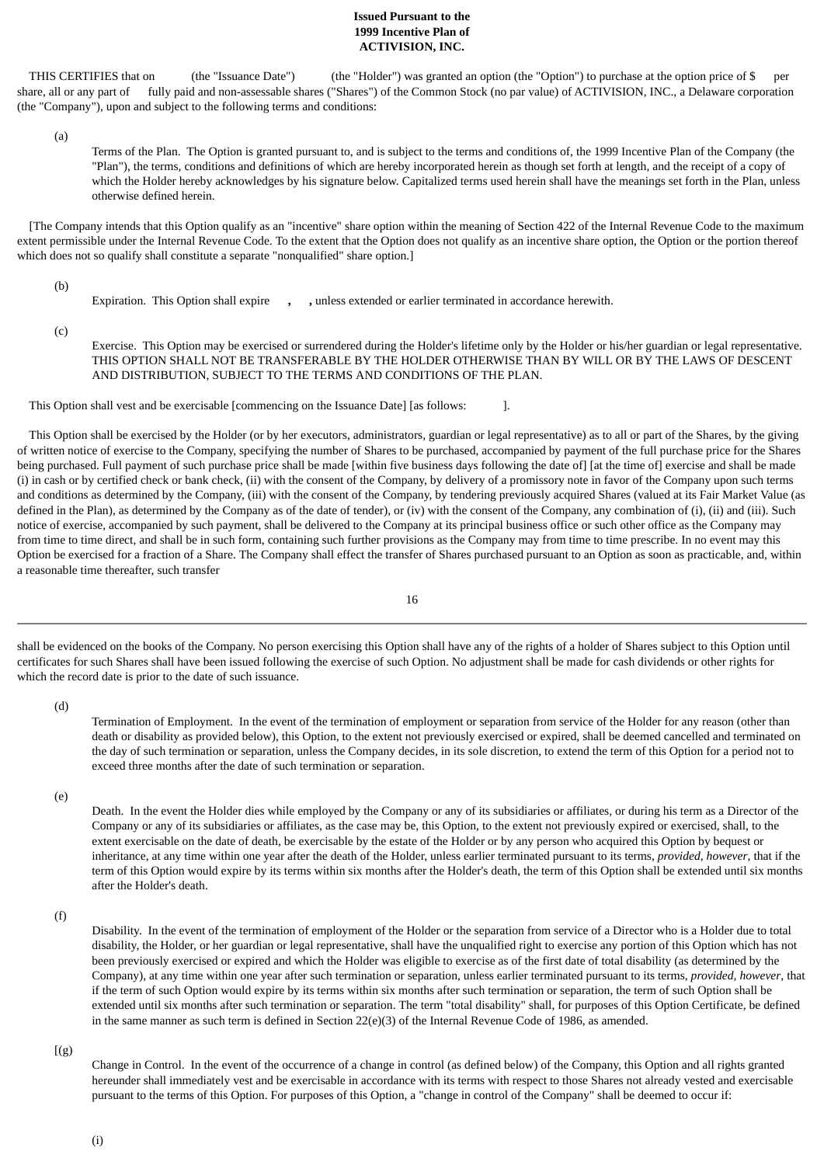### **Issued Pursuant to the 1999 Incentive Plan of ACTIVISION, INC.**

THIS CERTIFIES that on (the "Issuance Date") (the "Holder") was granted an option (the "Option") to purchase at the option price of \$ share, all or any part of fully paid and non-assessable shares ("Shares") of the Common Stock (no par value) of ACTIVISION, INC., a Delaware corporation (the "Company"), upon and subject to the following terms and conditions:

(a)

Terms of the Plan. The Option is granted pursuant to, and is subject to the terms and conditions of, the 1999 Incentive Plan of the Company (the "Plan"), the terms, conditions and definitions of which are hereby incorporated herein as though set forth at length, and the receipt of a copy of which the Holder hereby acknowledges by his signature below. Capitalized terms used herein shall have the meanings set forth in the Plan, unless otherwise defined herein.

 [The Company intends that this Option qualify as an "incentive" share option within the meaning of Section 422 of the Internal Revenue Code to the maximum extent permissible under the Internal Revenue Code. To the extent that the Option does not qualify as an incentive share option, the Option or the portion thereof which does not so qualify shall constitute a separate "nonqualified" share option.]

(b)

Expiration. This Option shall expire **, ,** unless extended or earlier terminated in accordance herewith.

(c)

Exercise. This Option may be exercised or surrendered during the Holder's lifetime only by the Holder or his/her guardian or legal representative. THIS OPTION SHALL NOT BE TRANSFERABLE BY THE HOLDER OTHERWISE THAN BY WILL OR BY THE LAWS OF DESCENT AND DISTRIBUTION, SUBJECT TO THE TERMS AND CONDITIONS OF THE PLAN.

This Option shall vest and be exercisable [commencing on the Issuance Date] [as follows: ].

 This Option shall be exercised by the Holder (or by her executors, administrators, guardian or legal representative) as to all or part of the Shares, by the giving of written notice of exercise to the Company, specifying the number of Shares to be purchased, accompanied by payment of the full purchase price for the Shares being purchased. Full payment of such purchase price shall be made [within five business days following the date of] [at the time of] exercise and shall be made (i) in cash or by certified check or bank check, (ii) with the consent of the Company, by delivery of a promissory note in favor of the Company upon such terms and conditions as determined by the Company, (iii) with the consent of the Company, by tendering previously acquired Shares (valued at its Fair Market Value (as defined in the Plan), as determined by the Company as of the date of tender), or (iv) with the consent of the Company, any combination of (i), (ii) and (iii). Such notice of exercise, accompanied by such payment, shall be delivered to the Company at its principal business office or such other office as the Company may from time to time direct, and shall be in such form, containing such further provisions as the Company may from time to time prescribe. In no event may this Option be exercised for a fraction of a Share. The Company shall effect the transfer of Shares purchased pursuant to an Option as soon as practicable, and, within a reasonable time thereafter, such transfer

shall be evidenced on the books of the Company. No person exercising this Option shall have any of the rights of a holder of Shares subject to this Option until certificates for such Shares shall have been issued following the exercise of such Option. No adjustment shall be made for cash dividends or other rights for which the record date is prior to the date of such issuance.

(d)

Termination of Employment. In the event of the termination of employment or separation from service of the Holder for any reason (other than death or disability as provided below), this Option, to the extent not previously exercised or expired, shall be deemed cancelled and terminated on the day of such termination or separation, unless the Company decides, in its sole discretion, to extend the term of this Option for a period not to exceed three months after the date of such termination or separation.

(e)

Death. In the event the Holder dies while employed by the Company or any of its subsidiaries or affiliates, or during his term as a Director of the Company or any of its subsidiaries or affiliates, as the case may be, this Option, to the extent not previously expired or exercised, shall, to the extent exercisable on the date of death, be exercisable by the estate of the Holder or by any person who acquired this Option by bequest or inheritance, at any time within one year after the death of the Holder, unless earlier terminated pursuant to its terms, *provided, however*, that if the term of this Option would expire by its terms within six months after the Holder's death, the term of this Option shall be extended until six months after the Holder's death.

(f)

Disability. In the event of the termination of employment of the Holder or the separation from service of a Director who is a Holder due to total disability, the Holder, or her guardian or legal representative, shall have the unqualified right to exercise any portion of this Option which has not been previously exercised or expired and which the Holder was eligible to exercise as of the first date of total disability (as determined by the Company), at any time within one year after such termination or separation, unless earlier terminated pursuant to its terms, *provided, however*, that if the term of such Option would expire by its terms within six months after such termination or separation, the term of such Option shall be extended until six months after such termination or separation. The term "total disability" shall, for purposes of this Option Certificate, be defined in the same manner as such term is defined in Section  $22(e)(3)$  of the Internal Revenue Code of 1986, as amended.

 $[(g)]$ 

Change in Control. In the event of the occurrence of a change in control (as defined below) of the Company, this Option and all rights granted hereunder shall immediately vest and be exercisable in accordance with its terms with respect to those Shares not already vested and exercisable pursuant to the terms of this Option. For purposes of this Option, a "change in control of the Company" shall be deemed to occur if:

<sup>16</sup>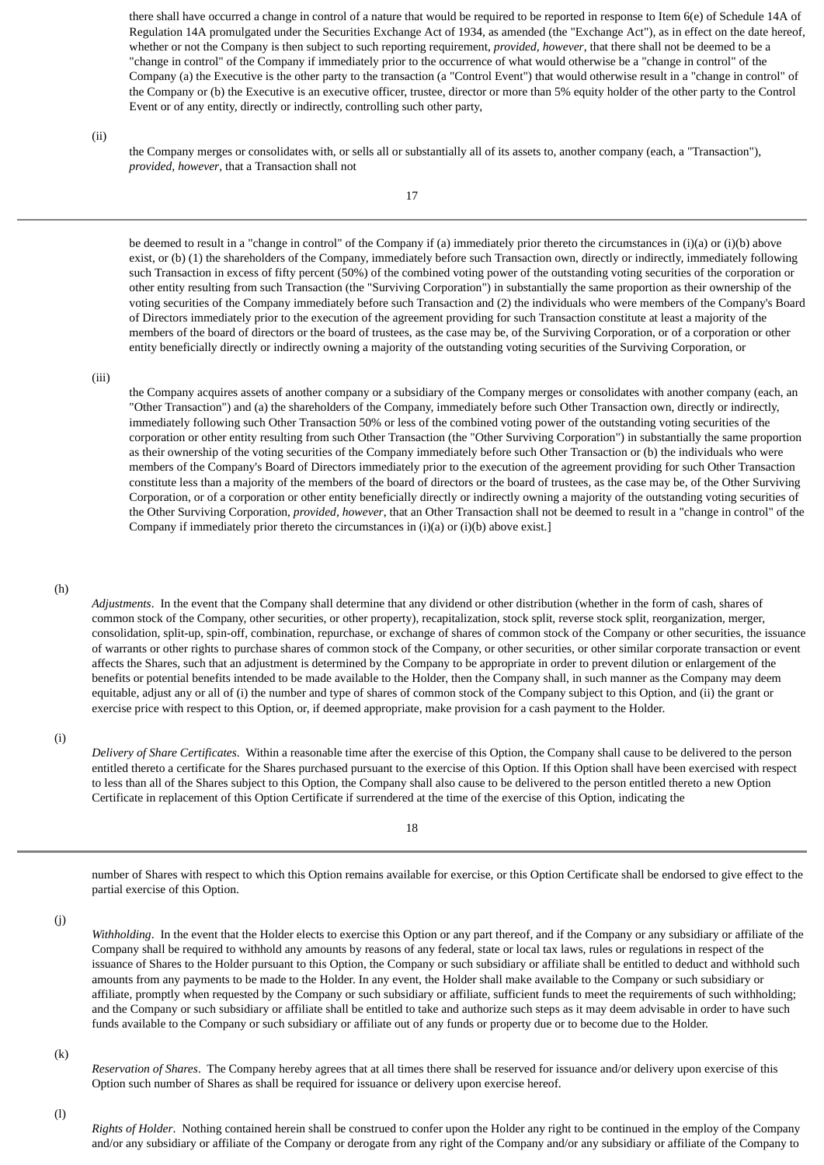there shall have occurred a change in control of a nature that would be required to be reported in response to Item 6(e) of Schedule 14A of Regulation 14A promulgated under the Securities Exchange Act of 1934, as amended (the "Exchange Act"), as in effect on the date hereof, whether or not the Company is then subject to such reporting requirement, *provided, however*, that there shall not be deemed to be a "change in control" of the Company if immediately prior to the occurrence of what would otherwise be a "change in control" of the Company (a) the Executive is the other party to the transaction (a "Control Event") that would otherwise result in a "change in control" of the Company or (b) the Executive is an executive officer, trustee, director or more than 5% equity holder of the other party to the Control Event or of any entity, directly or indirectly, controlling such other party,

(ii)

the Company merges or consolidates with, or sells all or substantially all of its assets to, another company (each, a "Transaction"), *provided, however*, that a Transaction shall not

17

be deemed to result in a "change in control" of the Company if (a) immediately prior thereto the circumstances in (i)(a) or (i)(b) above exist, or (b) (1) the shareholders of the Company, immediately before such Transaction own, directly or indirectly, immediately following such Transaction in excess of fifty percent (50%) of the combined voting power of the outstanding voting securities of the corporation or other entity resulting from such Transaction (the "Surviving Corporation") in substantially the same proportion as their ownership of the voting securities of the Company immediately before such Transaction and (2) the individuals who were members of the Company's Board of Directors immediately prior to the execution of the agreement providing for such Transaction constitute at least a majority of the members of the board of directors or the board of trustees, as the case may be, of the Surviving Corporation, or of a corporation or other entity beneficially directly or indirectly owning a majority of the outstanding voting securities of the Surviving Corporation, or

### (iii)

the Company acquires assets of another company or a subsidiary of the Company merges or consolidates with another company (each, an "Other Transaction") and (a) the shareholders of the Company, immediately before such Other Transaction own, directly or indirectly, immediately following such Other Transaction 50% or less of the combined voting power of the outstanding voting securities of the corporation or other entity resulting from such Other Transaction (the "Other Surviving Corporation") in substantially the same proportion as their ownership of the voting securities of the Company immediately before such Other Transaction or (b) the individuals who were members of the Company's Board of Directors immediately prior to the execution of the agreement providing for such Other Transaction constitute less than a majority of the members of the board of directors or the board of trustees, as the case may be, of the Other Surviving Corporation, or of a corporation or other entity beneficially directly or indirectly owning a majority of the outstanding voting securities of the Other Surviving Corporation, *provided, however*, that an Other Transaction shall not be deemed to result in a "change in control" of the Company if immediately prior thereto the circumstances in (i)(a) or (i)(b) above exist.]

### (h)

*Adjustments*. In the event that the Company shall determine that any dividend or other distribution (whether in the form of cash, shares of common stock of the Company, other securities, or other property), recapitalization, stock split, reverse stock split, reorganization, merger, consolidation, split-up, spin-off, combination, repurchase, or exchange of shares of common stock of the Company or other securities, the issuance of warrants or other rights to purchase shares of common stock of the Company, or other securities, or other similar corporate transaction or event affects the Shares, such that an adjustment is determined by the Company to be appropriate in order to prevent dilution or enlargement of the benefits or potential benefits intended to be made available to the Holder, then the Company shall, in such manner as the Company may deem equitable, adjust any or all of (i) the number and type of shares of common stock of the Company subject to this Option, and (ii) the grant or exercise price with respect to this Option, or, if deemed appropriate, make provision for a cash payment to the Holder.

(i)

*Delivery of Share Certificates*. Within a reasonable time after the exercise of this Option, the Company shall cause to be delivered to the person entitled thereto a certificate for the Shares purchased pursuant to the exercise of this Option. If this Option shall have been exercised with respect to less than all of the Shares subject to this Option, the Company shall also cause to be delivered to the person entitled thereto a new Option Certificate in replacement of this Option Certificate if surrendered at the time of the exercise of this Option, indicating the

18

number of Shares with respect to which this Option remains available for exercise, or this Option Certificate shall be endorsed to give effect to the partial exercise of this Option.

(j)

*Withholding*. In the event that the Holder elects to exercise this Option or any part thereof, and if the Company or any subsidiary or affiliate of the Company shall be required to withhold any amounts by reasons of any federal, state or local tax laws, rules or regulations in respect of the issuance of Shares to the Holder pursuant to this Option, the Company or such subsidiary or affiliate shall be entitled to deduct and withhold such amounts from any payments to be made to the Holder. In any event, the Holder shall make available to the Company or such subsidiary or affiliate, promptly when requested by the Company or such subsidiary or affiliate, sufficient funds to meet the requirements of such withholding; and the Company or such subsidiary or affiliate shall be entitled to take and authorize such steps as it may deem advisable in order to have such funds available to the Company or such subsidiary or affiliate out of any funds or property due or to become due to the Holder.

(k)

*Reservation of Shares*. The Company hereby agrees that at all times there shall be reserved for issuance and/or delivery upon exercise of this Option such number of Shares as shall be required for issuance or delivery upon exercise hereof.

(l)

*Rights of Holder*. Nothing contained herein shall be construed to confer upon the Holder any right to be continued in the employ of the Company and/or any subsidiary or affiliate of the Company or derogate from any right of the Company and/or any subsidiary or affiliate of the Company to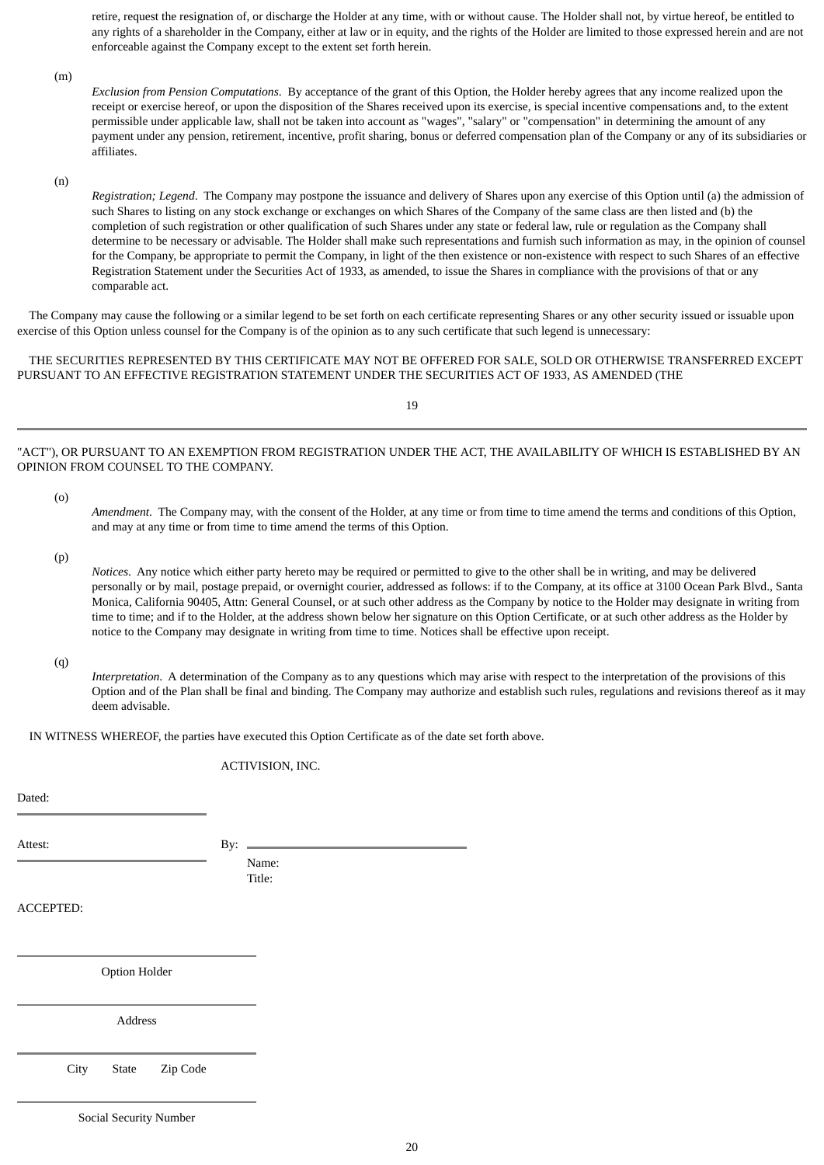retire, request the resignation of, or discharge the Holder at any time, with or without cause. The Holder shall not, by virtue hereof, be entitled to any rights of a shareholder in the Company, either at law or in equity, and the rights of the Holder are limited to those expressed herein and are not enforceable against the Company except to the extent set forth herein.

(m)

*Exclusion from Pension Computations*. By acceptance of the grant of this Option, the Holder hereby agrees that any income realized upon the receipt or exercise hereof, or upon the disposition of the Shares received upon its exercise, is special incentive compensations and, to the extent permissible under applicable law, shall not be taken into account as "wages", "salary" or "compensation" in determining the amount of any payment under any pension, retirement, incentive, profit sharing, bonus or deferred compensation plan of the Company or any of its subsidiaries or affiliates.

(n)

*Registration; Legend*. The Company may postpone the issuance and delivery of Shares upon any exercise of this Option until (a) the admission of such Shares to listing on any stock exchange or exchanges on which Shares of the Company of the same class are then listed and (b) the completion of such registration or other qualification of such Shares under any state or federal law, rule or regulation as the Company shall determine to be necessary or advisable. The Holder shall make such representations and furnish such information as may, in the opinion of counsel for the Company, be appropriate to permit the Company, in light of the then existence or non-existence with respect to such Shares of an effective Registration Statement under the Securities Act of 1933, as amended, to issue the Shares in compliance with the provisions of that or any comparable act.

 The Company may cause the following or a similar legend to be set forth on each certificate representing Shares or any other security issued or issuable upon exercise of this Option unless counsel for the Company is of the opinion as to any such certificate that such legend is unnecessary:

 THE SECURITIES REPRESENTED BY THIS CERTIFICATE MAY NOT BE OFFERED FOR SALE, SOLD OR OTHERWISE TRANSFERRED EXCEPT PURSUANT TO AN EFFECTIVE REGISTRATION STATEMENT UNDER THE SECURITIES ACT OF 1933, AS AMENDED (THE

19

"ACT"), OR PURSUANT TO AN EXEMPTION FROM REGISTRATION UNDER THE ACT, THE AVAILABILITY OF WHICH IS ESTABLISHED BY AN OPINION FROM COUNSEL TO THE COMPANY.

(o)

*Amendment*. The Company may, with the consent of the Holder, at any time or from time to time amend the terms and conditions of this Option, and may at any time or from time to time amend the terms of this Option.

(p)

*Notices*. Any notice which either party hereto may be required or permitted to give to the other shall be in writing, and may be delivered personally or by mail, postage prepaid, or overnight courier, addressed as follows: if to the Company, at its office at 3100 Ocean Park Blvd., Santa Monica, California 90405, Attn: General Counsel, or at such other address as the Company by notice to the Holder may designate in writing from time to time; and if to the Holder, at the address shown below her signature on this Option Certificate, or at such other address as the Holder by notice to the Company may designate in writing from time to time. Notices shall be effective upon receipt.

(q)

*Interpretation*. A determination of the Company as to any questions which may arise with respect to the interpretation of the provisions of this Option and of the Plan shall be final and binding. The Company may authorize and establish such rules, regulations and revisions thereof as it may deem advisable.

IN WITNESS WHEREOF, the parties have executed this Option Certificate as of the date set forth above.

ACTIVISION, INC.

Dated:

Attest: By:

Name: Title:

ACCEPTED:

Option Holder

Address

City State Zip Code

Social Security Number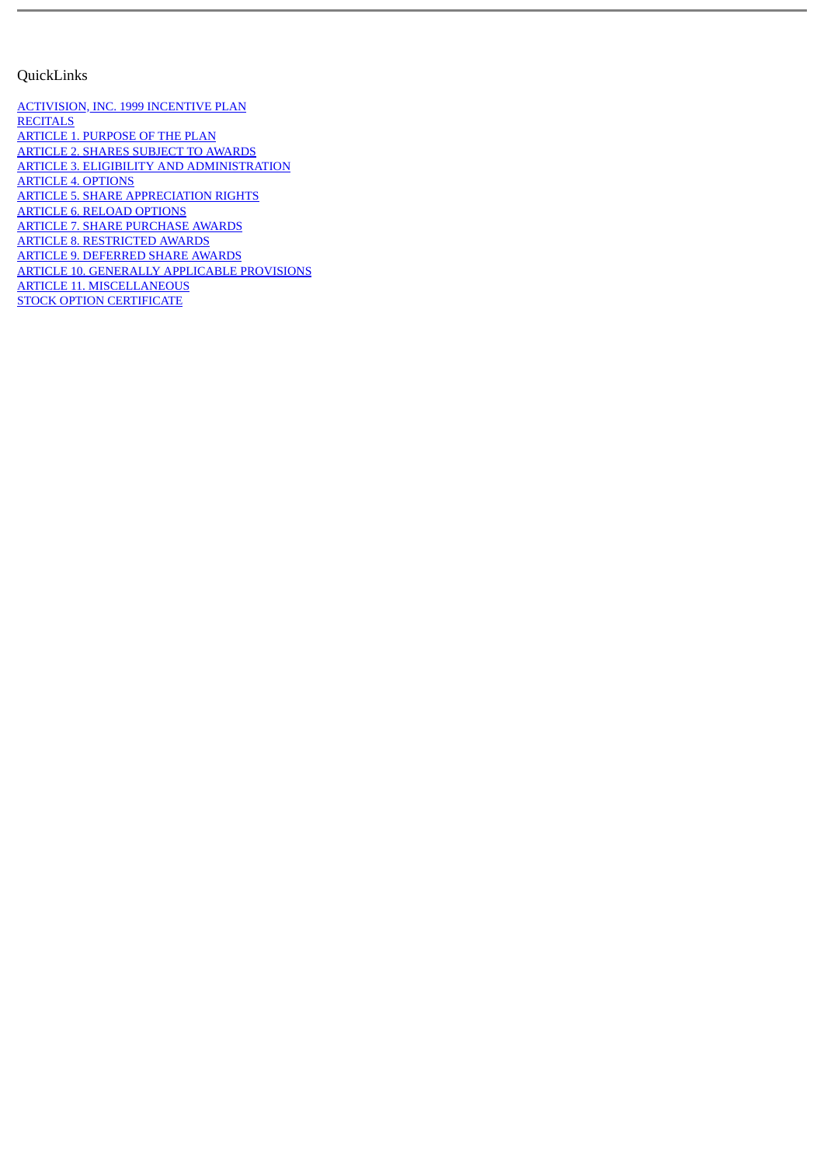### <span id="page-44-0"></span>QuickLinks

[ACTIVISION, INC. 1999 INCENTIVE PLAN](#page-32-0) **[RECITALS](#page-32-1)** [ARTICLE 1. PURPOSE OF THE PLAN](#page-32-2) [ARTICLE 2. SHARES SUBJECT TO AWARDS](#page-32-3) [ARTICLE 3. ELIGIBILITY AND ADMINISTRATION](#page-33-0) [ARTICLE 4. OPTIONS](#page-33-1) [ARTICLE 5. SHARE APPRECIATION RIGHTS](#page-34-0) [ARTICLE 6. RELOAD OPTIONS](#page-34-1) [ARTICLE 7. SHARE PURCHASE AWARDS](#page-35-0) [ARTICLE 8. RESTRICTED AWARDS](#page-36-0) [ARTICLE 9. DEFERRED SHARE AWARDS](#page-36-1) [ARTICLE 10. GENERALLY APPLICABLE PROVISIONS](#page-37-0) [ARTICLE 11. MISCELLANEOUS](#page-40-0) [STOCK OPTION CERTIFICATE](#page-40-1)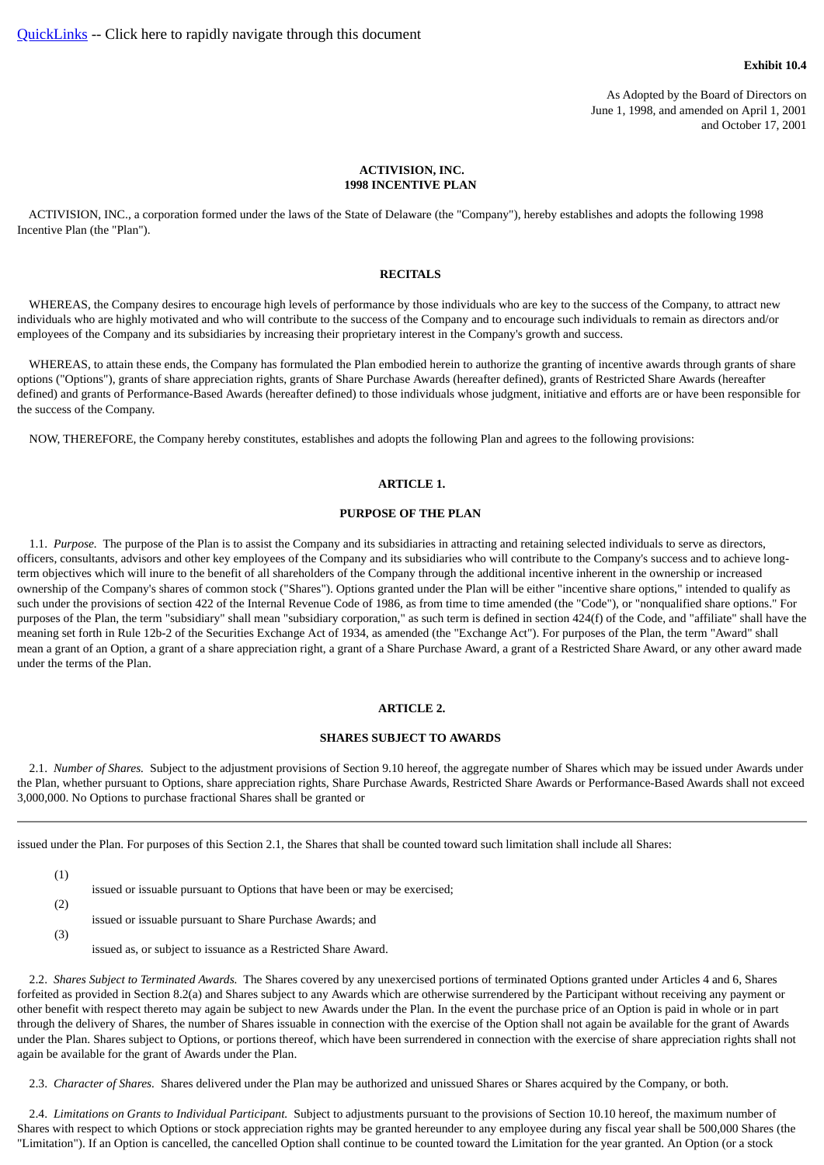#### **Exhibit 10.4**

As Adopted by the Board of Directors on June 1, 1998, and amended on April 1, 2001 and October 17, 2001

### **ACTIVISION, INC. 1998 INCENTIVE PLAN**

<span id="page-45-1"></span><span id="page-45-0"></span> ACTIVISION, INC., a corporation formed under the laws of the State of Delaware (the "Company"), hereby establishes and adopts the following 1998 Incentive Plan (the "Plan").

#### **RECITALS**

 WHEREAS, the Company desires to encourage high levels of performance by those individuals who are key to the success of the Company, to attract new individuals who are highly motivated and who will contribute to the success of the Company and to encourage such individuals to remain as directors and/or employees of the Company and its subsidiaries by increasing their proprietary interest in the Company's growth and success.

 WHEREAS, to attain these ends, the Company has formulated the Plan embodied herein to authorize the granting of incentive awards through grants of share options ("Options"), grants of share appreciation rights, grants of Share Purchase Awards (hereafter defined), grants of Restricted Share Awards (hereafter defined) and grants of Performance-Based Awards (hereafter defined) to those individuals whose judgment, initiative and efforts are or have been responsible for the success of the Company.

<span id="page-45-2"></span>NOW, THEREFORE, the Company hereby constitutes, establishes and adopts the following Plan and agrees to the following provisions:

### **ARTICLE 1.**

### **PURPOSE OF THE PLAN**

 1.1. *Purpose.* The purpose of the Plan is to assist the Company and its subsidiaries in attracting and retaining selected individuals to serve as directors, officers, consultants, advisors and other key employees of the Company and its subsidiaries who will contribute to the Company's success and to achieve longterm objectives which will inure to the benefit of all shareholders of the Company through the additional incentive inherent in the ownership or increased ownership of the Company's shares of common stock ("Shares"). Options granted under the Plan will be either "incentive share options," intended to qualify as such under the provisions of section 422 of the Internal Revenue Code of 1986, as from time to time amended (the "Code"), or "nonqualified share options." For purposes of the Plan, the term "subsidiary" shall mean "subsidiary corporation," as such term is defined in section 424(f) of the Code, and "affiliate" shall have the meaning set forth in Rule 12b-2 of the Securities Exchange Act of 1934, as amended (the "Exchange Act"). For purposes of the Plan, the term "Award" shall mean a grant of an Option, a grant of a share appreciation right, a grant of a Share Purchase Award, a grant of a Restricted Share Award, or any other award made under the terms of the Plan.

#### **ARTICLE 2.**

### **SHARES SUBJECT TO AWARDS**

<span id="page-45-3"></span> 2.1. *Number of Shares.* Subject to the adjustment provisions of Section 9.10 hereof, the aggregate number of Shares which may be issued under Awards under the Plan, whether pursuant to Options, share appreciation rights, Share Purchase Awards, Restricted Share Awards or Performance-Based Awards shall not exceed 3,000,000. No Options to purchase fractional Shares shall be granted or

issued under the Plan. For purposes of this Section 2.1, the Shares that shall be counted toward such limitation shall include all Shares:

(1)

(2)

- issued or issuable pursuant to Options that have been or may be exercised;
- issued or issuable pursuant to Share Purchase Awards; and
- (3)
- issued as, or subject to issuance as a Restricted Share Award.

 2.2. *Shares Subject to Terminated Awards.* The Shares covered by any unexercised portions of terminated Options granted under Articles 4 and 6, Shares forfeited as provided in Section 8.2(a) and Shares subject to any Awards which are otherwise surrendered by the Participant without receiving any payment or other benefit with respect thereto may again be subject to new Awards under the Plan. In the event the purchase price of an Option is paid in whole or in part through the delivery of Shares, the number of Shares issuable in connection with the exercise of the Option shall not again be available for the grant of Awards under the Plan. Shares subject to Options, or portions thereof, which have been surrendered in connection with the exercise of share appreciation rights shall not again be available for the grant of Awards under the Plan.

2.3. *Character of Shares.* Shares delivered under the Plan may be authorized and unissued Shares or Shares acquired by the Company, or both.

 2.4. *Limitations on Grants to Individual Participant.* Subject to adjustments pursuant to the provisions of Section 10.10 hereof, the maximum number of Shares with respect to which Options or stock appreciation rights may be granted hereunder to any employee during any fiscal year shall be 500,000 Shares (the "Limitation"). If an Option is cancelled, the cancelled Option shall continue to be counted toward the Limitation for the year granted. An Option (or a stock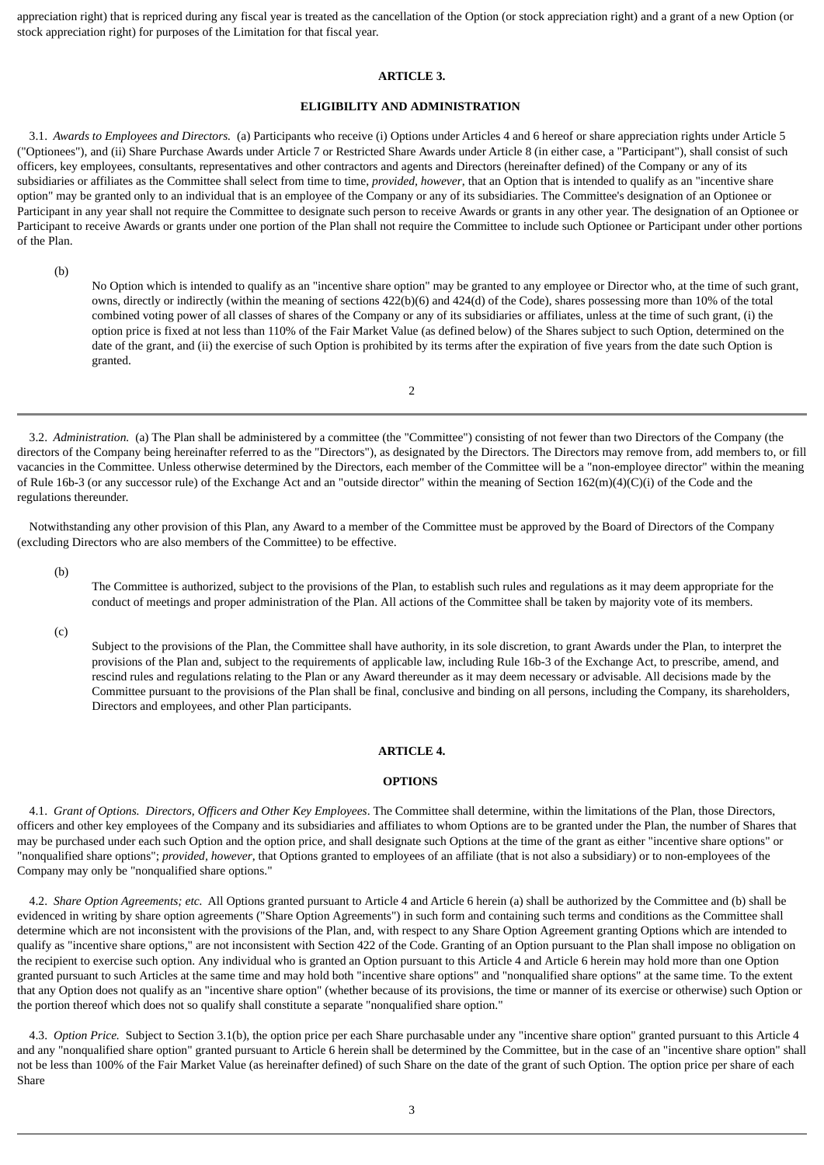<span id="page-46-0"></span>appreciation right) that is repriced during any fiscal year is treated as the cancellation of the Option (or stock appreciation right) and a grant of a new Option (or stock appreciation right) for purposes of the Limitation for that fiscal year.

#### **ARTICLE 3.**

### **ELIGIBILITY AND ADMINISTRATION**

 3.1. *Awards to Employees and Directors.* (a) Participants who receive (i) Options under Articles 4 and 6 hereof or share appreciation rights under Article 5 ("Optionees"), and (ii) Share Purchase Awards under Article 7 or Restricted Share Awards under Article 8 (in either case, a "Participant"), shall consist of such officers, key employees, consultants, representatives and other contractors and agents and Directors (hereinafter defined) of the Company or any of its subsidiaries or affiliates as the Committee shall select from time to time, *provided, however*, that an Option that is intended to qualify as an "incentive share option" may be granted only to an individual that is an employee of the Company or any of its subsidiaries. The Committee's designation of an Optionee or Participant in any year shall not require the Committee to designate such person to receive Awards or grants in any other year. The designation of an Optionee or Participant to receive Awards or grants under one portion of the Plan shall not require the Committee to include such Optionee or Participant under other portions of the Plan.

(b)

No Option which is intended to qualify as an "incentive share option" may be granted to any employee or Director who, at the time of such grant, owns, directly or indirectly (within the meaning of sections 422(b)(6) and 424(d) of the Code), shares possessing more than 10% of the total combined voting power of all classes of shares of the Company or any of its subsidiaries or affiliates, unless at the time of such grant, (i) the option price is fixed at not less than 110% of the Fair Market Value (as defined below) of the Shares subject to such Option, determined on the date of the grant, and (ii) the exercise of such Option is prohibited by its terms after the expiration of five years from the date such Option is granted.

 3.2. *Administration.* (a) The Plan shall be administered by a committee (the "Committee") consisting of not fewer than two Directors of the Company (the directors of the Company being hereinafter referred to as the "Directors"), as designated by the Directors. The Directors may remove from, add members to, or fill vacancies in the Committee. Unless otherwise determined by the Directors, each member of the Committee will be a "non-employee director" within the meaning of Rule 16b-3 (or any successor rule) of the Exchange Act and an "outside director" within the meaning of Section 162(m)(4)(C)(i) of the Code and the regulations thereunder.

 $\overline{2}$ 

 Notwithstanding any other provision of this Plan, any Award to a member of the Committee must be approved by the Board of Directors of the Company (excluding Directors who are also members of the Committee) to be effective.

(b)

The Committee is authorized, subject to the provisions of the Plan, to establish such rules and regulations as it may deem appropriate for the conduct of meetings and proper administration of the Plan. All actions of the Committee shall be taken by majority vote of its members.

(c)

Subject to the provisions of the Plan, the Committee shall have authority, in its sole discretion, to grant Awards under the Plan, to interpret the provisions of the Plan and, subject to the requirements of applicable law, including Rule 16b-3 of the Exchange Act, to prescribe, amend, and rescind rules and regulations relating to the Plan or any Award thereunder as it may deem necessary or advisable. All decisions made by the Committee pursuant to the provisions of the Plan shall be final, conclusive and binding on all persons, including the Company, its shareholders, Directors and employees, and other Plan participants.

### **ARTICLE 4.**

### **OPTIONS**

<span id="page-46-1"></span> 4.1. *Grant of Options. Directors, Officers and Other Key Employees*. The Committee shall determine, within the limitations of the Plan, those Directors, officers and other key employees of the Company and its subsidiaries and affiliates to whom Options are to be granted under the Plan, the number of Shares that may be purchased under each such Option and the option price, and shall designate such Options at the time of the grant as either "incentive share options" or "nonqualified share options"; *provided, however*, that Options granted to employees of an affiliate (that is not also a subsidiary) or to non-employees of the Company may only be "nonqualified share options."

 4.2. *Share Option Agreements; etc.* All Options granted pursuant to Article 4 and Article 6 herein (a) shall be authorized by the Committee and (b) shall be evidenced in writing by share option agreements ("Share Option Agreements") in such form and containing such terms and conditions as the Committee shall determine which are not inconsistent with the provisions of the Plan, and, with respect to any Share Option Agreement granting Options which are intended to qualify as "incentive share options," are not inconsistent with Section 422 of the Code. Granting of an Option pursuant to the Plan shall impose no obligation on the recipient to exercise such option. Any individual who is granted an Option pursuant to this Article 4 and Article 6 herein may hold more than one Option granted pursuant to such Articles at the same time and may hold both "incentive share options" and "nonqualified share options" at the same time. To the extent that any Option does not qualify as an "incentive share option" (whether because of its provisions, the time or manner of its exercise or otherwise) such Option or the portion thereof which does not so qualify shall constitute a separate "nonqualified share option."

 4.3. *Option Price.* Subject to Section 3.1(b), the option price per each Share purchasable under any "incentive share option" granted pursuant to this Article 4 and any "nonqualified share option" granted pursuant to Article 6 herein shall be determined by the Committee, but in the case of an "incentive share option" shall not be less than 100% of the Fair Market Value (as hereinafter defined) of such Share on the date of the grant of such Option. The option price per share of each Share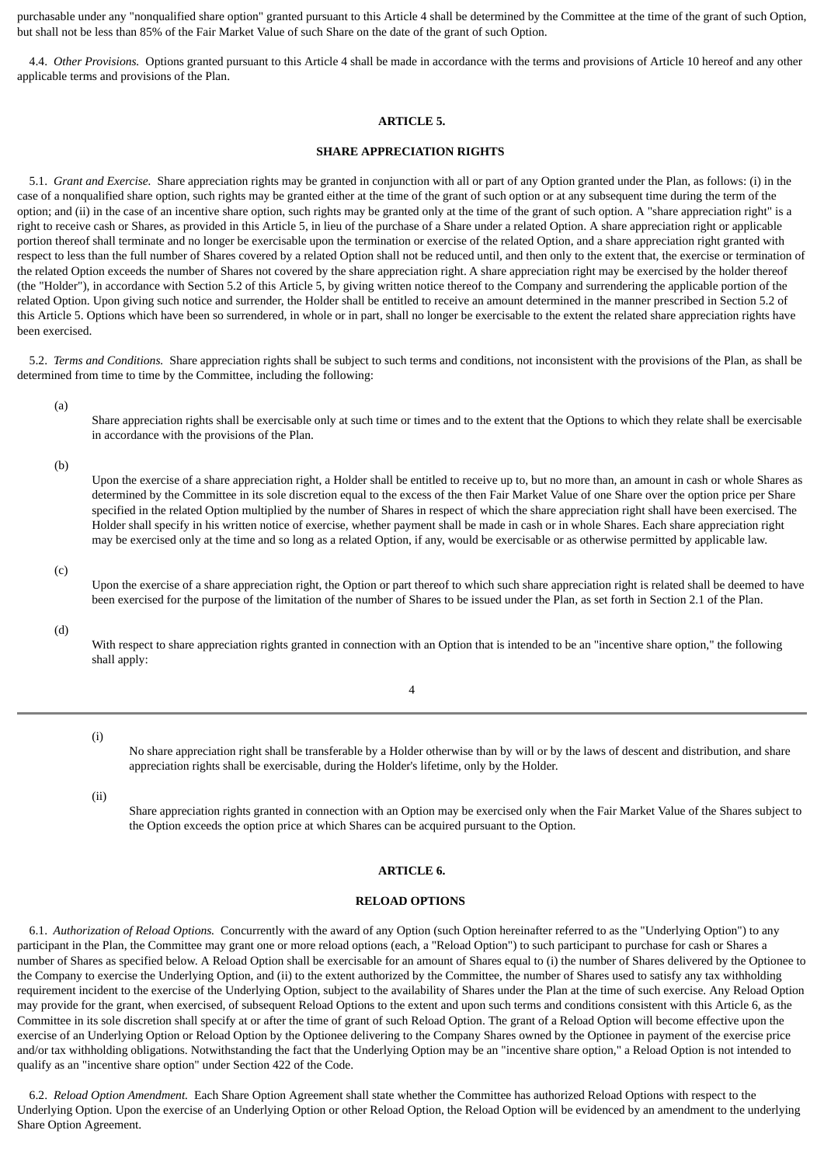purchasable under any "nonqualified share option" granted pursuant to this Article 4 shall be determined by the Committee at the time of the grant of such Option, but shall not be less than 85% of the Fair Market Value of such Share on the date of the grant of such Option.

<span id="page-47-0"></span> 4.4. *Other Provisions.* Options granted pursuant to this Article 4 shall be made in accordance with the terms and provisions of Article 10 hereof and any other applicable terms and provisions of the Plan.

### **ARTICLE 5.**

### **SHARE APPRECIATION RIGHTS**

 5.1. *Grant and Exercise.* Share appreciation rights may be granted in conjunction with all or part of any Option granted under the Plan, as follows: (i) in the case of a nonqualified share option, such rights may be granted either at the time of the grant of such option or at any subsequent time during the term of the option; and (ii) in the case of an incentive share option, such rights may be granted only at the time of the grant of such option. A "share appreciation right" is a right to receive cash or Shares, as provided in this Article 5, in lieu of the purchase of a Share under a related Option. A share appreciation right or applicable portion thereof shall terminate and no longer be exercisable upon the termination or exercise of the related Option, and a share appreciation right granted with respect to less than the full number of Shares covered by a related Option shall not be reduced until, and then only to the extent that, the exercise or termination of the related Option exceeds the number of Shares not covered by the share appreciation right. A share appreciation right may be exercised by the holder thereof (the "Holder"), in accordance with Section 5.2 of this Article 5, by giving written notice thereof to the Company and surrendering the applicable portion of the related Option. Upon giving such notice and surrender, the Holder shall be entitled to receive an amount determined in the manner prescribed in Section 5.2 of this Article 5. Options which have been so surrendered, in whole or in part, shall no longer be exercisable to the extent the related share appreciation rights have been exercised.

 5.2. *Terms and Conditions.* Share appreciation rights shall be subject to such terms and conditions, not inconsistent with the provisions of the Plan, as shall be determined from time to time by the Committee, including the following:

(a)

Share appreciation rights shall be exercisable only at such time or times and to the extent that the Options to which they relate shall be exercisable in accordance with the provisions of the Plan.

(b)

Upon the exercise of a share appreciation right, a Holder shall be entitled to receive up to, but no more than, an amount in cash or whole Shares as determined by the Committee in its sole discretion equal to the excess of the then Fair Market Value of one Share over the option price per Share specified in the related Option multiplied by the number of Shares in respect of which the share appreciation right shall have been exercised. The Holder shall specify in his written notice of exercise, whether payment shall be made in cash or in whole Shares. Each share appreciation right may be exercised only at the time and so long as a related Option, if any, would be exercisable or as otherwise permitted by applicable law.

(c)

Upon the exercise of a share appreciation right, the Option or part thereof to which such share appreciation right is related shall be deemed to have been exercised for the purpose of the limitation of the number of Shares to be issued under the Plan, as set forth in Section 2.1 of the Plan.

(d)

With respect to share appreciation rights granted in connection with an Option that is intended to be an "incentive share option," the following shall apply:

4

(i)

No share appreciation right shall be transferable by a Holder otherwise than by will or by the laws of descent and distribution, and share appreciation rights shall be exercisable, during the Holder's lifetime, only by the Holder.

(ii)

Share appreciation rights granted in connection with an Option may be exercised only when the Fair Market Value of the Shares subject to the Option exceeds the option price at which Shares can be acquired pursuant to the Option.

### **ARTICLE 6.**

### **RELOAD OPTIONS**

<span id="page-47-1"></span> 6.1. *Authorization of Reload Options.* Concurrently with the award of any Option (such Option hereinafter referred to as the "Underlying Option") to any participant in the Plan, the Committee may grant one or more reload options (each, a "Reload Option") to such participant to purchase for cash or Shares a number of Shares as specified below. A Reload Option shall be exercisable for an amount of Shares equal to (i) the number of Shares delivered by the Optionee to the Company to exercise the Underlying Option, and (ii) to the extent authorized by the Committee, the number of Shares used to satisfy any tax withholding requirement incident to the exercise of the Underlying Option, subject to the availability of Shares under the Plan at the time of such exercise. Any Reload Option may provide for the grant, when exercised, of subsequent Reload Options to the extent and upon such terms and conditions consistent with this Article 6, as the Committee in its sole discretion shall specify at or after the time of grant of such Reload Option. The grant of a Reload Option will become effective upon the exercise of an Underlying Option or Reload Option by the Optionee delivering to the Company Shares owned by the Optionee in payment of the exercise price and/or tax withholding obligations. Notwithstanding the fact that the Underlying Option may be an "incentive share option," a Reload Option is not intended to qualify as an "incentive share option" under Section 422 of the Code.

 6.2. *Reload Option Amendment.* Each Share Option Agreement shall state whether the Committee has authorized Reload Options with respect to the Underlying Option. Upon the exercise of an Underlying Option or other Reload Option, the Reload Option will be evidenced by an amendment to the underlying Share Option Agreement.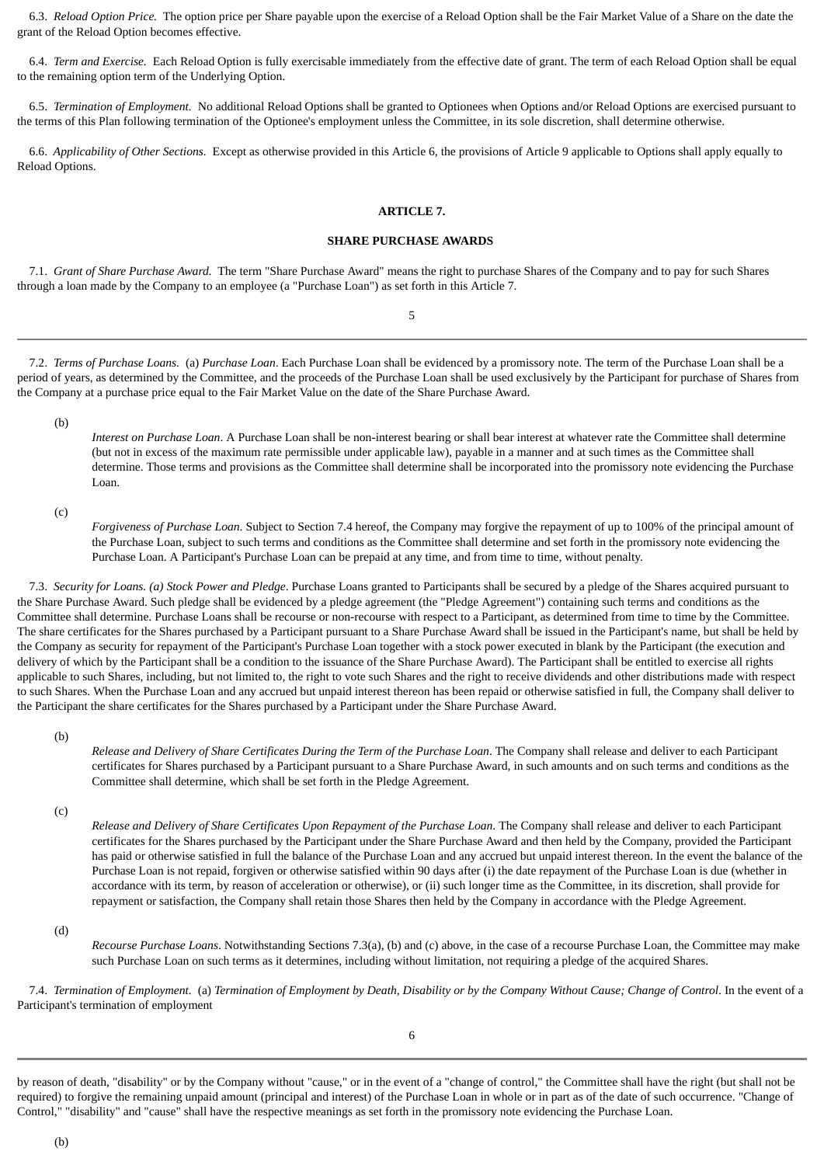6.3. *Reload Option Price.* The option price per Share payable upon the exercise of a Reload Option shall be the Fair Market Value of a Share on the date the grant of the Reload Option becomes effective.

 6.4. *Term and Exercise.* Each Reload Option is fully exercisable immediately from the effective date of grant. The term of each Reload Option shall be equal to the remaining option term of the Underlying Option.

 6.5. *Termination of Employment.* No additional Reload Options shall be granted to Optionees when Options and/or Reload Options are exercised pursuant to the terms of this Plan following termination of the Optionee's employment unless the Committee, in its sole discretion, shall determine otherwise.

<span id="page-48-0"></span> 6.6. *Applicability of Other Sections.* Except as otherwise provided in this Article 6, the provisions of Article 9 applicable to Options shall apply equally to Reload Options.

### **ARTICLE 7.**

### **SHARE PURCHASE AWARDS**

 7.1. *Grant of Share Purchase Award.* The term "Share Purchase Award" means the right to purchase Shares of the Company and to pay for such Shares through a loan made by the Company to an employee (a "Purchase Loan") as set forth in this Article 7.

5

 7.2. *Terms of Purchase Loans.* (a) *Purchase Loan*. Each Purchase Loan shall be evidenced by a promissory note. The term of the Purchase Loan shall be a period of years, as determined by the Committee, and the proceeds of the Purchase Loan shall be used exclusively by the Participant for purchase of Shares from the Company at a purchase price equal to the Fair Market Value on the date of the Share Purchase Award.

(b)

*Interest on Purchase Loan*. A Purchase Loan shall be non-interest bearing or shall bear interest at whatever rate the Committee shall determine (but not in excess of the maximum rate permissible under applicable law), payable in a manner and at such times as the Committee shall determine. Those terms and provisions as the Committee shall determine shall be incorporated into the promissory note evidencing the Purchase Loan.

(c)

*Forgiveness of Purchase Loan*. Subject to Section 7.4 hereof, the Company may forgive the repayment of up to 100% of the principal amount of the Purchase Loan, subject to such terms and conditions as the Committee shall determine and set forth in the promissory note evidencing the Purchase Loan. A Participant's Purchase Loan can be prepaid at any time, and from time to time, without penalty.

 7.3. *Security for Loans. (a) Stock Power and Pledge*. Purchase Loans granted to Participants shall be secured by a pledge of the Shares acquired pursuant to the Share Purchase Award. Such pledge shall be evidenced by a pledge agreement (the "Pledge Agreement") containing such terms and conditions as the Committee shall determine. Purchase Loans shall be recourse or non-recourse with respect to a Participant, as determined from time to time by the Committee. The share certificates for the Shares purchased by a Participant pursuant to a Share Purchase Award shall be issued in the Participant's name, but shall be held by the Company as security for repayment of the Participant's Purchase Loan together with a stock power executed in blank by the Participant (the execution and delivery of which by the Participant shall be a condition to the issuance of the Share Purchase Award). The Participant shall be entitled to exercise all rights applicable to such Shares, including, but not limited to, the right to vote such Shares and the right to receive dividends and other distributions made with respect to such Shares. When the Purchase Loan and any accrued but unpaid interest thereon has been repaid or otherwise satisfied in full, the Company shall deliver to the Participant the share certificates for the Shares purchased by a Participant under the Share Purchase Award.

(b)

*Release and Delivery of Share Certificates During the Term of the Purchase Loan*. The Company shall release and deliver to each Participant certificates for Shares purchased by a Participant pursuant to a Share Purchase Award, in such amounts and on such terms and conditions as the Committee shall determine, which shall be set forth in the Pledge Agreement.

(c)

*Release and Delivery of Share Certificates Upon Repayment of the Purchase Loan*. The Company shall release and deliver to each Participant certificates for the Shares purchased by the Participant under the Share Purchase Award and then held by the Company, provided the Participant has paid or otherwise satisfied in full the balance of the Purchase Loan and any accrued but unpaid interest thereon. In the event the balance of the Purchase Loan is not repaid, forgiven or otherwise satisfied within 90 days after (i) the date repayment of the Purchase Loan is due (whether in accordance with its term, by reason of acceleration or otherwise), or (ii) such longer time as the Committee, in its discretion, shall provide for repayment or satisfaction, the Company shall retain those Shares then held by the Company in accordance with the Pledge Agreement.

(d)

*Recourse Purchase Loans*. Notwithstanding Sections 7.3(a), (b) and (c) above, in the case of a recourse Purchase Loan, the Committee may make such Purchase Loan on such terms as it determines, including without limitation, not requiring a pledge of the acquired Shares.

 7.4. *Termination of Employment.* (a) *Termination of Employment by Death, Disability or by the Company Without Cause; Change of Control*. In the event of a Participant's termination of employment

by reason of death, "disability" or by the Company without "cause," or in the event of a "change of control," the Committee shall have the right (but shall not be required) to forgive the remaining unpaid amount (principal and interest) of the Purchase Loan in whole or in part as of the date of such occurrence. "Change of Control," "disability" and "cause" shall have the respective meanings as set forth in the promissory note evidencing the Purchase Loan.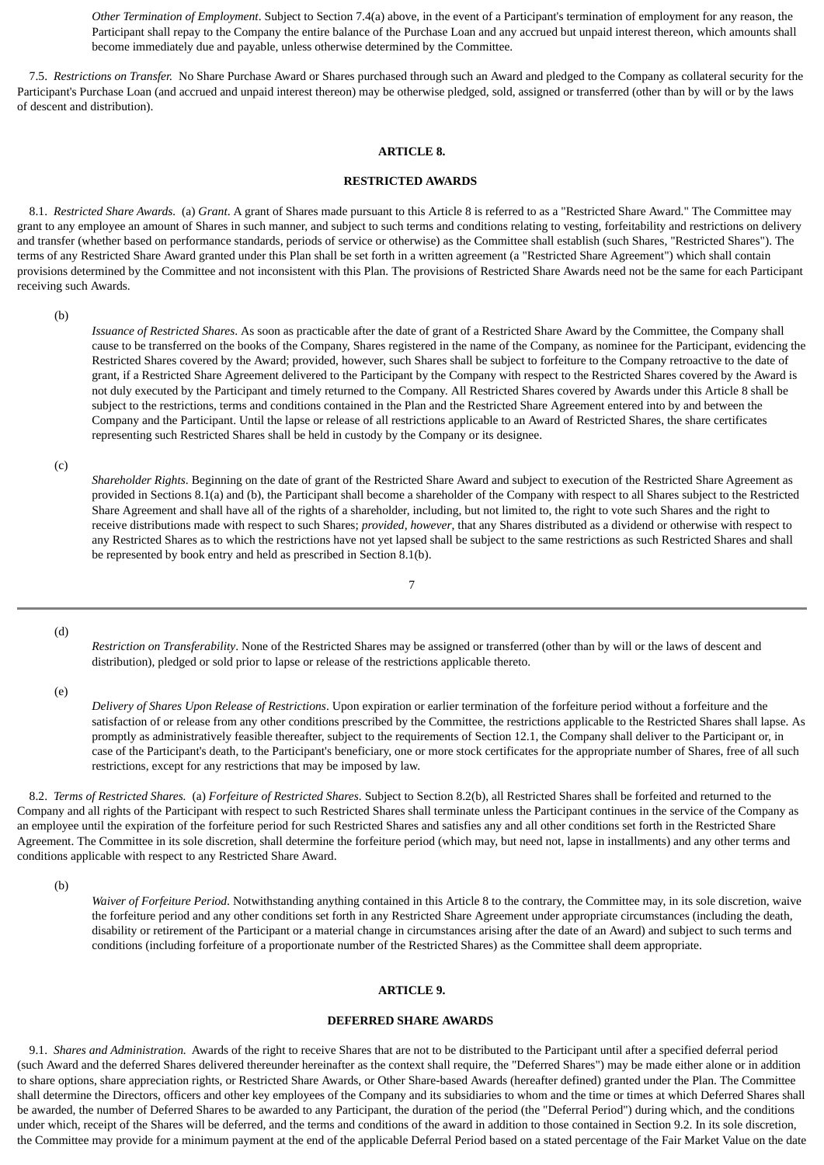*Other Termination of Employment*. Subject to Section 7.4(a) above, in the event of a Participant's termination of employment for any reason, the Participant shall repay to the Company the entire balance of the Purchase Loan and any accrued but unpaid interest thereon, which amounts shall become immediately due and payable, unless otherwise determined by the Committee.

<span id="page-49-0"></span> 7.5. *Restrictions on Transfer.* No Share Purchase Award or Shares purchased through such an Award and pledged to the Company as collateral security for the Participant's Purchase Loan (and accrued and unpaid interest thereon) may be otherwise pledged, sold, assigned or transferred (other than by will or by the laws of descent and distribution).

### **ARTICLE 8.**

#### **RESTRICTED AWARDS**

 8.1. *Restricted Share Awards.* (a) *Grant*. A grant of Shares made pursuant to this Article 8 is referred to as a "Restricted Share Award." The Committee may grant to any employee an amount of Shares in such manner, and subject to such terms and conditions relating to vesting, forfeitability and restrictions on delivery and transfer (whether based on performance standards, periods of service or otherwise) as the Committee shall establish (such Shares, "Restricted Shares"). The terms of any Restricted Share Award granted under this Plan shall be set forth in a written agreement (a "Restricted Share Agreement") which shall contain provisions determined by the Committee and not inconsistent with this Plan. The provisions of Restricted Share Awards need not be the same for each Participant receiving such Awards.

(b)

*Issuance of Restricted Shares*. As soon as practicable after the date of grant of a Restricted Share Award by the Committee, the Company shall cause to be transferred on the books of the Company, Shares registered in the name of the Company, as nominee for the Participant, evidencing the Restricted Shares covered by the Award; provided, however, such Shares shall be subject to forfeiture to the Company retroactive to the date of grant, if a Restricted Share Agreement delivered to the Participant by the Company with respect to the Restricted Shares covered by the Award is not duly executed by the Participant and timely returned to the Company. All Restricted Shares covered by Awards under this Article 8 shall be subject to the restrictions, terms and conditions contained in the Plan and the Restricted Share Agreement entered into by and between the Company and the Participant. Until the lapse or release of all restrictions applicable to an Award of Restricted Shares, the share certificates representing such Restricted Shares shall be held in custody by the Company or its designee.

(c)

*Shareholder Rights*. Beginning on the date of grant of the Restricted Share Award and subject to execution of the Restricted Share Agreement as provided in Sections 8.1(a) and (b), the Participant shall become a shareholder of the Company with respect to all Shares subject to the Restricted Share Agreement and shall have all of the rights of a shareholder, including, but not limited to, the right to vote such Shares and the right to receive distributions made with respect to such Shares; *provided, however*, that any Shares distributed as a dividend or otherwise with respect to any Restricted Shares as to which the restrictions have not yet lapsed shall be subject to the same restrictions as such Restricted Shares and shall be represented by book entry and held as prescribed in Section 8.1(b).

7

(d)

*Restriction on Transferability*. None of the Restricted Shares may be assigned or transferred (other than by will or the laws of descent and distribution), pledged or sold prior to lapse or release of the restrictions applicable thereto.

(e)

*Delivery of Shares Upon Release of Restrictions*. Upon expiration or earlier termination of the forfeiture period without a forfeiture and the satisfaction of or release from any other conditions prescribed by the Committee, the restrictions applicable to the Restricted Shares shall lapse. As promptly as administratively feasible thereafter, subject to the requirements of Section 12.1, the Company shall deliver to the Participant or, in case of the Participant's death, to the Participant's beneficiary, one or more stock certificates for the appropriate number of Shares, free of all such restrictions, except for any restrictions that may be imposed by law.

 8.2. *Terms of Restricted Shares.* (a) *Forfeiture of Restricted Shares*. Subject to Section 8.2(b), all Restricted Shares shall be forfeited and returned to the Company and all rights of the Participant with respect to such Restricted Shares shall terminate unless the Participant continues in the service of the Company as an employee until the expiration of the forfeiture period for such Restricted Shares and satisfies any and all other conditions set forth in the Restricted Share Agreement. The Committee in its sole discretion, shall determine the forfeiture period (which may, but need not, lapse in installments) and any other terms and conditions applicable with respect to any Restricted Share Award.

(b)

*Waiver of Forfeiture Period*. Notwithstanding anything contained in this Article 8 to the contrary, the Committee may, in its sole discretion, waive the forfeiture period and any other conditions set forth in any Restricted Share Agreement under appropriate circumstances (including the death, disability or retirement of the Participant or a material change in circumstances arising after the date of an Award) and subject to such terms and conditions (including forfeiture of a proportionate number of the Restricted Shares) as the Committee shall deem appropriate.

### **ARTICLE 9.**

### **DEFERRED SHARE AWARDS**

<span id="page-49-1"></span> 9.1. *Shares and Administration.* Awards of the right to receive Shares that are not to be distributed to the Participant until after a specified deferral period (such Award and the deferred Shares delivered thereunder hereinafter as the context shall require, the "Deferred Shares") may be made either alone or in addition to share options, share appreciation rights, or Restricted Share Awards, or Other Share-based Awards (hereafter defined) granted under the Plan. The Committee shall determine the Directors, officers and other key employees of the Company and its subsidiaries to whom and the time or times at which Deferred Shares shall be awarded, the number of Deferred Shares to be awarded to any Participant, the duration of the period (the "Deferral Period") during which, and the conditions under which, receipt of the Shares will be deferred, and the terms and conditions of the award in addition to those contained in Section 9.2. In its sole discretion, the Committee may provide for a minimum payment at the end of the applicable Deferral Period based on a stated percentage of the Fair Market Value on the date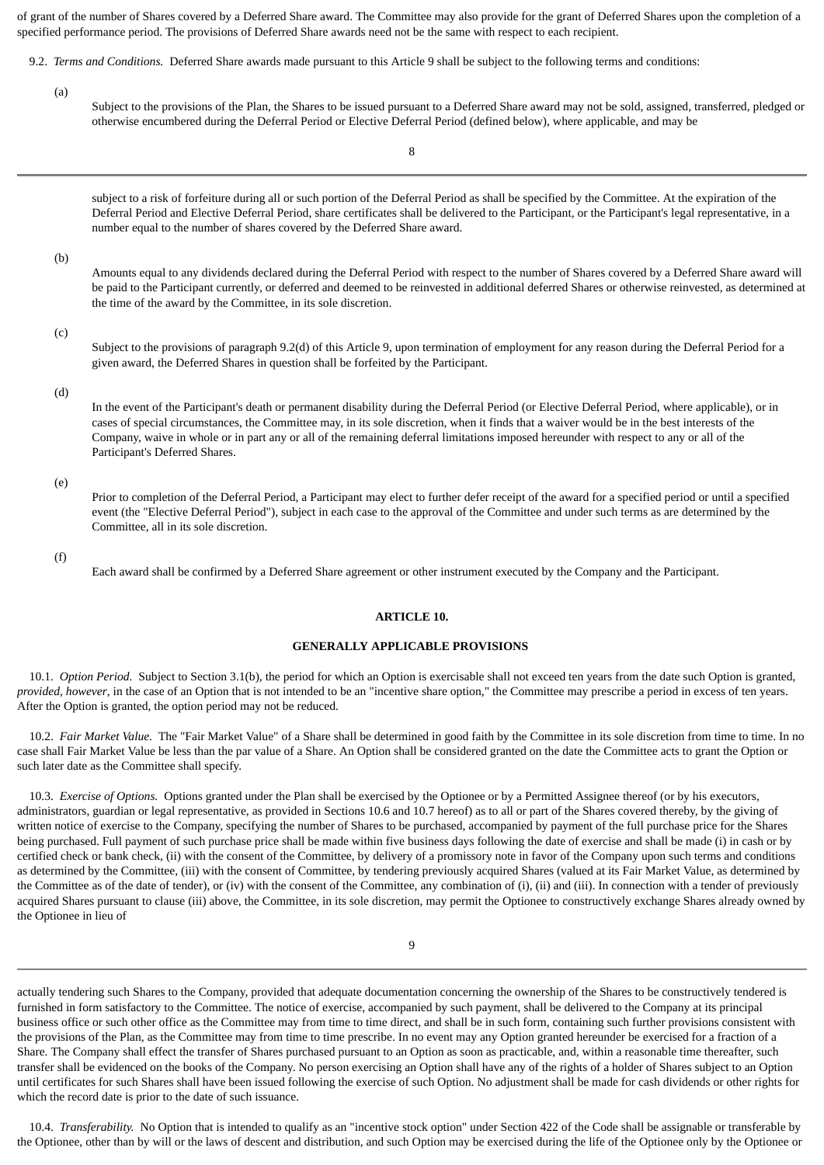of grant of the number of Shares covered by a Deferred Share award. The Committee may also provide for the grant of Deferred Shares upon the completion of a specified performance period. The provisions of Deferred Share awards need not be the same with respect to each recipient.

- 9.2. *Terms and Conditions.* Deferred Share awards made pursuant to this Article 9 shall be subject to the following terms and conditions:
	- (a)

Subject to the provisions of the Plan, the Shares to be issued pursuant to a Deferred Share award may not be sold, assigned, transferred, pledged or otherwise encumbered during the Deferral Period or Elective Deferral Period (defined below), where applicable, and may be

8

subject to a risk of forfeiture during all or such portion of the Deferral Period as shall be specified by the Committee. At the expiration of the Deferral Period and Elective Deferral Period, share certificates shall be delivered to the Participant, or the Participant's legal representative, in a number equal to the number of shares covered by the Deferred Share award.

(b)

Amounts equal to any dividends declared during the Deferral Period with respect to the number of Shares covered by a Deferred Share award will be paid to the Participant currently, or deferred and deemed to be reinvested in additional deferred Shares or otherwise reinvested, as determined at the time of the award by the Committee, in its sole discretion.

(c)

Subject to the provisions of paragraph 9.2(d) of this Article 9, upon termination of employment for any reason during the Deferral Period for a given award, the Deferred Shares in question shall be forfeited by the Participant.

### (d)

In the event of the Participant's death or permanent disability during the Deferral Period (or Elective Deferral Period, where applicable), or in cases of special circumstances, the Committee may, in its sole discretion, when it finds that a waiver would be in the best interests of the Company, waive in whole or in part any or all of the remaining deferral limitations imposed hereunder with respect to any or all of the Participant's Deferred Shares.

(e)

Prior to completion of the Deferral Period, a Participant may elect to further defer receipt of the award for a specified period or until a specified event (the "Elective Deferral Period"), subject in each case to the approval of the Committee and under such terms as are determined by the Committee, all in its sole discretion.

<span id="page-50-0"></span>(f)

Each award shall be confirmed by a Deferred Share agreement or other instrument executed by the Company and the Participant.

### **ARTICLE 10.**

### **GENERALLY APPLICABLE PROVISIONS**

 10.1. *Option Period.* Subject to Section 3.1(b), the period for which an Option is exercisable shall not exceed ten years from the date such Option is granted, *provided, however*, in the case of an Option that is not intended to be an "incentive share option," the Committee may prescribe a period in excess of ten years. After the Option is granted, the option period may not be reduced.

 10.2. *Fair Market Value.* The "Fair Market Value" of a Share shall be determined in good faith by the Committee in its sole discretion from time to time. In no case shall Fair Market Value be less than the par value of a Share. An Option shall be considered granted on the date the Committee acts to grant the Option or such later date as the Committee shall specify.

 10.3. *Exercise of Options.* Options granted under the Plan shall be exercised by the Optionee or by a Permitted Assignee thereof (or by his executors, administrators, guardian or legal representative, as provided in Sections 10.6 and 10.7 hereof) as to all or part of the Shares covered thereby, by the giving of written notice of exercise to the Company, specifying the number of Shares to be purchased, accompanied by payment of the full purchase price for the Shares being purchased. Full payment of such purchase price shall be made within five business days following the date of exercise and shall be made (i) in cash or by certified check or bank check, (ii) with the consent of the Committee, by delivery of a promissory note in favor of the Company upon such terms and conditions as determined by the Committee, (iii) with the consent of Committee, by tendering previously acquired Shares (valued at its Fair Market Value, as determined by the Committee as of the date of tender), or (iv) with the consent of the Committee, any combination of (i), (ii) and (iii). In connection with a tender of previously acquired Shares pursuant to clause (iii) above, the Committee, in its sole discretion, may permit the Optionee to constructively exchange Shares already owned by the Optionee in lieu of

actually tendering such Shares to the Company, provided that adequate documentation concerning the ownership of the Shares to be constructively tendered is furnished in form satisfactory to the Committee. The notice of exercise, accompanied by such payment, shall be delivered to the Company at its principal business office or such other office as the Committee may from time to time direct, and shall be in such form, containing such further provisions consistent with the provisions of the Plan, as the Committee may from time to time prescribe. In no event may any Option granted hereunder be exercised for a fraction of a Share. The Company shall effect the transfer of Shares purchased pursuant to an Option as soon as practicable, and, within a reasonable time thereafter, such transfer shall be evidenced on the books of the Company. No person exercising an Option shall have any of the rights of a holder of Shares subject to an Option until certificates for such Shares shall have been issued following the exercise of such Option. No adjustment shall be made for cash dividends or other rights for which the record date is prior to the date of such issuance.

 10.4. *Transferability.* No Option that is intended to qualify as an "incentive stock option" under Section 422 of the Code shall be assignable or transferable by the Optionee, other than by will or the laws of descent and distribution, and such Option may be exercised during the life of the Optionee only by the Optionee or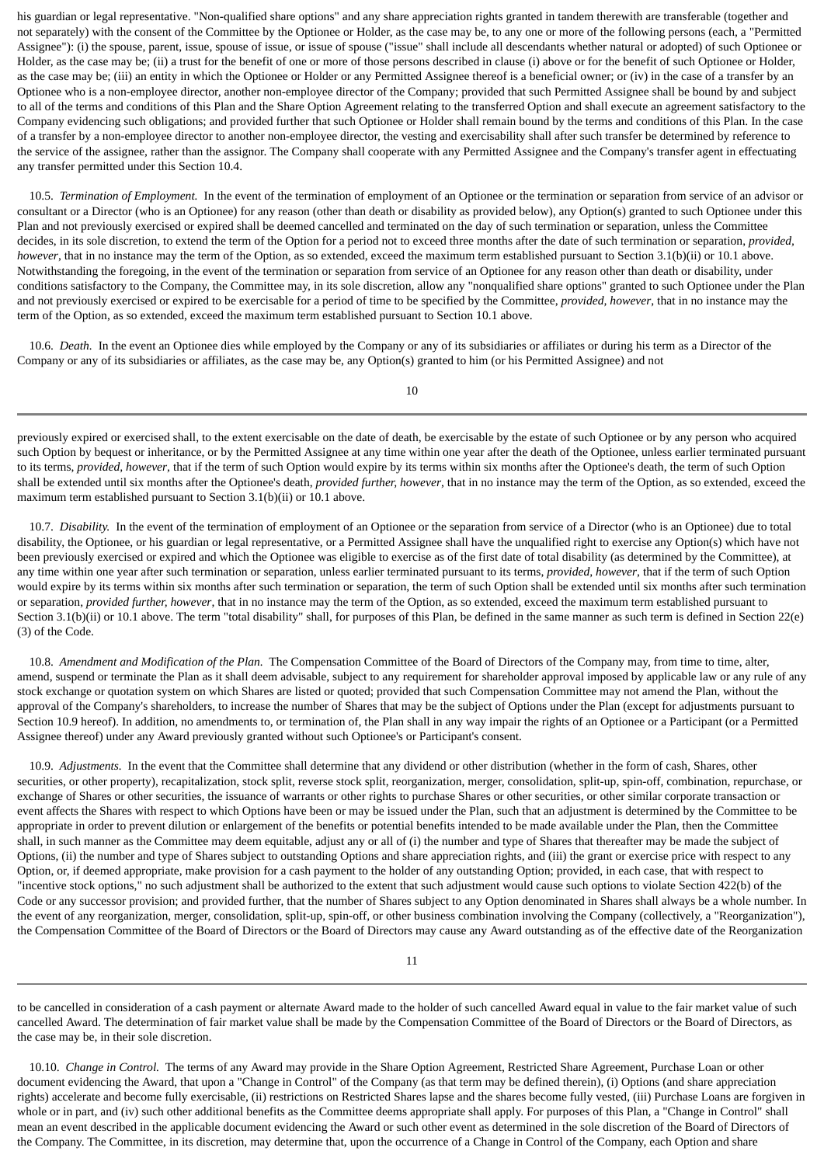his guardian or legal representative. "Non-qualified share options" and any share appreciation rights granted in tandem therewith are transferable (together and not separately) with the consent of the Committee by the Optionee or Holder, as the case may be, to any one or more of the following persons (each, a "Permitted Assignee"): (i) the spouse, parent, issue, spouse of issue, or issue of spouse ("issue" shall include all descendants whether natural or adopted) of such Optionee or Holder, as the case may be; (ii) a trust for the benefit of one or more of those persons described in clause (i) above or for the benefit of such Optionee or Holder, as the case may be; (iii) an entity in which the Optionee or Holder or any Permitted Assignee thereof is a beneficial owner; or (iv) in the case of a transfer by an Optionee who is a non-employee director, another non-employee director of the Company; provided that such Permitted Assignee shall be bound by and subject to all of the terms and conditions of this Plan and the Share Option Agreement relating to the transferred Option and shall execute an agreement satisfactory to the Company evidencing such obligations; and provided further that such Optionee or Holder shall remain bound by the terms and conditions of this Plan. In the case of a transfer by a non-employee director to another non-employee director, the vesting and exercisability shall after such transfer be determined by reference to the service of the assignee, rather than the assignor. The Company shall cooperate with any Permitted Assignee and the Company's transfer agent in effectuating any transfer permitted under this Section 10.4.

 10.5. *Termination of Employment.* In the event of the termination of employment of an Optionee or the termination or separation from service of an advisor or consultant or a Director (who is an Optionee) for any reason (other than death or disability as provided below), any Option(s) granted to such Optionee under this Plan and not previously exercised or expired shall be deemed cancelled and terminated on the day of such termination or separation, unless the Committee decides, in its sole discretion, to extend the term of the Option for a period not to exceed three months after the date of such termination or separation, *provided, however*, that in no instance may the term of the Option, as so extended, exceed the maximum term established pursuant to Section 3.1(b)(ii) or 10.1 above. Notwithstanding the foregoing, in the event of the termination or separation from service of an Optionee for any reason other than death or disability, under conditions satisfactory to the Company, the Committee may, in its sole discretion, allow any "nonqualified share options" granted to such Optionee under the Plan and not previously exercised or expired to be exercisable for a period of time to be specified by the Committee, *provided, however*, that in no instance may the term of the Option, as so extended, exceed the maximum term established pursuant to Section 10.1 above.

 10.6. *Death.* In the event an Optionee dies while employed by the Company or any of its subsidiaries or affiliates or during his term as a Director of the Company or any of its subsidiaries or affiliates, as the case may be, any Option(s) granted to him (or his Permitted Assignee) and not

previously expired or exercised shall, to the extent exercisable on the date of death, be exercisable by the estate of such Optionee or by any person who acquired such Option by bequest or inheritance, or by the Permitted Assignee at any time within one year after the death of the Optionee, unless earlier terminated pursuant to its terms, *provided, however*, that if the term of such Option would expire by its terms within six months after the Optionee's death, the term of such Option shall be extended until six months after the Optionee's death, *provided further, however*, that in no instance may the term of the Option, as so extended, exceed the maximum term established pursuant to Section 3.1(b)(ii) or 10.1 above.

 10.7. *Disability.* In the event of the termination of employment of an Optionee or the separation from service of a Director (who is an Optionee) due to total disability, the Optionee, or his guardian or legal representative, or a Permitted Assignee shall have the unqualified right to exercise any Option(s) which have not been previously exercised or expired and which the Optionee was eligible to exercise as of the first date of total disability (as determined by the Committee), at any time within one year after such termination or separation, unless earlier terminated pursuant to its terms, *provided, however*, that if the term of such Option would expire by its terms within six months after such termination or separation, the term of such Option shall be extended until six months after such termination or separation, *provided further, however*, that in no instance may the term of the Option, as so extended, exceed the maximum term established pursuant to Section 3.1(b)(ii) or 10.1 above. The term "total disability" shall, for purposes of this Plan, be defined in the same manner as such term is defined in Section 22(e) (3) of the Code.

 10.8. *Amendment and Modification of the Plan.* The Compensation Committee of the Board of Directors of the Company may, from time to time, alter, amend, suspend or terminate the Plan as it shall deem advisable, subject to any requirement for shareholder approval imposed by applicable law or any rule of any stock exchange or quotation system on which Shares are listed or quoted; provided that such Compensation Committee may not amend the Plan, without the approval of the Company's shareholders, to increase the number of Shares that may be the subject of Options under the Plan (except for adjustments pursuant to Section 10.9 hereof). In addition, no amendments to, or termination of, the Plan shall in any way impair the rights of an Optionee or a Participant (or a Permitted Assignee thereof) under any Award previously granted without such Optionee's or Participant's consent.

 10.9. *Adjustments.* In the event that the Committee shall determine that any dividend or other distribution (whether in the form of cash, Shares, other securities, or other property), recapitalization, stock split, reverse stock split, reorganization, merger, consolidation, split-up, spin-off, combination, repurchase, or exchange of Shares or other securities, the issuance of warrants or other rights to purchase Shares or other securities, or other similar corporate transaction or event affects the Shares with respect to which Options have been or may be issued under the Plan, such that an adjustment is determined by the Committee to be appropriate in order to prevent dilution or enlargement of the benefits or potential benefits intended to be made available under the Plan, then the Committee shall, in such manner as the Committee may deem equitable, adjust any or all of (i) the number and type of Shares that thereafter may be made the subject of Options, (ii) the number and type of Shares subject to outstanding Options and share appreciation rights, and (iii) the grant or exercise price with respect to any Option, or, if deemed appropriate, make provision for a cash payment to the holder of any outstanding Option; provided, in each case, that with respect to "incentive stock options," no such adjustment shall be authorized to the extent that such adjustment would cause such options to violate Section 422(b) of the Code or any successor provision; and provided further, that the number of Shares subject to any Option denominated in Shares shall always be a whole number. In the event of any reorganization, merger, consolidation, split-up, spin-off, or other business combination involving the Company (collectively, a "Reorganization"), the Compensation Committee of the Board of Directors or the Board of Directors may cause any Award outstanding as of the effective date of the Reorganization

to be cancelled in consideration of a cash payment or alternate Award made to the holder of such cancelled Award equal in value to the fair market value of such cancelled Award. The determination of fair market value shall be made by the Compensation Committee of the Board of Directors or the Board of Directors, as the case may be, in their sole discretion.

 10.10. *Change in Control.* The terms of any Award may provide in the Share Option Agreement, Restricted Share Agreement, Purchase Loan or other document evidencing the Award, that upon a "Change in Control" of the Company (as that term may be defined therein), (i) Options (and share appreciation rights) accelerate and become fully exercisable, (ii) restrictions on Restricted Shares lapse and the shares become fully vested, (iii) Purchase Loans are forgiven in whole or in part, and (iv) such other additional benefits as the Committee deems appropriate shall apply. For purposes of this Plan, a "Change in Control" shall mean an event described in the applicable document evidencing the Award or such other event as determined in the sole discretion of the Board of Directors of the Company. The Committee, in its discretion, may determine that, upon the occurrence of a Change in Control of the Company, each Option and share

10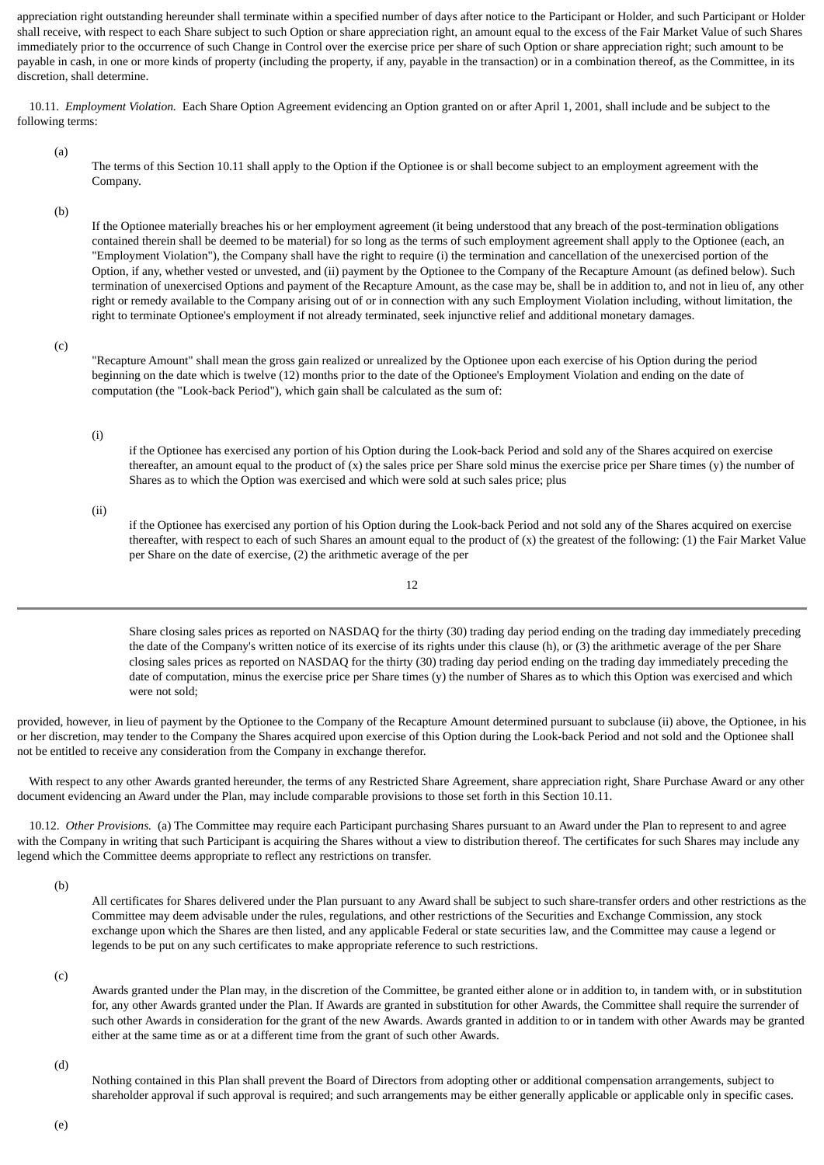appreciation right outstanding hereunder shall terminate within a specified number of days after notice to the Participant or Holder, and such Participant or Holder shall receive, with respect to each Share subject to such Option or share appreciation right, an amount equal to the excess of the Fair Market Value of such Shares immediately prior to the occurrence of such Change in Control over the exercise price per share of such Option or share appreciation right; such amount to be payable in cash, in one or more kinds of property (including the property, if any, payable in the transaction) or in a combination thereof, as the Committee, in its discretion, shall determine.

 10.11. *Employment Violation.* Each Share Option Agreement evidencing an Option granted on or after April 1, 2001, shall include and be subject to the following terms:

(a)

The terms of this Section 10.11 shall apply to the Option if the Optionee is or shall become subject to an employment agreement with the Company.

(b)

If the Optionee materially breaches his or her employment agreement (it being understood that any breach of the post-termination obligations contained therein shall be deemed to be material) for so long as the terms of such employment agreement shall apply to the Optionee (each, an "Employment Violation"), the Company shall have the right to require (i) the termination and cancellation of the unexercised portion of the Option, if any, whether vested or unvested, and (ii) payment by the Optionee to the Company of the Recapture Amount (as defined below). Such termination of unexercised Options and payment of the Recapture Amount, as the case may be, shall be in addition to, and not in lieu of, any other right or remedy available to the Company arising out of or in connection with any such Employment Violation including, without limitation, the right to terminate Optionee's employment if not already terminated, seek injunctive relief and additional monetary damages.

(c)

"Recapture Amount" shall mean the gross gain realized or unrealized by the Optionee upon each exercise of his Option during the period beginning on the date which is twelve (12) months prior to the date of the Optionee's Employment Violation and ending on the date of computation (the "Look-back Period"), which gain shall be calculated as the sum of:

### (i)

if the Optionee has exercised any portion of his Option during the Look-back Period and sold any of the Shares acquired on exercise thereafter, an amount equal to the product of  $(x)$  the sales price per Share sold minus the exercise price per Share times  $(y)$  the number of Shares as to which the Option was exercised and which were sold at such sales price; plus

(ii)

if the Optionee has exercised any portion of his Option during the Look-back Period and not sold any of the Shares acquired on exercise thereafter, with respect to each of such Shares an amount equal to the product of (x) the greatest of the following: (1) the Fair Market Value per Share on the date of exercise, (2) the arithmetic average of the per

12

Share closing sales prices as reported on NASDAQ for the thirty (30) trading day period ending on the trading day immediately preceding the date of the Company's written notice of its exercise of its rights under this clause (h), or (3) the arithmetic average of the per Share closing sales prices as reported on NASDAQ for the thirty (30) trading day period ending on the trading day immediately preceding the date of computation, minus the exercise price per Share times (y) the number of Shares as to which this Option was exercised and which were not sold;

provided, however, in lieu of payment by the Optionee to the Company of the Recapture Amount determined pursuant to subclause (ii) above, the Optionee, in his or her discretion, may tender to the Company the Shares acquired upon exercise of this Option during the Look-back Period and not sold and the Optionee shall not be entitled to receive any consideration from the Company in exchange therefor.

 With respect to any other Awards granted hereunder, the terms of any Restricted Share Agreement, share appreciation right, Share Purchase Award or any other document evidencing an Award under the Plan, may include comparable provisions to those set forth in this Section 10.11.

 10.12. *Other Provisions.* (a) The Committee may require each Participant purchasing Shares pursuant to an Award under the Plan to represent to and agree with the Company in writing that such Participant is acquiring the Shares without a view to distribution thereof. The certificates for such Shares may include any legend which the Committee deems appropriate to reflect any restrictions on transfer.

(b)

All certificates for Shares delivered under the Plan pursuant to any Award shall be subject to such share-transfer orders and other restrictions as the Committee may deem advisable under the rules, regulations, and other restrictions of the Securities and Exchange Commission, any stock exchange upon which the Shares are then listed, and any applicable Federal or state securities law, and the Committee may cause a legend or legends to be put on any such certificates to make appropriate reference to such restrictions.

(c)

Awards granted under the Plan may, in the discretion of the Committee, be granted either alone or in addition to, in tandem with, or in substitution for, any other Awards granted under the Plan. If Awards are granted in substitution for other Awards, the Committee shall require the surrender of such other Awards in consideration for the grant of the new Awards. Awards granted in addition to or in tandem with other Awards may be granted either at the same time as or at a different time from the grant of such other Awards.

(d)

Nothing contained in this Plan shall prevent the Board of Directors from adopting other or additional compensation arrangements, subject to shareholder approval if such approval is required; and such arrangements may be either generally applicable or applicable only in specific cases.

(e)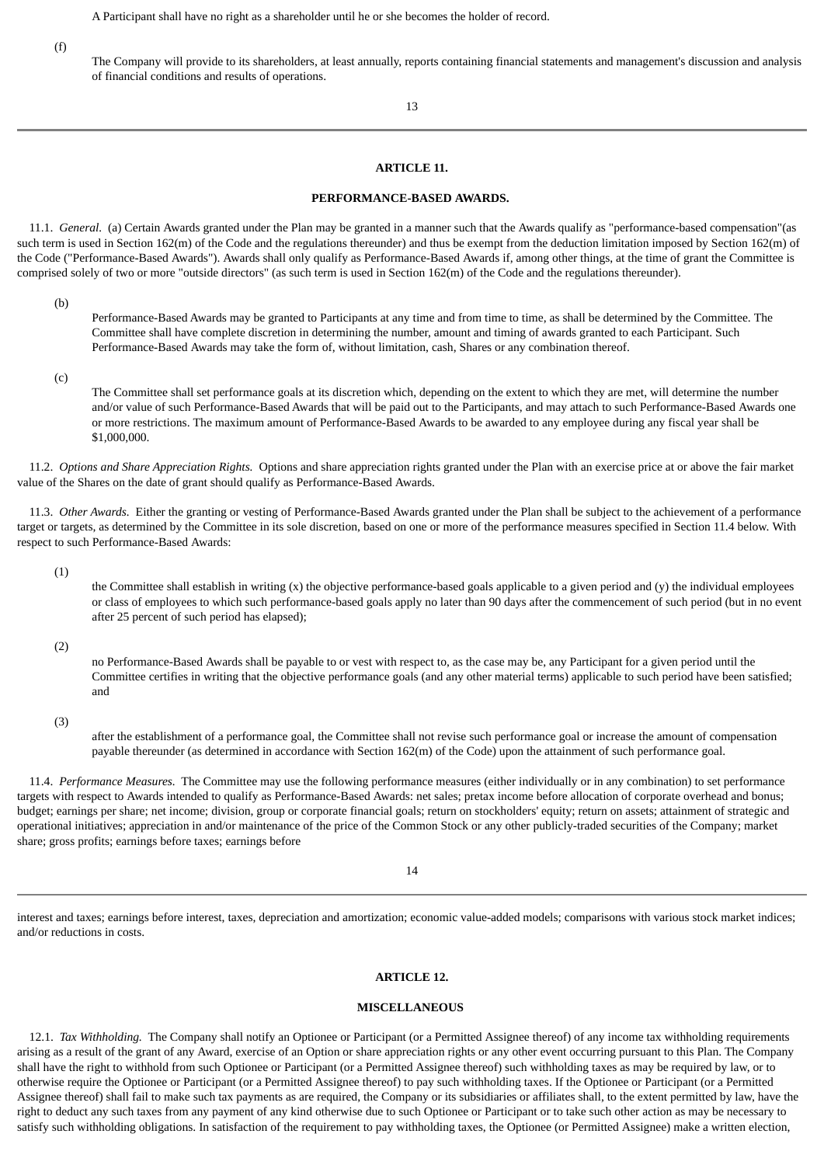A Participant shall have no right as a shareholder until he or she becomes the holder of record.

(f)

The Company will provide to its shareholders, at least annually, reports containing financial statements and management's discussion and analysis of financial conditions and results of operations.

13

### **ARTICLE 11.**

### **PERFORMANCE-BASED AWARDS.**

<span id="page-53-0"></span> 11.1. *General.* (a) Certain Awards granted under the Plan may be granted in a manner such that the Awards qualify as "performance-based compensation"(as such term is used in Section 162(m) of the Code and the regulations thereunder) and thus be exempt from the deduction limitation imposed by Section 162(m) of the Code ("Performance-Based Awards"). Awards shall only qualify as Performance-Based Awards if, among other things, at the time of grant the Committee is comprised solely of two or more "outside directors" (as such term is used in Section 162(m) of the Code and the regulations thereunder).

(b)

Performance-Based Awards may be granted to Participants at any time and from time to time, as shall be determined by the Committee. The Committee shall have complete discretion in determining the number, amount and timing of awards granted to each Participant. Such Performance-Based Awards may take the form of, without limitation, cash, Shares or any combination thereof.

(c)

The Committee shall set performance goals at its discretion which, depending on the extent to which they are met, will determine the number and/or value of such Performance-Based Awards that will be paid out to the Participants, and may attach to such Performance-Based Awards one or more restrictions. The maximum amount of Performance-Based Awards to be awarded to any employee during any fiscal year shall be \$1,000,000.

 11.2. *Options and Share Appreciation Rights.* Options and share appreciation rights granted under the Plan with an exercise price at or above the fair market value of the Shares on the date of grant should qualify as Performance-Based Awards.

 11.3. *Other Awards.* Either the granting or vesting of Performance-Based Awards granted under the Plan shall be subject to the achievement of a performance target or targets, as determined by the Committee in its sole discretion, based on one or more of the performance measures specified in Section 11.4 below. With respect to such Performance-Based Awards:

(1)

the Committee shall establish in writing  $(x)$  the objective performance-based goals applicable to a given period and  $(y)$  the individual employees or class of employees to which such performance-based goals apply no later than 90 days after the commencement of such period (but in no event after 25 percent of such period has elapsed);

(2)

no Performance-Based Awards shall be payable to or vest with respect to, as the case may be, any Participant for a given period until the Committee certifies in writing that the objective performance goals (and any other material terms) applicable to such period have been satisfied; and

(3)

after the establishment of a performance goal, the Committee shall not revise such performance goal or increase the amount of compensation payable thereunder (as determined in accordance with Section 162(m) of the Code) upon the attainment of such performance goal.

 11.4. *Performance Measures.* The Committee may use the following performance measures (either individually or in any combination) to set performance targets with respect to Awards intended to qualify as Performance-Based Awards: net sales; pretax income before allocation of corporate overhead and bonus; budget; earnings per share; net income; division, group or corporate financial goals; return on stockholders' equity; return on assets; attainment of strategic and operational initiatives; appreciation in and/or maintenance of the price of the Common Stock or any other publicly-traded securities of the Company; market share; gross profits; earnings before taxes; earnings before

14

<span id="page-53-1"></span>interest and taxes; earnings before interest, taxes, depreciation and amortization; economic value-added models; comparisons with various stock market indices; and/or reductions in costs.

### **ARTICLE 12.**

### **MISCELLANEOUS**

 12.1. *Tax Withholding.* The Company shall notify an Optionee or Participant (or a Permitted Assignee thereof) of any income tax withholding requirements arising as a result of the grant of any Award, exercise of an Option or share appreciation rights or any other event occurring pursuant to this Plan. The Company shall have the right to withhold from such Optionee or Participant (or a Permitted Assignee thereof) such withholding taxes as may be required by law, or to otherwise require the Optionee or Participant (or a Permitted Assignee thereof) to pay such withholding taxes. If the Optionee or Participant (or a Permitted Assignee thereof) shall fail to make such tax payments as are required, the Company or its subsidiaries or affiliates shall, to the extent permitted by law, have the right to deduct any such taxes from any payment of any kind otherwise due to such Optionee or Participant or to take such other action as may be necessary to satisfy such withholding obligations. In satisfaction of the requirement to pay withholding taxes, the Optionee (or Permitted Assignee) make a written election,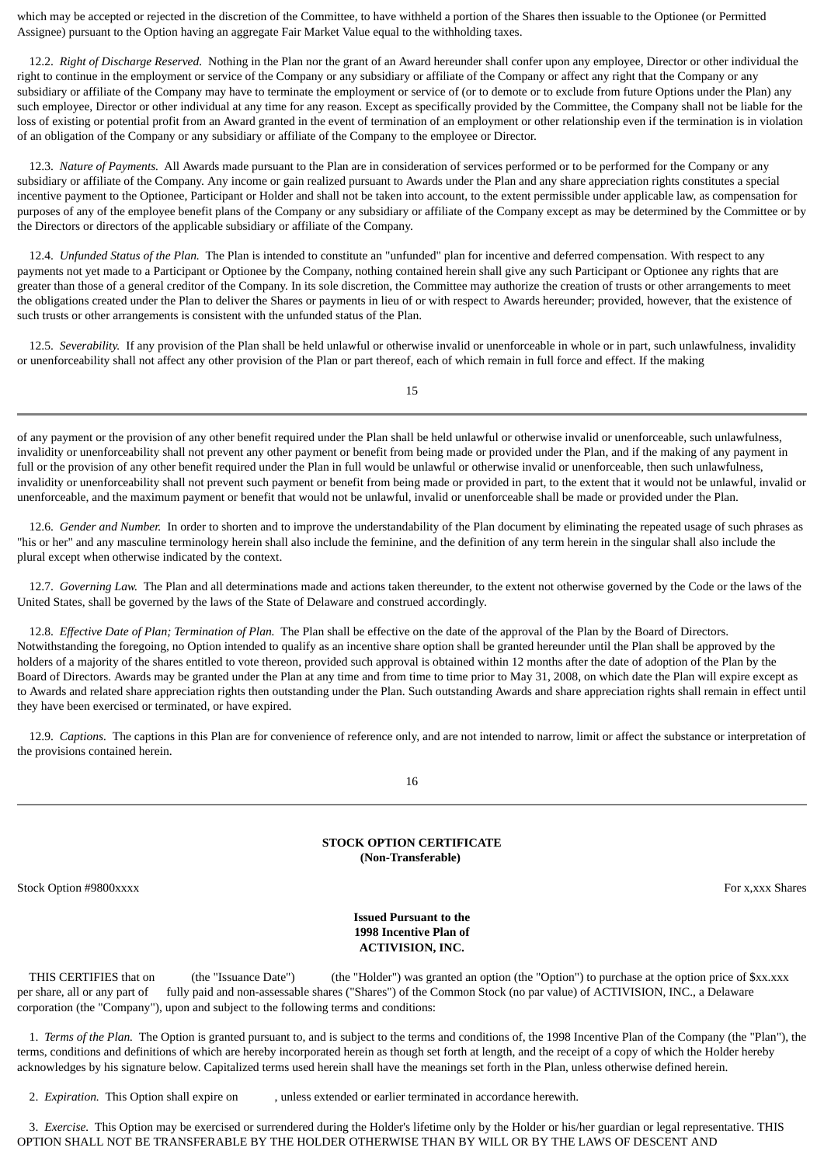which may be accepted or rejected in the discretion of the Committee, to have withheld a portion of the Shares then issuable to the Optionee (or Permitted Assignee) pursuant to the Option having an aggregate Fair Market Value equal to the withholding taxes.

 12.2. *Right of Discharge Reserved.* Nothing in the Plan nor the grant of an Award hereunder shall confer upon any employee, Director or other individual the right to continue in the employment or service of the Company or any subsidiary or affiliate of the Company or affect any right that the Company or any subsidiary or affiliate of the Company may have to terminate the employment or service of (or to demote or to exclude from future Options under the Plan) any such employee, Director or other individual at any time for any reason. Except as specifically provided by the Committee, the Company shall not be liable for the loss of existing or potential profit from an Award granted in the event of termination of an employment or other relationship even if the termination is in violation of an obligation of the Company or any subsidiary or affiliate of the Company to the employee or Director.

 12.3. *Nature of Payments.* All Awards made pursuant to the Plan are in consideration of services performed or to be performed for the Company or any subsidiary or affiliate of the Company. Any income or gain realized pursuant to Awards under the Plan and any share appreciation rights constitutes a special incentive payment to the Optionee, Participant or Holder and shall not be taken into account, to the extent permissible under applicable law, as compensation for purposes of any of the employee benefit plans of the Company or any subsidiary or affiliate of the Company except as may be determined by the Committee or by the Directors or directors of the applicable subsidiary or affiliate of the Company.

 12.4. *Unfunded Status of the Plan.* The Plan is intended to constitute an "unfunded" plan for incentive and deferred compensation. With respect to any payments not yet made to a Participant or Optionee by the Company, nothing contained herein shall give any such Participant or Optionee any rights that are greater than those of a general creditor of the Company. In its sole discretion, the Committee may authorize the creation of trusts or other arrangements to meet the obligations created under the Plan to deliver the Shares or payments in lieu of or with respect to Awards hereunder; provided, however, that the existence of such trusts or other arrangements is consistent with the unfunded status of the Plan.

 12.5. *Severability.* If any provision of the Plan shall be held unlawful or otherwise invalid or unenforceable in whole or in part, such unlawfulness, invalidity or unenforceability shall not affect any other provision of the Plan or part thereof, each of which remain in full force and effect. If the making

15

of any payment or the provision of any other benefit required under the Plan shall be held unlawful or otherwise invalid or unenforceable, such unlawfulness, invalidity or unenforceability shall not prevent any other payment or benefit from being made or provided under the Plan, and if the making of any payment in full or the provision of any other benefit required under the Plan in full would be unlawful or otherwise invalid or unenforceable, then such unlawfulness, invalidity or unenforceability shall not prevent such payment or benefit from being made or provided in part, to the extent that it would not be unlawful, invalid or unenforceable, and the maximum payment or benefit that would not be unlawful, invalid or unenforceable shall be made or provided under the Plan.

 12.6. *Gender and Number.* In order to shorten and to improve the understandability of the Plan document by eliminating the repeated usage of such phrases as "his or her" and any masculine terminology herein shall also include the feminine, and the definition of any term herein in the singular shall also include the plural except when otherwise indicated by the context.

 12.7. *Governing Law.* The Plan and all determinations made and actions taken thereunder, to the extent not otherwise governed by the Code or the laws of the United States, shall be governed by the laws of the State of Delaware and construed accordingly.

 12.8. *Effective Date of Plan; Termination of Plan.* The Plan shall be effective on the date of the approval of the Plan by the Board of Directors. Notwithstanding the foregoing, no Option intended to qualify as an incentive share option shall be granted hereunder until the Plan shall be approved by the holders of a majority of the shares entitled to vote thereon, provided such approval is obtained within 12 months after the date of adoption of the Plan by the Board of Directors. Awards may be granted under the Plan at any time and from time to time prior to May 31, 2008, on which date the Plan will expire except as to Awards and related share appreciation rights then outstanding under the Plan. Such outstanding Awards and share appreciation rights shall remain in effect until they have been exercised or terminated, or have expired.

 12.9. *Captions.* The captions in this Plan are for convenience of reference only, and are not intended to narrow, limit or affect the substance or interpretation of the provisions contained herein.

16

### **STOCK OPTION CERTIFICATE (Non-Transferable)**

<span id="page-54-0"></span>Stock Option #9800xxxx For x,xxx Shares For x,xxx Shares For x,xxx Shares For x,xxx Shares

### **Issued Pursuant to the 1998 Incentive Plan of ACTIVISION, INC.**

 THIS CERTIFIES that on (the "Issuance Date") (the "Holder") was granted an option (the "Option") to purchase at the option price of \$xx.xxx per share, all or any part of fully paid and non-assessable shares ("Shares") of the Common Stock (no par value) of ACTIVISION, INC., a Delaware corporation (the "Company"), upon and subject to the following terms and conditions:

 1. *Terms of the Plan.* The Option is granted pursuant to, and is subject to the terms and conditions of, the 1998 Incentive Plan of the Company (the "Plan"), the terms, conditions and definitions of which are hereby incorporated herein as though set forth at length, and the receipt of a copy of which the Holder hereby acknowledges by his signature below. Capitalized terms used herein shall have the meanings set forth in the Plan, unless otherwise defined herein.

2. *Expiration.* This Option shall expire on , unless extended or earlier terminated in accordance herewith.

 3. *Exercise.* This Option may be exercised or surrendered during the Holder's lifetime only by the Holder or his/her guardian or legal representative. THIS OPTION SHALL NOT BE TRANSFERABLE BY THE HOLDER OTHERWISE THAN BY WILL OR BY THE LAWS OF DESCENT AND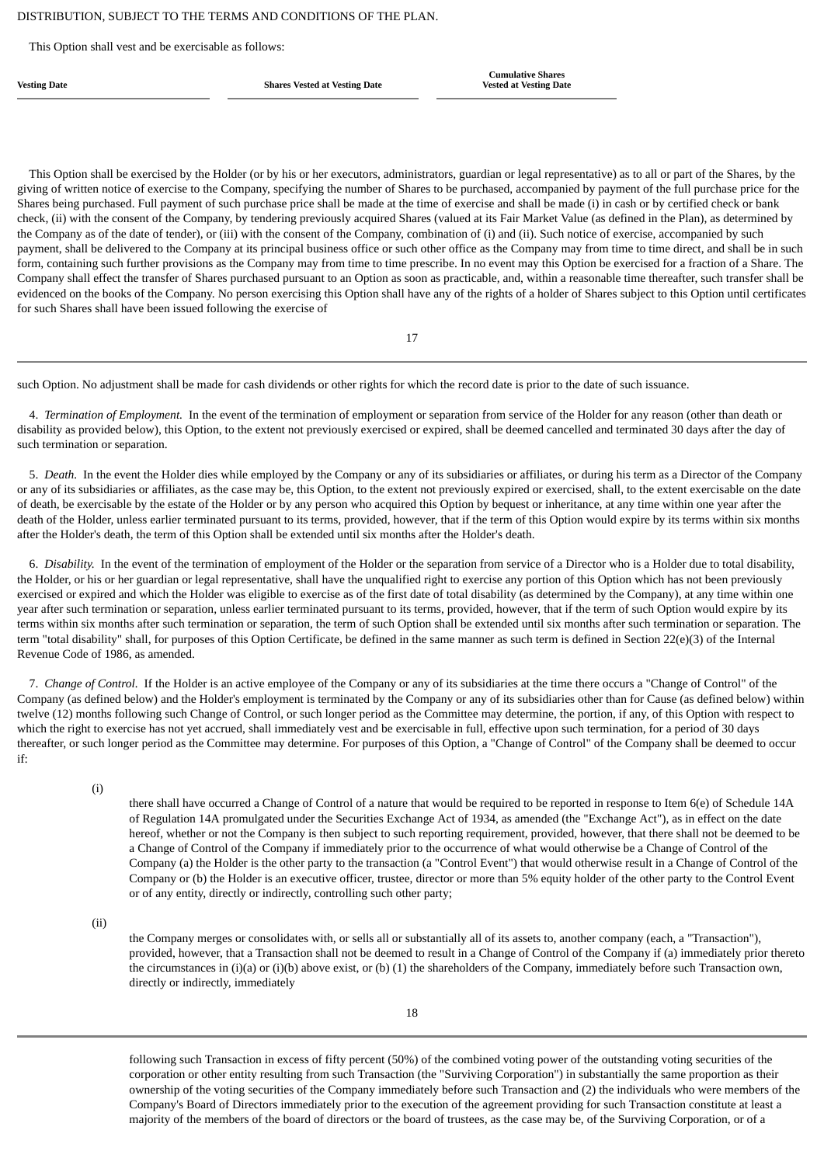This Option shall vest and be exercisable as follows:

**Vesting Date Shares Vested at Vesting Date**

**Cumulative Shares Vested at Vesting Date**

 This Option shall be exercised by the Holder (or by his or her executors, administrators, guardian or legal representative) as to all or part of the Shares, by the giving of written notice of exercise to the Company, specifying the number of Shares to be purchased, accompanied by payment of the full purchase price for the Shares being purchased. Full payment of such purchase price shall be made at the time of exercise and shall be made (i) in cash or by certified check or bank check, (ii) with the consent of the Company, by tendering previously acquired Shares (valued at its Fair Market Value (as defined in the Plan), as determined by the Company as of the date of tender), or (iii) with the consent of the Company, combination of (i) and (ii). Such notice of exercise, accompanied by such payment, shall be delivered to the Company at its principal business office or such other office as the Company may from time to time direct, and shall be in such form, containing such further provisions as the Company may from time to time prescribe. In no event may this Option be exercised for a fraction of a Share. The Company shall effect the transfer of Shares purchased pursuant to an Option as soon as practicable, and, within a reasonable time thereafter, such transfer shall be evidenced on the books of the Company. No person exercising this Option shall have any of the rights of a holder of Shares subject to this Option until certificates for such Shares shall have been issued following the exercise of

17

such Option. No adjustment shall be made for cash dividends or other rights for which the record date is prior to the date of such issuance.

 4. *Termination of Employment.* In the event of the termination of employment or separation from service of the Holder for any reason (other than death or disability as provided below), this Option, to the extent not previously exercised or expired, shall be deemed cancelled and terminated 30 days after the day of such termination or separation.

 5. *Death.* In the event the Holder dies while employed by the Company or any of its subsidiaries or affiliates, or during his term as a Director of the Company or any of its subsidiaries or affiliates, as the case may be, this Option, to the extent not previously expired or exercised, shall, to the extent exercisable on the date of death, be exercisable by the estate of the Holder or by any person who acquired this Option by bequest or inheritance, at any time within one year after the death of the Holder, unless earlier terminated pursuant to its terms, provided, however, that if the term of this Option would expire by its terms within six months after the Holder's death, the term of this Option shall be extended until six months after the Holder's death.

 6. *Disability.* In the event of the termination of employment of the Holder or the separation from service of a Director who is a Holder due to total disability, the Holder, or his or her guardian or legal representative, shall have the unqualified right to exercise any portion of this Option which has not been previously exercised or expired and which the Holder was eligible to exercise as of the first date of total disability (as determined by the Company), at any time within one year after such termination or separation, unless earlier terminated pursuant to its terms, provided, however, that if the term of such Option would expire by its terms within six months after such termination or separation, the term of such Option shall be extended until six months after such termination or separation. The term "total disability" shall, for purposes of this Option Certificate, be defined in the same manner as such term is defined in Section 22(e)(3) of the Internal Revenue Code of 1986, as amended.

 7. *Change of Control.* If the Holder is an active employee of the Company or any of its subsidiaries at the time there occurs a "Change of Control" of the Company (as defined below) and the Holder's employment is terminated by the Company or any of its subsidiaries other than for Cause (as defined below) within twelve (12) months following such Change of Control, or such longer period as the Committee may determine, the portion, if any, of this Option with respect to which the right to exercise has not yet accrued, shall immediately vest and be exercisable in full, effective upon such termination, for a period of 30 days thereafter, or such longer period as the Committee may determine. For purposes of this Option, a "Change of Control" of the Company shall be deemed to occur if:

(i)

there shall have occurred a Change of Control of a nature that would be required to be reported in response to Item 6(e) of Schedule 14A of Regulation 14A promulgated under the Securities Exchange Act of 1934, as amended (the "Exchange Act"), as in effect on the date hereof, whether or not the Company is then subject to such reporting requirement, provided, however, that there shall not be deemed to be a Change of Control of the Company if immediately prior to the occurrence of what would otherwise be a Change of Control of the Company (a) the Holder is the other party to the transaction (a "Control Event") that would otherwise result in a Change of Control of the Company or (b) the Holder is an executive officer, trustee, director or more than 5% equity holder of the other party to the Control Event or of any entity, directly or indirectly, controlling such other party;

(ii)

the Company merges or consolidates with, or sells all or substantially all of its assets to, another company (each, a "Transaction"), provided, however, that a Transaction shall not be deemed to result in a Change of Control of the Company if (a) immediately prior thereto the circumstances in (i)(a) or (i)(b) above exist, or (b) (1) the shareholders of the Company, immediately before such Transaction own, directly or indirectly, immediately

following such Transaction in excess of fifty percent (50%) of the combined voting power of the outstanding voting securities of the corporation or other entity resulting from such Transaction (the "Surviving Corporation") in substantially the same proportion as their ownership of the voting securities of the Company immediately before such Transaction and (2) the individuals who were members of the Company's Board of Directors immediately prior to the execution of the agreement providing for such Transaction constitute at least a majority of the members of the board of directors or the board of trustees, as the case may be, of the Surviving Corporation, or of a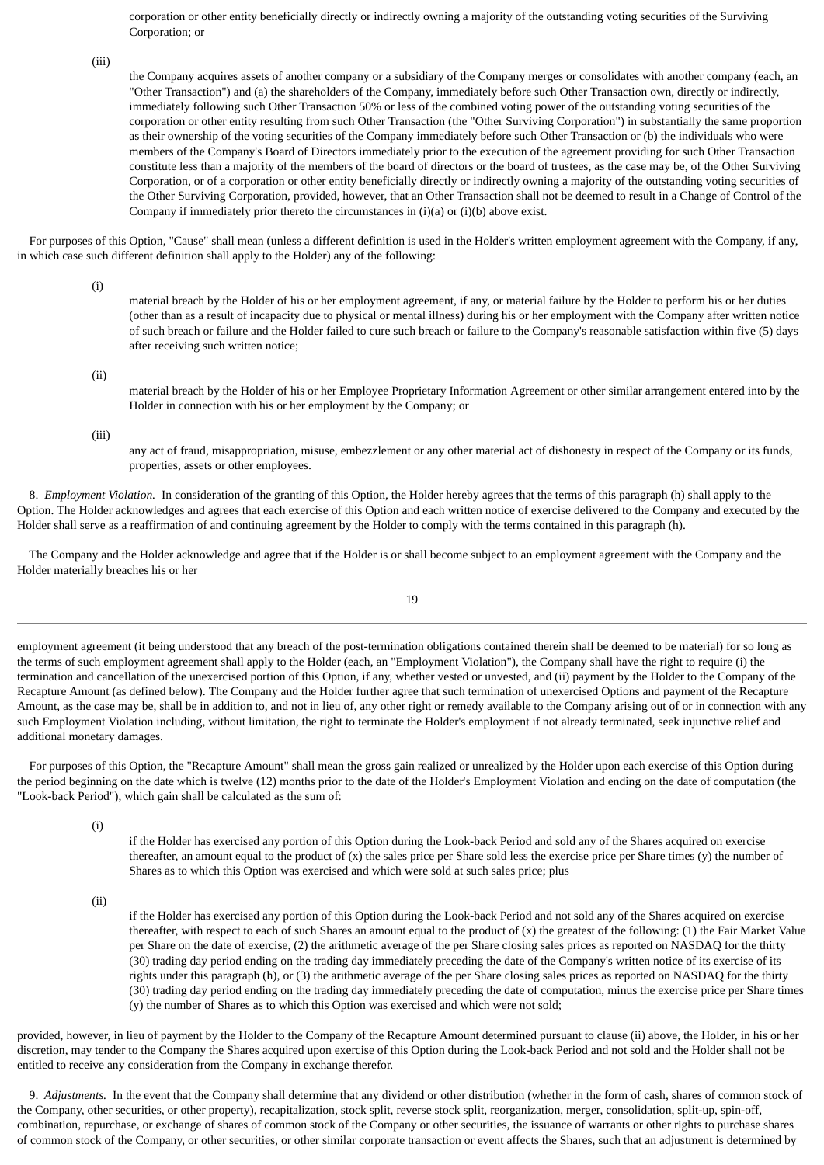corporation or other entity beneficially directly or indirectly owning a majority of the outstanding voting securities of the Surviving Corporation; or

(iii)

the Company acquires assets of another company or a subsidiary of the Company merges or consolidates with another company (each, an "Other Transaction") and (a) the shareholders of the Company, immediately before such Other Transaction own, directly or indirectly, immediately following such Other Transaction 50% or less of the combined voting power of the outstanding voting securities of the corporation or other entity resulting from such Other Transaction (the "Other Surviving Corporation") in substantially the same proportion as their ownership of the voting securities of the Company immediately before such Other Transaction or (b) the individuals who were members of the Company's Board of Directors immediately prior to the execution of the agreement providing for such Other Transaction constitute less than a majority of the members of the board of directors or the board of trustees, as the case may be, of the Other Surviving Corporation, or of a corporation or other entity beneficially directly or indirectly owning a majority of the outstanding voting securities of the Other Surviving Corporation, provided, however, that an Other Transaction shall not be deemed to result in a Change of Control of the Company if immediately prior thereto the circumstances in (i)(a) or (i)(b) above exist.

 For purposes of this Option, "Cause" shall mean (unless a different definition is used in the Holder's written employment agreement with the Company, if any, in which case such different definition shall apply to the Holder) any of the following:

(i)

material breach by the Holder of his or her employment agreement, if any, or material failure by the Holder to perform his or her duties (other than as a result of incapacity due to physical or mental illness) during his or her employment with the Company after written notice of such breach or failure and the Holder failed to cure such breach or failure to the Company's reasonable satisfaction within five (5) days after receiving such written notice;

(ii)

material breach by the Holder of his or her Employee Proprietary Information Agreement or other similar arrangement entered into by the Holder in connection with his or her employment by the Company; or

(iii)

any act of fraud, misappropriation, misuse, embezzlement or any other material act of dishonesty in respect of the Company or its funds, properties, assets or other employees.

 8. *Employment Violation.* In consideration of the granting of this Option, the Holder hereby agrees that the terms of this paragraph (h) shall apply to the Option. The Holder acknowledges and agrees that each exercise of this Option and each written notice of exercise delivered to the Company and executed by the Holder shall serve as a reaffirmation of and continuing agreement by the Holder to comply with the terms contained in this paragraph (h).

 The Company and the Holder acknowledge and agree that if the Holder is or shall become subject to an employment agreement with the Company and the Holder materially breaches his or her

19

employment agreement (it being understood that any breach of the post-termination obligations contained therein shall be deemed to be material) for so long as the terms of such employment agreement shall apply to the Holder (each, an "Employment Violation"), the Company shall have the right to require (i) the termination and cancellation of the unexercised portion of this Option, if any, whether vested or unvested, and (ii) payment by the Holder to the Company of the Recapture Amount (as defined below). The Company and the Holder further agree that such termination of unexercised Options and payment of the Recapture Amount, as the case may be, shall be in addition to, and not in lieu of, any other right or remedy available to the Company arising out of or in connection with any such Employment Violation including, without limitation, the right to terminate the Holder's employment if not already terminated, seek injunctive relief and additional monetary damages.

 For purposes of this Option, the "Recapture Amount" shall mean the gross gain realized or unrealized by the Holder upon each exercise of this Option during the period beginning on the date which is twelve (12) months prior to the date of the Holder's Employment Violation and ending on the date of computation (the "Look-back Period"), which gain shall be calculated as the sum of:

(i)

if the Holder has exercised any portion of this Option during the Look-back Period and sold any of the Shares acquired on exercise thereafter, an amount equal to the product of  $(x)$  the sales price per Share sold less the exercise price per Share times  $(y)$  the number of Shares as to which this Option was exercised and which were sold at such sales price; plus

(ii)

if the Holder has exercised any portion of this Option during the Look-back Period and not sold any of the Shares acquired on exercise thereafter, with respect to each of such Shares an amount equal to the product of (x) the greatest of the following: (1) the Fair Market Value per Share on the date of exercise, (2) the arithmetic average of the per Share closing sales prices as reported on NASDAQ for the thirty (30) trading day period ending on the trading day immediately preceding the date of the Company's written notice of its exercise of its rights under this paragraph (h), or (3) the arithmetic average of the per Share closing sales prices as reported on NASDAQ for the thirty (30) trading day period ending on the trading day immediately preceding the date of computation, minus the exercise price per Share times (y) the number of Shares as to which this Option was exercised and which were not sold;

provided, however, in lieu of payment by the Holder to the Company of the Recapture Amount determined pursuant to clause (ii) above, the Holder, in his or her discretion, may tender to the Company the Shares acquired upon exercise of this Option during the Look-back Period and not sold and the Holder shall not be entitled to receive any consideration from the Company in exchange therefor.

 9. *Adjustments.* In the event that the Company shall determine that any dividend or other distribution (whether in the form of cash, shares of common stock of the Company, other securities, or other property), recapitalization, stock split, reverse stock split, reorganization, merger, consolidation, split-up, spin-off, combination, repurchase, or exchange of shares of common stock of the Company or other securities, the issuance of warrants or other rights to purchase shares of common stock of the Company, or other securities, or other similar corporate transaction or event affects the Shares, such that an adjustment is determined by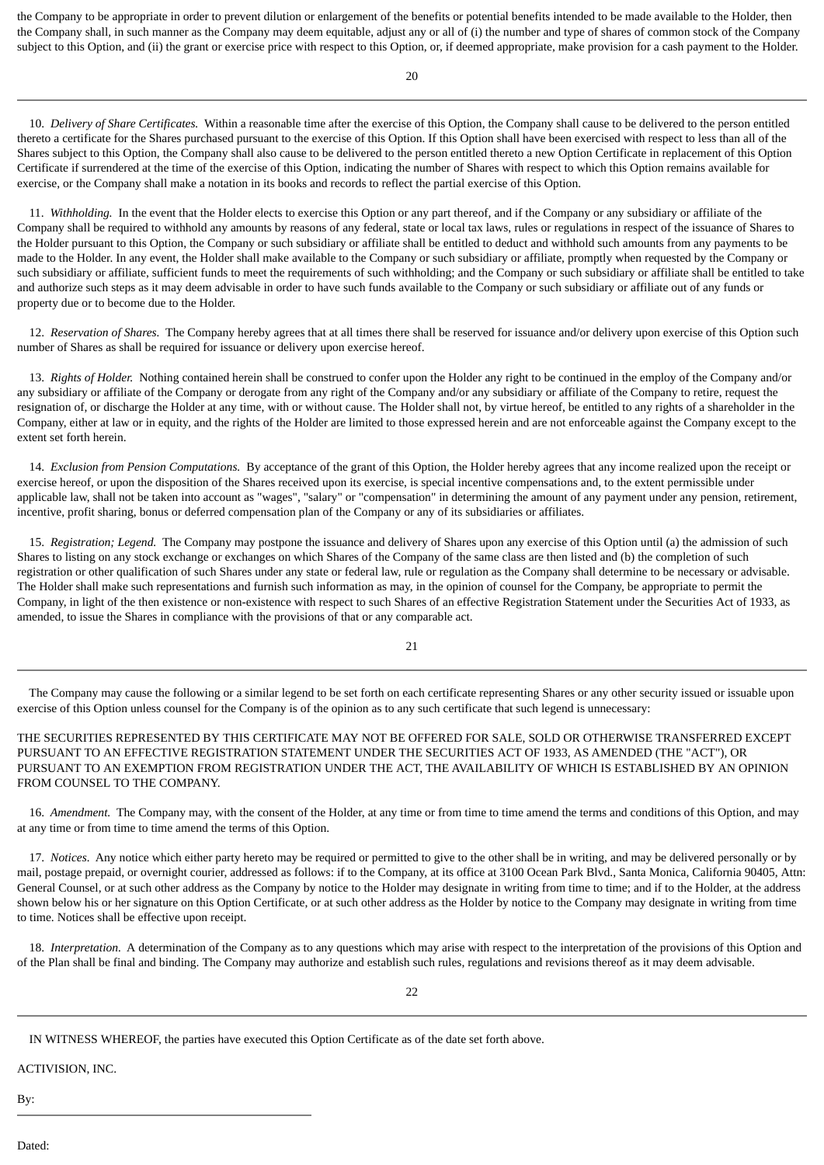the Company to be appropriate in order to prevent dilution or enlargement of the benefits or potential benefits intended to be made available to the Holder, then the Company shall, in such manner as the Company may deem equitable, adjust any or all of (i) the number and type of shares of common stock of the Company subject to this Option, and (ii) the grant or exercise price with respect to this Option, or, if deemed appropriate, make provision for a cash payment to the Holder.

 $20$ 

 10. *Delivery of Share Certificates.* Within a reasonable time after the exercise of this Option, the Company shall cause to be delivered to the person entitled thereto a certificate for the Shares purchased pursuant to the exercise of this Option. If this Option shall have been exercised with respect to less than all of the Shares subject to this Option, the Company shall also cause to be delivered to the person entitled thereto a new Option Certificate in replacement of this Option Certificate if surrendered at the time of the exercise of this Option, indicating the number of Shares with respect to which this Option remains available for exercise, or the Company shall make a notation in its books and records to reflect the partial exercise of this Option.

 11. *Withholding.* In the event that the Holder elects to exercise this Option or any part thereof, and if the Company or any subsidiary or affiliate of the Company shall be required to withhold any amounts by reasons of any federal, state or local tax laws, rules or regulations in respect of the issuance of Shares to the Holder pursuant to this Option, the Company or such subsidiary or affiliate shall be entitled to deduct and withhold such amounts from any payments to be made to the Holder. In any event, the Holder shall make available to the Company or such subsidiary or affiliate, promptly when requested by the Company or such subsidiary or affiliate, sufficient funds to meet the requirements of such withholding; and the Company or such subsidiary or affiliate shall be entitled to take and authorize such steps as it may deem advisable in order to have such funds available to the Company or such subsidiary or affiliate out of any funds or property due or to become due to the Holder.

12. Reservation of Shares. The Company hereby agrees that at all times there shall be reserved for issuance and/or delivery upon exercise of this Option such number of Shares as shall be required for issuance or delivery upon exercise hereof.

 13. *Rights of Holder.* Nothing contained herein shall be construed to confer upon the Holder any right to be continued in the employ of the Company and/or any subsidiary or affiliate of the Company or derogate from any right of the Company and/or any subsidiary or affiliate of the Company to retire, request the resignation of, or discharge the Holder at any time, with or without cause. The Holder shall not, by virtue hereof, be entitled to any rights of a shareholder in the Company, either at law or in equity, and the rights of the Holder are limited to those expressed herein and are not enforceable against the Company except to the extent set forth herein.

 14. *Exclusion from Pension Computations.* By acceptance of the grant of this Option, the Holder hereby agrees that any income realized upon the receipt or exercise hereof, or upon the disposition of the Shares received upon its exercise, is special incentive compensations and, to the extent permissible under applicable law, shall not be taken into account as "wages", "salary" or "compensation" in determining the amount of any payment under any pension, retirement, incentive, profit sharing, bonus or deferred compensation plan of the Company or any of its subsidiaries or affiliates.

 15. *Registration; Legend.* The Company may postpone the issuance and delivery of Shares upon any exercise of this Option until (a) the admission of such Shares to listing on any stock exchange or exchanges on which Shares of the Company of the same class are then listed and (b) the completion of such registration or other qualification of such Shares under any state or federal law, rule or regulation as the Company shall determine to be necessary or advisable. The Holder shall make such representations and furnish such information as may, in the opinion of counsel for the Company, be appropriate to permit the Company, in light of the then existence or non-existence with respect to such Shares of an effective Registration Statement under the Securities Act of 1933, as amended, to issue the Shares in compliance with the provisions of that or any comparable act.

21

 The Company may cause the following or a similar legend to be set forth on each certificate representing Shares or any other security issued or issuable upon exercise of this Option unless counsel for the Company is of the opinion as to any such certificate that such legend is unnecessary:

THE SECURITIES REPRESENTED BY THIS CERTIFICATE MAY NOT BE OFFERED FOR SALE, SOLD OR OTHERWISE TRANSFERRED EXCEPT PURSUANT TO AN EFFECTIVE REGISTRATION STATEMENT UNDER THE SECURITIES ACT OF 1933, AS AMENDED (THE "ACT"), OR PURSUANT TO AN EXEMPTION FROM REGISTRATION UNDER THE ACT, THE AVAILABILITY OF WHICH IS ESTABLISHED BY AN OPINION FROM COUNSEL TO THE COMPANY.

 16. *Amendment.* The Company may, with the consent of the Holder, at any time or from time to time amend the terms and conditions of this Option, and may at any time or from time to time amend the terms of this Option.

 17. *Notices.* Any notice which either party hereto may be required or permitted to give to the other shall be in writing, and may be delivered personally or by mail, postage prepaid, or overnight courier, addressed as follows: if to the Company, at its office at 3100 Ocean Park Blvd., Santa Monica, California 90405, Attn: General Counsel, or at such other address as the Company by notice to the Holder may designate in writing from time to time; and if to the Holder, at the address shown below his or her signature on this Option Certificate, or at such other address as the Holder by notice to the Company may designate in writing from time to time. Notices shall be effective upon receipt.

 18. *Interpretation.* A determination of the Company as to any questions which may arise with respect to the interpretation of the provisions of this Option and of the Plan shall be final and binding. The Company may authorize and establish such rules, regulations and revisions thereof as it may deem advisable.

IN WITNESS WHEREOF, the parties have executed this Option Certificate as of the date set forth above.

ACTIVISION, INC.

By:

Dated: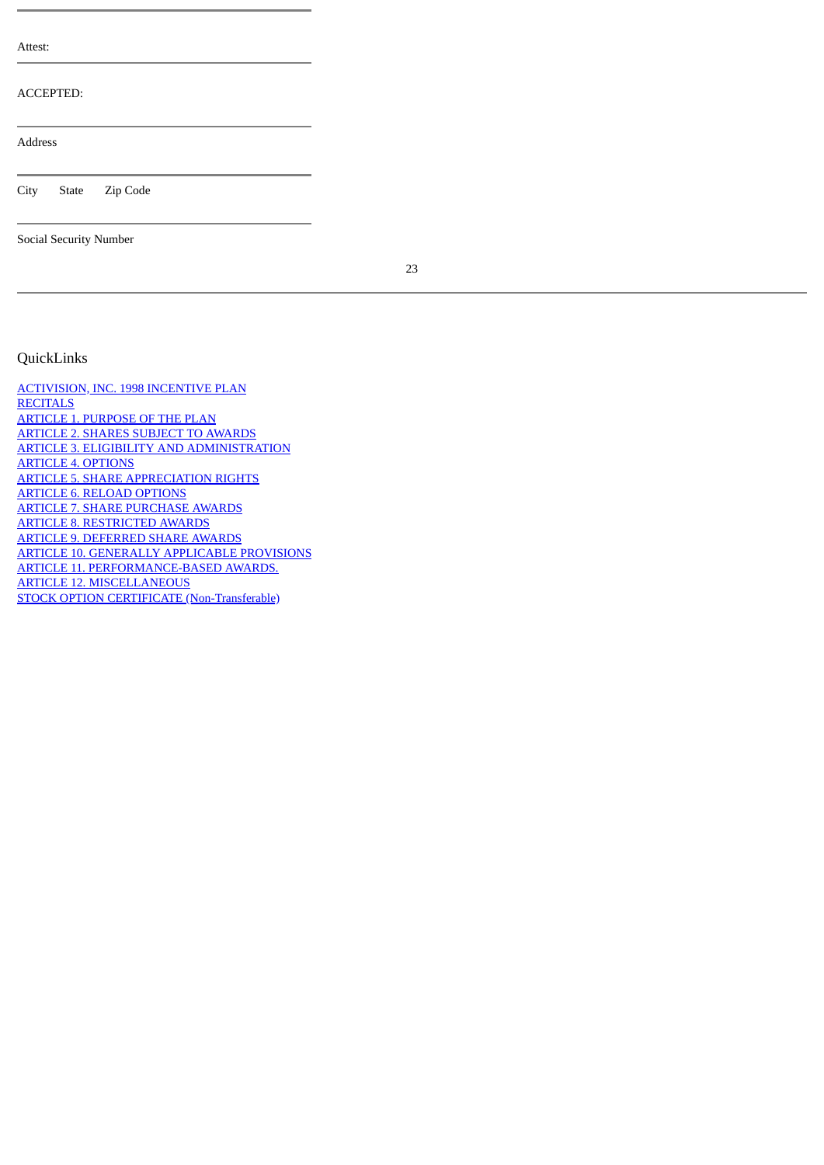| Attest:                |
|------------------------|
| <b>ACCEPTED:</b>       |
| <b>Address</b>         |
| City<br>State Zip Code |
| Social Security Number |

23

### <span id="page-58-0"></span>QuickLinks

[ACTIVISION, INC. 1998 INCENTIVE PLAN](#page-45-0) **[RECITALS](#page-45-1)** [ARTICLE 1. PURPOSE OF THE PLAN](#page-45-2) [ARTICLE 2. SHARES SUBJECT TO AWARDS](#page-45-3) [ARTICLE 3. ELIGIBILITY AND ADMINISTRATION](#page-46-0) [ARTICLE 4. OPTIONS](#page-46-1) [ARTICLE 5. SHARE APPRECIATION RIGHTS](#page-47-0) [ARTICLE 6. RELOAD OPTIONS](#page-47-1) [ARTICLE 7. SHARE PURCHASE AWARDS](#page-48-0) [ARTICLE 8. RESTRICTED AWARDS](#page-49-0) [ARTICLE 9. DEFERRED SHARE AWARDS](#page-49-1) [ARTICLE 10. GENERALLY APPLICABLE PROVISIONS](#page-50-0) [ARTICLE 11. PERFORMANCE-BASED AWARDS.](#page-53-0) [ARTICLE 12. MISCELLANEOUS](#page-53-1) [STOCK OPTION CERTIFICATE \(Non-Transferable\)](#page-54-0)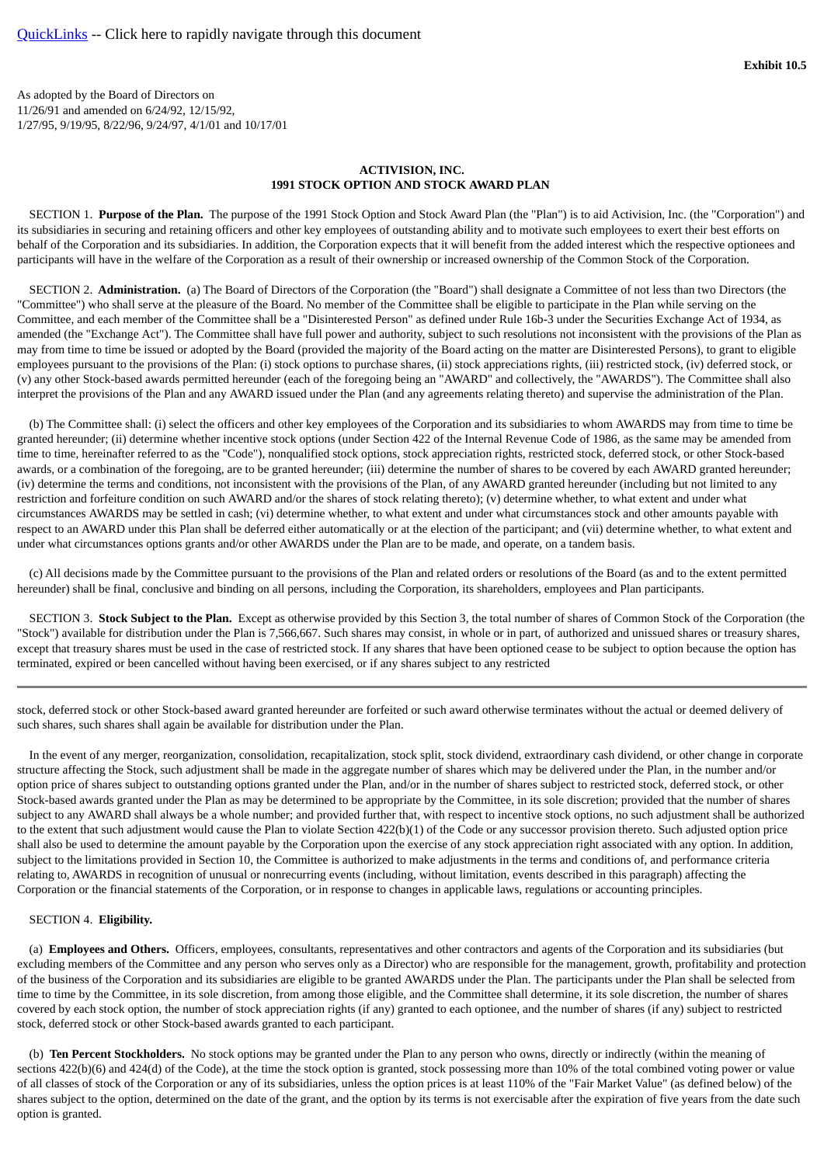<span id="page-59-0"></span>As adopted by the Board of Directors on 11/26/91 and amended on 6/24/92, 12/15/92, 1/27/95, 9/19/95, 8/22/96, 9/24/97, 4/1/01 and 10/17/01

### **ACTIVISION, INC. 1991 STOCK OPTION AND STOCK AWARD PLAN**

 SECTION 1. **Purpose of the Plan.** The purpose of the 1991 Stock Option and Stock Award Plan (the "Plan") is to aid Activision, Inc. (the "Corporation") and its subsidiaries in securing and retaining officers and other key employees of outstanding ability and to motivate such employees to exert their best efforts on behalf of the Corporation and its subsidiaries. In addition, the Corporation expects that it will benefit from the added interest which the respective optionees and participants will have in the welfare of the Corporation as a result of their ownership or increased ownership of the Common Stock of the Corporation.

 SECTION 2. **Administration.** (a) The Board of Directors of the Corporation (the "Board") shall designate a Committee of not less than two Directors (the "Committee") who shall serve at the pleasure of the Board. No member of the Committee shall be eligible to participate in the Plan while serving on the Committee, and each member of the Committee shall be a "Disinterested Person" as defined under Rule 16b-3 under the Securities Exchange Act of 1934, as amended (the "Exchange Act"). The Committee shall have full power and authority, subject to such resolutions not inconsistent with the provisions of the Plan as may from time to time be issued or adopted by the Board (provided the majority of the Board acting on the matter are Disinterested Persons), to grant to eligible employees pursuant to the provisions of the Plan: (i) stock options to purchase shares, (ii) stock appreciations rights, (iii) restricted stock, (iv) deferred stock, or (v) any other Stock-based awards permitted hereunder (each of the foregoing being an "AWARD" and collectively, the "AWARDS"). The Committee shall also interpret the provisions of the Plan and any AWARD issued under the Plan (and any agreements relating thereto) and supervise the administration of the Plan.

 (b) The Committee shall: (i) select the officers and other key employees of the Corporation and its subsidiaries to whom AWARDS may from time to time be granted hereunder; (ii) determine whether incentive stock options (under Section 422 of the Internal Revenue Code of 1986, as the same may be amended from time to time, hereinafter referred to as the "Code"), nonqualified stock options, stock appreciation rights, restricted stock, deferred stock, or other Stock-based awards, or a combination of the foregoing, are to be granted hereunder; (iii) determine the number of shares to be covered by each AWARD granted hereunder; (iv) determine the terms and conditions, not inconsistent with the provisions of the Plan, of any AWARD granted hereunder (including but not limited to any restriction and forfeiture condition on such AWARD and/or the shares of stock relating thereto); (v) determine whether, to what extent and under what circumstances AWARDS may be settled in cash; (vi) determine whether, to what extent and under what circumstances stock and other amounts payable with respect to an AWARD under this Plan shall be deferred either automatically or at the election of the participant; and (vii) determine whether, to what extent and under what circumstances options grants and/or other AWARDS under the Plan are to be made, and operate, on a tandem basis.

 (c) All decisions made by the Committee pursuant to the provisions of the Plan and related orders or resolutions of the Board (as and to the extent permitted hereunder) shall be final, conclusive and binding on all persons, including the Corporation, its shareholders, employees and Plan participants.

 SECTION 3. **Stock Subject to the Plan.** Except as otherwise provided by this Section 3, the total number of shares of Common Stock of the Corporation (the "Stock") available for distribution under the Plan is 7,566,667. Such shares may consist, in whole or in part, of authorized and unissued shares or treasury shares, except that treasury shares must be used in the case of restricted stock. If any shares that have been optioned cease to be subject to option because the option has terminated, expired or been cancelled without having been exercised, or if any shares subject to any restricted

stock, deferred stock or other Stock-based award granted hereunder are forfeited or such award otherwise terminates without the actual or deemed delivery of such shares, such shares shall again be available for distribution under the Plan.

 In the event of any merger, reorganization, consolidation, recapitalization, stock split, stock dividend, extraordinary cash dividend, or other change in corporate structure affecting the Stock, such adjustment shall be made in the aggregate number of shares which may be delivered under the Plan, in the number and/or option price of shares subject to outstanding options granted under the Plan, and/or in the number of shares subject to restricted stock, deferred stock, or other Stock-based awards granted under the Plan as may be determined to be appropriate by the Committee, in its sole discretion; provided that the number of shares subject to any AWARD shall always be a whole number; and provided further that, with respect to incentive stock options, no such adjustment shall be authorized to the extent that such adjustment would cause the Plan to violate Section 422(b)(1) of the Code or any successor provision thereto. Such adjusted option price shall also be used to determine the amount payable by the Corporation upon the exercise of any stock appreciation right associated with any option. In addition, subject to the limitations provided in Section 10, the Committee is authorized to make adjustments in the terms and conditions of, and performance criteria relating to, AWARDS in recognition of unusual or nonrecurring events (including, without limitation, events described in this paragraph) affecting the Corporation or the financial statements of the Corporation, or in response to changes in applicable laws, regulations or accounting principles.

### SECTION 4. **Eligibility.**

 (a)**Employees and Others.** Officers, employees, consultants, representatives and other contractors and agents of the Corporation and its subsidiaries (but excluding members of the Committee and any person who serves only as a Director) who are responsible for the management, growth, profitability and protection of the business of the Corporation and its subsidiaries are eligible to be granted AWARDS under the Plan. The participants under the Plan shall be selected from time to time by the Committee, in its sole discretion, from among those eligible, and the Committee shall determine, it its sole discretion, the number of shares covered by each stock option, the number of stock appreciation rights (if any) granted to each optionee, and the number of shares (if any) subject to restricted stock, deferred stock or other Stock-based awards granted to each participant.

 (b)**Ten Percent Stockholders.** No stock options may be granted under the Plan to any person who owns, directly or indirectly (within the meaning of sections 422(b)(6) and 424(d) of the Code), at the time the stock option is granted, stock possessing more than 10% of the total combined voting power or value of all classes of stock of the Corporation or any of its subsidiaries, unless the option prices is at least 110% of the "Fair Market Value" (as defined below) of the shares subject to the option, determined on the date of the grant, and the option by its terms is not exercisable after the expiration of five years from the date such option is granted.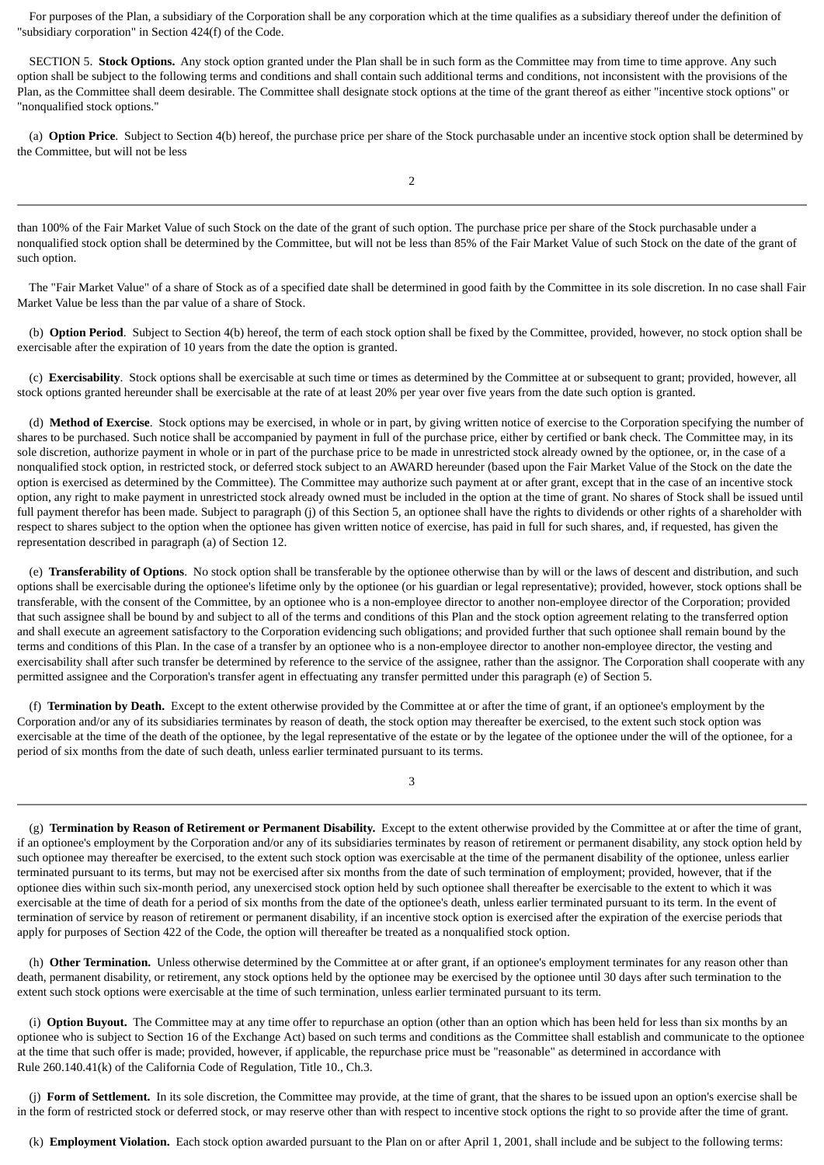For purposes of the Plan, a subsidiary of the Corporation shall be any corporation which at the time qualifies as a subsidiary thereof under the definition of "subsidiary corporation" in Section 424(f) of the Code.

 SECTION 5. **Stock Options.** Any stock option granted under the Plan shall be in such form as the Committee may from time to time approve. Any such option shall be subject to the following terms and conditions and shall contain such additional terms and conditions, not inconsistent with the provisions of the Plan, as the Committee shall deem desirable. The Committee shall designate stock options at the time of the grant thereof as either "incentive stock options" or "nonqualified stock options."

 (a)**Option Price**. Subject to Section 4(b) hereof, the purchase price per share of the Stock purchasable under an incentive stock option shall be determined by the Committee, but will not be less

than 100% of the Fair Market Value of such Stock on the date of the grant of such option. The purchase price per share of the Stock purchasable under a nonqualified stock option shall be determined by the Committee, but will not be less than 85% of the Fair Market Value of such Stock on the date of the grant of such option.

 The "Fair Market Value" of a share of Stock as of a specified date shall be determined in good faith by the Committee in its sole discretion. In no case shall Fair Market Value be less than the par value of a share of Stock.

 (b)**Option Period**. Subject to Section 4(b) hereof, the term of each stock option shall be fixed by the Committee, provided, however, no stock option shall be exercisable after the expiration of 10 years from the date the option is granted.

 (c)**Exercisability**. Stock options shall be exercisable at such time or times as determined by the Committee at or subsequent to grant; provided, however, all stock options granted hereunder shall be exercisable at the rate of at least 20% per year over five years from the date such option is granted.

(d) Method of Exercise. Stock options may be exercised, in whole or in part, by giving written notice of exercise to the Corporation specifying the number of shares to be purchased. Such notice shall be accompanied by payment in full of the purchase price, either by certified or bank check. The Committee may, in its sole discretion, authorize payment in whole or in part of the purchase price to be made in unrestricted stock already owned by the optionee, or, in the case of a nonqualified stock option, in restricted stock, or deferred stock subject to an AWARD hereunder (based upon the Fair Market Value of the Stock on the date the option is exercised as determined by the Committee). The Committee may authorize such payment at or after grant, except that in the case of an incentive stock option, any right to make payment in unrestricted stock already owned must be included in the option at the time of grant. No shares of Stock shall be issued until full payment therefor has been made. Subject to paragraph (j) of this Section 5, an optionee shall have the rights to dividends or other rights of a shareholder with respect to shares subject to the option when the optionee has given written notice of exercise, has paid in full for such shares, and, if requested, has given the representation described in paragraph (a) of Section 12.

 (e)**Transferability of Options**. No stock option shall be transferable by the optionee otherwise than by will or the laws of descent and distribution, and such options shall be exercisable during the optionee's lifetime only by the optionee (or his guardian or legal representative); provided, however, stock options shall be transferable, with the consent of the Committee, by an optionee who is a non-employee director to another non-employee director of the Corporation; provided that such assignee shall be bound by and subject to all of the terms and conditions of this Plan and the stock option agreement relating to the transferred option and shall execute an agreement satisfactory to the Corporation evidencing such obligations; and provided further that such optionee shall remain bound by the terms and conditions of this Plan. In the case of a transfer by an optionee who is a non-employee director to another non-employee director, the vesting and exercisability shall after such transfer be determined by reference to the service of the assignee, rather than the assignor. The Corporation shall cooperate with any permitted assignee and the Corporation's transfer agent in effectuating any transfer permitted under this paragraph (e) of Section 5.

 (f)**Termination by Death.** Except to the extent otherwise provided by the Committee at or after the time of grant, if an optionee's employment by the Corporation and/or any of its subsidiaries terminates by reason of death, the stock option may thereafter be exercised, to the extent such stock option was exercisable at the time of the death of the optionee, by the legal representative of the estate or by the legatee of the optionee under the will of the optionee, for a period of six months from the date of such death, unless earlier terminated pursuant to its terms.

3

 (g)**Termination by Reason of Retirement or Permanent Disability.** Except to the extent otherwise provided by the Committee at or after the time of grant, if an optionee's employment by the Corporation and/or any of its subsidiaries terminates by reason of retirement or permanent disability, any stock option held by such optionee may thereafter be exercised, to the extent such stock option was exercisable at the time of the permanent disability of the optionee, unless earlier terminated pursuant to its terms, but may not be exercised after six months from the date of such termination of employment; provided, however, that if the optionee dies within such six-month period, any unexercised stock option held by such optionee shall thereafter be exercisable to the extent to which it was exercisable at the time of death for a period of six months from the date of the optionee's death, unless earlier terminated pursuant to its term. In the event of termination of service by reason of retirement or permanent disability, if an incentive stock option is exercised after the expiration of the exercise periods that apply for purposes of Section 422 of the Code, the option will thereafter be treated as a nonqualified stock option.

 (h)**Other Termination.** Unless otherwise determined by the Committee at or after grant, if an optionee's employment terminates for any reason other than death, permanent disability, or retirement, any stock options held by the optionee may be exercised by the optionee until 30 days after such termination to the extent such stock options were exercisable at the time of such termination, unless earlier terminated pursuant to its term.

 (i)**Option Buyout.** The Committee may at any time offer to repurchase an option (other than an option which has been held for less than six months by an optionee who is subject to Section 16 of the Exchange Act) based on such terms and conditions as the Committee shall establish and communicate to the optionee at the time that such offer is made; provided, however, if applicable, the repurchase price must be "reasonable" as determined in accordance with Rule 260.140.41(k) of the California Code of Regulation, Title 10., Ch.3.

 (j)**Form of Settlement.** In its sole discretion, the Committee may provide, at the time of grant, that the shares to be issued upon an option's exercise shall be in the form of restricted stock or deferred stock, or may reserve other than with respect to incentive stock options the right to so provide after the time of grant.

(k)**Employment Violation.** Each stock option awarded pursuant to the Plan on or after April 1, 2001, shall include and be subject to the following terms: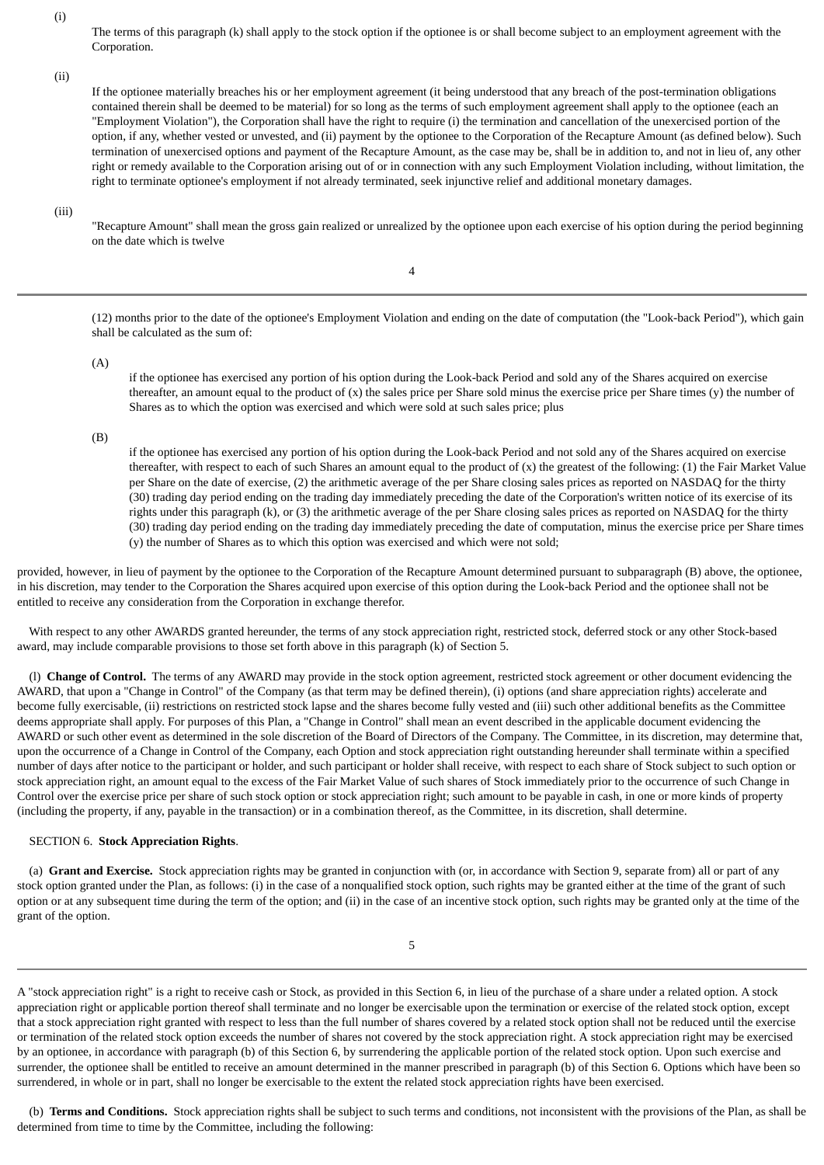(i)

The terms of this paragraph (k) shall apply to the stock option if the optionee is or shall become subject to an employment agreement with the Corporation.

(ii)

If the optionee materially breaches his or her employment agreement (it being understood that any breach of the post-termination obligations contained therein shall be deemed to be material) for so long as the terms of such employment agreement shall apply to the optionee (each an "Employment Violation"), the Corporation shall have the right to require (i) the termination and cancellation of the unexercised portion of the option, if any, whether vested or unvested, and (ii) payment by the optionee to the Corporation of the Recapture Amount (as defined below). Such termination of unexercised options and payment of the Recapture Amount, as the case may be, shall be in addition to, and not in lieu of, any other right or remedy available to the Corporation arising out of or in connection with any such Employment Violation including, without limitation, the right to terminate optionee's employment if not already terminated, seek injunctive relief and additional monetary damages.

(iii)

"Recapture Amount" shall mean the gross gain realized or unrealized by the optionee upon each exercise of his option during the period beginning on the date which is twelve

4

(12) months prior to the date of the optionee's Employment Violation and ending on the date of computation (the "Look-back Period"), which gain shall be calculated as the sum of:

 $(A)$ 

if the optionee has exercised any portion of his option during the Look-back Period and sold any of the Shares acquired on exercise thereafter, an amount equal to the product of  $(x)$  the sales price per Share sold minus the exercise price per Share times  $(y)$  the number of Shares as to which the option was exercised and which were sold at such sales price; plus

(B)

if the optionee has exercised any portion of his option during the Look-back Period and not sold any of the Shares acquired on exercise thereafter, with respect to each of such Shares an amount equal to the product of (x) the greatest of the following: (1) the Fair Market Value per Share on the date of exercise, (2) the arithmetic average of the per Share closing sales prices as reported on NASDAQ for the thirty (30) trading day period ending on the trading day immediately preceding the date of the Corporation's written notice of its exercise of its rights under this paragraph (k), or (3) the arithmetic average of the per Share closing sales prices as reported on NASDAQ for the thirty (30) trading day period ending on the trading day immediately preceding the date of computation, minus the exercise price per Share times (y) the number of Shares as to which this option was exercised and which were not sold;

provided, however, in lieu of payment by the optionee to the Corporation of the Recapture Amount determined pursuant to subparagraph (B) above, the optionee, in his discretion, may tender to the Corporation the Shares acquired upon exercise of this option during the Look-back Period and the optionee shall not be entitled to receive any consideration from the Corporation in exchange therefor.

 With respect to any other AWARDS granted hereunder, the terms of any stock appreciation right, restricted stock, deferred stock or any other Stock-based award, may include comparable provisions to those set forth above in this paragraph (k) of Section 5.

 (l)**Change of Control.** The terms of any AWARD may provide in the stock option agreement, restricted stock agreement or other document evidencing the AWARD, that upon a "Change in Control" of the Company (as that term may be defined therein), (i) options (and share appreciation rights) accelerate and become fully exercisable, (ii) restrictions on restricted stock lapse and the shares become fully vested and (iii) such other additional benefits as the Committee deems appropriate shall apply. For purposes of this Plan, a "Change in Control" shall mean an event described in the applicable document evidencing the AWARD or such other event as determined in the sole discretion of the Board of Directors of the Company. The Committee, in its discretion, may determine that, upon the occurrence of a Change in Control of the Company, each Option and stock appreciation right outstanding hereunder shall terminate within a specified number of days after notice to the participant or holder, and such participant or holder shall receive, with respect to each share of Stock subject to such option or stock appreciation right, an amount equal to the excess of the Fair Market Value of such shares of Stock immediately prior to the occurrence of such Change in Control over the exercise price per share of such stock option or stock appreciation right; such amount to be payable in cash, in one or more kinds of property (including the property, if any, payable in the transaction) or in a combination thereof, as the Committee, in its discretion, shall determine.

### SECTION 6. **Stock Appreciation Rights**.

 (a)**Grant and Exercise.** Stock appreciation rights may be granted in conjunction with (or, in accordance with Section 9, separate from) all or part of any stock option granted under the Plan, as follows: (i) in the case of a nonqualified stock option, such rights may be granted either at the time of the grant of such option or at any subsequent time during the term of the option; and (ii) in the case of an incentive stock option, such rights may be granted only at the time of the grant of the option.

A "stock appreciation right" is a right to receive cash or Stock, as provided in this Section 6, in lieu of the purchase of a share under a related option. A stock appreciation right or applicable portion thereof shall terminate and no longer be exercisable upon the termination or exercise of the related stock option, except that a stock appreciation right granted with respect to less than the full number of shares covered by a related stock option shall not be reduced until the exercise or termination of the related stock option exceeds the number of shares not covered by the stock appreciation right. A stock appreciation right may be exercised by an optionee, in accordance with paragraph (b) of this Section 6, by surrendering the applicable portion of the related stock option. Upon such exercise and surrender, the optionee shall be entitled to receive an amount determined in the manner prescribed in paragraph (b) of this Section 6. Options which have been so surrendered, in whole or in part, shall no longer be exercisable to the extent the related stock appreciation rights have been exercised.

 (b)**Terms and Conditions.** Stock appreciation rights shall be subject to such terms and conditions, not inconsistent with the provisions of the Plan, as shall be determined from time to time by the Committee, including the following: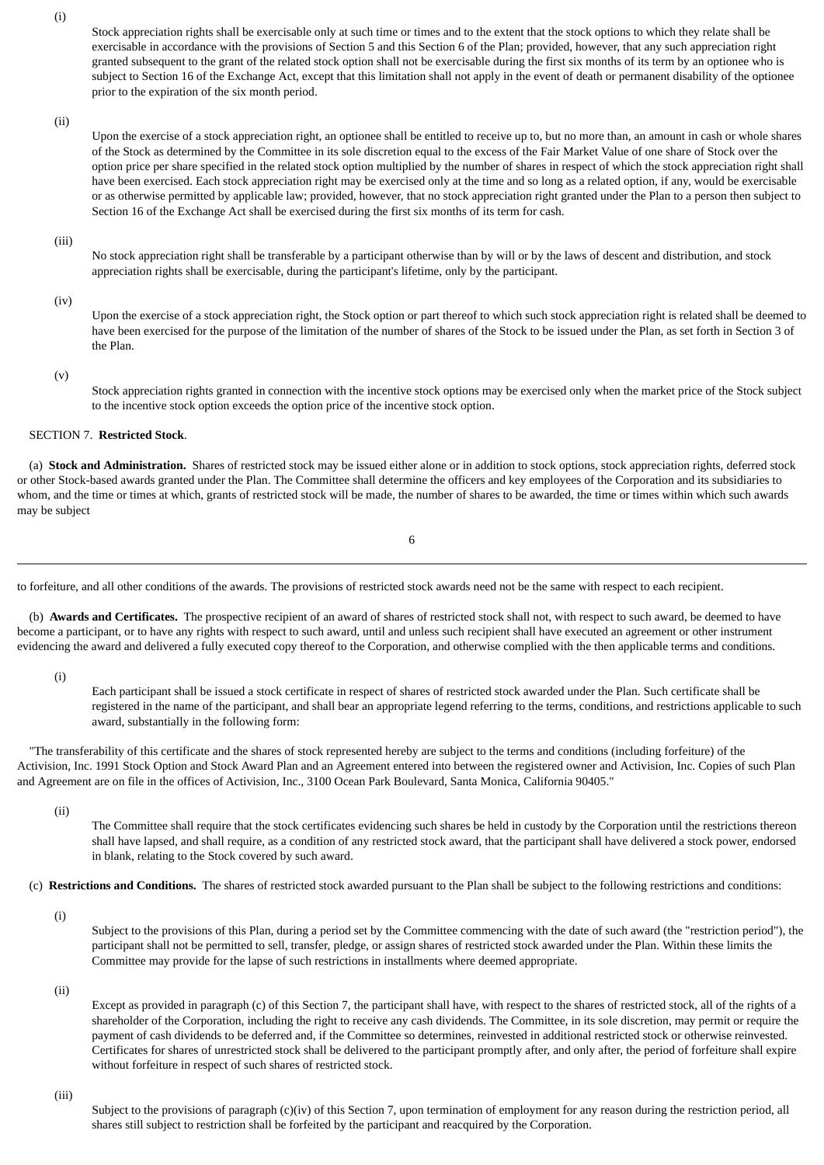(i)

Stock appreciation rights shall be exercisable only at such time or times and to the extent that the stock options to which they relate shall be exercisable in accordance with the provisions of Section 5 and this Section 6 of the Plan; provided, however, that any such appreciation right granted subsequent to the grant of the related stock option shall not be exercisable during the first six months of its term by an optionee who is subject to Section 16 of the Exchange Act, except that this limitation shall not apply in the event of death or permanent disability of the optionee prior to the expiration of the six month period.

(ii)

Upon the exercise of a stock appreciation right, an optionee shall be entitled to receive up to, but no more than, an amount in cash or whole shares of the Stock as determined by the Committee in its sole discretion equal to the excess of the Fair Market Value of one share of Stock over the option price per share specified in the related stock option multiplied by the number of shares in respect of which the stock appreciation right shall have been exercised. Each stock appreciation right may be exercised only at the time and so long as a related option, if any, would be exercisable or as otherwise permitted by applicable law; provided, however, that no stock appreciation right granted under the Plan to a person then subject to Section 16 of the Exchange Act shall be exercised during the first six months of its term for cash.

(iii)

No stock appreciation right shall be transferable by a participant otherwise than by will or by the laws of descent and distribution, and stock appreciation rights shall be exercisable, during the participant's lifetime, only by the participant.

(iv)

Upon the exercise of a stock appreciation right, the Stock option or part thereof to which such stock appreciation right is related shall be deemed to have been exercised for the purpose of the limitation of the number of shares of the Stock to be issued under the Plan, as set forth in Section 3 of the Plan.

(v)

Stock appreciation rights granted in connection with the incentive stock options may be exercised only when the market price of the Stock subject to the incentive stock option exceeds the option price of the incentive stock option.

### SECTION 7. **Restricted Stock**.

 (a)**Stock and Administration.** Shares of restricted stock may be issued either alone or in addition to stock options, stock appreciation rights, deferred stock or other Stock-based awards granted under the Plan. The Committee shall determine the officers and key employees of the Corporation and its subsidiaries to whom, and the time or times at which, grants of restricted stock will be made, the number of shares to be awarded, the time or times within which such awards may be subject

6

to forfeiture, and all other conditions of the awards. The provisions of restricted stock awards need not be the same with respect to each recipient.

 (b)**Awards and Certificates.** The prospective recipient of an award of shares of restricted stock shall not, with respect to such award, be deemed to have become a participant, or to have any rights with respect to such award, until and unless such recipient shall have executed an agreement or other instrument evidencing the award and delivered a fully executed copy thereof to the Corporation, and otherwise complied with the then applicable terms and conditions.

(i)

Each participant shall be issued a stock certificate in respect of shares of restricted stock awarded under the Plan. Such certificate shall be registered in the name of the participant, and shall bear an appropriate legend referring to the terms, conditions, and restrictions applicable to such award, substantially in the following form:

 "The transferability of this certificate and the shares of stock represented hereby are subject to the terms and conditions (including forfeiture) of the Activision, Inc. 1991 Stock Option and Stock Award Plan and an Agreement entered into between the registered owner and Activision, Inc. Copies of such Plan and Agreement are on file in the offices of Activision, Inc., 3100 Ocean Park Boulevard, Santa Monica, California 90405."

(ii)

The Committee shall require that the stock certificates evidencing such shares be held in custody by the Corporation until the restrictions thereon shall have lapsed, and shall require, as a condition of any restricted stock award, that the participant shall have delivered a stock power, endorsed in blank, relating to the Stock covered by such award.

(c)**Restrictions and Conditions.** The shares of restricted stock awarded pursuant to the Plan shall be subject to the following restrictions and conditions:

(i)

Subject to the provisions of this Plan, during a period set by the Committee commencing with the date of such award (the "restriction period"), the participant shall not be permitted to sell, transfer, pledge, or assign shares of restricted stock awarded under the Plan. Within these limits the Committee may provide for the lapse of such restrictions in installments where deemed appropriate.

(ii)

Except as provided in paragraph (c) of this Section 7, the participant shall have, with respect to the shares of restricted stock, all of the rights of a shareholder of the Corporation, including the right to receive any cash dividends. The Committee, in its sole discretion, may permit or require the payment of cash dividends to be deferred and, if the Committee so determines, reinvested in additional restricted stock or otherwise reinvested. Certificates for shares of unrestricted stock shall be delivered to the participant promptly after, and only after, the period of forfeiture shall expire without forfeiture in respect of such shares of restricted stock.

### (iii)

Subject to the provisions of paragraph (c)(iv) of this Section 7, upon termination of employment for any reason during the restriction period, all shares still subject to restriction shall be forfeited by the participant and reacquired by the Corporation.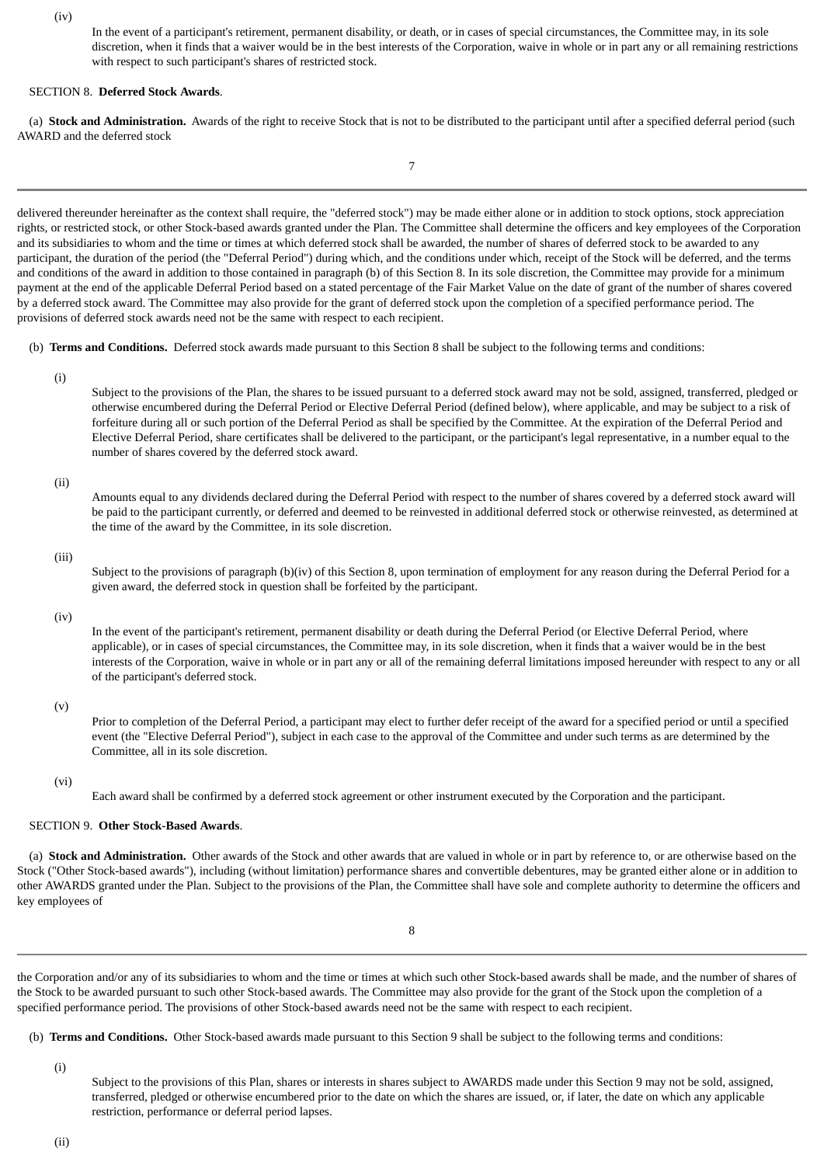(iv)

In the event of a participant's retirement, permanent disability, or death, or in cases of special circumstances, the Committee may, in its sole discretion, when it finds that a waiver would be in the best interests of the Corporation, waive in whole or in part any or all remaining restrictions with respect to such participant's shares of restricted stock.

### SECTION 8. **Deferred Stock Awards**.

 (a)**Stock and Administration.** Awards of the right to receive Stock that is not to be distributed to the participant until after a specified deferral period (such AWARD and the deferred stock

7

delivered thereunder hereinafter as the context shall require, the "deferred stock") may be made either alone or in addition to stock options, stock appreciation rights, or restricted stock, or other Stock-based awards granted under the Plan. The Committee shall determine the officers and key employees of the Corporation and its subsidiaries to whom and the time or times at which deferred stock shall be awarded, the number of shares of deferred stock to be awarded to any participant, the duration of the period (the "Deferral Period") during which, and the conditions under which, receipt of the Stock will be deferred, and the terms and conditions of the award in addition to those contained in paragraph (b) of this Section 8. In its sole discretion, the Committee may provide for a minimum payment at the end of the applicable Deferral Period based on a stated percentage of the Fair Market Value on the date of grant of the number of shares covered by a deferred stock award. The Committee may also provide for the grant of deferred stock upon the completion of a specified performance period. The provisions of deferred stock awards need not be the same with respect to each recipient.

(b)**Terms and Conditions.** Deferred stock awards made pursuant to this Section 8 shall be subject to the following terms and conditions:

(i)

Subject to the provisions of the Plan, the shares to be issued pursuant to a deferred stock award may not be sold, assigned, transferred, pledged or otherwise encumbered during the Deferral Period or Elective Deferral Period (defined below), where applicable, and may be subject to a risk of forfeiture during all or such portion of the Deferral Period as shall be specified by the Committee. At the expiration of the Deferral Period and Elective Deferral Period, share certificates shall be delivered to the participant, or the participant's legal representative, in a number equal to the number of shares covered by the deferred stock award.

(ii)

Amounts equal to any dividends declared during the Deferral Period with respect to the number of shares covered by a deferred stock award will be paid to the participant currently, or deferred and deemed to be reinvested in additional deferred stock or otherwise reinvested, as determined at the time of the award by the Committee, in its sole discretion.

(iii)

Subject to the provisions of paragraph (b)(iv) of this Section 8, upon termination of employment for any reason during the Deferral Period for a given award, the deferred stock in question shall be forfeited by the participant.

(iv)

In the event of the participant's retirement, permanent disability or death during the Deferral Period (or Elective Deferral Period, where applicable), or in cases of special circumstances, the Committee may, in its sole discretion, when it finds that a waiver would be in the best interests of the Corporation, waive in whole or in part any or all of the remaining deferral limitations imposed hereunder with respect to any or all of the participant's deferred stock.

(v)

Prior to completion of the Deferral Period, a participant may elect to further defer receipt of the award for a specified period or until a specified event (the "Elective Deferral Period"), subject in each case to the approval of the Committee and under such terms as are determined by the Committee, all in its sole discretion.

(vi)

Each award shall be confirmed by a deferred stock agreement or other instrument executed by the Corporation and the participant.

### SECTION 9. **Other Stock-Based Awards**.

 (a)**Stock and Administration.** Other awards of the Stock and other awards that are valued in whole or in part by reference to, or are otherwise based on the Stock ("Other Stock-based awards"), including (without limitation) performance shares and convertible debentures, may be granted either alone or in addition to other AWARDS granted under the Plan. Subject to the provisions of the Plan, the Committee shall have sole and complete authority to determine the officers and key employees of

8

the Corporation and/or any of its subsidiaries to whom and the time or times at which such other Stock-based awards shall be made, and the number of shares of the Stock to be awarded pursuant to such other Stock-based awards. The Committee may also provide for the grant of the Stock upon the completion of a specified performance period. The provisions of other Stock-based awards need not be the same with respect to each recipient.

(b)**Terms and Conditions.** Other Stock-based awards made pursuant to this Section 9 shall be subject to the following terms and conditions:

(i)

Subject to the provisions of this Plan, shares or interests in shares subject to AWARDS made under this Section 9 may not be sold, assigned, transferred, pledged or otherwise encumbered prior to the date on which the shares are issued, or, if later, the date on which any applicable restriction, performance or deferral period lapses.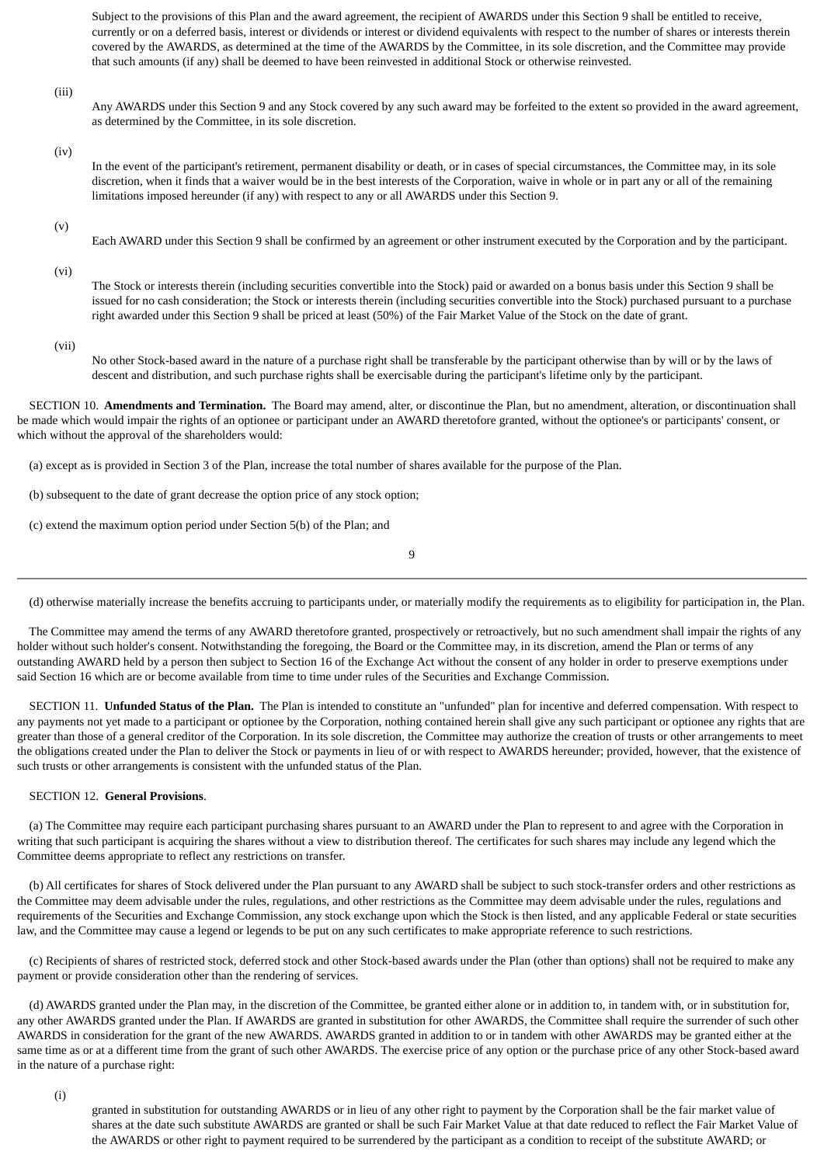Subject to the provisions of this Plan and the award agreement, the recipient of AWARDS under this Section 9 shall be entitled to receive, currently or on a deferred basis, interest or dividends or interest or dividend equivalents with respect to the number of shares or interests therein covered by the AWARDS, as determined at the time of the AWARDS by the Committee, in its sole discretion, and the Committee may provide that such amounts (if any) shall be deemed to have been reinvested in additional Stock or otherwise reinvested.

(iii)

Any AWARDS under this Section 9 and any Stock covered by any such award may be forfeited to the extent so provided in the award agreement, as determined by the Committee, in its sole discretion.

(iv)

In the event of the participant's retirement, permanent disability or death, or in cases of special circumstances, the Committee may, in its sole discretion, when it finds that a waiver would be in the best interests of the Corporation, waive in whole or in part any or all of the remaining limitations imposed hereunder (if any) with respect to any or all AWARDS under this Section 9.

(v)

Each AWARD under this Section 9 shall be confirmed by an agreement or other instrument executed by the Corporation and by the participant.

(vi)

The Stock or interests therein (including securities convertible into the Stock) paid or awarded on a bonus basis under this Section 9 shall be issued for no cash consideration; the Stock or interests therein (including securities convertible into the Stock) purchased pursuant to a purchase right awarded under this Section 9 shall be priced at least (50%) of the Fair Market Value of the Stock on the date of grant.

(vii)

No other Stock-based award in the nature of a purchase right shall be transferable by the participant otherwise than by will or by the laws of descent and distribution, and such purchase rights shall be exercisable during the participant's lifetime only by the participant.

 SECTION 10. **Amendments and Termination.** The Board may amend, alter, or discontinue the Plan, but no amendment, alteration, or discontinuation shall be made which would impair the rights of an optionee or participant under an AWARD theretofore granted, without the optionee's or participants' consent, or which without the approval of the shareholders would:

(a) except as is provided in Section 3 of the Plan, increase the total number of shares available for the purpose of the Plan.

(b) subsequent to the date of grant decrease the option price of any stock option;

(c) extend the maximum option period under Section 5(b) of the Plan; and

9

(d) otherwise materially increase the benefits accruing to participants under, or materially modify the requirements as to eligibility for participation in, the Plan.

 The Committee may amend the terms of any AWARD theretofore granted, prospectively or retroactively, but no such amendment shall impair the rights of any holder without such holder's consent. Notwithstanding the foregoing, the Board or the Committee may, in its discretion, amend the Plan or terms of any outstanding AWARD held by a person then subject to Section 16 of the Exchange Act without the consent of any holder in order to preserve exemptions under said Section 16 which are or become available from time to time under rules of the Securities and Exchange Commission.

 SECTION 11. **Unfunded Status of the Plan.** The Plan is intended to constitute an "unfunded" plan for incentive and deferred compensation. With respect to any payments not yet made to a participant or optionee by the Corporation, nothing contained herein shall give any such participant or optionee any rights that are greater than those of a general creditor of the Corporation. In its sole discretion, the Committee may authorize the creation of trusts or other arrangements to meet the obligations created under the Plan to deliver the Stock or payments in lieu of or with respect to AWARDS hereunder; provided, however, that the existence of such trusts or other arrangements is consistent with the unfunded status of the Plan.

### SECTION 12. **General Provisions**.

 (a) The Committee may require each participant purchasing shares pursuant to an AWARD under the Plan to represent to and agree with the Corporation in writing that such participant is acquiring the shares without a view to distribution thereof. The certificates for such shares may include any legend which the Committee deems appropriate to reflect any restrictions on transfer.

 (b) All certificates for shares of Stock delivered under the Plan pursuant to any AWARD shall be subject to such stock-transfer orders and other restrictions as the Committee may deem advisable under the rules, regulations, and other restrictions as the Committee may deem advisable under the rules, regulations and requirements of the Securities and Exchange Commission, any stock exchange upon which the Stock is then listed, and any applicable Federal or state securities law, and the Committee may cause a legend or legends to be put on any such certificates to make appropriate reference to such restrictions.

 (c) Recipients of shares of restricted stock, deferred stock and other Stock-based awards under the Plan (other than options) shall not be required to make any payment or provide consideration other than the rendering of services.

 (d) AWARDS granted under the Plan may, in the discretion of the Committee, be granted either alone or in addition to, in tandem with, or in substitution for, any other AWARDS granted under the Plan. If AWARDS are granted in substitution for other AWARDS, the Committee shall require the surrender of such other AWARDS in consideration for the grant of the new AWARDS. AWARDS granted in addition to or in tandem with other AWARDS may be granted either at the same time as or at a different time from the grant of such other AWARDS. The exercise price of any option or the purchase price of any other Stock-based award in the nature of a purchase right:

(i)

granted in substitution for outstanding AWARDS or in lieu of any other right to payment by the Corporation shall be the fair market value of shares at the date such substitute AWARDS are granted or shall be such Fair Market Value at that date reduced to reflect the Fair Market Value of the AWARDS or other right to payment required to be surrendered by the participant as a condition to receipt of the substitute AWARD; or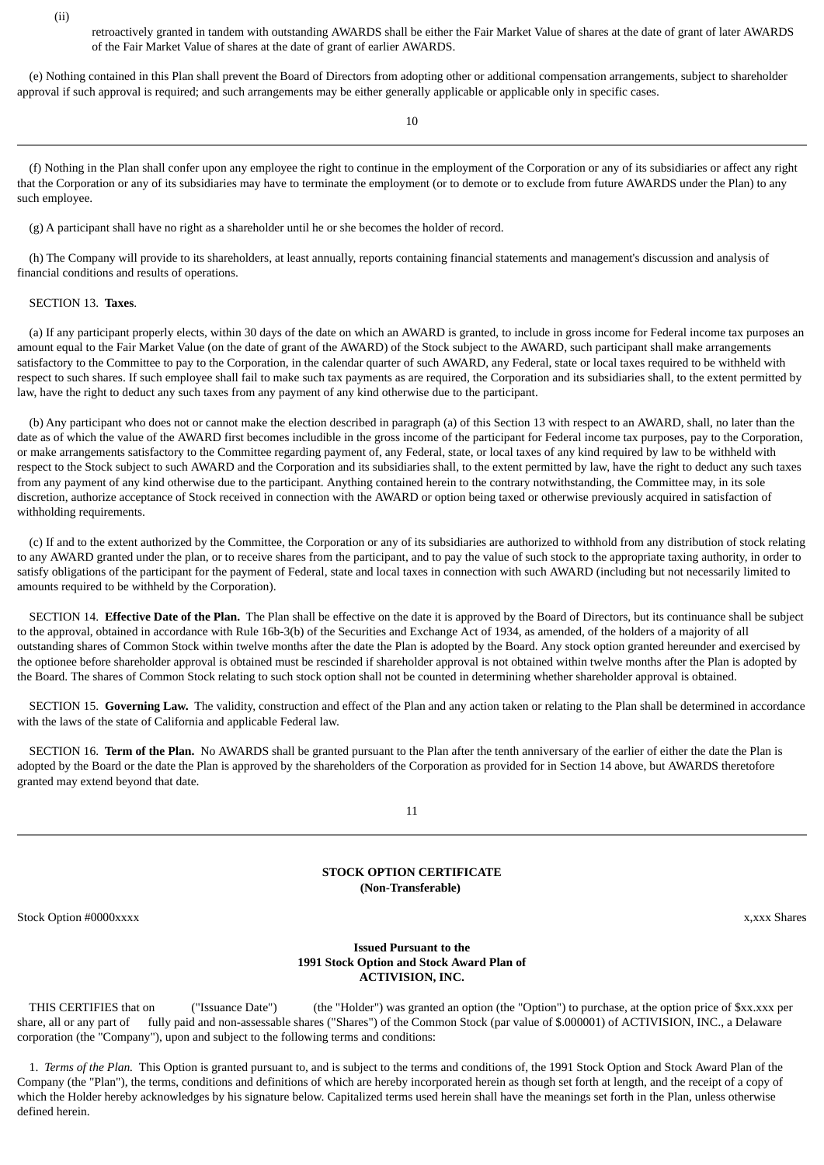(ii)

retroactively granted in tandem with outstanding AWARDS shall be either the Fair Market Value of shares at the date of grant of later AWARDS of the Fair Market Value of shares at the date of grant of earlier AWARDS.

 (e) Nothing contained in this Plan shall prevent the Board of Directors from adopting other or additional compensation arrangements, subject to shareholder approval if such approval is required; and such arrangements may be either generally applicable or applicable only in specific cases.

10

 (f) Nothing in the Plan shall confer upon any employee the right to continue in the employment of the Corporation or any of its subsidiaries or affect any right that the Corporation or any of its subsidiaries may have to terminate the employment (or to demote or to exclude from future AWARDS under the Plan) to any such employee.

(g) A participant shall have no right as a shareholder until he or she becomes the holder of record.

 (h) The Company will provide to its shareholders, at least annually, reports containing financial statements and management's discussion and analysis of financial conditions and results of operations.

### SECTION 13. **Taxes**.

 (a) If any participant properly elects, within 30 days of the date on which an AWARD is granted, to include in gross income for Federal income tax purposes an amount equal to the Fair Market Value (on the date of grant of the AWARD) of the Stock subject to the AWARD, such participant shall make arrangements satisfactory to the Committee to pay to the Corporation, in the calendar quarter of such AWARD, any Federal, state or local taxes required to be withheld with respect to such shares. If such employee shall fail to make such tax payments as are required, the Corporation and its subsidiaries shall, to the extent permitted by law, have the right to deduct any such taxes from any payment of any kind otherwise due to the participant.

 (b) Any participant who does not or cannot make the election described in paragraph (a) of this Section 13 with respect to an AWARD, shall, no later than the date as of which the value of the AWARD first becomes includible in the gross income of the participant for Federal income tax purposes, pay to the Corporation, or make arrangements satisfactory to the Committee regarding payment of, any Federal, state, or local taxes of any kind required by law to be withheld with respect to the Stock subject to such AWARD and the Corporation and its subsidiaries shall, to the extent permitted by law, have the right to deduct any such taxes from any payment of any kind otherwise due to the participant. Anything contained herein to the contrary notwithstanding, the Committee may, in its sole discretion, authorize acceptance of Stock received in connection with the AWARD or option being taxed or otherwise previously acquired in satisfaction of withholding requirements.

 (c) If and to the extent authorized by the Committee, the Corporation or any of its subsidiaries are authorized to withhold from any distribution of stock relating to any AWARD granted under the plan, or to receive shares from the participant, and to pay the value of such stock to the appropriate taxing authority, in order to satisfy obligations of the participant for the payment of Federal, state and local taxes in connection with such AWARD (including but not necessarily limited to amounts required to be withheld by the Corporation).

 SECTION 14. **Effective Date of the Plan.** The Plan shall be effective on the date it is approved by the Board of Directors, but its continuance shall be subject to the approval, obtained in accordance with Rule 16b-3(b) of the Securities and Exchange Act of 1934, as amended, of the holders of a majority of all outstanding shares of Common Stock within twelve months after the date the Plan is adopted by the Board. Any stock option granted hereunder and exercised by the optionee before shareholder approval is obtained must be rescinded if shareholder approval is not obtained within twelve months after the Plan is adopted by the Board. The shares of Common Stock relating to such stock option shall not be counted in determining whether shareholder approval is obtained.

 SECTION 15. **Governing Law.** The validity, construction and effect of the Plan and any action taken or relating to the Plan shall be determined in accordance with the laws of the state of California and applicable Federal law.

 SECTION 16. **Term of the Plan.** No AWARDS shall be granted pursuant to the Plan after the tenth anniversary of the earlier of either the date the Plan is adopted by the Board or the date the Plan is approved by the shareholders of the Corporation as provided for in Section 14 above, but AWARDS theretofore granted may extend beyond that date.

11

### **STOCK OPTION CERTIFICATE (Non-Transferable)**

<span id="page-65-0"></span>Stock Option #0000xxxx x, xxx Shares x,xxx Shares x,xxx Shares x,xxx Shares x,xxx Shares x,xxx Shares x,xxx Shares x,xxx Shares x,xxx Shares x,xxx Shares x,xxx Shares x,xxx Shares x,xxx Shares x,xxx Shares x,xxx Shares x,x

### **Issued Pursuant to the 1991 Stock Option and Stock Award Plan of ACTIVISION, INC.**

 THIS CERTIFIES that on ("Issuance Date") (the "Holder") was granted an option (the "Option") to purchase, at the option price of \$xx.xxx per share, all or any part of fully paid and non-assessable shares ("Shares") of the Common Stock (par value of \$.000001) of ACTIVISION, INC., a Delaware corporation (the "Company"), upon and subject to the following terms and conditions:

 1. *Terms of the Plan.* This Option is granted pursuant to, and is subject to the terms and conditions of, the 1991 Stock Option and Stock Award Plan of the Company (the "Plan"), the terms, conditions and definitions of which are hereby incorporated herein as though set forth at length, and the receipt of a copy of which the Holder hereby acknowledges by his signature below. Capitalized terms used herein shall have the meanings set forth in the Plan, unless otherwise defined herein.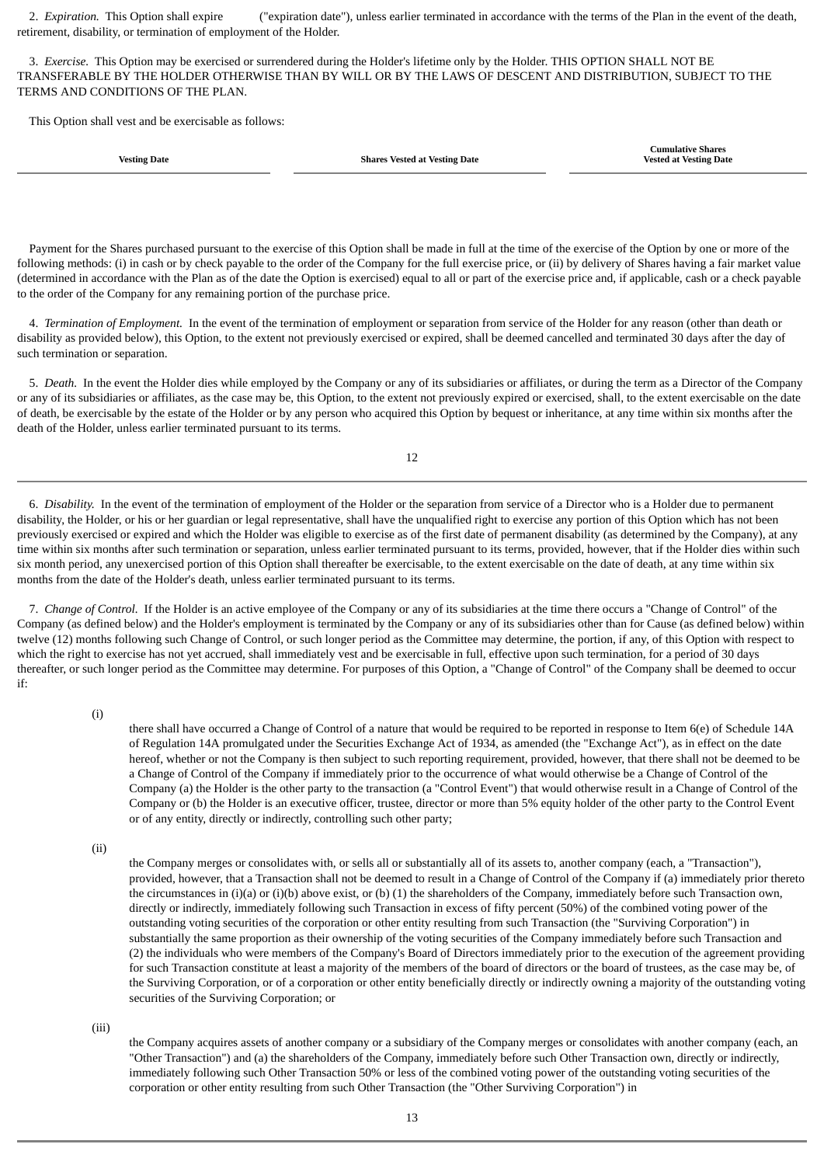2. *Expiration.* This Option shall expire ("expiration date"), unless earlier terminated in accordance with the terms of the Plan in the event of the death, retirement, disability, or termination of employment of the Holder.

 3. *Exercise.* This Option may be exercised or surrendered during the Holder's lifetime only by the Holder. THIS OPTION SHALL NOT BE TRANSFERABLE BY THE HOLDER OTHERWISE THAN BY WILL OR BY THE LAWS OF DESCENT AND DISTRIBUTION, SUBJECT TO THE TERMS AND CONDITIONS OF THE PLAN.

This Option shall vest and be exercisable as follows:

**Vesting Date Shares Vested at Vesting Date**

**Cumulative Shares Vested at Vesting Date**

 Payment for the Shares purchased pursuant to the exercise of this Option shall be made in full at the time of the exercise of the Option by one or more of the following methods: (i) in cash or by check payable to the order of the Company for the full exercise price, or (ii) by delivery of Shares having a fair market value (determined in accordance with the Plan as of the date the Option is exercised) equal to all or part of the exercise price and, if applicable, cash or a check payable to the order of the Company for any remaining portion of the purchase price.

 4. *Termination of Employment.* In the event of the termination of employment or separation from service of the Holder for any reason (other than death or disability as provided below), this Option, to the extent not previously exercised or expired, shall be deemed cancelled and terminated 30 days after the day of such termination or separation.

 5. *Death.* In the event the Holder dies while employed by the Company or any of its subsidiaries or affiliates, or during the term as a Director of the Company or any of its subsidiaries or affiliates, as the case may be, this Option, to the extent not previously expired or exercised, shall, to the extent exercisable on the date of death, be exercisable by the estate of the Holder or by any person who acquired this Option by bequest or inheritance, at any time within six months after the death of the Holder, unless earlier terminated pursuant to its terms.

12

 6. *Disability.* In the event of the termination of employment of the Holder or the separation from service of a Director who is a Holder due to permanent disability, the Holder, or his or her guardian or legal representative, shall have the unqualified right to exercise any portion of this Option which has not been previously exercised or expired and which the Holder was eligible to exercise as of the first date of permanent disability (as determined by the Company), at any time within six months after such termination or separation, unless earlier terminated pursuant to its terms, provided, however, that if the Holder dies within such six month period, any unexercised portion of this Option shall thereafter be exercisable, to the extent exercisable on the date of death, at any time within six months from the date of the Holder's death, unless earlier terminated pursuant to its terms.

 7. *Change of Control.* If the Holder is an active employee of the Company or any of its subsidiaries at the time there occurs a "Change of Control" of the Company (as defined below) and the Holder's employment is terminated by the Company or any of its subsidiaries other than for Cause (as defined below) within twelve (12) months following such Change of Control, or such longer period as the Committee may determine, the portion, if any, of this Option with respect to which the right to exercise has not yet accrued, shall immediately vest and be exercisable in full, effective upon such termination, for a period of 30 days thereafter, or such longer period as the Committee may determine. For purposes of this Option, a "Change of Control" of the Company shall be deemed to occur if:

(i)

there shall have occurred a Change of Control of a nature that would be required to be reported in response to Item 6(e) of Schedule 14A of Regulation 14A promulgated under the Securities Exchange Act of 1934, as amended (the "Exchange Act"), as in effect on the date hereof, whether or not the Company is then subject to such reporting requirement, provided, however, that there shall not be deemed to be a Change of Control of the Company if immediately prior to the occurrence of what would otherwise be a Change of Control of the Company (a) the Holder is the other party to the transaction (a "Control Event") that would otherwise result in a Change of Control of the Company or (b) the Holder is an executive officer, trustee, director or more than 5% equity holder of the other party to the Control Event or of any entity, directly or indirectly, controlling such other party;

(ii)

the Company merges or consolidates with, or sells all or substantially all of its assets to, another company (each, a "Transaction"), provided, however, that a Transaction shall not be deemed to result in a Change of Control of the Company if (a) immediately prior thereto the circumstances in (i)(a) or (i)(b) above exist, or (b) (1) the shareholders of the Company, immediately before such Transaction own, directly or indirectly, immediately following such Transaction in excess of fifty percent (50%) of the combined voting power of the outstanding voting securities of the corporation or other entity resulting from such Transaction (the "Surviving Corporation") in substantially the same proportion as their ownership of the voting securities of the Company immediately before such Transaction and (2) the individuals who were members of the Company's Board of Directors immediately prior to the execution of the agreement providing for such Transaction constitute at least a majority of the members of the board of directors or the board of trustees, as the case may be, of the Surviving Corporation, or of a corporation or other entity beneficially directly or indirectly owning a majority of the outstanding voting securities of the Surviving Corporation; or

(iii)

the Company acquires assets of another company or a subsidiary of the Company merges or consolidates with another company (each, an "Other Transaction") and (a) the shareholders of the Company, immediately before such Other Transaction own, directly or indirectly, immediately following such Other Transaction 50% or less of the combined voting power of the outstanding voting securities of the corporation or other entity resulting from such Other Transaction (the "Other Surviving Corporation") in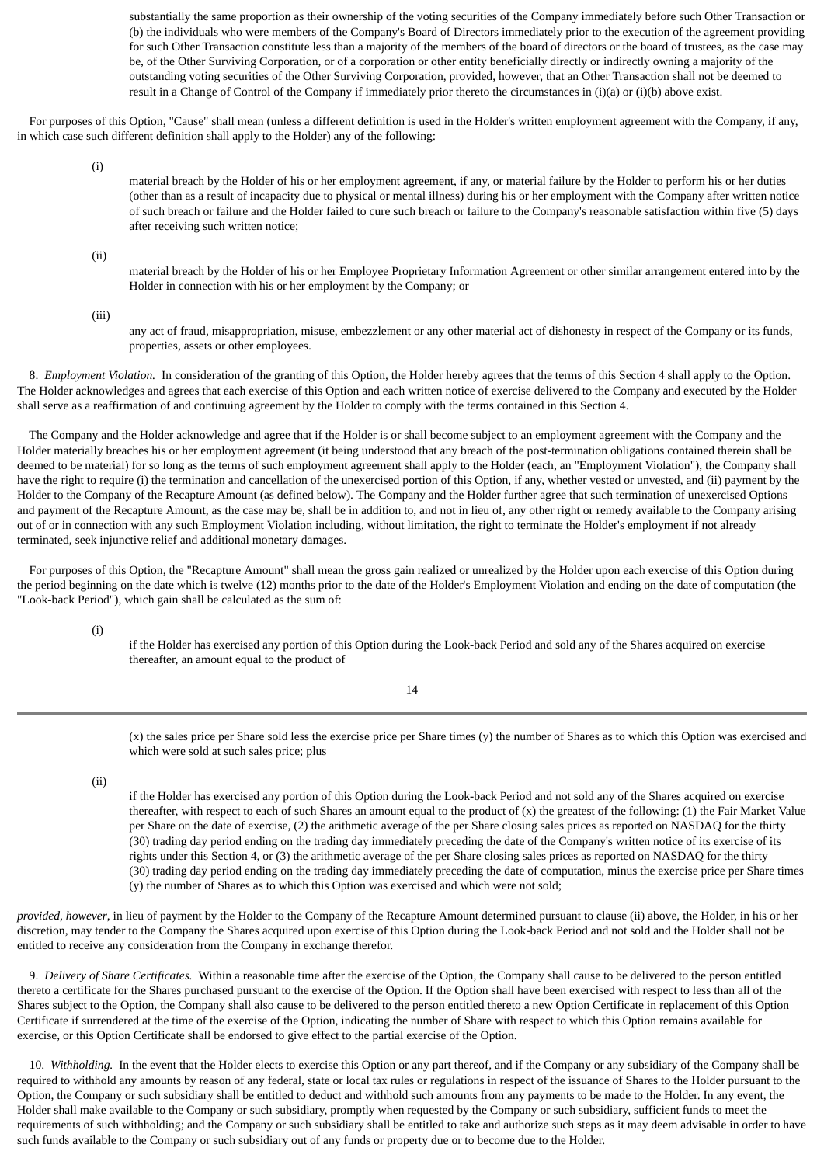substantially the same proportion as their ownership of the voting securities of the Company immediately before such Other Transaction or (b) the individuals who were members of the Company's Board of Directors immediately prior to the execution of the agreement providing for such Other Transaction constitute less than a majority of the members of the board of directors or the board of trustees, as the case may be, of the Other Surviving Corporation, or of a corporation or other entity beneficially directly or indirectly owning a majority of the outstanding voting securities of the Other Surviving Corporation, provided, however, that an Other Transaction shall not be deemed to result in a Change of Control of the Company if immediately prior thereto the circumstances in (i)(a) or (i)(b) above exist.

 For purposes of this Option, "Cause" shall mean (unless a different definition is used in the Holder's written employment agreement with the Company, if any, in which case such different definition shall apply to the Holder) any of the following:

(i)

material breach by the Holder of his or her employment agreement, if any, or material failure by the Holder to perform his or her duties (other than as a result of incapacity due to physical or mental illness) during his or her employment with the Company after written notice of such breach or failure and the Holder failed to cure such breach or failure to the Company's reasonable satisfaction within five (5) days after receiving such written notice;

(ii)

material breach by the Holder of his or her Employee Proprietary Information Agreement or other similar arrangement entered into by the Holder in connection with his or her employment by the Company; or

(iii)

any act of fraud, misappropriation, misuse, embezzlement or any other material act of dishonesty in respect of the Company or its funds, properties, assets or other employees.

 8. *Employment Violation.* In consideration of the granting of this Option, the Holder hereby agrees that the terms of this Section 4 shall apply to the Option. The Holder acknowledges and agrees that each exercise of this Option and each written notice of exercise delivered to the Company and executed by the Holder shall serve as a reaffirmation of and continuing agreement by the Holder to comply with the terms contained in this Section 4.

 The Company and the Holder acknowledge and agree that if the Holder is or shall become subject to an employment agreement with the Company and the Holder materially breaches his or her employment agreement (it being understood that any breach of the post-termination obligations contained therein shall be deemed to be material) for so long as the terms of such employment agreement shall apply to the Holder (each, an "Employment Violation"), the Company shall have the right to require (i) the termination and cancellation of the unexercised portion of this Option, if any, whether vested or unvested, and (ii) payment by the Holder to the Company of the Recapture Amount (as defined below). The Company and the Holder further agree that such termination of unexercised Options and payment of the Recapture Amount, as the case may be, shall be in addition to, and not in lieu of, any other right or remedy available to the Company arising out of or in connection with any such Employment Violation including, without limitation, the right to terminate the Holder's employment if not already terminated, seek injunctive relief and additional monetary damages.

 For purposes of this Option, the "Recapture Amount" shall mean the gross gain realized or unrealized by the Holder upon each exercise of this Option during the period beginning on the date which is twelve (12) months prior to the date of the Holder's Employment Violation and ending on the date of computation (the "Look-back Period"), which gain shall be calculated as the sum of:

(i)

if the Holder has exercised any portion of this Option during the Look-back Period and sold any of the Shares acquired on exercise thereafter, an amount equal to the product of

14

(x) the sales price per Share sold less the exercise price per Share times (y) the number of Shares as to which this Option was exercised and which were sold at such sales price; plus

(ii)

if the Holder has exercised any portion of this Option during the Look-back Period and not sold any of the Shares acquired on exercise thereafter, with respect to each of such Shares an amount equal to the product of (x) the greatest of the following: (1) the Fair Market Value per Share on the date of exercise, (2) the arithmetic average of the per Share closing sales prices as reported on NASDAQ for the thirty (30) trading day period ending on the trading day immediately preceding the date of the Company's written notice of its exercise of its rights under this Section 4, or (3) the arithmetic average of the per Share closing sales prices as reported on NASDAQ for the thirty (30) trading day period ending on the trading day immediately preceding the date of computation, minus the exercise price per Share times (y) the number of Shares as to which this Option was exercised and which were not sold;

*provided, however*, in lieu of payment by the Holder to the Company of the Recapture Amount determined pursuant to clause (ii) above, the Holder, in his or her discretion, may tender to the Company the Shares acquired upon exercise of this Option during the Look-back Period and not sold and the Holder shall not be entitled to receive any consideration from the Company in exchange therefor.

 9. *Delivery of Share Certificates.* Within a reasonable time after the exercise of the Option, the Company shall cause to be delivered to the person entitled thereto a certificate for the Shares purchased pursuant to the exercise of the Option. If the Option shall have been exercised with respect to less than all of the Shares subject to the Option, the Company shall also cause to be delivered to the person entitled thereto a new Option Certificate in replacement of this Option Certificate if surrendered at the time of the exercise of the Option, indicating the number of Share with respect to which this Option remains available for exercise, or this Option Certificate shall be endorsed to give effect to the partial exercise of the Option.

 10. *Withholding.* In the event that the Holder elects to exercise this Option or any part thereof, and if the Company or any subsidiary of the Company shall be required to withhold any amounts by reason of any federal, state or local tax rules or regulations in respect of the issuance of Shares to the Holder pursuant to the Option, the Company or such subsidiary shall be entitled to deduct and withhold such amounts from any payments to be made to the Holder. In any event, the Holder shall make available to the Company or such subsidiary, promptly when requested by the Company or such subsidiary, sufficient funds to meet the requirements of such withholding; and the Company or such subsidiary shall be entitled to take and authorize such steps as it may deem advisable in order to have such funds available to the Company or such subsidiary out of any funds or property due or to become due to the Holder.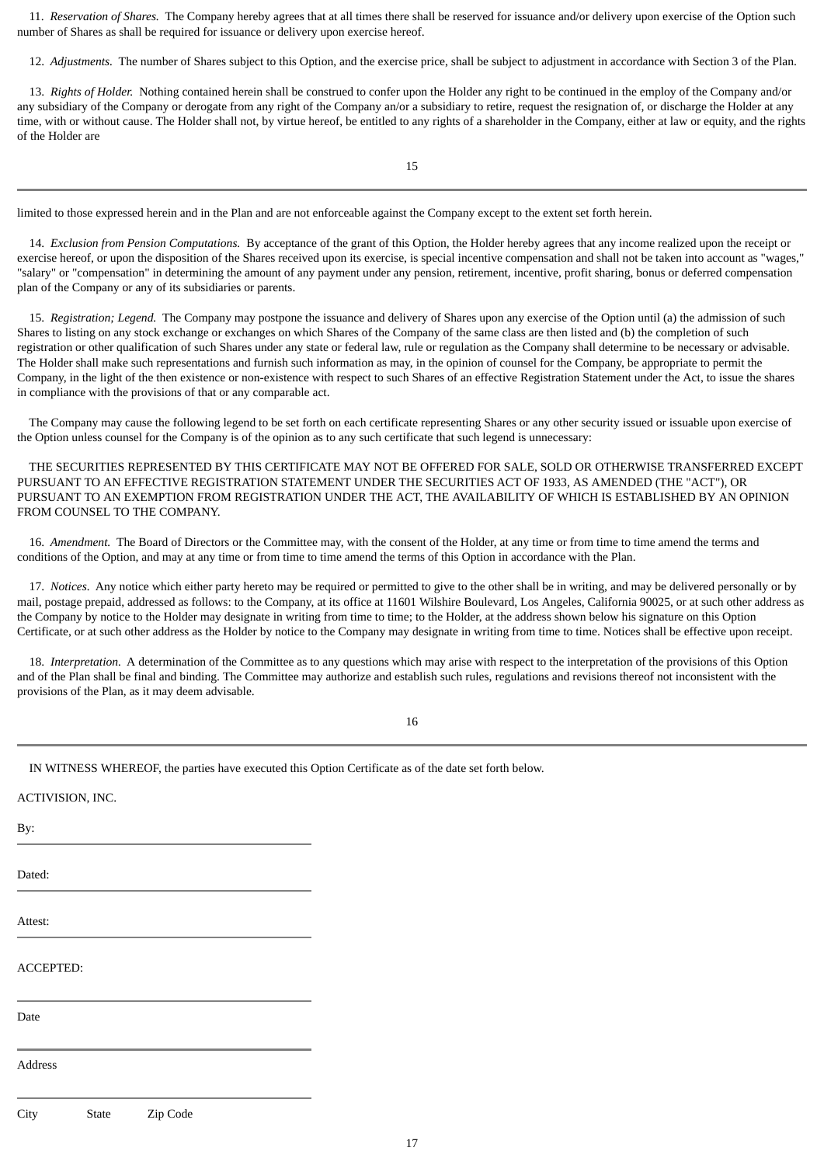11. *Reservation of Shares.* The Company hereby agrees that at all times there shall be reserved for issuance and/or delivery upon exercise of the Option such number of Shares as shall be required for issuance or delivery upon exercise hereof.

12. *Adjustments.* The number of Shares subject to this Option, and the exercise price, shall be subject to adjustment in accordance with Section 3 of the Plan.

 13. *Rights of Holder.* Nothing contained herein shall be construed to confer upon the Holder any right to be continued in the employ of the Company and/or any subsidiary of the Company or derogate from any right of the Company an/or a subsidiary to retire, request the resignation of, or discharge the Holder at any time, with or without cause. The Holder shall not, by virtue hereof, be entitled to any rights of a shareholder in the Company, either at law or equity, and the rights of the Holder are

15

limited to those expressed herein and in the Plan and are not enforceable against the Company except to the extent set forth herein.

 14. *Exclusion from Pension Computations.* By acceptance of the grant of this Option, the Holder hereby agrees that any income realized upon the receipt or exercise hereof, or upon the disposition of the Shares received upon its exercise, is special incentive compensation and shall not be taken into account as "wages," "salary" or "compensation" in determining the amount of any payment under any pension, retirement, incentive, profit sharing, bonus or deferred compensation plan of the Company or any of its subsidiaries or parents.

 15. *Registration; Legend.* The Company may postpone the issuance and delivery of Shares upon any exercise of the Option until (a) the admission of such Shares to listing on any stock exchange or exchanges on which Shares of the Company of the same class are then listed and (b) the completion of such registration or other qualification of such Shares under any state or federal law, rule or regulation as the Company shall determine to be necessary or advisable. The Holder shall make such representations and furnish such information as may, in the opinion of counsel for the Company, be appropriate to permit the Company, in the light of the then existence or non-existence with respect to such Shares of an effective Registration Statement under the Act, to issue the shares in compliance with the provisions of that or any comparable act.

 The Company may cause the following legend to be set forth on each certificate representing Shares or any other security issued or issuable upon exercise of the Option unless counsel for the Company is of the opinion as to any such certificate that such legend is unnecessary:

 THE SECURITIES REPRESENTED BY THIS CERTIFICATE MAY NOT BE OFFERED FOR SALE, SOLD OR OTHERWISE TRANSFERRED EXCEPT PURSUANT TO AN EFFECTIVE REGISTRATION STATEMENT UNDER THE SECURITIES ACT OF 1933, AS AMENDED (THE "ACT"), OR PURSUANT TO AN EXEMPTION FROM REGISTRATION UNDER THE ACT, THE AVAILABILITY OF WHICH IS ESTABLISHED BY AN OPINION FROM COUNSEL TO THE COMPANY.

 16. *Amendment.* The Board of Directors or the Committee may, with the consent of the Holder, at any time or from time to time amend the terms and conditions of the Option, and may at any time or from time to time amend the terms of this Option in accordance with the Plan.

 17. *Notices.* Any notice which either party hereto may be required or permitted to give to the other shall be in writing, and may be delivered personally or by mail, postage prepaid, addressed as follows: to the Company, at its office at 11601 Wilshire Boulevard, Los Angeles, California 90025, or at such other address as the Company by notice to the Holder may designate in writing from time to time; to the Holder, at the address shown below his signature on this Option Certificate, or at such other address as the Holder by notice to the Company may designate in writing from time to time. Notices shall be effective upon receipt.

 18. *Interpretation.* A determination of the Committee as to any questions which may arise with respect to the interpretation of the provisions of this Option and of the Plan shall be final and binding. The Committee may authorize and establish such rules, regulations and revisions thereof not inconsistent with the provisions of the Plan, as it may deem advisable.

16

IN WITNESS WHEREOF, the parties have executed this Option Certificate as of the date set forth below.

ACTIVISION, INC.

By:

Dated:

Attest:

ACCEPTED:

Date

Address

City State Zip Code